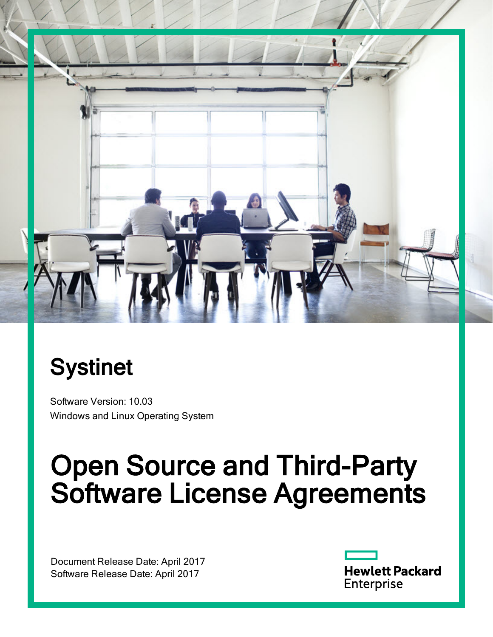

# **Systinet**

Software Version: 10.03 Windows and Linux Operating System

# Open Source and Third-Party Software License Agreements

Document Release Date: April 2017 Software Release Date: April 2017

**Hewlett Packard** Enterprise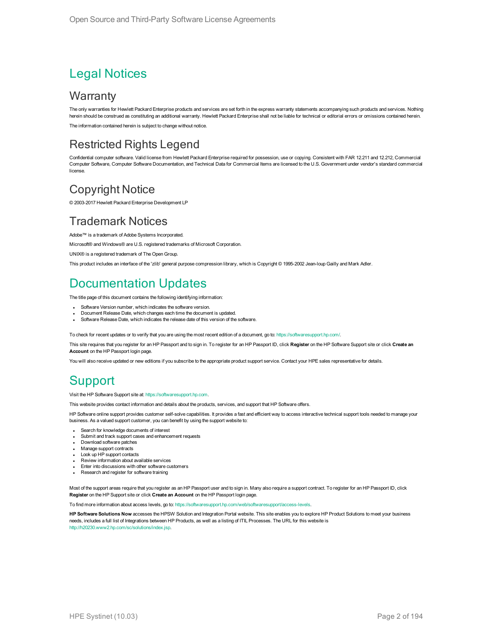### Legal Notices

### **Warranty**

The only warranties for Hewlett Packard Enterprise products and services are set forth in the express warranty statements accompanying such products and services. Nothing herein should be construed as constituting an additional warranty. Hewlett Packard Enterprise shall not be liable for technical or editorial errors or omissions contained herein. The information contained herein is subject to change without notice.

### Restricted Rights Legend

Confidential computer software. Valid license from Hewlett Packard Enterprise required for possession, use or copying. Consistent with FAR 12.211 and 12.212, Commercial Computer Software, Computer Software Documentation, and Technical Data for Commercial Items are licensed to the U.S. Government under vendor's standard commercial license.

### Copyright Notice

© 2003-2017 Hewlett Packard Enterprise Development LP

### Trademark Notices

Adobe™ is a trademark of Adobe Systems Incorporated.

Microsoft® and Windows® are U.S. registered trademarks of Microsoft Corporation.

UNIX® is a registered trademark of The Open Group.

This product includes an interface of the 'zlib' general purpose compression library, which is Copyright © 1995-2002 Jean-loup Gailly and Mark Adler.

### Documentation Updates

The title page of this document contains the following identifying information:

- Software Version number, which indicates the software version.
- Document Release Date, which changes each time the document is updated.
- Software Release Date, which indicates the release date of this version of the software.

To check for recent updates or to verify that you are using the most recent edition of a document, go to: <https://softwaresupport.hp.com/>.

This site requires that you register for an HP Passport and to sign in. To register for an HP Passport ID, click **Register** on the HP Software Support site or click **Create an Account** on the HP Passport login page.

You will also receive updated or new editions if you subscribe to the appropriate product support service. Contact your HPE sales representative for details.

### **Support**

Visit the HP Software Support site at: [https://softwaresupport.hp.com](https://softwaresupport.hp.com/).

This website provides contact information and details about the products, services, and support that HP Software offers.

HP Software online support provides customer self-solve capabilities. It provides a fast and efficient way to access interactive technical support tools needed to manage your business. As a valued support customer, you can benefit by using the support website to:

- Search for knowledge documents of interest
- Submit and track support cases and enhancement requests
- Download software patches
- Manage support contracts
- Look up HP support contacts Review information about available services
- Enter into discussions with other software customers
- Research and register for software training

Most of the support areas require that you register as an HP Passport user and to sign in. Many also require a support contract. To register for an HP Passport ID, click **Register** on the HP Support site or click **Create an Account** on the HP Passport login page.

To find more information about access levels, go to: [https://softwaresupport.hp.com/web/softwaresupport/access-levels.](https://softwaresupport.hp.com/web/softwaresupport/access-levels)

**HP Software Solutions Now** accesses the HPSW Solution and Integration Portal website. This site enables you to explore HP Product Solutions to meet your business needs, includes a full list of Integrations between HP Products, as well as a listing of ITIL Processes. The URL for this website is [http://h20230.www2.hp.com/sc/solutions/index.jsp.](http://h20230.www2.hp.com/sc/solutions/index.jsp)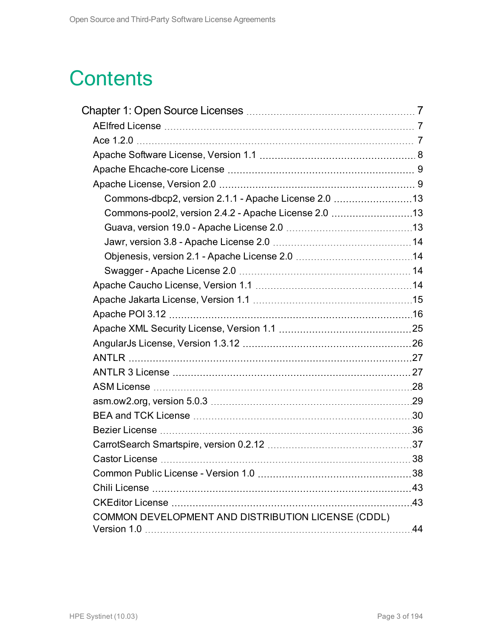# **Contents**

| Commons-dbcp2, version 2.1.1 - Apache License 2.0 13 |     |
|------------------------------------------------------|-----|
| Commons-pool2, version 2.4.2 - Apache License 2.0 13 |     |
|                                                      |     |
|                                                      |     |
|                                                      |     |
|                                                      |     |
|                                                      |     |
|                                                      |     |
|                                                      |     |
|                                                      |     |
|                                                      |     |
|                                                      |     |
|                                                      |     |
|                                                      |     |
|                                                      |     |
|                                                      |     |
|                                                      |     |
|                                                      |     |
|                                                      |     |
|                                                      |     |
|                                                      | .43 |
|                                                      |     |
| COMMON DEVELOPMENT AND DISTRIBUTION LICENSE (CDDL)   |     |
|                                                      | 44  |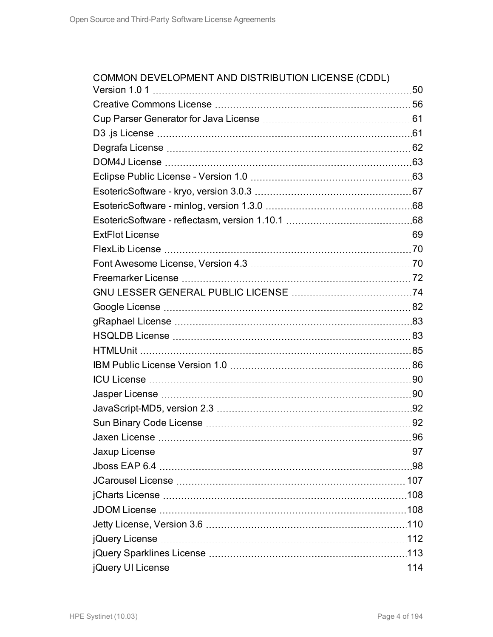| COMMON DEVELOPMENT AND DISTRIBUTION LICENSE (CDDL) |  |
|----------------------------------------------------|--|
|                                                    |  |
|                                                    |  |
|                                                    |  |
|                                                    |  |
|                                                    |  |
|                                                    |  |
|                                                    |  |
|                                                    |  |
|                                                    |  |
|                                                    |  |
|                                                    |  |
|                                                    |  |
|                                                    |  |
|                                                    |  |
|                                                    |  |
|                                                    |  |
|                                                    |  |
|                                                    |  |
|                                                    |  |
|                                                    |  |
|                                                    |  |
|                                                    |  |
|                                                    |  |
|                                                    |  |
|                                                    |  |
|                                                    |  |
|                                                    |  |
|                                                    |  |
|                                                    |  |
|                                                    |  |
|                                                    |  |
|                                                    |  |
|                                                    |  |
|                                                    |  |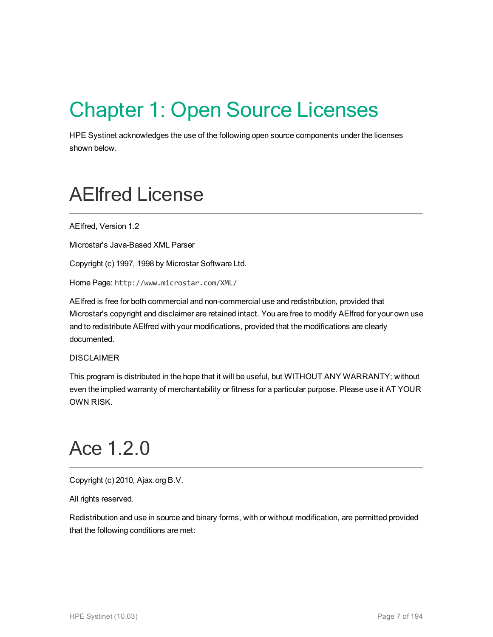# <span id="page-6-0"></span>Chapter 1: Open Source Licenses

HPE Systinet acknowledges the use of the following open source components under the licenses shown below.

## <span id="page-6-1"></span>AElfred License

AElfred, Version 1.2

Microstar's Java-Based XML Parser

Copyright (c) 1997, 1998 by Microstar Software Ltd.

Home Page: http://www.microstar.com/XML/

AElfred is free for both commercial and non-commercial use and redistribution, provided that Microstar's copyright and disclaimer are retained intact. You are free to modify AElfred for your own use and to redistribute AElfred with your modifications, provided that the modifications are clearly documented.

DISCLAIMER

This program is distributed in the hope that it will be useful, but WITHOUT ANY WARRANTY; without even the implied warranty of merchantability or fitness for a particular purpose. Please use it AT YOUR OWN RISK.

# <span id="page-6-2"></span>Ace 1.2.0

Copyright (c) 2010, Ajax.org B.V.

All rights reserved.

Redistribution and use in source and binary forms, with or without modification, are permitted provided that the following conditions are met: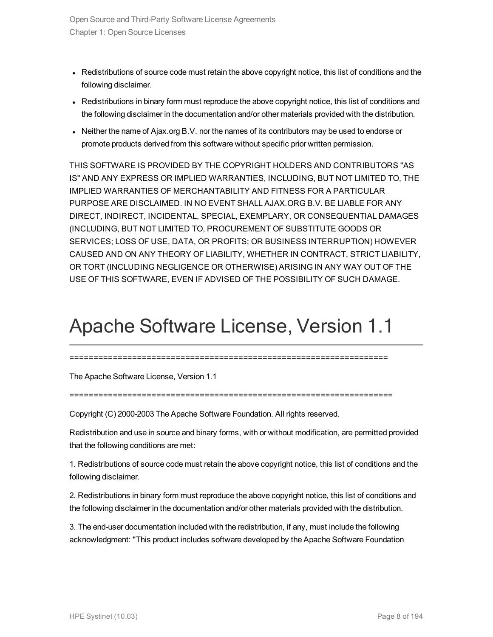- Redistributions of source code must retain the above copyright notice, this list of conditions and the following disclaimer.
- Redistributions in binary form must reproduce the above copyright notice, this list of conditions and the following disclaimer in the documentation and/or other materials provided with the distribution.
- Neither the name of Ajax.org B.V. nor the names of its contributors may be used to endorse or promote products derived from this software without specific prior written permission.

THIS SOFTWARE IS PROVIDED BY THE COPYRIGHT HOLDERS AND CONTRIBUTORS "AS IS" AND ANY EXPRESS OR IMPLIED WARRANTIES, INCLUDING, BUT NOT LIMITED TO, THE IMPLIED WARRANTIES OF MERCHANTABILITY AND FITNESS FOR A PARTICULAR PURPOSE ARE DISCLAIMED. IN NO EVENT SHALL AJAX.ORG B.V. BE LIABLE FOR ANY DIRECT, INDIRECT, INCIDENTAL, SPECIAL, EXEMPLARY, OR CONSEQUENTIAL DAMAGES (INCLUDING, BUT NOT LIMITED TO, PROCUREMENT OF SUBSTITUTE GOODS OR SERVICES; LOSS OF USE, DATA, OR PROFITS; OR BUSINESS INTERRUPTION) HOWEVER CAUSED AND ON ANY THEORY OF LIABILITY, WHETHER IN CONTRACT, STRICT LIABILITY, OR TORT (INCLUDING NEGLIGENCE OR OTHERWISE) ARISING IN ANY WAY OUT OF THE USE OF THIS SOFTWARE, EVEN IF ADVISED OF THE POSSIBILITY OF SUCH DAMAGE.

## <span id="page-7-0"></span>Apache Software License, Version 1.1

==================================================================

The Apache Software License, Version 1.1

===================================================================

Copyright (C) 2000-2003 The Apache Software Foundation. All rights reserved.

Redistribution and use in source and binary forms, with or without modification, are permitted provided that the following conditions are met:

1. Redistributions of source code must retain the above copyright notice, this list of conditions and the following disclaimer.

2. Redistributions in binary form must reproduce the above copyright notice, this list of conditions and the following disclaimer in the documentation and/or other materials provided with the distribution.

3. The end-user documentation included with the redistribution, if any, must include the following acknowledgment: "This product includes software developed by the Apache Software Foundation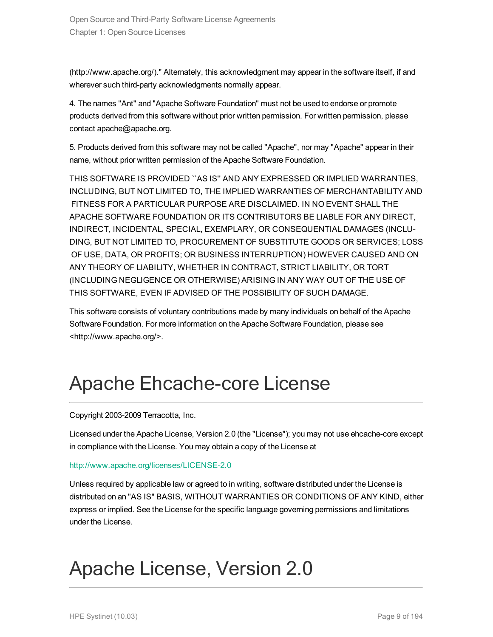(http://www.apache.org/)." Alternately, this acknowledgment may appear in the software itself, if and wherever such third-party acknowledgments normally appear.

4. The names "Ant" and "Apache Software Foundation" must not be used to endorse or promote products derived from this software without prior written permission. For written permission, please contact apache@apache.org.

5. Products derived from this software may not be called "Apache", nor may "Apache" appear in their name, without prior written permission of the Apache Software Foundation.

THIS SOFTWARE IS PROVIDED ``AS IS'' AND ANY EXPRESSED OR IMPLIED WARRANTIES, INCLUDING, BUT NOT LIMITED TO, THE IMPLIED WARRANTIES OF MERCHANTABILITY AND FITNESS FOR A PARTICULAR PURPOSE ARE DISCLAIMED. IN NO EVENT SHALL THE APACHE SOFTWARE FOUNDATION OR ITS CONTRIBUTORS BE LIABLE FOR ANY DIRECT, INDIRECT, INCIDENTAL, SPECIAL, EXEMPLARY, OR CONSEQUENTIAL DAMAGES (INCLU-DING, BUT NOT LIMITED TO, PROCUREMENT OF SUBSTITUTE GOODS OR SERVICES; LOSS OF USE, DATA, OR PROFITS; OR BUSINESS INTERRUPTION) HOWEVER CAUSED AND ON ANY THEORY OF LIABILITY, WHETHER IN CONTRACT, STRICT LIABILITY, OR TORT (INCLUDING NEGLIGENCE OR OTHERWISE) ARISING IN ANY WAY OUT OF THE USE OF THIS SOFTWARE, EVEN IF ADVISED OF THE POSSIBILITY OF SUCH DAMAGE.

This software consists of voluntary contributions made by many individuals on behalf of the Apache Software Foundation. For more information on the Apache Software Foundation, please see <http://www.apache.org/>.

# <span id="page-8-0"></span>Apache Ehcache-core License

Copyright 2003-2009 Terracotta, Inc.

Licensed under the Apache License, Version 2.0 (the "License"); you may not use ehcache-core except in compliance with the License. You may obtain a copy of the License at

#### <http://www.apache.org/licenses/LICENSE-2.0>

Unless required by applicable law or agreed to in writing, software distributed under the License is distributed on an "AS IS" BASIS, WITHOUT WARRANTIES OR CONDITIONS OF ANY KIND, either express or implied. See the License for the specific language governing permissions and limitations under the License.

## <span id="page-8-1"></span>Apache License, Version 2.0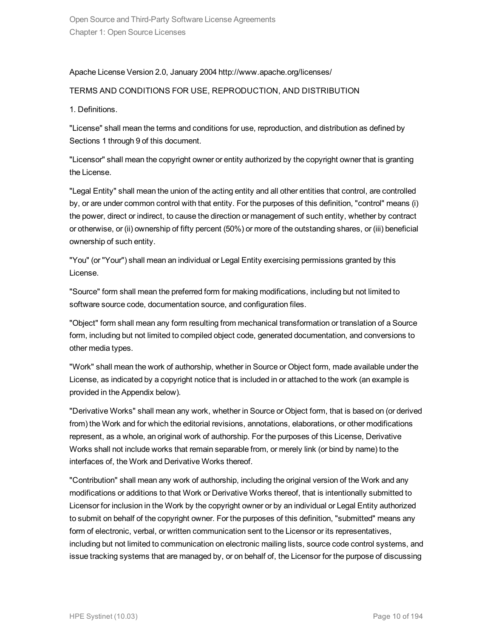#### Apache License Version 2.0, January 2004 http://www.apache.org/licenses/

#### TERMS AND CONDITIONS FOR USE, REPRODUCTION, AND DISTRIBUTION

1. Definitions.

"License" shall mean the terms and conditions for use, reproduction, and distribution as defined by Sections 1 through 9 of this document.

"Licensor" shall mean the copyright owner or entity authorized by the copyright owner that is granting the License.

"Legal Entity" shall mean the union of the acting entity and all other entities that control, are controlled by, or are under common control with that entity. For the purposes of this definition, "control" means (i) the power, direct or indirect, to cause the direction or management of such entity, whether by contract or otherwise, or (ii) ownership of fifty percent (50%) or more of the outstanding shares, or (iii) beneficial ownership of such entity.

"You" (or "Your") shall mean an individual or Legal Entity exercising permissions granted by this License.

"Source" form shall mean the preferred form for making modifications, including but not limited to software source code, documentation source, and configuration files.

"Object" form shall mean any form resulting from mechanical transformation or translation of a Source form, including but not limited to compiled object code, generated documentation, and conversions to other media types.

"Work" shall mean the work of authorship, whether in Source or Object form, made available under the License, as indicated by a copyright notice that is included in or attached to the work (an example is provided in the Appendix below).

"Derivative Works" shall mean any work, whether in Source or Object form, that is based on (or derived from) the Work and for which the editorial revisions, annotations, elaborations, or other modifications represent, as a whole, an original work of authorship. For the purposes of this License, Derivative Works shall not include works that remain separable from, or merely link (or bind by name) to the interfaces of, the Work and Derivative Works thereof.

"Contribution" shall mean any work of authorship, including the original version of the Work and any modifications or additions to that Work or Derivative Works thereof, that is intentionally submitted to Licensor for inclusion in the Work by the copyright owner or by an individual or Legal Entity authorized to submit on behalf of the copyright owner. For the purposes of this definition, "submitted" means any form of electronic, verbal, or written communication sent to the Licensor or its representatives, including but not limited to communication on electronic mailing lists, source code control systems, and issue tracking systems that are managed by, or on behalf of, the Licensor for the purpose of discussing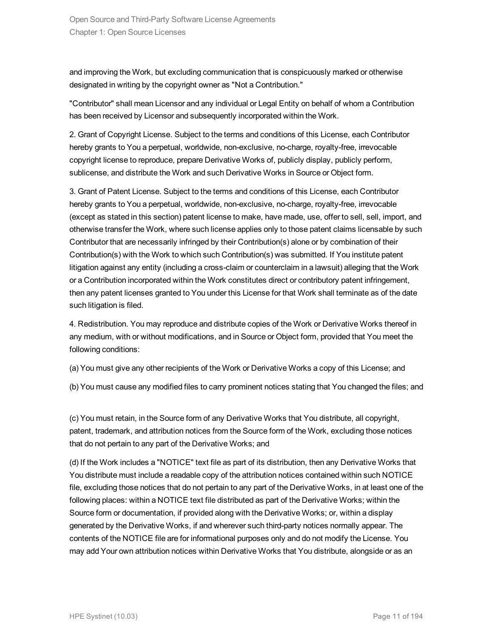and improving the Work, but excluding communication that is conspicuously marked or otherwise designated in writing by the copyright owner as "Not a Contribution."

"Contributor" shall mean Licensor and any individual or Legal Entity on behalf of whom a Contribution has been received by Licensor and subsequently incorporated within the Work.

2. Grant of Copyright License. Subject to the terms and conditions of this License, each Contributor hereby grants to You a perpetual, worldwide, non-exclusive, no-charge, royalty-free, irrevocable copyright license to reproduce, prepare Derivative Works of, publicly display, publicly perform, sublicense, and distribute the Work and such Derivative Works in Source or Object form.

3. Grant of Patent License. Subject to the terms and conditions of this License, each Contributor hereby grants to You a perpetual, worldwide, non-exclusive, no-charge, royalty-free, irrevocable (except as stated in this section) patent license to make, have made, use, offer to sell, sell, import, and otherwise transfer the Work, where such license applies only to those patent claims licensable by such Contributor that are necessarily infringed by their Contribution(s) alone or by combination of their Contribution(s) with the Work to which such Contribution(s) was submitted. If You institute patent litigation against any entity (including a cross-claim or counterclaim in a lawsuit) alleging that the Work or a Contribution incorporated within the Work constitutes direct or contributory patent infringement, then any patent licenses granted to You under this License for that Work shall terminate as of the date such litigation is filed.

4. Redistribution. You may reproduce and distribute copies of the Work or Derivative Works thereof in any medium, with or without modifications, and in Source or Object form, provided that You meet the following conditions:

- (a) You must give any other recipients of the Work or Derivative Works a copy of this License; and
- (b) You must cause any modified files to carry prominent notices stating that You changed the files; and

(c) You must retain, in the Source form of any Derivative Works that You distribute, all copyright, patent, trademark, and attribution notices from the Source form of the Work, excluding those notices that do not pertain to any part of the Derivative Works; and

(d) If the Work includes a "NOTICE" text file as part of its distribution, then any Derivative Works that You distribute must include a readable copy of the attribution notices contained within such NOTICE file, excluding those notices that do not pertain to any part of the Derivative Works, in at least one of the following places: within a NOTICE text file distributed as part of the Derivative Works; within the Source form or documentation, if provided along with the Derivative Works; or, within a display generated by the Derivative Works, if and wherever such third-party notices normally appear. The contents of the NOTICE file are for informational purposes only and do not modify the License. You may add Your own attribution notices within Derivative Works that You distribute, alongside or as an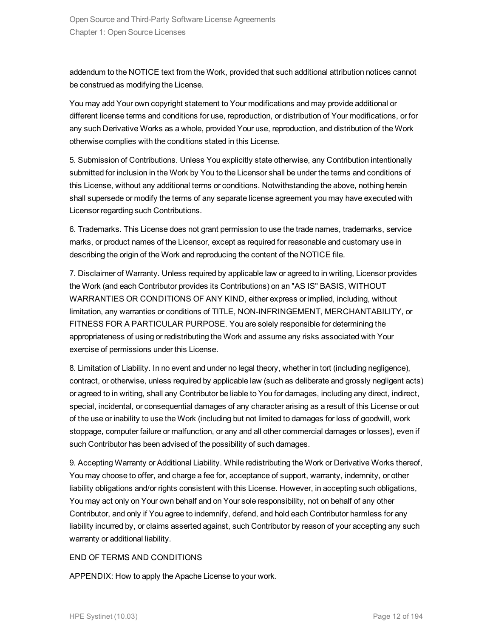addendum to the NOTICE text from the Work, provided that such additional attribution notices cannot be construed as modifying the License.

You may add Your own copyright statement to Your modifications and may provide additional or different license terms and conditions for use, reproduction, or distribution of Your modifications, or for any such Derivative Works as a whole, provided Your use, reproduction, and distribution of the Work otherwise complies with the conditions stated in this License.

5. Submission of Contributions. Unless You explicitly state otherwise, any Contribution intentionally submitted for inclusion in the Work by You to the Licensor shall be under the terms and conditions of this License, without any additional terms or conditions. Notwithstanding the above, nothing herein shall supersede or modify the terms of any separate license agreement you may have executed with Licensor regarding such Contributions.

6. Trademarks. This License does not grant permission to use the trade names, trademarks, service marks, or product names of the Licensor, except as required for reasonable and customary use in describing the origin of the Work and reproducing the content of the NOTICE file.

7. Disclaimer of Warranty. Unless required by applicable law or agreed to in writing, Licensor provides the Work (and each Contributor provides its Contributions) on an "AS IS" BASIS, WITHOUT WARRANTIES OR CONDITIONS OF ANY KIND, either express or implied, including, without limitation, any warranties or conditions of TITLE, NON-INFRINGEMENT, MERCHANTABILITY, or FITNESS FOR A PARTICULAR PURPOSE. You are solely responsible for determining the appropriateness of using or redistributing the Work and assume any risks associated with Your exercise of permissions under this License.

8. Limitation of Liability. In no event and under no legal theory, whether in tort (including negligence), contract, or otherwise, unless required by applicable law (such as deliberate and grossly negligent acts) or agreed to in writing, shall any Contributor be liable to You for damages, including any direct, indirect, special, incidental, or consequential damages of any character arising as a result of this License or out of the use or inability to use the Work (including but not limited to damages for loss of goodwill, work stoppage, computer failure or malfunction, or any and all other commercial damages or losses), even if such Contributor has been advised of the possibility of such damages.

9. Accepting Warranty or Additional Liability. While redistributing the Work or Derivative Works thereof, You may choose to offer, and charge a fee for, acceptance of support, warranty, indemnity, or other liability obligations and/or rights consistent with this License. However, in accepting such obligations, You may act only on Your own behalf and on Your sole responsibility, not on behalf of any other Contributor, and only if You agree to indemnify, defend, and hold each Contributor harmless for any liability incurred by, or claims asserted against, such Contributor by reason of your accepting any such warranty or additional liability.

#### END OF TERMS AND CONDITIONS

APPENDIX: How to apply the Apache License to your work.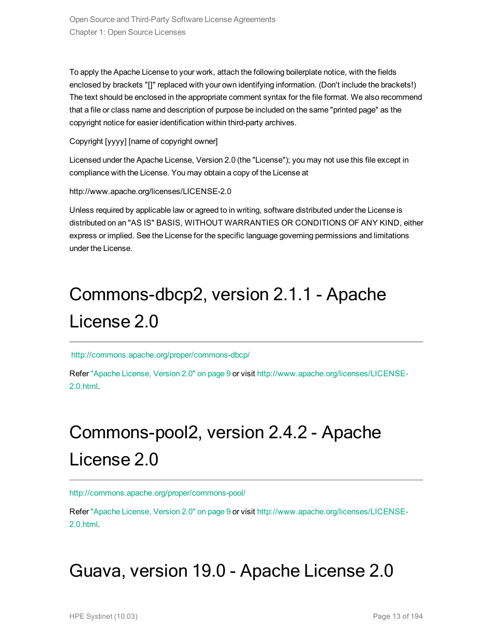To apply the Apache License to your work, attach the following boilerplate notice, with the fields enclosed by brackets "[]" replaced with your own identifying information. (Don't include the brackets!) The text should be enclosed in the appropriate comment syntax for the file format. We also recommend that a file or class name and description of purpose be included on the same "printed page" as the copyright notice for easier identification within third-party archives.

Copyright [yyyy] [name of copyright owner]

Licensed under the Apache License, Version 2.0 (the "License"); you may not use this file except in compliance with the License. You may obtain a copy of the License at

http://www.apache.org/licenses/LICENSE-2.0

Unless required by applicable law or agreed to in writing, software distributed under the License is distributed on an "AS IS" BASIS, WITHOUT WARRANTIES OR CONDITIONS OF ANY KIND, either express or implied. See the License for the specific language governing permissions and limitations under the License.

# <span id="page-12-0"></span>Commons-dbcp2, version 2.1.1 - Apache License 2.0

<http://commons.apache.org/proper/commons-dbcp/>

<span id="page-12-1"></span>Refer ["Apache](#page-8-1) License, Version 2.0" on page 9 or visit [http://www.apache.org/licenses/LICENSE-](http://www.apache.org/licenses/LICENSE-2.0.html)[2.0.html.](http://www.apache.org/licenses/LICENSE-2.0.html)

# Commons-pool2, version 2.4.2 - Apache License 2.0

<http://commons.apache.org/proper/commons-pool/>

<span id="page-12-2"></span>Refer ["Apache](#page-8-1) License, Version 2.0" on page 9 or visit [http://www.apache.org/licenses/LICENSE-](http://www.apache.org/licenses/LICENSE-2.0.html)[2.0.html.](http://www.apache.org/licenses/LICENSE-2.0.html)

### Guava, version 19.0 - Apache License 2.0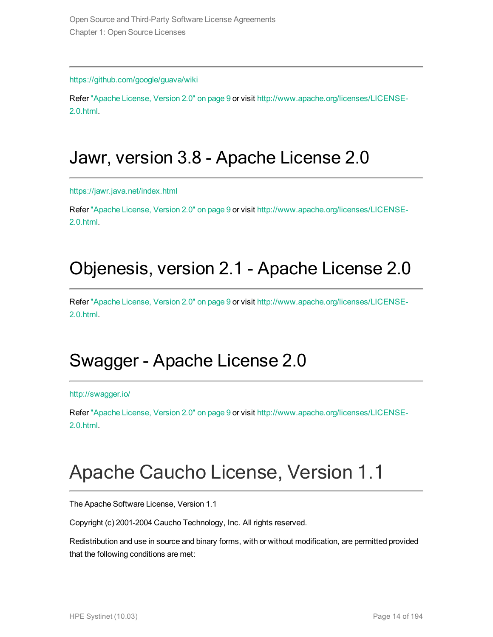<https://github.com/google/guava/wiki>

<span id="page-13-0"></span>Refer ["Apache](#page-8-1) License, Version 2.0" on page 9 or visit [http://www.apache.org/licenses/LICENSE-](http://www.apache.org/licenses/LICENSE-2.0.html)[2.0.html.](http://www.apache.org/licenses/LICENSE-2.0.html)

### Jawr, version 3.8 - Apache License 2.0

<https://jawr.java.net/index.html>

<span id="page-13-1"></span>Refer ["Apache](#page-8-1) License, Version 2.0" on page 9 or visit [http://www.apache.org/licenses/LICENSE-](http://www.apache.org/licenses/LICENSE-2.0.html)[2.0.html.](http://www.apache.org/licenses/LICENSE-2.0.html)

### Objenesis, version 2.1 - Apache License 2.0

<span id="page-13-2"></span>Refer ["Apache](#page-8-1) License, Version 2.0" on page 9 or visit [http://www.apache.org/licenses/LICENSE-](http://www.apache.org/licenses/LICENSE-2.0.html)[2.0.html.](http://www.apache.org/licenses/LICENSE-2.0.html)

### Swagger - Apache License 2.0

#### <http://swagger.io/>

Refer ["Apache](#page-8-1) License, Version 2.0" on page 9 or visit [http://www.apache.org/licenses/LICENSE-](http://www.apache.org/licenses/LICENSE-2.0.html)[2.0.html.](http://www.apache.org/licenses/LICENSE-2.0.html)

## <span id="page-13-3"></span>Apache Caucho License, Version 1.1

The Apache Software License, Version 1.1

Copyright (c) 2001-2004 Caucho Technology, Inc. All rights reserved.

Redistribution and use in source and binary forms, with or without modification, are permitted provided that the following conditions are met: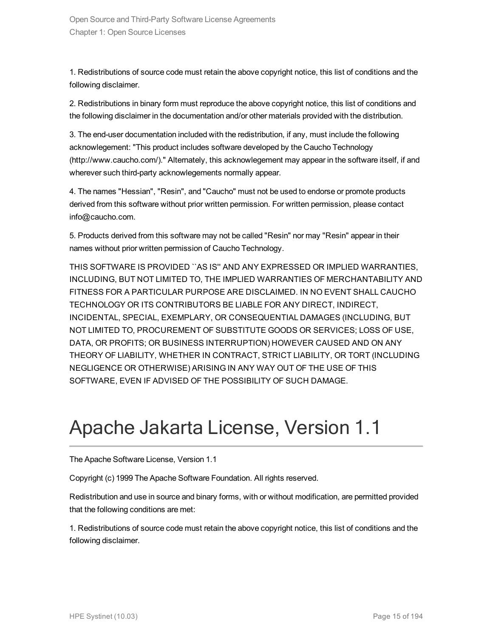1. Redistributions of source code must retain the above copyright notice, this list of conditions and the following disclaimer.

2. Redistributions in binary form must reproduce the above copyright notice, this list of conditions and the following disclaimer in the documentation and/or other materials provided with the distribution.

3. The end-user documentation included with the redistribution, if any, must include the following acknowlegement: "This product includes software developed by the Caucho Technology (http://www.caucho.com/)." Alternately, this acknowlegement may appear in the software itself, if and wherever such third-party acknowlegements normally appear.

4. The names "Hessian", "Resin", and "Caucho" must not be used to endorse or promote products derived from this software without prior written permission. For written permission, please contact info@caucho.com.

5. Products derived from this software may not be called "Resin" nor may "Resin" appear in their names without prior written permission of Caucho Technology.

THIS SOFTWARE IS PROVIDED ``AS IS'' AND ANY EXPRESSED OR IMPLIED WARRANTIES, INCLUDING, BUT NOT LIMITED TO, THE IMPLIED WARRANTIES OF MERCHANTABILITY AND FITNESS FOR A PARTICULAR PURPOSE ARE DISCLAIMED. IN NO EVENT SHALL CAUCHO TECHNOLOGY OR ITS CONTRIBUTORS BE LIABLE FOR ANY DIRECT, INDIRECT, INCIDENTAL, SPECIAL, EXEMPLARY, OR CONSEQUENTIAL DAMAGES (INCLUDING, BUT NOT LIMITED TO, PROCUREMENT OF SUBSTITUTE GOODS OR SERVICES; LOSS OF USE, DATA, OR PROFITS; OR BUSINESS INTERRUPTION) HOWEVER CAUSED AND ON ANY THEORY OF LIABILITY, WHETHER IN CONTRACT, STRICT LIABILITY, OR TORT (INCLUDING NEGLIGENCE OR OTHERWISE) ARISING IN ANY WAY OUT OF THE USE OF THIS SOFTWARE, EVEN IF ADVISED OF THE POSSIBILITY OF SUCH DAMAGE.

## <span id="page-14-0"></span>Apache Jakarta License, Version 1.1

The Apache Software License, Version 1.1

Copyright (c) 1999 The Apache Software Foundation. All rights reserved.

Redistribution and use in source and binary forms, with or without modification, are permitted provided that the following conditions are met:

1. Redistributions of source code must retain the above copyright notice, this list of conditions and the following disclaimer.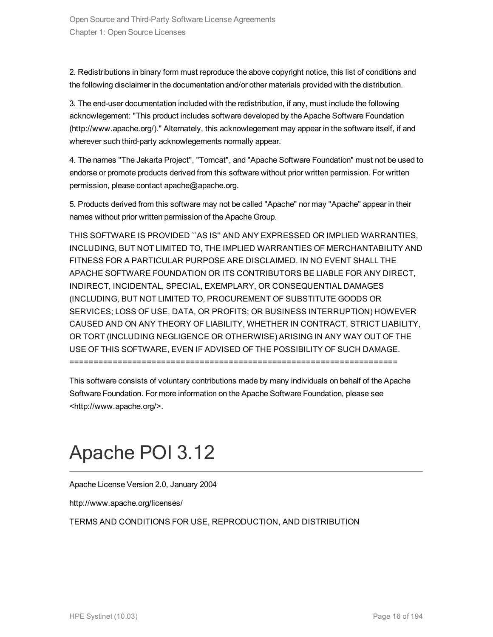2. Redistributions in binary form must reproduce the above copyright notice, this list of conditions and the following disclaimer in the documentation and/or other materials provided with the distribution.

3. The end-user documentation included with the redistribution, if any, must include the following acknowlegement: "This product includes software developed by the Apache Software Foundation (http://www.apache.org/)." Alternately, this acknowlegement may appear in the software itself, if and wherever such third-party acknowlegements normally appear.

4. The names "The Jakarta Project", "Tomcat", and "Apache Software Foundation" must not be used to endorse or promote products derived from this software without prior written permission. For written permission, please contact apache@apache.org.

5. Products derived from this software may not be called "Apache" nor may "Apache" appear in their names without prior written permission of the Apache Group.

THIS SOFTWARE IS PROVIDED ``AS IS'' AND ANY EXPRESSED OR IMPLIED WARRANTIES, INCLUDING, BUT NOT LIMITED TO, THE IMPLIED WARRANTIES OF MERCHANTABILITY AND FITNESS FOR A PARTICULAR PURPOSE ARE DISCLAIMED. IN NO EVENT SHALL THE APACHE SOFTWARE FOUNDATION OR ITS CONTRIBUTORS BE LIABLE FOR ANY DIRECT, INDIRECT, INCIDENTAL, SPECIAL, EXEMPLARY, OR CONSEQUENTIAL DAMAGES (INCLUDING, BUT NOT LIMITED TO, PROCUREMENT OF SUBSTITUTE GOODS OR SERVICES; LOSS OF USE, DATA, OR PROFITS; OR BUSINESS INTERRUPTION) HOWEVER CAUSED AND ON ANY THEORY OF LIABILITY, WHETHER IN CONTRACT, STRICT LIABILITY, OR TORT (INCLUDING NEGLIGENCE OR OTHERWISE) ARISING IN ANY WAY OUT OF THE USE OF THIS SOFTWARE, EVEN IF ADVISED OF THE POSSIBILITY OF SUCH DAMAGE. ====================================================================

This software consists of voluntary contributions made by many individuals on behalf of the Apache Software Foundation. For more information on the Apache Software Foundation, please see <http://www.apache.org/>.

# <span id="page-15-0"></span>Apache POI 3.12

Apache License Version 2.0, January 2004

http://www.apache.org/licenses/

TERMS AND CONDITIONS FOR USE, REPRODUCTION, AND DISTRIBUTION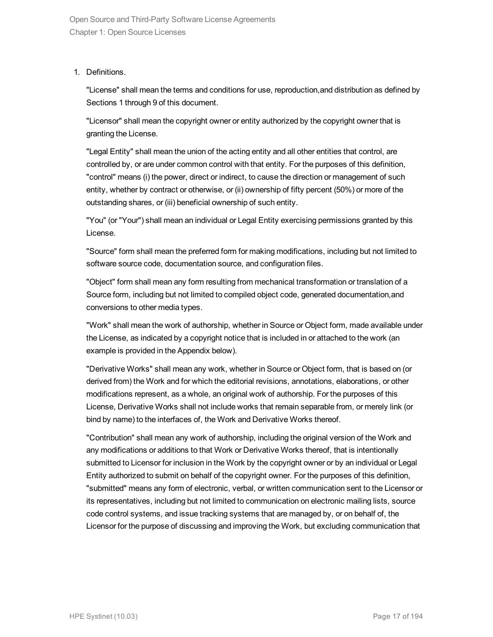1. Definitions.

"License" shall mean the terms and conditions for use, reproduction,and distribution as defined by Sections 1 through 9 of this document.

"Licensor" shall mean the copyright owner or entity authorized by the copyright owner that is granting the License.

"Legal Entity" shall mean the union of the acting entity and all other entities that control, are controlled by, or are under common control with that entity. For the purposes of this definition, "control" means (i) the power, direct or indirect, to cause the direction or management of such entity, whether by contract or otherwise, or (ii) ownership of fifty percent (50%) or more of the outstanding shares, or (iii) beneficial ownership of such entity.

"You" (or "Your") shall mean an individual or Legal Entity exercising permissions granted by this License.

"Source" form shall mean the preferred form for making modifications, including but not limited to software source code, documentation source, and configuration files.

"Object" form shall mean any form resulting from mechanical transformation or translation of a Source form, including but not limited to compiled object code, generated documentation,and conversions to other media types.

"Work" shall mean the work of authorship, whether in Source or Object form, made available under the License, as indicated by a copyright notice that is included in or attached to the work (an example is provided in the Appendix below).

"Derivative Works" shall mean any work, whether in Source or Object form, that is based on (or derived from) the Work and for which the editorial revisions, annotations, elaborations, or other modifications represent, as a whole, an original work of authorship. For the purposes of this License, Derivative Works shall not include works that remain separable from, or merely link (or bind by name) to the interfaces of, the Work and Derivative Works thereof.

"Contribution" shall mean any work of authorship, including the original version of the Work and any modifications or additions to that Work or Derivative Works thereof, that is intentionally submitted to Licensor for inclusion in the Work by the copyright owner or by an individual or Legal Entity authorized to submit on behalf of the copyright owner. For the purposes of this definition, "submitted" means any form of electronic, verbal, or written communication sent to the Licensor or its representatives, including but not limited to communication on electronic mailing lists, source code control systems, and issue tracking systems that are managed by, or on behalf of, the Licensor for the purpose of discussing and improving the Work, but excluding communication that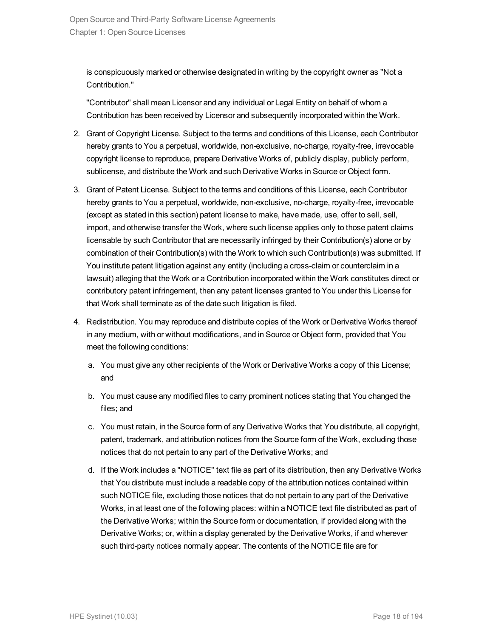is conspicuously marked or otherwise designated in writing by the copyright owner as "Not a Contribution."

"Contributor" shall mean Licensor and any individual or Legal Entity on behalf of whom a Contribution has been received by Licensor and subsequently incorporated within the Work.

- 2. Grant of Copyright License. Subject to the terms and conditions of this License, each Contributor hereby grants to You a perpetual, worldwide, non-exclusive, no-charge, royalty-free, irrevocable copyright license to reproduce, prepare Derivative Works of, publicly display, publicly perform, sublicense, and distribute the Work and such Derivative Works in Source or Object form.
- 3. Grant of Patent License. Subject to the terms and conditions of this License, each Contributor hereby grants to You a perpetual, worldwide, non-exclusive, no-charge, royalty-free, irrevocable (except as stated in this section) patent license to make, have made, use, offer to sell, sell, import, and otherwise transfer the Work, where such license applies only to those patent claims licensable by such Contributor that are necessarily infringed by their Contribution(s) alone or by combination of their Contribution(s) with the Work to which such Contribution(s) was submitted. If You institute patent litigation against any entity (including a cross-claim or counterclaim in a lawsuit) alleging that the Work or a Contribution incorporated within the Work constitutes direct or contributory patent infringement, then any patent licenses granted to You under this License for that Work shall terminate as of the date such litigation is filed.
- 4. Redistribution. You may reproduce and distribute copies of the Work or Derivative Works thereof in any medium, with or without modifications, and in Source or Object form, provided that You meet the following conditions:
	- a. You must give any other recipients of the Work or Derivative Works a copy of this License; and
	- b. You must cause any modified files to carry prominent notices stating that You changed the files; and
	- c. You must retain, in the Source form of any Derivative Works that You distribute, all copyright, patent, trademark, and attribution notices from the Source form of the Work, excluding those notices that do not pertain to any part of the Derivative Works; and
	- d. If the Work includes a "NOTICE" text file as part of its distribution, then any Derivative Works that You distribute must include a readable copy of the attribution notices contained within such NOTICE file, excluding those notices that do not pertain to any part of the Derivative Works, in at least one of the following places: within a NOTICE text file distributed as part of the Derivative Works; within the Source form or documentation, if provided along with the Derivative Works; or, within a display generated by the Derivative Works, if and wherever such third-party notices normally appear. The contents of the NOTICE file are for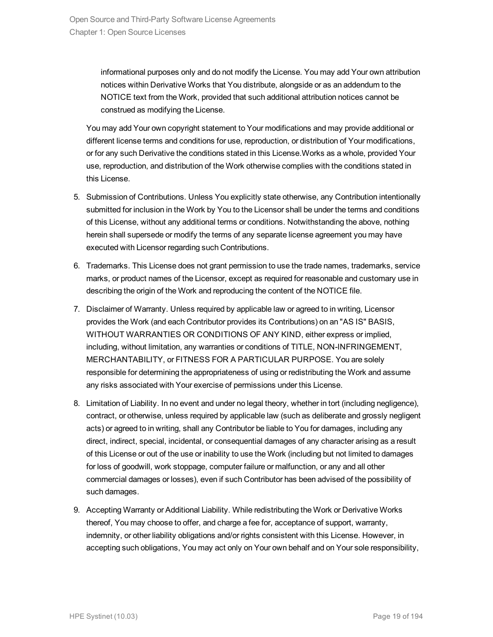informational purposes only and do not modify the License. You may add Your own attribution notices within Derivative Works that You distribute, alongside or as an addendum to the NOTICE text from the Work, provided that such additional attribution notices cannot be construed as modifying the License.

You may add Your own copyright statement to Your modifications and may provide additional or different license terms and conditions for use, reproduction, or distribution of Your modifications, or for any such Derivative the conditions stated in this License.Works as a whole, provided Your use, reproduction, and distribution of the Work otherwise complies with the conditions stated in this License.

- 5. Submission of Contributions. Unless You explicitly state otherwise, any Contribution intentionally submitted for inclusion in the Work by You to the Licensor shall be under the terms and conditions of this License, without any additional terms or conditions. Notwithstanding the above, nothing herein shall supersede or modify the terms of any separate license agreement you may have executed with Licensor regarding such Contributions.
- 6. Trademarks. This License does not grant permission to use the trade names, trademarks, service marks, or product names of the Licensor, except as required for reasonable and customary use in describing the origin of the Work and reproducing the content of the NOTICE file.
- 7. Disclaimer of Warranty. Unless required by applicable law or agreed to in writing, Licensor provides the Work (and each Contributor provides its Contributions) on an "AS IS" BASIS, WITHOUT WARRANTIES OR CONDITIONS OF ANY KIND, either express or implied, including, without limitation, any warranties or conditions of TITLE, NON-INFRINGEMENT, MERCHANTABILITY, or FITNESS FOR A PARTICULAR PURPOSE. You are solely responsible for determining the appropriateness of using or redistributing the Work and assume any risks associated with Your exercise of permissions under this License.
- 8. Limitation of Liability. In no event and under no legal theory, whether in tort (including negligence), contract, or otherwise, unless required by applicable law (such as deliberate and grossly negligent acts) or agreed to in writing, shall any Contributor be liable to You for damages, including any direct, indirect, special, incidental, or consequential damages of any character arising as a result of this License or out of the use or inability to use the Work (including but not limited to damages for loss of goodwill, work stoppage, computer failure or malfunction, or any and all other commercial damages or losses), even if such Contributor has been advised of the possibility of such damages.
- 9. Accepting Warranty or Additional Liability. While redistributing the Work or Derivative Works thereof, You may choose to offer, and charge a fee for, acceptance of support, warranty, indemnity, or other liability obligations and/or rights consistent with this License. However, in accepting such obligations, You may act only on Your own behalf and on Your sole responsibility,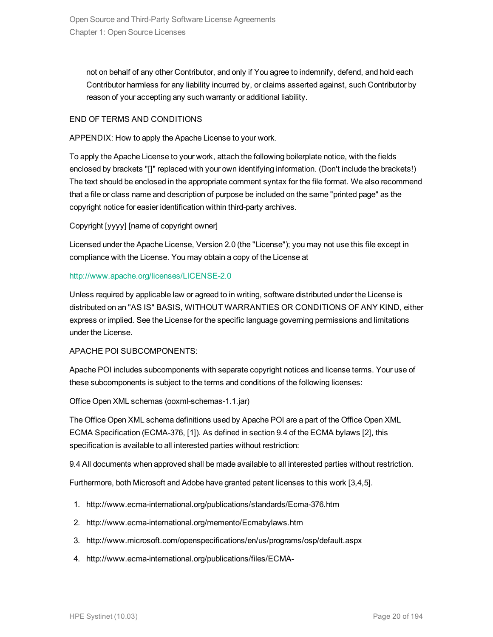not on behalf of any other Contributor, and only if You agree to indemnify, defend, and hold each Contributor harmless for any liability incurred by, or claims asserted against, such Contributor by reason of your accepting any such warranty or additional liability.

#### END OF TERMS AND CONDITIONS

APPENDIX: How to apply the Apache License to your work.

To apply the Apache License to your work, attach the following boilerplate notice, with the fields enclosed by brackets "[]" replaced with your own identifying information. (Don't include the brackets!) The text should be enclosed in the appropriate comment syntax for the file format. We also recommend that a file or class name and description of purpose be included on the same "printed page" as the copyright notice for easier identification within third-party archives.

#### Copyright [yyyy] [name of copyright owner]

Licensed under the Apache License, Version 2.0 (the "License"); you may not use this file except in compliance with the License. You may obtain a copy of the License at

#### <http://www.apache.org/licenses/LICENSE-2.0>

Unless required by applicable law or agreed to in writing, software distributed under the License is distributed on an "AS IS" BASIS, WITHOUT WARRANTIES OR CONDITIONS OF ANY KIND, either express or implied. See the License for the specific language governing permissions and limitations under the License.

#### APACHE POI SUBCOMPONENTS:

Apache POI includes subcomponents with separate copyright notices and license terms. Your use of these subcomponents is subject to the terms and conditions of the following licenses:

Office Open XML schemas (ooxml-schemas-1.1.jar)

The Office Open XML schema definitions used by Apache POI are a part of the Office Open XML ECMA Specification (ECMA-376, [1]). As defined in section 9.4 of the ECMA bylaws [2], this specification is available to all interested parties without restriction:

9.4 All documents when approved shall be made available to all interested parties without restriction.

Furthermore, both Microsoft and Adobe have granted patent licenses to this work [3,4,5].

- 1. http://www.ecma-international.org/publications/standards/Ecma-376.htm
- 2. http://www.ecma-international.org/memento/Ecmabylaws.htm
- 3. http://www.microsoft.com/openspecifications/en/us/programs/osp/default.aspx
- 4. http://www.ecma-international.org/publications/files/ECMA-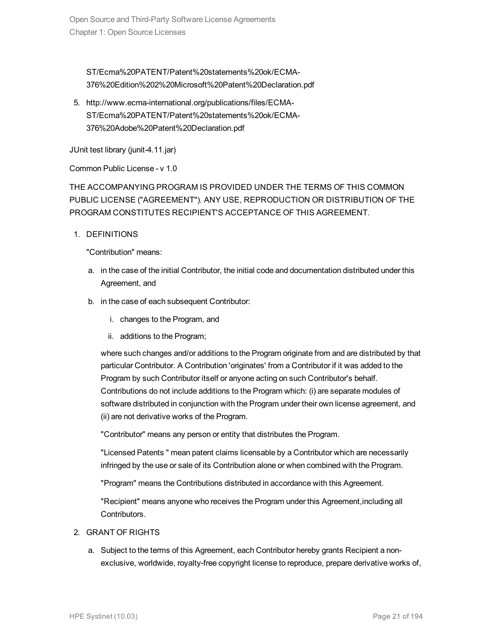Open Source and Third-Party Software License Agreements Chapter 1: Open Source Licenses

ST/Ecma%20PATENT/Patent%20statements%20ok/ECMA-376%20Edition%202%20Microsoft%20Patent%20Declaration.pdf

5. http://www.ecma-international.org/publications/files/ECMA-ST/Ecma%20PATENT/Patent%20statements%20ok/ECMA-376%20Adobe%20Patent%20Declaration.pdf

JUnit test library (junit-4.11.jar)

Common Public License - v 1.0

THE ACCOMPANYING PROGRAM IS PROVIDED UNDER THE TERMS OF THIS COMMON PUBLIC LICENSE ("AGREEMENT"). ANY USE, REPRODUCTION OR DISTRIBUTION OF THE PROGRAM CONSTITUTES RECIPIENT'S ACCEPTANCE OF THIS AGREEMENT.

1. DEFINITIONS

"Contribution" means:

- a. in the case of the initial Contributor, the initial code and documentation distributed under this Agreement, and
- b. in the case of each subsequent Contributor:
	- i. changes to the Program, and
	- ii. additions to the Program;

where such changes and/or additions to the Program originate from and are distributed by that particular Contributor. A Contribution 'originates' from a Contributor if it was added to the Program by such Contributor itself or anyone acting on such Contributor's behalf. Contributions do not include additions to the Program which: (i) are separate modules of software distributed in conjunction with the Program under their own license agreement, and (ii) are not derivative works of the Program.

"Contributor" means any person or entity that distributes the Program.

"Licensed Patents " mean patent claims licensable by a Contributor which are necessarily infringed by the use or sale of its Contribution alone or when combined with the Program.

"Program" means the Contributions distributed in accordance with this Agreement.

"Recipient" means anyone who receives the Program under this Agreement,including all Contributors.

#### 2. GRANT OF RIGHTS

a. Subject to the terms of this Agreement, each Contributor hereby grants Recipient a nonexclusive, worldwide, royalty-free copyright license to reproduce, prepare derivative works of,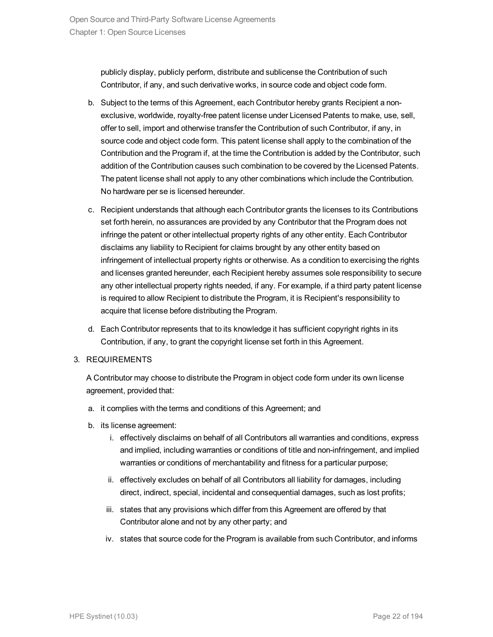publicly display, publicly perform, distribute and sublicense the Contribution of such Contributor, if any, and such derivative works, in source code and object code form.

- b. Subject to the terms of this Agreement, each Contributor hereby grants Recipient a nonexclusive, worldwide, royalty-free patent license under Licensed Patents to make, use, sell, offer to sell, import and otherwise transfer the Contribution of such Contributor, if any, in source code and object code form. This patent license shall apply to the combination of the Contribution and the Program if, at the time the Contribution is added by the Contributor, such addition of the Contribution causes such combination to be covered by the Licensed Patents. The patent license shall not apply to any other combinations which include the Contribution. No hardware per se is licensed hereunder.
- c. Recipient understands that although each Contributor grants the licenses to its Contributions set forth herein, no assurances are provided by any Contributor that the Program does not infringe the patent or other intellectual property rights of any other entity. Each Contributor disclaims any liability to Recipient for claims brought by any other entity based on infringement of intellectual property rights or otherwise. As a condition to exercising the rights and licenses granted hereunder, each Recipient hereby assumes sole responsibility to secure any other intellectual property rights needed, if any. For example, if a third party patent license is required to allow Recipient to distribute the Program, it is Recipient's responsibility to acquire that license before distributing the Program.
- d. Each Contributor represents that to its knowledge it has sufficient copyright rights in its Contribution, if any, to grant the copyright license set forth in this Agreement.

#### 3. REQUIREMENTS

A Contributor may choose to distribute the Program in object code form under its own license agreement, provided that:

- a. it complies with the terms and conditions of this Agreement; and
- b. its license agreement:
	- i. effectively disclaims on behalf of all Contributors all warranties and conditions, express and implied, including warranties or conditions of title and non-infringement, and implied warranties or conditions of merchantability and fitness for a particular purpose;
	- ii. effectively excludes on behalf of all Contributors all liability for damages, including direct, indirect, special, incidental and consequential damages, such as lost profits;
	- iii. states that any provisions which differ from this Agreement are offered by that Contributor alone and not by any other party; and
	- iv. states that source code for the Program is available from such Contributor, and informs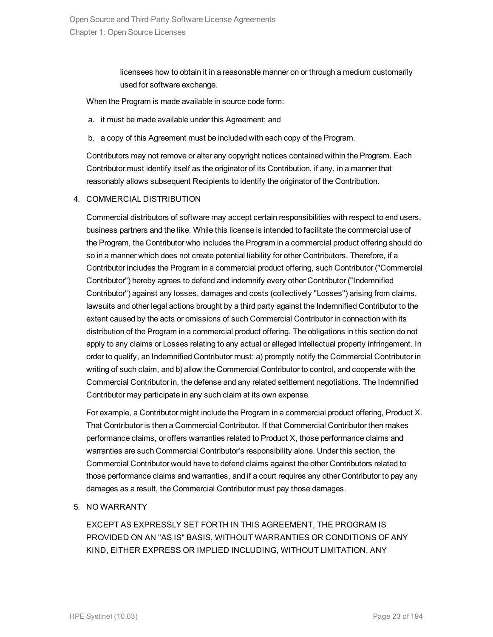licensees how to obtain it in a reasonable manner on or through a medium customarily used for software exchange.

When the Program is made available in source code form:

- a. it must be made available under this Agreement; and
- b. a copy of this Agreement must be included with each copy of the Program.

Contributors may not remove or alter any copyright notices contained within the Program. Each Contributor must identify itself as the originator of its Contribution, if any, in a manner that reasonably allows subsequent Recipients to identify the originator of the Contribution.

4. COMMERCIAL DISTRIBUTION

Commercial distributors of software may accept certain responsibilities with respect to end users, business partners and the like. While this license is intended to facilitate the commercial use of the Program, the Contributor who includes the Program in a commercial product offering should do so in a manner which does not create potential liability for other Contributors. Therefore, if a Contributor includes the Program in a commercial product offering, such Contributor ("Commercial Contributor") hereby agrees to defend and indemnify every other Contributor ("Indemnified Contributor") against any losses, damages and costs (collectively "Losses") arising from claims, lawsuits and other legal actions brought by a third party against the Indemnified Contributor to the extent caused by the acts or omissions of such Commercial Contributor in connection with its distribution of the Program in a commercial product offering. The obligations in this section do not apply to any claims or Losses relating to any actual or alleged intellectual property infringement. In order to qualify, an Indemnified Contributor must: a) promptly notify the Commercial Contributor in writing of such claim, and b) allow the Commercial Contributor to control, and cooperate with the Commercial Contributor in, the defense and any related settlement negotiations. The Indemnified Contributor may participate in any such claim at its own expense.

For example, a Contributor might include the Program in a commercial product offering, Product X. That Contributor is then a Commercial Contributor. If that Commercial Contributor then makes performance claims, or offers warranties related to Product X, those performance claims and warranties are such Commercial Contributor's responsibility alone. Under this section, the Commercial Contributor would have to defend claims against the other Contributors related to those performance claims and warranties, and if a court requires any other Contributor to pay any damages as a result, the Commercial Contributor must pay those damages.

#### 5. NO WARRANTY

EXCEPT AS EXPRESSLY SET FORTH IN THIS AGREEMENT, THE PROGRAM IS PROVIDED ON AN "AS IS" BASIS, WITHOUT WARRANTIES OR CONDITIONS OF ANY KIND, EITHER EXPRESS OR IMPLIED INCLUDING, WITHOUT LIMITATION, ANY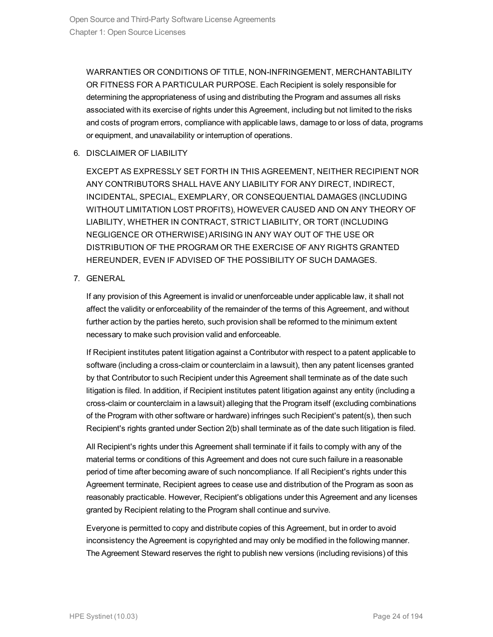WARRANTIES OR CONDITIONS OF TITLE, NON-INFRINGEMENT, MERCHANTABILITY OR FITNESS FOR A PARTICULAR PURPOSE. Each Recipient is solely responsible for determining the appropriateness of using and distributing the Program and assumes all risks associated with its exercise of rights under this Agreement, including but not limited to the risks and costs of program errors, compliance with applicable laws, damage to or loss of data, programs or equipment, and unavailability or interruption of operations.

6. DISCLAIMER OF LIABILITY

EXCEPT AS EXPRESSLY SET FORTH IN THIS AGREEMENT, NEITHER RECIPIENT NOR ANY CONTRIBUTORS SHALL HAVE ANY LIABILITY FOR ANY DIRECT, INDIRECT, INCIDENTAL, SPECIAL, EXEMPLARY, OR CONSEQUENTIAL DAMAGES (INCLUDING WITHOUT LIMITATION LOST PROFITS), HOWEVER CAUSED AND ON ANY THEORY OF LIABILITY, WHETHER IN CONTRACT, STRICT LIABILITY, OR TORT (INCLUDING NEGLIGENCE OR OTHERWISE) ARISING IN ANY WAY OUT OF THE USE OR DISTRIBUTION OF THE PROGRAM OR THE EXERCISE OF ANY RIGHTS GRANTED HEREUNDER, EVEN IF ADVISED OF THE POSSIBILITY OF SUCH DAMAGES.

7. GENERAL

If any provision of this Agreement is invalid or unenforceable under applicable law, it shall not affect the validity or enforceability of the remainder of the terms of this Agreement, and without further action by the parties hereto, such provision shall be reformed to the minimum extent necessary to make such provision valid and enforceable.

If Recipient institutes patent litigation against a Contributor with respect to a patent applicable to software (including a cross-claim or counterclaim in a lawsuit), then any patent licenses granted by that Contributor to such Recipient under this Agreement shall terminate as of the date such litigation is filed. In addition, if Recipient institutes patent litigation against any entity (including a cross-claim or counterclaim in a lawsuit) alleging that the Program itself (excluding combinations of the Program with other software or hardware) infringes such Recipient's patent(s), then such Recipient's rights granted under Section 2(b) shall terminate as of the date such litigation is filed.

All Recipient's rights under this Agreement shall terminate if it fails to comply with any of the material terms or conditions of this Agreement and does not cure such failure in a reasonable period of time after becoming aware of such noncompliance. If all Recipient's rights under this Agreement terminate, Recipient agrees to cease use and distribution of the Program as soon as reasonably practicable. However, Recipient's obligations under this Agreement and any licenses granted by Recipient relating to the Program shall continue and survive.

Everyone is permitted to copy and distribute copies of this Agreement, but in order to avoid inconsistency the Agreement is copyrighted and may only be modified in the following manner. The Agreement Steward reserves the right to publish new versions (including revisions) of this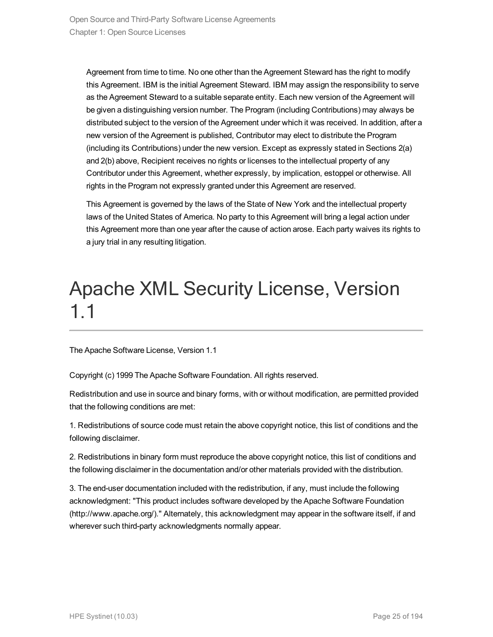Agreement from time to time. No one other than the Agreement Steward has the right to modify this Agreement. IBM is the initial Agreement Steward. IBM may assign the responsibility to serve as the Agreement Steward to a suitable separate entity. Each new version of the Agreement will be given a distinguishing version number. The Program (including Contributions) may always be distributed subject to the version of the Agreement under which it was received. In addition, after a new version of the Agreement is published, Contributor may elect to distribute the Program (including its Contributions) under the new version. Except as expressly stated in Sections 2(a) and 2(b) above, Recipient receives no rights or licenses to the intellectual property of any Contributor under this Agreement, whether expressly, by implication, estoppel or otherwise. All rights in the Program not expressly granted under this Agreement are reserved.

This Agreement is governed by the laws of the State of New York and the intellectual property laws of the United States of America. No party to this Agreement will bring a legal action under this Agreement more than one year after the cause of action arose. Each party waives its rights to a jury trial in any resulting litigation.

# <span id="page-24-0"></span>Apache XML Security License, Version 1.1

The Apache Software License, Version 1.1

Copyright (c) 1999 The Apache Software Foundation. All rights reserved.

Redistribution and use in source and binary forms, with or without modification, are permitted provided that the following conditions are met:

1. Redistributions of source code must retain the above copyright notice, this list of conditions and the following disclaimer.

2. Redistributions in binary form must reproduce the above copyright notice, this list of conditions and the following disclaimer in the documentation and/or other materials provided with the distribution.

3. The end-user documentation included with the redistribution, if any, must include the following acknowledgment: "This product includes software developed by the Apache Software Foundation (http://www.apache.org/)." Alternately, this acknowledgment may appear in the software itself, if and wherever such third-party acknowledgments normally appear.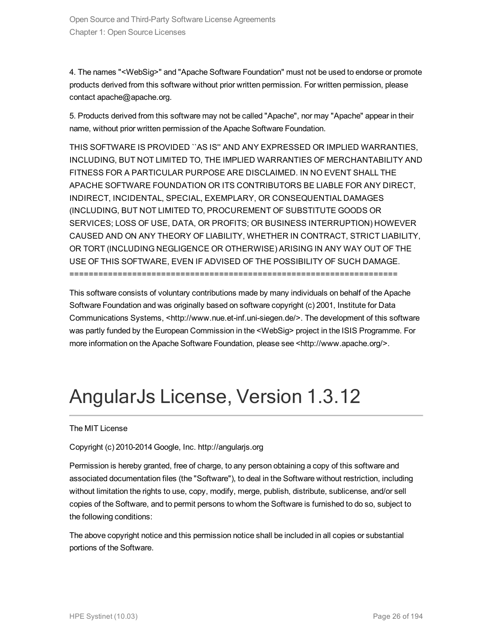4. The names "<WebSig>" and "Apache Software Foundation" must not be used to endorse or promote products derived from this software without prior written permission. For written permission, please contact apache@apache.org.

5. Products derived from this software may not be called "Apache", nor may "Apache" appear in their name, without prior written permission of the Apache Software Foundation.

THIS SOFTWARE IS PROVIDED ``AS IS'' AND ANY EXPRESSED OR IMPLIED WARRANTIES, INCLUDING, BUT NOT LIMITED TO, THE IMPLIED WARRANTIES OF MERCHANTABILITY AND FITNESS FOR A PARTICULAR PURPOSE ARE DISCLAIMED. IN NO EVENT SHALL THE APACHE SOFTWARE FOUNDATION OR ITS CONTRIBUTORS BE LIABLE FOR ANY DIRECT, INDIRECT, INCIDENTAL, SPECIAL, EXEMPLARY, OR CONSEQUENTIAL DAMAGES (INCLUDING, BUT NOT LIMITED TO, PROCUREMENT OF SUBSTITUTE GOODS OR SERVICES; LOSS OF USE, DATA, OR PROFITS; OR BUSINESS INTERRUPTION) HOWEVER CAUSED AND ON ANY THEORY OF LIABILITY, WHETHER IN CONTRACT, STRICT LIABILITY, OR TORT (INCLUDING NEGLIGENCE OR OTHERWISE) ARISING IN ANY WAY OUT OF THE USE OF THIS SOFTWARE, EVEN IF ADVISED OF THE POSSIBILITY OF SUCH DAMAGE. ====================================================================

This software consists of voluntary contributions made by many individuals on behalf of the Apache Software Foundation and was originally based on software copyright (c) 2001, Institute for Data Communications Systems, <http://www.nue.et-inf.uni-siegen.de/>. The development of this software was partly funded by the European Commission in the <WebSig> project in the ISIS Programme. For more information on the Apache Software Foundation, please see <http://www.apache.org/>.

# <span id="page-25-0"></span>AngularJs License, Version 1.3.12

#### The MIT License

#### Copyright (c) 2010-2014 Google, Inc. http://angularjs.org

Permission is hereby granted, free of charge, to any person obtaining a copy of this software and associated documentation files (the "Software"), to deal in the Software without restriction, including without limitation the rights to use, copy, modify, merge, publish, distribute, sublicense, and/or sell copies of the Software, and to permit persons to whom the Software is furnished to do so, subject to the following conditions:

The above copyright notice and this permission notice shall be included in all copies or substantial portions of the Software.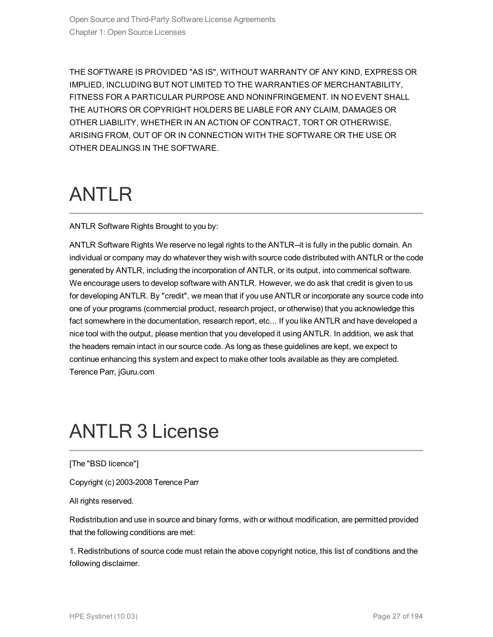THE SOFTWARE IS PROVIDED "AS IS", WITHOUT WARRANTY OF ANY KIND, EXPRESS OR IMPLIED, INCLUDING BUT NOT LIMITED TO THE WARRANTIES OF MERCHANTABILITY, FITNESS FOR A PARTICULAR PURPOSE AND NONINFRINGEMENT. IN NO EVENT SHALL THE AUTHORS OR COPYRIGHT HOLDERS BE LIABLE FOR ANY CLAIM, DAMAGES OR OTHER LIABILITY, WHETHER IN AN ACTION OF CONTRACT, TORT OR OTHERWISE, ARISING FROM, OUT OF OR IN CONNECTION WITH THE SOFTWARE OR THE USE OR OTHER DEALINGS IN THE SOFTWARE.

# <span id="page-26-0"></span>ANTLR

ANTLR Software Rights Brought to you by:

ANTLR Software Rights We reserve no legal rights to the ANTLR--it is fully in the public domain. An individual or company may do whatever they wish with source code distributed with ANTLR or the code generated by ANTLR, including the incorporation of ANTLR, or its output, into commerical software. We encourage users to develop software with ANTLR. However, we do ask that credit is given to us for developing ANTLR. By "credit", we mean that if you use ANTLR or incorporate any source code into one of your programs (commercial product, research project, or otherwise) that you acknowledge this fact somewhere in the documentation, research report, etc... If you like ANTLR and have developed a nice tool with the output, please mention that you developed it using ANTLR. In addition, we ask that the headers remain intact in our source code. As long as these guidelines are kept, we expect to continue enhancing this system and expect to make other tools available as they are completed. Terence Parr, jGuru.com

# <span id="page-26-1"></span>ANTLR 3 License

[The "BSD licence"]

Copyright (c) 2003-2008 Terence Parr

All rights reserved.

Redistribution and use in source and binary forms, with or without modification, are permitted provided that the following conditions are met:

1. Redistributions of source code must retain the above copyright notice, this list of conditions and the following disclaimer.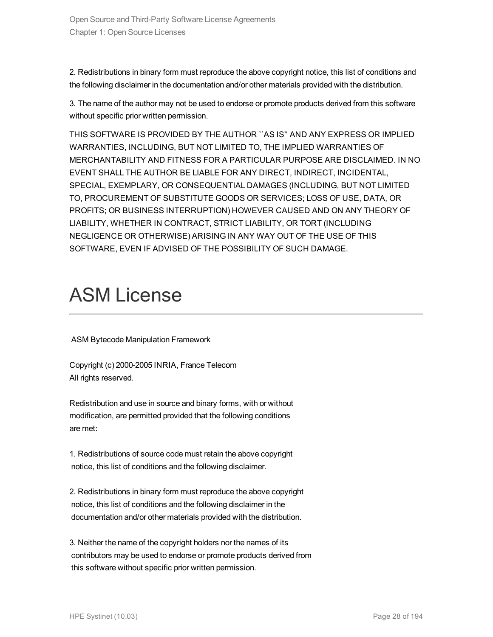2. Redistributions in binary form must reproduce the above copyright notice, this list of conditions and the following disclaimer in the documentation and/or other materials provided with the distribution.

3. The name of the author may not be used to endorse or promote products derived from this software without specific prior written permission.

THIS SOFTWARE IS PROVIDED BY THE AUTHOR ``AS IS'' AND ANY EXPRESS OR IMPLIED WARRANTIES, INCLUDING, BUT NOT LIMITED TO, THE IMPLIED WARRANTIES OF MERCHANTABILITY AND FITNESS FOR A PARTICULAR PURPOSE ARE DISCLAIMED. IN NO EVENT SHALL THE AUTHOR BE LIABLE FOR ANY DIRECT, INDIRECT, INCIDENTAL, SPECIAL, EXEMPLARY, OR CONSEQUENTIAL DAMAGES (INCLUDING, BUT NOT LIMITED TO, PROCUREMENT OF SUBSTITUTE GOODS OR SERVICES; LOSS OF USE, DATA, OR PROFITS; OR BUSINESS INTERRUPTION) HOWEVER CAUSED AND ON ANY THEORY OF LIABILITY, WHETHER IN CONTRACT, STRICT LIABILITY, OR TORT (INCLUDING NEGLIGENCE OR OTHERWISE) ARISING IN ANY WAY OUT OF THE USE OF THIS SOFTWARE, EVEN IF ADVISED OF THE POSSIBILITY OF SUCH DAMAGE.

## <span id="page-27-0"></span>ASM License

ASM Bytecode Manipulation Framework

Copyright (c) 2000-2005 INRIA, France Telecom All rights reserved.

Redistribution and use in source and binary forms, with or without modification, are permitted provided that the following conditions are met:

1. Redistributions of source code must retain the above copyright notice, this list of conditions and the following disclaimer.

2. Redistributions in binary form must reproduce the above copyright notice, this list of conditions and the following disclaimer in the documentation and/or other materials provided with the distribution.

3. Neither the name of the copyright holders nor the names of its contributors may be used to endorse or promote products derived from this software without specific prior written permission.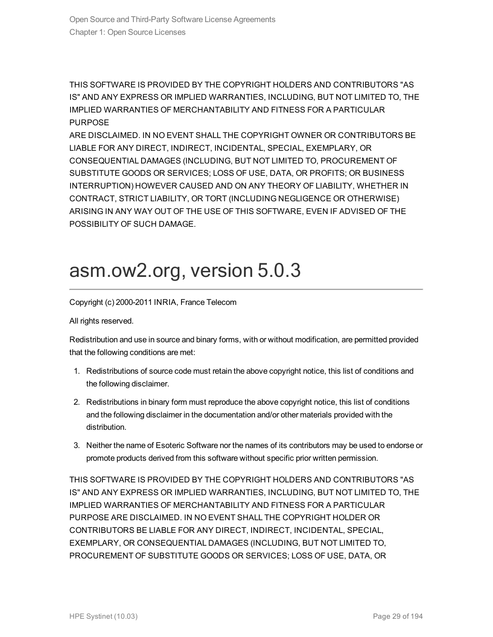THIS SOFTWARE IS PROVIDED BY THE COPYRIGHT HOLDERS AND CONTRIBUTORS "AS IS" AND ANY EXPRESS OR IMPLIED WARRANTIES, INCLUDING, BUT NOT LIMITED TO, THE IMPLIED WARRANTIES OF MERCHANTABILITY AND FITNESS FOR A PARTICULAR PURPOSE

ARE DISCLAIMED. IN NO EVENT SHALL THE COPYRIGHT OWNER OR CONTRIBUTORS BE LIABLE FOR ANY DIRECT, INDIRECT, INCIDENTAL, SPECIAL, EXEMPLARY, OR CONSEQUENTIAL DAMAGES (INCLUDING, BUT NOT LIMITED TO, PROCUREMENT OF SUBSTITUTE GOODS OR SERVICES; LOSS OF USE, DATA, OR PROFITS; OR BUSINESS INTERRUPTION) HOWEVER CAUSED AND ON ANY THEORY OF LIABILITY, WHETHER IN CONTRACT, STRICT LIABILITY, OR TORT (INCLUDING NEGLIGENCE OR OTHERWISE) ARISING IN ANY WAY OUT OF THE USE OF THIS SOFTWARE, EVEN IF ADVISED OF THE POSSIBILITY OF SUCH DAMAGE.

### <span id="page-28-0"></span>asm.ow2.org, version 5.0.3

#### Copyright (c) 2000-2011 INRIA, France Telecom

All rights reserved.

Redistribution and use in source and binary forms, with or without modification, are permitted provided that the following conditions are met:

- 1. Redistributions of source code must retain the above copyright notice, this list of conditions and the following disclaimer.
- 2. Redistributions in binary form must reproduce the above copyright notice, this list of conditions and the following disclaimer in the documentation and/or other materials provided with the distribution.
- 3. Neither the name of Esoteric Software nor the names of its contributors may be used to endorse or promote products derived from this software without specific prior written permission.

THIS SOFTWARE IS PROVIDED BY THE COPYRIGHT HOLDERS AND CONTRIBUTORS "AS IS" AND ANY EXPRESS OR IMPLIED WARRANTIES, INCLUDING, BUT NOT LIMITED TO, THE IMPLIED WARRANTIES OF MERCHANTABILITY AND FITNESS FOR A PARTICULAR PURPOSE ARE DISCLAIMED. IN NO EVENT SHALL THE COPYRIGHT HOLDER OR CONTRIBUTORS BE LIABLE FOR ANY DIRECT, INDIRECT, INCIDENTAL, SPECIAL, EXEMPLARY, OR CONSEQUENTIAL DAMAGES (INCLUDING, BUT NOT LIMITED TO, PROCUREMENT OF SUBSTITUTE GOODS OR SERVICES; LOSS OF USE, DATA, OR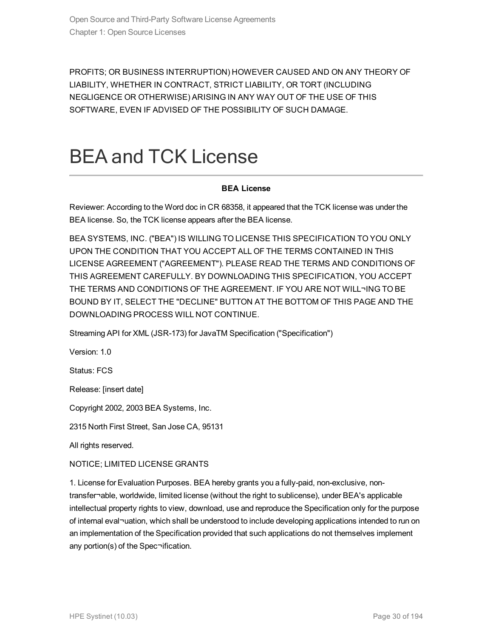PROFITS; OR BUSINESS INTERRUPTION) HOWEVER CAUSED AND ON ANY THEORY OF LIABILITY, WHETHER IN CONTRACT, STRICT LIABILITY, OR TORT (INCLUDING NEGLIGENCE OR OTHERWISE) ARISING IN ANY WAY OUT OF THE USE OF THIS SOFTWARE, EVEN IF ADVISED OF THE POSSIBILITY OF SUCH DAMAGE.

## <span id="page-29-0"></span>BEA and TCK License

#### **BEA License**

Reviewer: According to the Word doc in CR 68358, it appeared that the TCK license was under the BEA license. So, the TCK license appears after the BEA license.

BEA SYSTEMS, INC. ("BEA") IS WILLING TO LICENSE THIS SPECIFICATION TO YOU ONLY UPON THE CONDITION THAT YOU ACCEPT ALL OF THE TERMS CONTAINED IN THIS LICENSE AGREEMENT ("AGREEMENT"). PLEASE READ THE TERMS AND CONDITIONS OF THIS AGREEMENT CAREFULLY. BY DOWNLOADING THIS SPECIFICATION, YOU ACCEPT THE TERMS AND CONDITIONS OF THE AGREEMENT. IF YOU ARE NOT WILL¬ING TO BE BOUND BY IT, SELECT THE "DECLINE" BUTTON AT THE BOTTOM OF THIS PAGE AND THE DOWNLOADING PROCESS WILL NOT CONTINUE.

Streaming API for XML (JSR-173) for JavaTM Specification ("Specification")

Version: 1.0

Status: FCS

Release: [insert date]

Copyright 2002, 2003 BEA Systems, Inc.

2315 North First Street, San Jose CA, 95131

All rights reserved.

#### NOTICE; LIMITED LICENSE GRANTS

1. License for Evaluation Purposes. BEA hereby grants you a fully-paid, non-exclusive, nontransfer¬able, worldwide, limited license (without the right to sublicense), under BEA's applicable intellectual property rights to view, download, use and reproduce the Specification only for the purpose of internal eval¬uation, which shall be understood to include developing applications intended to run on an implementation of the Specification provided that such applications do not themselves implement any portion(s) of the Spec¬ification.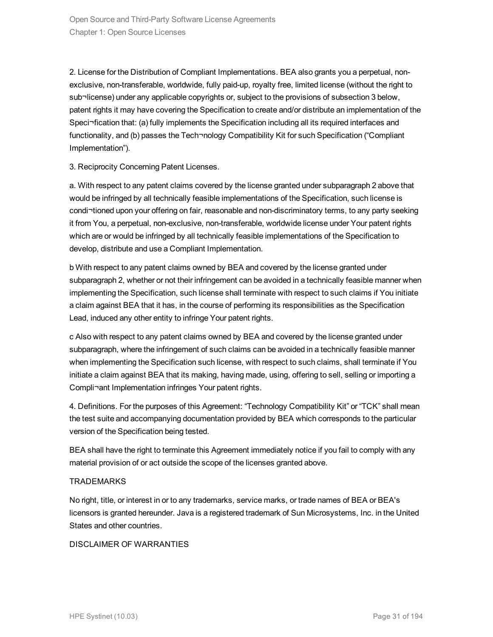2. License for the Distribution of Compliant Implementations. BEA also grants you a perpetual, nonexclusive, non-transferable, worldwide, fully paid-up, royalty free, limited license (without the right to sub¬license) under any applicable copyrights or, subject to the provisions of subsection 3 below, patent rights it may have covering the Specification to create and/or distribute an implementation of the Speci¬fication that: (a) fully implements the Specification including all its required interfaces and functionality, and (b) passes the Tech¬nology Compatibility Kit for such Specification ("Compliant Implementation").

3. Reciprocity Concerning Patent Licenses.

a. With respect to any patent claims covered by the license granted under subparagraph 2 above that would be infringed by all technically feasible implementations of the Specification, such license is condi¬tioned upon your offering on fair, reasonable and non-discriminatory terms, to any party seeking it from You, a perpetual, non-exclusive, non-transferable, worldwide license under Your patent rights which are or would be infringed by all technically feasible implementations of the Specification to develop, distribute and use a Compliant Implementation.

b With respect to any patent claims owned by BEA and covered by the license granted under subparagraph 2, whether or not their infringement can be avoided in a technically feasible manner when implementing the Specification, such license shall terminate with respect to such claims if You initiate a claim against BEA that it has, in the course of performing its responsibilities as the Specification Lead, induced any other entity to infringe Your patent rights.

c Also with respect to any patent claims owned by BEA and covered by the license granted under subparagraph, where the infringement of such claims can be avoided in a technically feasible manner when implementing the Specification such license, with respect to such claims, shall terminate if You initiate a claim against BEA that its making, having made, using, offering to sell, selling or importing a Compli¬ant Implementation infringes Your patent rights.

4. Definitions. For the purposes of this Agreement: "Technology Compatibility Kit" or "TCK" shall mean the test suite and accompanying documentation provided by BEA which corresponds to the particular version of the Specification being tested.

BEA shall have the right to terminate this Agreement immediately notice if you fail to comply with any material provision of or act outside the scope of the licenses granted above.

#### **TRADEMARKS**

No right, title, or interest in or to any trademarks, service marks, or trade names of BEA or BEA's licensors is granted hereunder. Java is a registered trademark of Sun Microsystems, Inc. in the United States and other countries.

#### DISCLAIMER OF WARRANTIES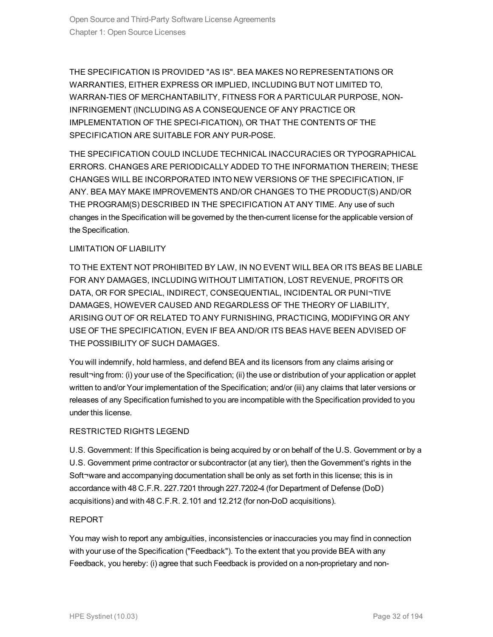THE SPECIFICATION IS PROVIDED "AS IS". BEA MAKES NO REPRESENTATIONS OR WARRANTIES, EITHER EXPRESS OR IMPLIED, INCLUDING BUT NOT LIMITED TO, WARRAN-TIES OF MERCHANTABILITY, FITNESS FOR A PARTICULAR PURPOSE, NON-INFRINGEMENT (INCLUDING AS A CONSEQUENCE OF ANY PRACTICE OR IMPLEMENTATION OF THE SPECI-FICATION), OR THAT THE CONTENTS OF THE SPECIFICATION ARE SUITABLE FOR ANY PUR-POSE.

THE SPECIFICATION COULD INCLUDE TECHNICAL INACCURACIES OR TYPOGRAPHICAL ERRORS. CHANGES ARE PERIODICALLY ADDED TO THE INFORMATION THEREIN; THESE CHANGES WILL BE INCORPORATED INTO NEW VERSIONS OF THE SPECIFICATION, IF ANY. BEA MAY MAKE IMPROVEMENTS AND/OR CHANGES TO THE PRODUCT(S) AND/OR THE PROGRAM(S) DESCRIBED IN THE SPECIFICATION AT ANY TIME. Any use of such changes in the Specification will be governed by the then-current license for the applicable version of the Specification.

#### LIMITATION OF LIABILITY

TO THE EXTENT NOT PROHIBITED BY LAW, IN NO EVENT WILL BEA OR ITS BEAS BE LIABLE FOR ANY DAMAGES, INCLUDING WITHOUT LIMITATION, LOST REVENUE, PROFITS OR DATA, OR FOR SPECIAL, INDIRECT, CONSEQUENTIAL, INCIDENTAL OR PUNI¬TIVE DAMAGES, HOWEVER CAUSED AND REGARDLESS OF THE THEORY OF LIABILITY, ARISING OUT OF OR RELATED TO ANY FURNISHING, PRACTICING, MODIFYING OR ANY USE OF THE SPECIFICATION, EVEN IF BEA AND/OR ITS BEAS HAVE BEEN ADVISED OF THE POSSIBILITY OF SUCH DAMAGES.

You will indemnify, hold harmless, and defend BEA and its licensors from any claims arising or result¬ing from: (i) your use of the Specification; (ii) the use or distribution of your application or applet written to and/or Your implementation of the Specification; and/or (iii) any claims that later versions or releases of any Specification furnished to you are incompatible with the Specification provided to you under this license.

#### RESTRICTED RIGHTS LEGEND

U.S. Government: If this Specification is being acquired by or on behalf of the U.S. Government or by a U.S. Government prime contractor or subcontractor (at any tier), then the Government's rights in the Soft¬ware and accompanying documentation shall be only as set forth in this license; this is in accordance with 48 C.F.R. 227.7201 through 227.7202-4 (for Department of Defense (DoD) acquisitions) and with 48 C.F.R. 2.101 and 12.212 (for non-DoD acquisitions).

#### REPORT

You may wish to report any ambiguities, inconsistencies or inaccuracies you may find in connection with your use of the Specification ("Feedback"). To the extent that you provide BEA with any Feedback, you hereby: (i) agree that such Feedback is provided on a non-proprietary and non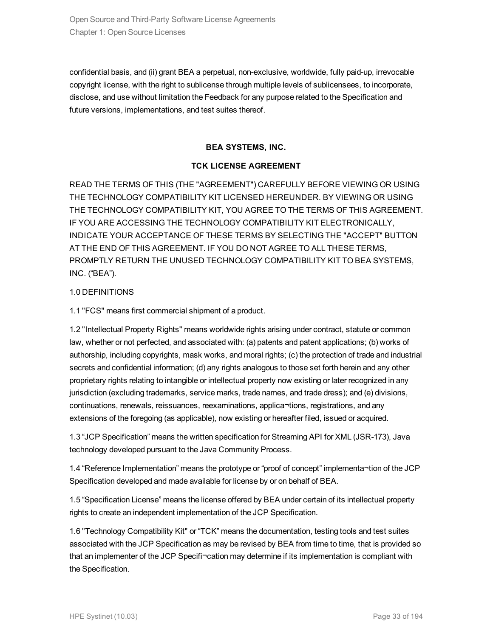confidential basis, and (ii) grant BEA a perpetual, non-exclusive, worldwide, fully paid-up, irrevocable copyright license, with the right to sublicense through multiple levels of sublicensees, to incorporate, disclose, and use without limitation the Feedback for any purpose related to the Specification and future versions, implementations, and test suites thereof.

#### **BEA SYSTEMS, INC.**

#### **TCK LICENSE AGREEMENT**

READ THE TERMS OF THIS (THE "AGREEMENT") CAREFULLY BEFORE VIEWING OR USING THE TECHNOLOGY COMPATIBILITY KIT LICENSED HEREUNDER. BY VIEWING OR USING THE TECHNOLOGY COMPATIBILITY KIT, YOU AGREE TO THE TERMS OF THIS AGREEMENT. IF YOU ARE ACCESSING THE TECHNOLOGY COMPATIBILITY KIT ELECTRONICALLY, INDICATE YOUR ACCEPTANCE OF THESE TERMS BY SELECTING THE "ACCEPT" BUTTON AT THE END OF THIS AGREEMENT. IF YOU DO NOT AGREE TO ALL THESE TERMS, PROMPTLY RETURN THE UNUSED TECHNOLOGY COMPATIBILITY KIT TO BEA SYSTEMS, INC. ("BEA").

#### 1.0 DEFINITIONS

1.1 "FCS" means first commercial shipment of a product.

1.2 "Intellectual Property Rights" means worldwide rights arising under contract, statute or common law, whether or not perfected, and associated with: (a) patents and patent applications; (b) works of authorship, including copyrights, mask works, and moral rights; (c) the protection of trade and industrial secrets and confidential information; (d) any rights analogous to those set forth herein and any other proprietary rights relating to intangible or intellectual property now existing or later recognized in any jurisdiction (excluding trademarks, service marks, trade names, and trade dress); and (e) divisions, continuations, renewals, reissuances, reexaminations, applica¬tions, registrations, and any extensions of the foregoing (as applicable), now existing or hereafter filed, issued or acquired.

1.3 "JCP Specification" means the written specification for Streaming API for XML (JSR-173), Java technology developed pursuant to the Java Community Process.

1.4 "Reference Implementation" means the prototype or "proof of concept" implementa¬tion of the JCP Specification developed and made available for license by or on behalf of BEA.

1.5 "Specification License" means the license offered by BEA under certain of its intellectual property rights to create an independent implementation of the JCP Specification.

1.6 "Technology Compatibility Kit" or "TCK" means the documentation, testing tools and test suites associated with the JCP Specification as may be revised by BEA from time to time, that is provided so that an implementer of the JCP Specifi¬cation may determine if its implementation is compliant with the Specification.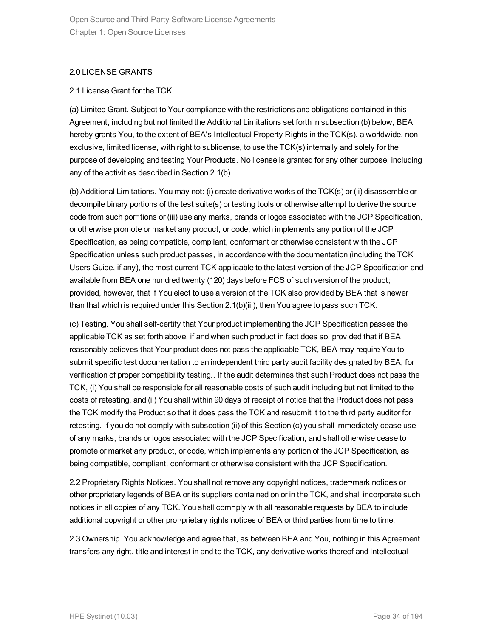#### 2.0 LICENSE GRANTS

#### 2.1 License Grant for the TCK.

(a) Limited Grant. Subject to Your compliance with the restrictions and obligations contained in this Agreement, including but not limited the Additional Limitations set forth in subsection (b) below, BEA hereby grants You, to the extent of BEA's Intellectual Property Rights in the TCK(s), a worldwide, nonexclusive, limited license, with right to sublicense, to use the TCK(s) internally and solely for the purpose of developing and testing Your Products. No license is granted for any other purpose, including any of the activities described in Section 2.1(b).

(b) Additional Limitations. You may not: (i) create derivative works of the TCK(s) or (ii) disassemble or decompile binary portions of the test suite(s) or testing tools or otherwise attempt to derive the source code from such por¬tions or (iii) use any marks, brands or logos associated with the JCP Specification, or otherwise promote or market any product, or code, which implements any portion of the JCP Specification, as being compatible, compliant, conformant or otherwise consistent with the JCP Specification unless such product passes, in accordance with the documentation (including the TCK Users Guide, if any), the most current TCK applicable to the latest version of the JCP Specification and available from BEA one hundred twenty (120) days before FCS of such version of the product; provided, however, that if You elect to use a version of the TCK also provided by BEA that is newer than that which is required under this Section 2.1(b)(iii), then You agree to pass such TCK.

(c) Testing. You shall self-certify that Your product implementing the JCP Specification passes the applicable TCK as set forth above, if and when such product in fact does so, provided that if BEA reasonably believes that Your product does not pass the applicable TCK, BEA may require You to submit specific test documentation to an independent third party audit facility designated by BEA, for verification of proper compatibility testing.. If the audit determines that such Product does not pass the TCK, (i) You shall be responsible for all reasonable costs of such audit including but not limited to the costs of retesting, and (ii) You shall within 90 days of receipt of notice that the Product does not pass the TCK modify the Product so that it does pass the TCK and resubmit it to the third party auditor for retesting. If you do not comply with subsection (ii) of this Section (c) you shall immediately cease use of any marks, brands or logos associated with the JCP Specification, and shall otherwise cease to promote or market any product, or code, which implements any portion of the JCP Specification, as being compatible, compliant, conformant or otherwise consistent with the JCP Specification.

2.2 Proprietary Rights Notices. You shall not remove any copyright notices, trade¬mark notices or other proprietary legends of BEA or its suppliers contained on or in the TCK, and shall incorporate such notices in all copies of any TCK. You shall com¬ply with all reasonable requests by BEA to include additional copyright or other pro¬prietary rights notices of BEA or third parties from time to time.

2.3 Ownership. You acknowledge and agree that, as between BEA and You, nothing in this Agreement transfers any right, title and interest in and to the TCK, any derivative works thereof and Intellectual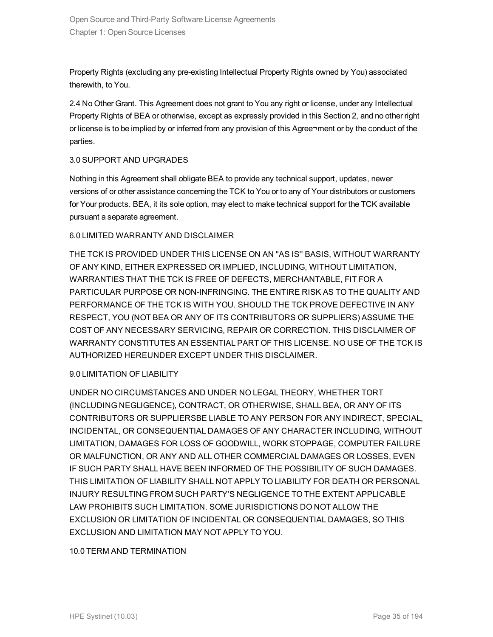Property Rights (excluding any pre-existing Intellectual Property Rights owned by You) associated therewith, to You.

2.4 No Other Grant. This Agreement does not grant to You any right or license, under any Intellectual Property Rights of BEA or otherwise, except as expressly provided in this Section 2, and no other right or license is to be implied by or inferred from any provision of this Agree¬ment or by the conduct of the parties.

#### 3.0 SUPPORT AND UPGRADES

Nothing in this Agreement shall obligate BEA to provide any technical support, updates, newer versions of or other assistance concerning the TCK to You or to any of Your distributors or customers for Your products. BEA, it its sole option, may elect to make technical support for the TCK available pursuant a separate agreement.

#### 6.0 LIMITED WARRANTY AND DISCLAIMER

THE TCK IS PROVIDED UNDER THIS LICENSE ON AN "AS IS'' BASIS, WITHOUT WARRANTY OF ANY KIND, EITHER EXPRESSED OR IMPLIED, INCLUDING, WITHOUT LIMITATION, WARRANTIES THAT THE TCK IS FREE OF DEFECTS, MERCHANTABLE, FIT FOR A PARTICULAR PURPOSE OR NON-INFRINGING. THE ENTIRE RISK AS TO THE QUALITY AND PERFORMANCE OF THE TCK IS WITH YOU. SHOULD THE TCK PROVE DEFECTIVE IN ANY RESPECT, YOU (NOT BEA OR ANY OF ITS CONTRIBUTORS OR SUPPLIERS) ASSUME THE COST OF ANY NECESSARY SERVICING, REPAIR OR CORRECTION. THIS DISCLAIMER OF WARRANTY CONSTITUTES AN ESSENTIAL PART OF THIS LICENSE. NO USE OF THE TCK IS AUTHORIZED HEREUNDER EXCEPT UNDER THIS DISCLAIMER.

#### 9.0 LIMITATION OF LIABILITY

UNDER NO CIRCUMSTANCES AND UNDER NO LEGAL THEORY, WHETHER TORT (INCLUDING NEGLIGENCE), CONTRACT, OR OTHERWISE, SHALL BEA, OR ANY OF ITS CONTRIBUTORS OR SUPPLIERSBE LIABLE TO ANY PERSON FOR ANY INDIRECT, SPECIAL, INCIDENTAL, OR CONSEQUENTIAL DAMAGES OF ANY CHARACTER INCLUDING, WITHOUT LIMITATION, DAMAGES FOR LOSS OF GOODWILL, WORK STOPPAGE, COMPUTER FAILURE OR MALFUNCTION, OR ANY AND ALL OTHER COMMERCIAL DAMAGES OR LOSSES, EVEN IF SUCH PARTY SHALL HAVE BEEN INFORMED OF THE POSSIBILITY OF SUCH DAMAGES. THIS LIMITATION OF LIABILITY SHALL NOT APPLY TO LIABILITY FOR DEATH OR PERSONAL INJURY RESULTING FROM SUCH PARTY'S NEGLIGENCE TO THE EXTENT APPLICABLE LAW PROHIBITS SUCH LIMITATION. SOME JURISDICTIONS DO NOT ALLOW THE EXCLUSION OR LIMITATION OF INCIDENTAL OR CONSEQUENTIAL DAMAGES, SO THIS EXCLUSION AND LIMITATION MAY NOT APPLY TO YOU.

#### 10.0 TERM AND TERMINATION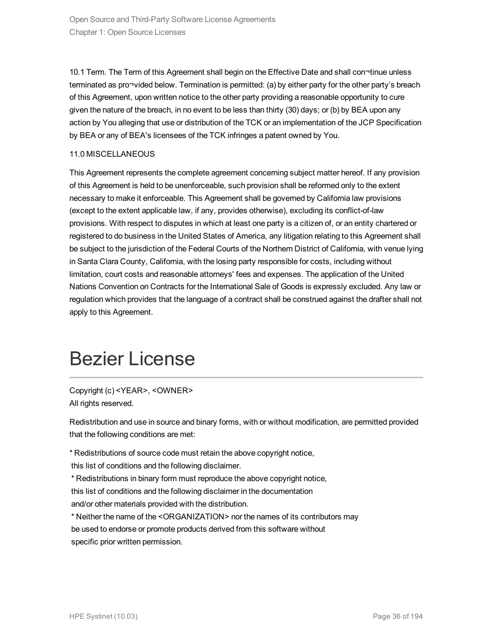10.1 Term. The Term of this Agreement shall begin on the Effective Date and shall con¬tinue unless terminated as pro¬vided below. Termination is permitted: (a) by either party for the other party's breach of this Agreement, upon written notice to the other party providing a reasonable opportunity to cure given the nature of the breach, in no event to be less than thirty (30) days; or (b) by BEA upon any action by You alleging that use or distribution of the TCK or an implementation of the JCP Specification by BEA or any of BEA's licensees of the TCK infringes a patent owned by You.

#### 11.0 MISCELLANEOUS

This Agreement represents the complete agreement concerning subject matter hereof. If any provision of this Agreement is held to be unenforceable, such provision shall be reformed only to the extent necessary to make it enforceable. This Agreement shall be governed by California law provisions (except to the extent applicable law, if any, provides otherwise), excluding its conflict-of-law provisions. With respect to disputes in which at least one party is a citizen of, or an entity chartered or registered to do business in the United States of America, any litigation relating to this Agreement shall be subject to the jurisdiction of the Federal Courts of the Northern District of California, with venue lying in Santa Clara County, California, with the losing party responsible for costs, including without limitation, court costs and reasonable attorneys' fees and expenses. The application of the United Nations Convention on Contracts for the International Sale of Goods is expressly excluded. Any law or regulation which provides that the language of a contract shall be construed against the drafter shall not apply to this Agreement.

### <span id="page-35-0"></span>Bezier License

Copyright (c) <YEAR>, <OWNER> All rights reserved.

Redistribution and use in source and binary forms, with or without modification, are permitted provided that the following conditions are met:

\* Redistributions of source code must retain the above copyright notice,

this list of conditions and the following disclaimer.

\* Redistributions in binary form must reproduce the above copyright notice,

this list of conditions and the following disclaimer in the documentation and/or other materials provided with the distribution.

\* Neither the name of the <ORGANIZATION> nor the names of its contributors may be used to endorse or promote products derived from this software without specific prior written permission.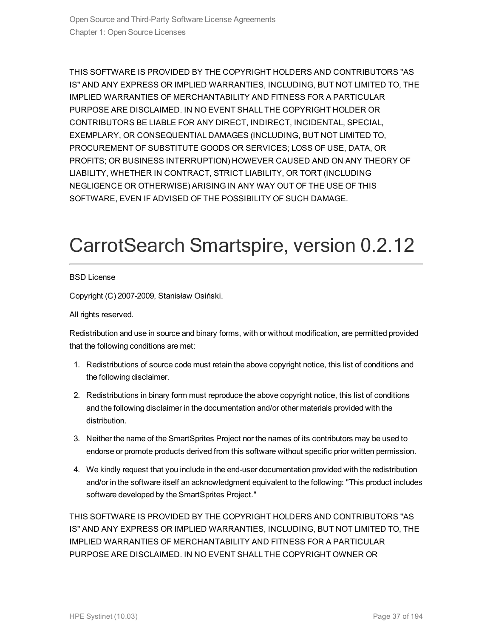THIS SOFTWARE IS PROVIDED BY THE COPYRIGHT HOLDERS AND CONTRIBUTORS "AS IS" AND ANY EXPRESS OR IMPLIED WARRANTIES, INCLUDING, BUT NOT LIMITED TO, THE IMPLIED WARRANTIES OF MERCHANTABILITY AND FITNESS FOR A PARTICULAR PURPOSE ARE DISCLAIMED. IN NO EVENT SHALL THE COPYRIGHT HOLDER OR CONTRIBUTORS BE LIABLE FOR ANY DIRECT, INDIRECT, INCIDENTAL, SPECIAL, EXEMPLARY, OR CONSEQUENTIAL DAMAGES (INCLUDING, BUT NOT LIMITED TO, PROCUREMENT OF SUBSTITUTE GOODS OR SERVICES; LOSS OF USE, DATA, OR PROFITS; OR BUSINESS INTERRUPTION) HOWEVER CAUSED AND ON ANY THEORY OF LIABILITY, WHETHER IN CONTRACT, STRICT LIABILITY, OR TORT (INCLUDING NEGLIGENCE OR OTHERWISE) ARISING IN ANY WAY OUT OF THE USE OF THIS SOFTWARE, EVEN IF ADVISED OF THE POSSIBILITY OF SUCH DAMAGE.

### CarrotSearch Smartspire, version 0.2.12

#### BSD License

Copyright (C) 2007-2009, Stanisław Osiński.

All rights reserved.

Redistribution and use in source and binary forms, with or without modification, are permitted provided that the following conditions are met:

- 1. Redistributions of source code must retain the above copyright notice, this list of conditions and the following disclaimer.
- 2. Redistributions in binary form must reproduce the above copyright notice, this list of conditions and the following disclaimer in the documentation and/or other materials provided with the distribution.
- 3. Neither the name of the SmartSprites Project nor the names of its contributors may be used to endorse or promote products derived from this software without specific prior written permission.
- 4. We kindly request that you include in the end-user documentation provided with the redistribution and/or in the software itself an acknowledgment equivalent to the following: "This product includes software developed by the SmartSprites Project."

THIS SOFTWARE IS PROVIDED BY THE COPYRIGHT HOLDERS AND CONTRIBUTORS "AS IS" AND ANY EXPRESS OR IMPLIED WARRANTIES, INCLUDING, BUT NOT LIMITED TO, THE IMPLIED WARRANTIES OF MERCHANTABILITY AND FITNESS FOR A PARTICULAR PURPOSE ARE DISCLAIMED. IN NO EVENT SHALL THE COPYRIGHT OWNER OR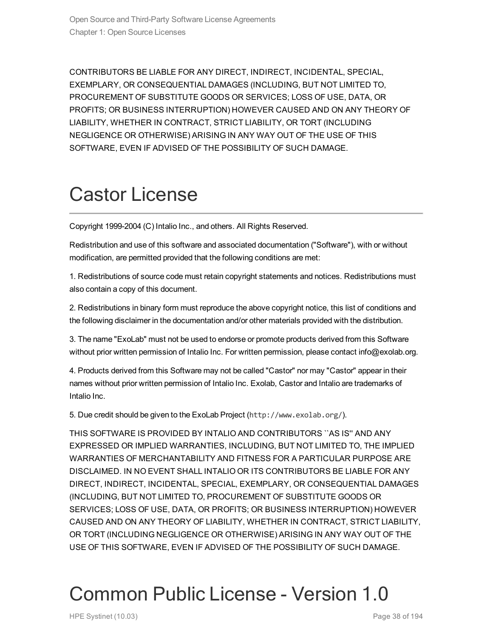CONTRIBUTORS BE LIABLE FOR ANY DIRECT, INDIRECT, INCIDENTAL, SPECIAL, EXEMPLARY, OR CONSEQUENTIAL DAMAGES (INCLUDING, BUT NOT LIMITED TO, PROCUREMENT OF SUBSTITUTE GOODS OR SERVICES; LOSS OF USE, DATA, OR PROFITS; OR BUSINESS INTERRUPTION) HOWEVER CAUSED AND ON ANY THEORY OF LIABILITY, WHETHER IN CONTRACT, STRICT LIABILITY, OR TORT (INCLUDING NEGLIGENCE OR OTHERWISE) ARISING IN ANY WAY OUT OF THE USE OF THIS SOFTWARE, EVEN IF ADVISED OF THE POSSIBILITY OF SUCH DAMAGE.

# Castor License

Copyright 1999-2004 (C) Intalio Inc., and others. All Rights Reserved.

Redistribution and use of this software and associated documentation ("Software"), with or without modification, are permitted provided that the following conditions are met:

1. Redistributions of source code must retain copyright statements and notices. Redistributions must also contain a copy of this document.

2. Redistributions in binary form must reproduce the above copyright notice, this list of conditions and the following disclaimer in the documentation and/or other materials provided with the distribution.

3. The name "ExoLab" must not be used to endorse or promote products derived from this Software without prior written permission of Intalio Inc. For written permission, please contact info@exolab.org.

4. Products derived from this Software may not be called "Castor" nor may "Castor" appear in their names without prior written permission of Intalio Inc. Exolab, Castor and Intalio are trademarks of Intalio Inc.

5. Due credit should be given to the ExoLab Project (http://www.exolab.org/).

THIS SOFTWARE IS PROVIDED BY INTALIO AND CONTRIBUTORS ``AS IS'' AND ANY EXPRESSED OR IMPLIED WARRANTIES, INCLUDING, BUT NOT LIMITED TO, THE IMPLIED WARRANTIES OF MERCHANTABILITY AND FITNESS FOR A PARTICULAR PURPOSE ARE DISCLAIMED. IN NO EVENT SHALL INTALIO OR ITS CONTRIBUTORS BE LIABLE FOR ANY DIRECT, INDIRECT, INCIDENTAL, SPECIAL, EXEMPLARY, OR CONSEQUENTIAL DAMAGES (INCLUDING, BUT NOT LIMITED TO, PROCUREMENT OF SUBSTITUTE GOODS OR SERVICES; LOSS OF USE, DATA, OR PROFITS; OR BUSINESS INTERRUPTION) HOWEVER CAUSED AND ON ANY THEORY OF LIABILITY, WHETHER IN CONTRACT, STRICT LIABILITY, OR TORT (INCLUDING NEGLIGENCE OR OTHERWISE) ARISING IN ANY WAY OUT OF THE USE OF THIS SOFTWARE, EVEN IF ADVISED OF THE POSSIBILITY OF SUCH DAMAGE.

# Common Public License - Version 1.0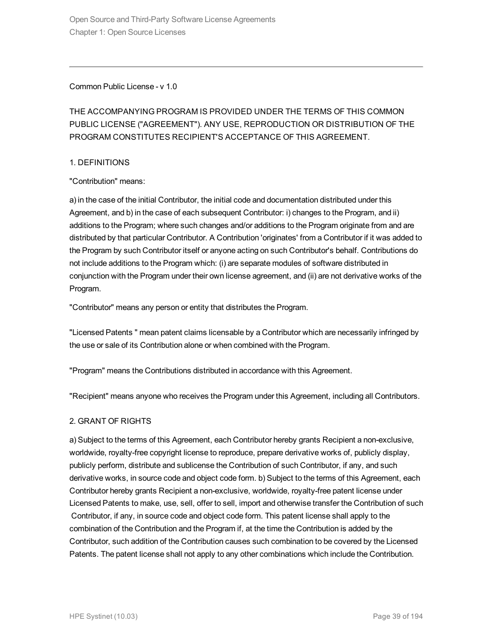Common Public License - v 1.0

THE ACCOMPANYING PROGRAM IS PROVIDED UNDER THE TERMS OF THIS COMMON PUBLIC LICENSE ("AGREEMENT"). ANY USE, REPRODUCTION OR DISTRIBUTION OF THE PROGRAM CONSTITUTES RECIPIENT'S ACCEPTANCE OF THIS AGREEMENT.

#### 1. DEFINITIONS

#### "Contribution" means:

a) in the case of the initial Contributor, the initial code and documentation distributed under this Agreement, and b) in the case of each subsequent Contributor: i) changes to the Program, and ii) additions to the Program; where such changes and/or additions to the Program originate from and are distributed by that particular Contributor. A Contribution 'originates' from a Contributor if it was added to the Program by such Contributor itself or anyone acting on such Contributor's behalf. Contributions do not include additions to the Program which: (i) are separate modules of software distributed in conjunction with the Program under their own license agreement, and (ii) are not derivative works of the Program.

"Contributor" means any person or entity that distributes the Program.

"Licensed Patents " mean patent claims licensable by a Contributor which are necessarily infringed by the use or sale of its Contribution alone or when combined with the Program.

"Program" means the Contributions distributed in accordance with this Agreement.

"Recipient" means anyone who receives the Program under this Agreement, including all Contributors.

#### 2. GRANT OF RIGHTS

a) Subject to the terms of this Agreement, each Contributor hereby grants Recipient a non-exclusive, worldwide, royalty-free copyright license to reproduce, prepare derivative works of, publicly display, publicly perform, distribute and sublicense the Contribution of such Contributor, if any, and such derivative works, in source code and object code form. b) Subject to the terms of this Agreement, each Contributor hereby grants Recipient a non-exclusive, worldwide, royalty-free patent license under Licensed Patents to make, use, sell, offer to sell, import and otherwise transfer the Contribution of such Contributor, if any, in source code and object code form. This patent license shall apply to the combination of the Contribution and the Program if, at the time the Contribution is added by the Contributor, such addition of the Contribution causes such combination to be covered by the Licensed Patents. The patent license shall not apply to any other combinations which include the Contribution.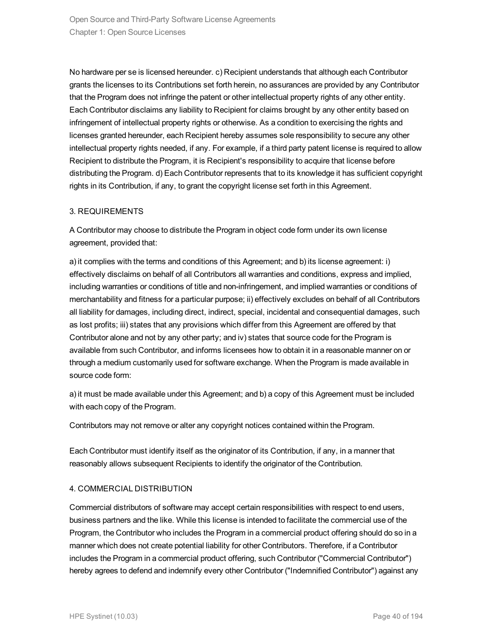No hardware per se is licensed hereunder. c) Recipient understands that although each Contributor grants the licenses to its Contributions set forth herein, no assurances are provided by any Contributor that the Program does not infringe the patent or other intellectual property rights of any other entity. Each Contributor disclaims any liability to Recipient for claims brought by any other entity based on infringement of intellectual property rights or otherwise. As a condition to exercising the rights and licenses granted hereunder, each Recipient hereby assumes sole responsibility to secure any other intellectual property rights needed, if any. For example, if a third party patent license is required to allow Recipient to distribute the Program, it is Recipient's responsibility to acquire that license before distributing the Program. d) Each Contributor represents that to its knowledge it has sufficient copyright rights in its Contribution, if any, to grant the copyright license set forth in this Agreement.

#### 3. REQUIREMENTS

A Contributor may choose to distribute the Program in object code form under its own license agreement, provided that:

a) it complies with the terms and conditions of this Agreement; and b) its license agreement: i) effectively disclaims on behalf of all Contributors all warranties and conditions, express and implied, including warranties or conditions of title and non-infringement, and implied warranties or conditions of merchantability and fitness for a particular purpose; ii) effectively excludes on behalf of all Contributors all liability for damages, including direct, indirect, special, incidental and consequential damages, such as lost profits; iii) states that any provisions which differ from this Agreement are offered by that Contributor alone and not by any other party; and iv) states that source code for the Program is available from such Contributor, and informs licensees how to obtain it in a reasonable manner on or through a medium customarily used for software exchange. When the Program is made available in source code form:

a) it must be made available under this Agreement; and b) a copy of this Agreement must be included with each copy of the Program.

Contributors may not remove or alter any copyright notices contained within the Program.

Each Contributor must identify itself as the originator of its Contribution, if any, in a manner that reasonably allows subsequent Recipients to identify the originator of the Contribution.

#### 4. COMMERCIAL DISTRIBUTION

Commercial distributors of software may accept certain responsibilities with respect to end users, business partners and the like. While this license is intended to facilitate the commercial use of the Program, the Contributor who includes the Program in a commercial product offering should do so in a manner which does not create potential liability for other Contributors. Therefore, if a Contributor includes the Program in a commercial product offering, such Contributor ("Commercial Contributor") hereby agrees to defend and indemnify every other Contributor ("Indemnified Contributor") against any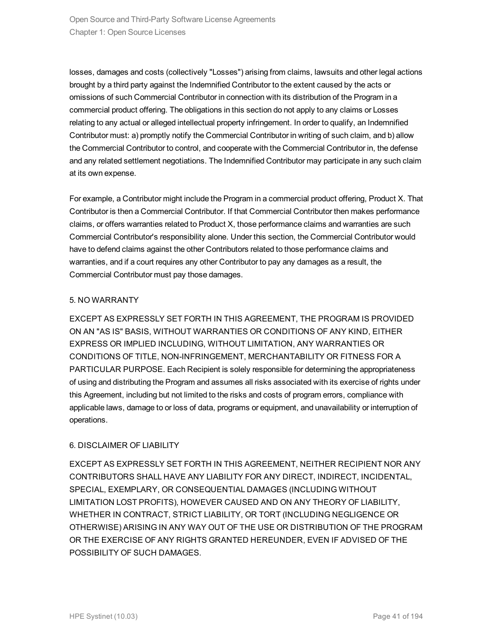losses, damages and costs (collectively "Losses") arising from claims, lawsuits and other legal actions brought by a third party against the Indemnified Contributor to the extent caused by the acts or omissions of such Commercial Contributor in connection with its distribution of the Program in a commercial product offering. The obligations in this section do not apply to any claims or Losses relating to any actual or alleged intellectual property infringement. In order to qualify, an Indemnified Contributor must: a) promptly notify the Commercial Contributor in writing of such claim, and b) allow the Commercial Contributor to control, and cooperate with the Commercial Contributor in, the defense and any related settlement negotiations. The Indemnified Contributor may participate in any such claim at its own expense.

For example, a Contributor might include the Program in a commercial product offering, Product X. That Contributor is then a Commercial Contributor. If that Commercial Contributor then makes performance claims, or offers warranties related to Product X, those performance claims and warranties are such Commercial Contributor's responsibility alone. Under this section, the Commercial Contributor would have to defend claims against the other Contributors related to those performance claims and warranties, and if a court requires any other Contributor to pay any damages as a result, the Commercial Contributor must pay those damages.

#### 5. NO WARRANTY

EXCEPT AS EXPRESSLY SET FORTH IN THIS AGREEMENT, THE PROGRAM IS PROVIDED ON AN "AS IS" BASIS, WITHOUT WARRANTIES OR CONDITIONS OF ANY KIND, EITHER EXPRESS OR IMPLIED INCLUDING, WITHOUT LIMITATION, ANY WARRANTIES OR CONDITIONS OF TITLE, NON-INFRINGEMENT, MERCHANTABILITY OR FITNESS FOR A PARTICULAR PURPOSE. Each Recipient is solely responsible for determining the appropriateness of using and distributing the Program and assumes all risks associated with its exercise of rights under this Agreement, including but not limited to the risks and costs of program errors, compliance with applicable laws, damage to or loss of data, programs or equipment, and unavailability or interruption of operations.

#### 6. DISCLAIMER OF LIABILITY

EXCEPT AS EXPRESSLY SET FORTH IN THIS AGREEMENT, NEITHER RECIPIENT NOR ANY CONTRIBUTORS SHALL HAVE ANY LIABILITY FOR ANY DIRECT, INDIRECT, INCIDENTAL, SPECIAL, EXEMPLARY, OR CONSEQUENTIAL DAMAGES (INCLUDING WITHOUT LIMITATION LOST PROFITS), HOWEVER CAUSED AND ON ANY THEORY OF LIABILITY, WHETHER IN CONTRACT, STRICT LIABILITY, OR TORT (INCLUDING NEGLIGENCE OR OTHERWISE) ARISING IN ANY WAY OUT OF THE USE OR DISTRIBUTION OF THE PROGRAM OR THE EXERCISE OF ANY RIGHTS GRANTED HEREUNDER, EVEN IF ADVISED OF THE POSSIBILITY OF SUCH DAMAGES.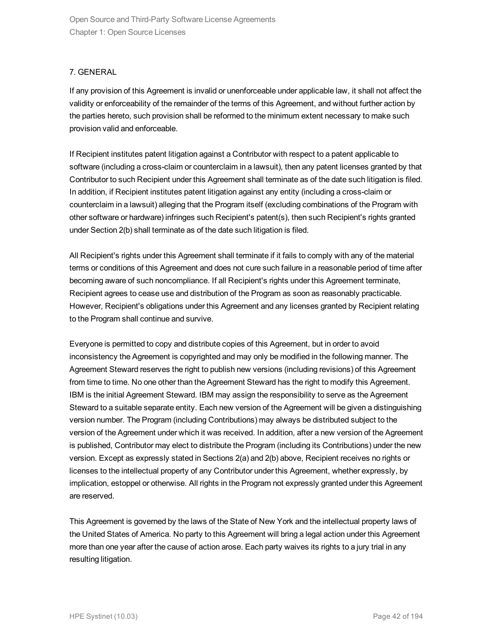#### 7. GENERAL

If any provision of this Agreement is invalid or unenforceable under applicable law, it shall not affect the validity or enforceability of the remainder of the terms of this Agreement, and without further action by the parties hereto, such provision shall be reformed to the minimum extent necessary to make such provision valid and enforceable.

If Recipient institutes patent litigation against a Contributor with respect to a patent applicable to software (including a cross-claim or counterclaim in a lawsuit), then any patent licenses granted by that Contributor to such Recipient under this Agreement shall terminate as of the date such litigation is filed. In addition, if Recipient institutes patent litigation against any entity (including a cross-claim or counterclaim in a lawsuit) alleging that the Program itself (excluding combinations of the Program with other software or hardware) infringes such Recipient's patent(s), then such Recipient's rights granted under Section 2(b) shall terminate as of the date such litigation is filed.

All Recipient's rights under this Agreement shall terminate if it fails to comply with any of the material terms or conditions of this Agreement and does not cure such failure in a reasonable period of time after becoming aware of such noncompliance. If all Recipient's rights under this Agreement terminate, Recipient agrees to cease use and distribution of the Program as soon as reasonably practicable. However, Recipient's obligations under this Agreement and any licenses granted by Recipient relating to the Program shall continue and survive.

Everyone is permitted to copy and distribute copies of this Agreement, but in order to avoid inconsistency the Agreement is copyrighted and may only be modified in the following manner. The Agreement Steward reserves the right to publish new versions (including revisions) of this Agreement from time to time. No one other than the Agreement Steward has the right to modify this Agreement. IBM is the initial Agreement Steward. IBM may assign the responsibility to serve as the Agreement Steward to a suitable separate entity. Each new version of the Agreement will be given a distinguishing version number. The Program (including Contributions) may always be distributed subject to the version of the Agreement under which it was received. In addition, after a new version of the Agreement is published, Contributor may elect to distribute the Program (including its Contributions) under the new version. Except as expressly stated in Sections 2(a) and 2(b) above, Recipient receives no rights or licenses to the intellectual property of any Contributor under this Agreement, whether expressly, by implication, estoppel or otherwise. All rights in the Program not expressly granted under this Agreement are reserved.

This Agreement is governed by the laws of the State of New York and the intellectual property laws of the United States of America. No party to this Agreement will bring a legal action under this Agreement more than one year after the cause of action arose. Each party waives its rights to a jury trial in any resulting litigation.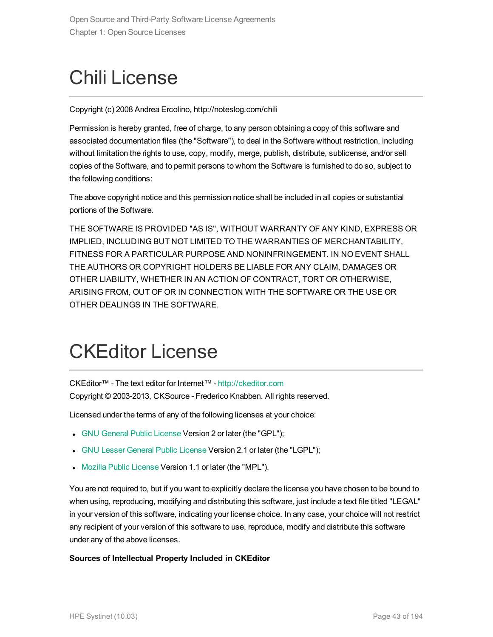# Chili License

Copyright (c) 2008 Andrea Ercolino, http://noteslog.com/chili

Permission is hereby granted, free of charge, to any person obtaining a copy of this software and associated documentation files (the "Software"), to deal in the Software without restriction, including without limitation the rights to use, copy, modify, merge, publish, distribute, sublicense, and/or sell copies of the Software, and to permit persons to whom the Software is furnished to do so, subject to the following conditions:

The above copyright notice and this permission notice shall be included in all copies or substantial portions of the Software.

THE SOFTWARE IS PROVIDED "AS IS", WITHOUT WARRANTY OF ANY KIND, EXPRESS OR IMPLIED, INCLUDING BUT NOT LIMITED TO THE WARRANTIES OF MERCHANTABILITY, FITNESS FOR A PARTICULAR PURPOSE AND NONINFRINGEMENT. IN NO EVENT SHALL THE AUTHORS OR COPYRIGHT HOLDERS BE LIABLE FOR ANY CLAIM, DAMAGES OR OTHER LIABILITY, WHETHER IN AN ACTION OF CONTRACT, TORT OR OTHERWISE, ARISING FROM, OUT OF OR IN CONNECTION WITH THE SOFTWARE OR THE USE OR OTHER DEALINGS IN THE SOFTWARE.

## CKEditor License

CKEditor™ - The text editor for Internet™ - [http://ckeditor.com](http://ckeditor.com/) Copyright © 2003-2013, CKSource - Frederico Knabben. All rights reserved.

Licensed under the terms of any of the following licenses at your choice:

- GNU General Public [License](http://www.gnu.org/licenses/gpl.html) Version 2 or later (the "GPL");
- GNU Lesser [General](http://www.gnu.org/licenses/lgpl.html) Public License Version 2.1 or later (the "LGPL");
- Mozilla Public [License](http://www.mozilla.org/MPL/MPL-1.1.html) Version 1.1 or later (the "MPL").

You are not required to, but if you want to explicitly declare the license you have chosen to be bound to when using, reproducing, modifying and distributing this software, just include a text file titled "LEGAL" in your version of this software, indicating your license choice. In any case, your choice will not restrict any recipient of your version of this software to use, reproduce, modify and distribute this software under any of the above licenses.

#### **Sources of Intellectual Property Included in CKEditor**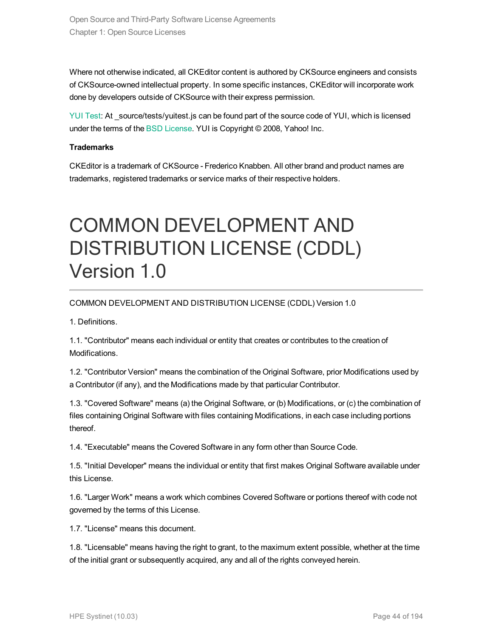Where not otherwise indicated, all CKEditor content is authored by CKSource engineers and consists of CKSource-owned intellectual property. In some specific instances, CKEditor will incorporate work done by developers outside of CKSource with their express permission.

YUI [Test](http://developer.yahoo.com/yui/yuitest/): At \_source/tests/yuitest.js can be found part of the source code of YUI, which is licensed under the terms of the BSD [License](http://developer.yahoo.com/yui/license.txt). YUI is Copyright © 2008, Yahoo! Inc.

#### **Trademarks**

CKEditor is a trademark of CKSource - Frederico Knabben. All other brand and product names are trademarks, registered trademarks or service marks of their respective holders.

# COMMON DEVELOPMENT AND DISTRIBUTION LICENSE (CDDL) Version 1.0

#### COMMON DEVELOPMENT AND DISTRIBUTION LICENSE (CDDL) Version 1.0

1. Definitions.

1.1. "Contributor" means each individual or entity that creates or contributes to the creation of Modifications.

1.2. "Contributor Version" means the combination of the Original Software, prior Modifications used by a Contributor (if any), and the Modifications made by that particular Contributor.

1.3. "Covered Software" means (a) the Original Software, or (b) Modifications, or (c) the combination of files containing Original Software with files containing Modifications, in each case including portions thereof.

1.4. "Executable" means the Covered Software in any form other than Source Code.

1.5. "Initial Developer" means the individual or entity that first makes Original Software available under this License.

1.6. "Larger Work" means a work which combines Covered Software or portions thereof with code not governed by the terms of this License.

1.7. "License" means this document.

1.8. "Licensable" means having the right to grant, to the maximum extent possible, whether at the time of the initial grant or subsequently acquired, any and all of the rights conveyed herein.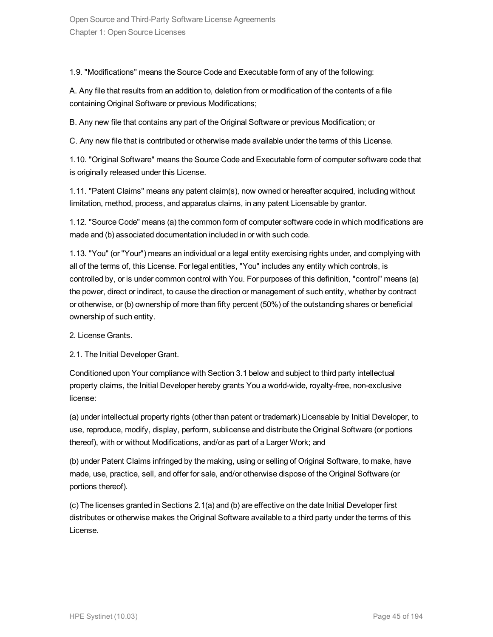1.9. "Modifications" means the Source Code and Executable form of any of the following:

A. Any file that results from an addition to, deletion from or modification of the contents of a file containing Original Software or previous Modifications;

B. Any new file that contains any part of the Original Software or previous Modification; or

C. Any new file that is contributed or otherwise made available under the terms of this License.

1.10. "Original Software" means the Source Code and Executable form of computer software code that is originally released under this License.

1.11. "Patent Claims" means any patent claim(s), now owned or hereafter acquired, including without limitation, method, process, and apparatus claims, in any patent Licensable by grantor.

1.12. "Source Code" means (a) the common form of computer software code in which modifications are made and (b) associated documentation included in or with such code.

1.13. "You" (or "Your") means an individual or a legal entity exercising rights under, and complying with all of the terms of, this License. For legal entities, "You" includes any entity which controls, is controlled by, or is under common control with You. For purposes of this definition, "control" means (a) the power, direct or indirect, to cause the direction or management of such entity, whether by contract or otherwise, or (b) ownership of more than fifty percent (50%) of the outstanding shares or beneficial ownership of such entity.

2. License Grants.

2.1. The Initial Developer Grant.

Conditioned upon Your compliance with Section 3.1 below and subject to third party intellectual property claims, the Initial Developer hereby grants You a world-wide, royalty-free, non-exclusive license:

(a) under intellectual property rights (other than patent or trademark) Licensable by Initial Developer, to use, reproduce, modify, display, perform, sublicense and distribute the Original Software (or portions thereof), with or without Modifications, and/or as part of a Larger Work; and

(b) under Patent Claims infringed by the making, using or selling of Original Software, to make, have made, use, practice, sell, and offer for sale, and/or otherwise dispose of the Original Software (or portions thereof).

(c) The licenses granted in Sections 2.1(a) and (b) are effective on the date Initial Developer first distributes or otherwise makes the Original Software available to a third party under the terms of this License.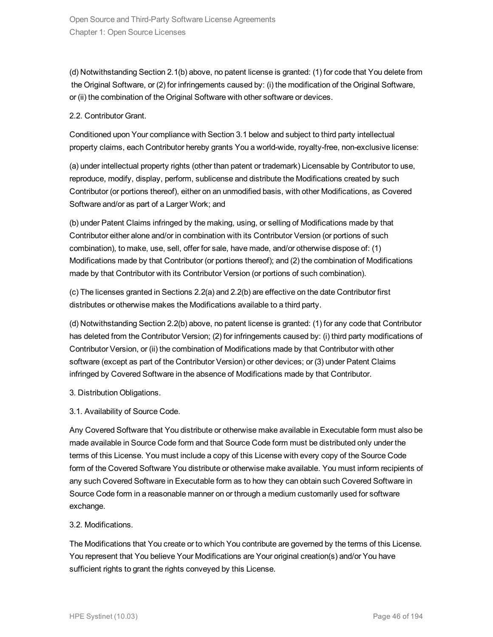(d) Notwithstanding Section 2.1(b) above, no patent license is granted: (1) for code that You delete from the Original Software, or (2) for infringements caused by: (i) the modification of the Original Software, or (ii) the combination of the Original Software with other software or devices.

#### 2.2. Contributor Grant.

Conditioned upon Your compliance with Section 3.1 below and subject to third party intellectual property claims, each Contributor hereby grants You a world-wide, royalty-free, non-exclusive license:

(a) under intellectual property rights (other than patent or trademark) Licensable by Contributor to use, reproduce, modify, display, perform, sublicense and distribute the Modifications created by such Contributor (or portions thereof), either on an unmodified basis, with other Modifications, as Covered Software and/or as part of a Larger Work; and

(b) under Patent Claims infringed by the making, using, or selling of Modifications made by that Contributor either alone and/or in combination with its Contributor Version (or portions of such combination), to make, use, sell, offer for sale, have made, and/or otherwise dispose of: (1) Modifications made by that Contributor (or portions thereof); and (2) the combination of Modifications made by that Contributor with its Contributor Version (or portions of such combination).

(c) The licenses granted in Sections 2.2(a) and 2.2(b) are effective on the date Contributor first distributes or otherwise makes the Modifications available to a third party.

(d) Notwithstanding Section 2.2(b) above, no patent license is granted: (1) for any code that Contributor has deleted from the Contributor Version; (2) for infringements caused by: (i) third party modifications of Contributor Version, or (ii) the combination of Modifications made by that Contributor with other software (except as part of the Contributor Version) or other devices; or (3) under Patent Claims infringed by Covered Software in the absence of Modifications made by that Contributor.

- 3. Distribution Obligations.
- 3.1. Availability of Source Code.

Any Covered Software that You distribute or otherwise make available in Executable form must also be made available in Source Code form and that Source Code form must be distributed only under the terms of this License. You must include a copy of this License with every copy of the Source Code form of the Covered Software You distribute or otherwise make available. You must inform recipients of any such Covered Software in Executable form as to how they can obtain such Covered Software in Source Code form in a reasonable manner on or through a medium customarily used for software exchange.

#### 3.2. Modifications.

The Modifications that You create or to which You contribute are governed by the terms of this License. You represent that You believe Your Modifications are Your original creation(s) and/or You have sufficient rights to grant the rights conveyed by this License.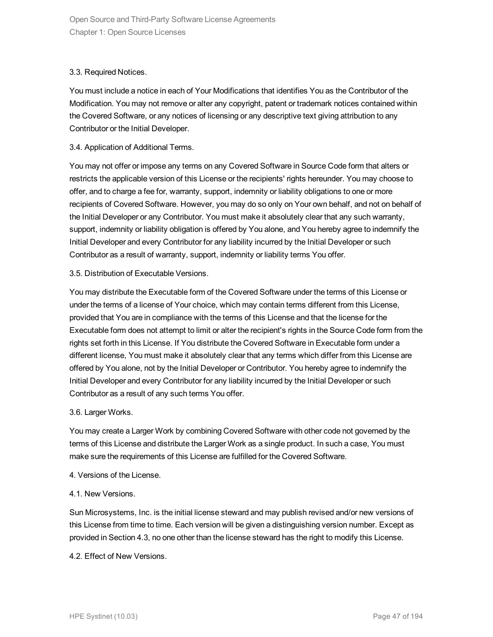#### 3.3. Required Notices.

You must include a notice in each of Your Modifications that identifies You as the Contributor of the Modification. You may not remove or alter any copyright, patent or trademark notices contained within the Covered Software, or any notices of licensing or any descriptive text giving attribution to any Contributor or the Initial Developer.

#### 3.4. Application of Additional Terms.

You may not offer or impose any terms on any Covered Software in Source Code form that alters or restricts the applicable version of this License or the recipients' rights hereunder. You may choose to offer, and to charge a fee for, warranty, support, indemnity or liability obligations to one or more recipients of Covered Software. However, you may do so only on Your own behalf, and not on behalf of the Initial Developer or any Contributor. You must make it absolutely clear that any such warranty, support, indemnity or liability obligation is offered by You alone, and You hereby agree to indemnify the Initial Developer and every Contributor for any liability incurred by the Initial Developer or such Contributor as a result of warranty, support, indemnity or liability terms You offer.

#### 3.5. Distribution of Executable Versions.

You may distribute the Executable form of the Covered Software under the terms of this License or under the terms of a license of Your choice, which may contain terms different from this License, provided that You are in compliance with the terms of this License and that the license for the Executable form does not attempt to limit or alter the recipient's rights in the Source Code form from the rights set forth in this License. If You distribute the Covered Software in Executable form under a different license, You must make it absolutely clear that any terms which differ from this License are offered by You alone, not by the Initial Developer or Contributor. You hereby agree to indemnify the Initial Developer and every Contributor for any liability incurred by the Initial Developer or such Contributor as a result of any such terms You offer.

#### 3.6. Larger Works.

You may create a Larger Work by combining Covered Software with other code not governed by the terms of this License and distribute the Larger Work as a single product. In such a case, You must make sure the requirements of this License are fulfilled for the Covered Software.

#### 4. Versions of the License.

#### 4.1. New Versions.

Sun Microsystems, Inc. is the initial license steward and may publish revised and/or new versions of this License from time to time. Each version will be given a distinguishing version number. Except as provided in Section 4.3, no one other than the license steward has the right to modify this License.

4.2. Effect of New Versions.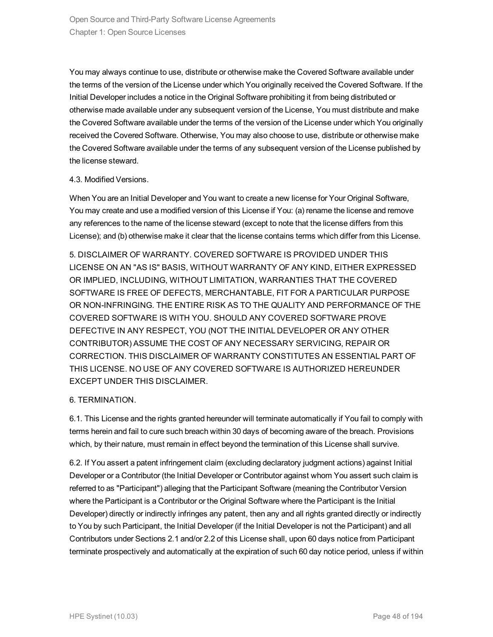You may always continue to use, distribute or otherwise make the Covered Software available under the terms of the version of the License under which You originally received the Covered Software. If the Initial Developer includes a notice in the Original Software prohibiting it from being distributed or otherwise made available under any subsequent version of the License, You must distribute and make the Covered Software available under the terms of the version of the License under which You originally received the Covered Software. Otherwise, You may also choose to use, distribute or otherwise make the Covered Software available under the terms of any subsequent version of the License published by the license steward.

#### 4.3. Modified Versions.

When You are an Initial Developer and You want to create a new license for Your Original Software, You may create and use a modified version of this License if You: (a) rename the license and remove any references to the name of the license steward (except to note that the license differs from this License); and (b) otherwise make it clear that the license contains terms which differ from this License.

5. DISCLAIMER OF WARRANTY. COVERED SOFTWARE IS PROVIDED UNDER THIS LICENSE ON AN "AS IS" BASIS, WITHOUT WARRANTY OF ANY KIND, EITHER EXPRESSED OR IMPLIED, INCLUDING, WITHOUT LIMITATION, WARRANTIES THAT THE COVERED SOFTWARE IS FREE OF DEFECTS, MERCHANTABLE, FIT FOR A PARTICULAR PURPOSE OR NON-INFRINGING. THE ENTIRE RISK AS TO THE QUALITY AND PERFORMANCE OF THE COVERED SOFTWARE IS WITH YOU. SHOULD ANY COVERED SOFTWARE PROVE DEFECTIVE IN ANY RESPECT, YOU (NOT THE INITIAL DEVELOPER OR ANY OTHER CONTRIBUTOR) ASSUME THE COST OF ANY NECESSARY SERVICING, REPAIR OR CORRECTION. THIS DISCLAIMER OF WARRANTY CONSTITUTES AN ESSENTIAL PART OF THIS LICENSE. NO USE OF ANY COVERED SOFTWARE IS AUTHORIZED HEREUNDER EXCEPT UNDER THIS DISCLAIMER.

#### 6. TERMINATION.

6.1. This License and the rights granted hereunder will terminate automatically if You fail to comply with terms herein and fail to cure such breach within 30 days of becoming aware of the breach. Provisions which, by their nature, must remain in effect beyond the termination of this License shall survive.

6.2. If You assert a patent infringement claim (excluding declaratory judgment actions) against Initial Developer or a Contributor (the Initial Developer or Contributor against whom You assert such claim is referred to as "Participant") alleging that the Participant Software (meaning the Contributor Version where the Participant is a Contributor or the Original Software where the Participant is the Initial Developer) directly or indirectly infringes any patent, then any and all rights granted directly or indirectly to You by such Participant, the Initial Developer (if the Initial Developer is not the Participant) and all Contributors under Sections 2.1 and/or 2.2 of this License shall, upon 60 days notice from Participant terminate prospectively and automatically at the expiration of such 60 day notice period, unless if within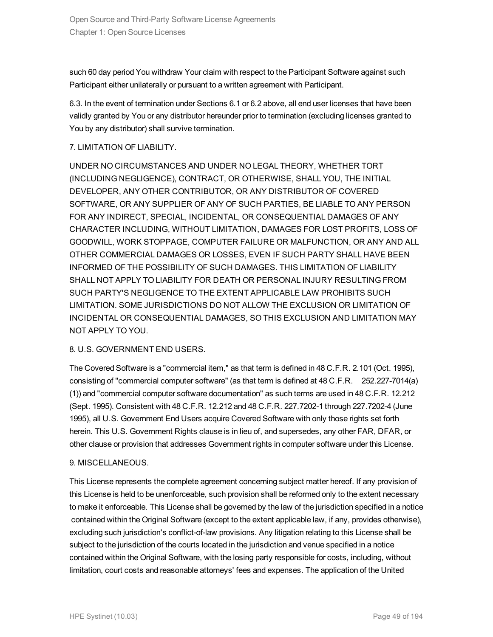such 60 day period You withdraw Your claim with respect to the Participant Software against such Participant either unilaterally or pursuant to a written agreement with Participant.

6.3. In the event of termination under Sections 6.1 or 6.2 above, all end user licenses that have been validly granted by You or any distributor hereunder prior to termination (excluding licenses granted to You by any distributor) shall survive termination.

#### 7. LIMITATION OF LIABILITY.

UNDER NO CIRCUMSTANCES AND UNDER NO LEGAL THEORY, WHETHER TORT (INCLUDING NEGLIGENCE), CONTRACT, OR OTHERWISE, SHALL YOU, THE INITIAL DEVELOPER, ANY OTHER CONTRIBUTOR, OR ANY DISTRIBUTOR OF COVERED SOFTWARE, OR ANY SUPPLIER OF ANY OF SUCH PARTIES, BE LIABLE TO ANY PERSON FOR ANY INDIRECT, SPECIAL, INCIDENTAL, OR CONSEQUENTIAL DAMAGES OF ANY CHARACTER INCLUDING, WITHOUT LIMITATION, DAMAGES FOR LOST PROFITS, LOSS OF GOODWILL, WORK STOPPAGE, COMPUTER FAILURE OR MALFUNCTION, OR ANY AND ALL OTHER COMMERCIAL DAMAGES OR LOSSES, EVEN IF SUCH PARTY SHALL HAVE BEEN INFORMED OF THE POSSIBILITY OF SUCH DAMAGES. THIS LIMITATION OF LIABILITY SHALL NOT APPLY TO LIABILITY FOR DEATH OR PERSONAL INJURY RESULTING FROM SUCH PARTY'S NEGLIGENCE TO THE EXTENT APPLICABLE LAW PROHIBITS SUCH LIMITATION. SOME JURISDICTIONS DO NOT ALLOW THE EXCLUSION OR LIMITATION OF INCIDENTAL OR CONSEQUENTIAL DAMAGES, SO THIS EXCLUSION AND LIMITATION MAY NOT APPLY TO YOU.

#### 8. U.S. GOVERNMENT END USERS.

The Covered Software is a "commercial item," as that term is defined in 48 C.F.R. 2.101 (Oct. 1995), consisting of "commercial computer software" (as that term is defined at 48 C.F.R. 252.227-7014(a) (1)) and "commercial computer software documentation" as such terms are used in 48 C.F.R. 12.212 (Sept. 1995). Consistent with 48 C.F.R. 12.212 and 48 C.F.R. 227.7202-1 through 227.7202-4 (June 1995), all U.S. Government End Users acquire Covered Software with only those rights set forth herein. This U.S. Government Rights clause is in lieu of, and supersedes, any other FAR, DFAR, or other clause or provision that addresses Government rights in computer software under this License.

#### 9. MISCELLANEOUS.

This License represents the complete agreement concerning subject matter hereof. If any provision of this License is held to be unenforceable, such provision shall be reformed only to the extent necessary to make it enforceable. This License shall be governed by the law of the jurisdiction specified in a notice contained within the Original Software (except to the extent applicable law, if any, provides otherwise), excluding such jurisdiction's conflict-of-law provisions. Any litigation relating to this License shall be subject to the jurisdiction of the courts located in the jurisdiction and venue specified in a notice contained within the Original Software, with the losing party responsible for costs, including, without limitation, court costs and reasonable attorneys' fees and expenses. The application of the United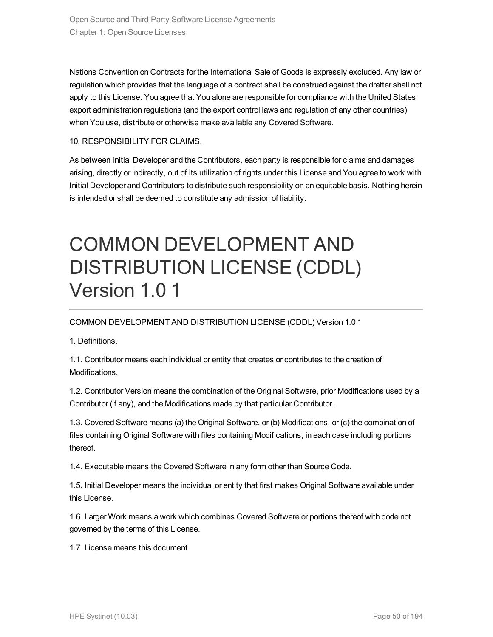Nations Convention on Contracts for the International Sale of Goods is expressly excluded. Any law or regulation which provides that the language of a contract shall be construed against the drafter shall not apply to this License. You agree that You alone are responsible for compliance with the United States export administration regulations (and the export control laws and regulation of any other countries) when You use, distribute or otherwise make available any Covered Software.

#### 10. RESPONSIBILITY FOR CLAIMS.

As between Initial Developer and the Contributors, each party is responsible for claims and damages arising, directly or indirectly, out of its utilization of rights under this License and You agree to work with Initial Developer and Contributors to distribute such responsibility on an equitable basis. Nothing herein is intended or shall be deemed to constitute any admission of liability.

## COMMON DEVELOPMENT AND DISTRIBUTION LICENSE (CDDL) Version 1.0 1

#### COMMON DEVELOPMENT AND DISTRIBUTION LICENSE (CDDL) Version 1.0 1

1. Definitions.

1.1. Contributor means each individual or entity that creates or contributes to the creation of Modifications.

1.2. Contributor Version means the combination of the Original Software, prior Modifications used by a Contributor (if any), and the Modifications made by that particular Contributor.

1.3. Covered Software means (a) the Original Software, or (b) Modifications, or (c) the combination of files containing Original Software with files containing Modifications, in each case including portions thereof.

1.4. Executable means the Covered Software in any form other than Source Code.

1.5. Initial Developer means the individual or entity that first makes Original Software available under this License.

1.6. Larger Work means a work which combines Covered Software or portions thereof with code not governed by the terms of this License.

1.7. License means this document.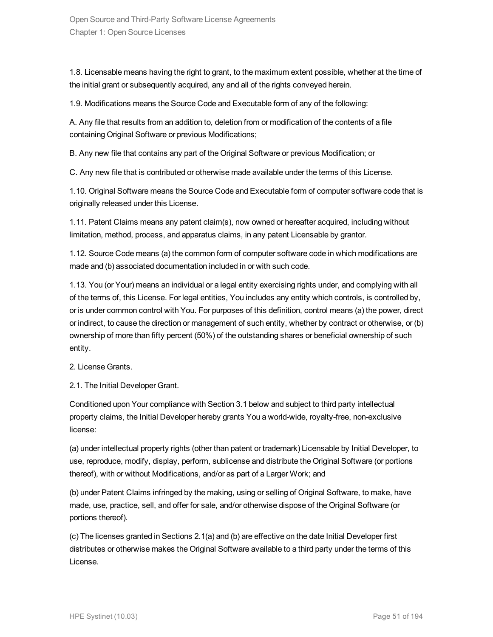1.8. Licensable means having the right to grant, to the maximum extent possible, whether at the time of the initial grant or subsequently acquired, any and all of the rights conveyed herein.

1.9. Modifications means the Source Code and Executable form of any of the following:

A. Any file that results from an addition to, deletion from or modification of the contents of a file containing Original Software or previous Modifications;

B. Any new file that contains any part of the Original Software or previous Modification; or

C. Any new file that is contributed or otherwise made available under the terms of this License.

1.10. Original Software means the Source Code and Executable form of computer software code that is originally released under this License.

1.11. Patent Claims means any patent claim(s), now owned or hereafter acquired, including without limitation, method, process, and apparatus claims, in any patent Licensable by grantor.

1.12. Source Code means (a) the common form of computer software code in which modifications are made and (b) associated documentation included in or with such code.

1.13. You (or Your) means an individual or a legal entity exercising rights under, and complying with all of the terms of, this License. For legal entities, You includes any entity which controls, is controlled by, or is under common control with You. For purposes of this definition, control means (a) the power, direct or indirect, to cause the direction or management of such entity, whether by contract or otherwise, or (b) ownership of more than fifty percent (50%) of the outstanding shares or beneficial ownership of such entity.

2. License Grants.

2.1. The Initial Developer Grant.

Conditioned upon Your compliance with Section 3.1 below and subject to third party intellectual property claims, the Initial Developer hereby grants You a world-wide, royalty-free, non-exclusive license:

(a) under intellectual property rights (other than patent or trademark) Licensable by Initial Developer, to use, reproduce, modify, display, perform, sublicense and distribute the Original Software (or portions thereof), with or without Modifications, and/or as part of a Larger Work; and

(b) under Patent Claims infringed by the making, using or selling of Original Software, to make, have made, use, practice, sell, and offer for sale, and/or otherwise dispose of the Original Software (or portions thereof).

(c) The licenses granted in Sections 2.1(a) and (b) are effective on the date Initial Developer first distributes or otherwise makes the Original Software available to a third party under the terms of this License.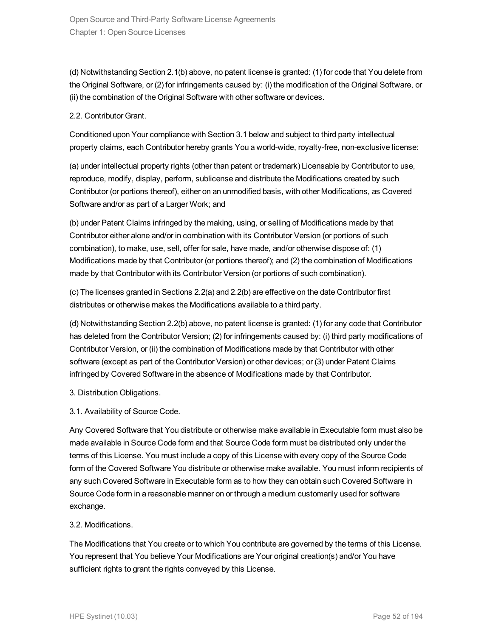(d) Notwithstanding Section 2.1(b) above, no patent license is granted: (1) for code that You delete from the Original Software, or (2) for infringements caused by: (i) the modification of the Original Software, or (ii) the combination of the Original Software with other software or devices.

#### 2.2. Contributor Grant.

Conditioned upon Your compliance with Section 3.1 below and subject to third party intellectual property claims, each Contributor hereby grants You a world-wide, royalty-free, non-exclusive license:

(a) under intellectual property rights (other than patent or trademark) Licensable by Contributor to use, reproduce, modify, display, perform, sublicense and distribute the Modifications created by such Contributor (or portions thereof), either on an unmodified basis, with other Modifications, as Covered Software and/or as part of a Larger Work; and

(b) under Patent Claims infringed by the making, using, or selling of Modifications made by that Contributor either alone and/or in combination with its Contributor Version (or portions of such combination), to make, use, sell, offer for sale, have made, and/or otherwise dispose of: (1) Modifications made by that Contributor (or portions thereof); and (2) the combination of Modifications made by that Contributor with its Contributor Version (or portions of such combination).

(c) The licenses granted in Sections 2.2(a) and 2.2(b) are effective on the date Contributor first distributes or otherwise makes the Modifications available to a third party.

(d) Notwithstanding Section 2.2(b) above, no patent license is granted: (1) for any code that Contributor has deleted from the Contributor Version; (2) for infringements caused by: (i) third party modifications of Contributor Version, or (ii) the combination of Modifications made by that Contributor with other software (except as part of the Contributor Version) or other devices; or (3) under Patent Claims infringed by Covered Software in the absence of Modifications made by that Contributor.

- 3. Distribution Obligations.
- 3.1. Availability of Source Code.

Any Covered Software that You distribute or otherwise make available in Executable form must also be made available in Source Code form and that Source Code form must be distributed only under the terms of this License. You must include a copy of this License with every copy of the Source Code form of the Covered Software You distribute or otherwise make available. You must inform recipients of any such Covered Software in Executable form as to how they can obtain such Covered Software in Source Code form in a reasonable manner on or through a medium customarily used for software exchange.

#### 3.2. Modifications.

The Modifications that You create or to which You contribute are governed by the terms of this License. You represent that You believe Your Modifications are Your original creation(s) and/or You have sufficient rights to grant the rights conveyed by this License.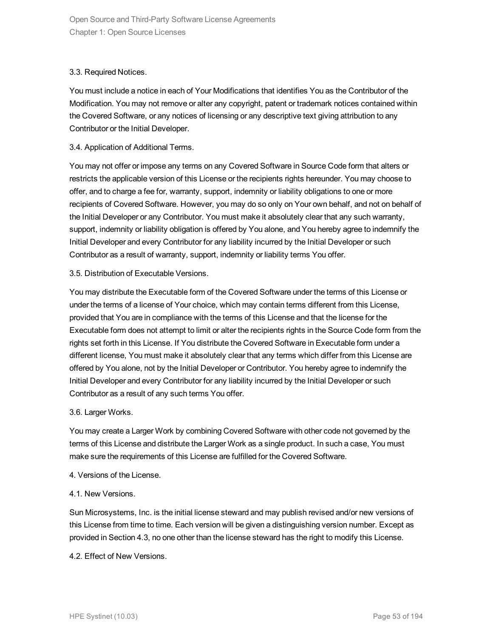#### 3.3. Required Notices.

You must include a notice in each of Your Modifications that identifies You as the Contributor of the Modification. You may not remove or alter any copyright, patent or trademark notices contained within the Covered Software, or any notices of licensing or any descriptive text giving attribution to any Contributor or the Initial Developer.

#### 3.4. Application of Additional Terms.

You may not offer or impose any terms on any Covered Software in Source Code form that alters or restricts the applicable version of this License or the recipients rights hereunder. You may choose to offer, and to charge a fee for, warranty, support, indemnity or liability obligations to one or more recipients of Covered Software. However, you may do so only on Your own behalf, and not on behalf of the Initial Developer or any Contributor. You must make it absolutely clear that any such warranty, support, indemnity or liability obligation is offered by You alone, and You hereby agree to indemnify the Initial Developer and every Contributor for any liability incurred by the Initial Developer or such Contributor as a result of warranty, support, indemnity or liability terms You offer.

#### 3.5. Distribution of Executable Versions.

You may distribute the Executable form of the Covered Software under the terms of this License or under the terms of a license of Your choice, which may contain terms different from this License, provided that You are in compliance with the terms of this License and that the license for the Executable form does not attempt to limit or alter the recipients rights in the Source Code form from the rights set forth in this License. If You distribute the Covered Software in Executable form under a different license, You must make it absolutely clear that any terms which differ from this License are offered by You alone, not by the Initial Developer or Contributor. You hereby agree to indemnify the Initial Developer and every Contributor for any liability incurred by the Initial Developer or such Contributor as a result of any such terms You offer.

#### 3.6. Larger Works.

You may create a Larger Work by combining Covered Software with other code not governed by the terms of this License and distribute the Larger Work as a single product. In such a case, You must make sure the requirements of this License are fulfilled for the Covered Software.

#### 4. Versions of the License.

#### 4.1. New Versions.

Sun Microsystems, Inc. is the initial license steward and may publish revised and/or new versions of this License from time to time. Each version will be given a distinguishing version number. Except as provided in Section 4.3, no one other than the license steward has the right to modify this License.

#### 4.2. Effect of New Versions.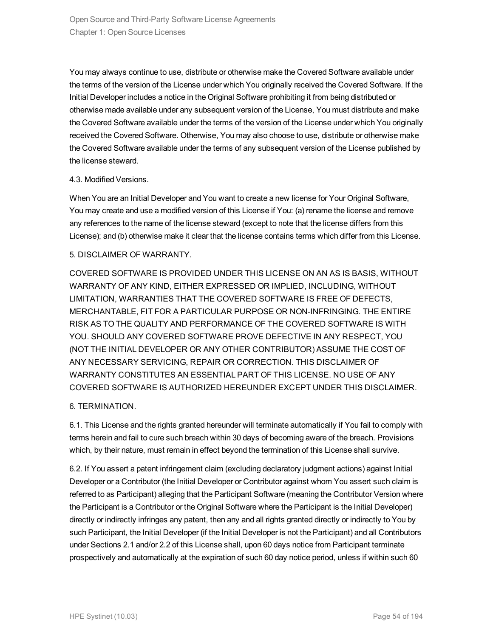You may always continue to use, distribute or otherwise make the Covered Software available under the terms of the version of the License under which You originally received the Covered Software. If the Initial Developer includes a notice in the Original Software prohibiting it from being distributed or otherwise made available under any subsequent version of the License, You must distribute and make the Covered Software available under the terms of the version of the License under which You originally received the Covered Software. Otherwise, You may also choose to use, distribute or otherwise make the Covered Software available under the terms of any subsequent version of the License published by the license steward.

#### 4.3. Modified Versions.

When You are an Initial Developer and You want to create a new license for Your Original Software, You may create and use a modified version of this License if You: (a) rename the license and remove any references to the name of the license steward (except to note that the license differs from this License); and (b) otherwise make it clear that the license contains terms which differ from this License.

#### 5. DISCLAIMER OF WARRANTY.

COVERED SOFTWARE IS PROVIDED UNDER THIS LICENSE ON AN AS IS BASIS, WITHOUT WARRANTY OF ANY KIND, EITHER EXPRESSED OR IMPLIED, INCLUDING, WITHOUT LIMITATION, WARRANTIES THAT THE COVERED SOFTWARE IS FREE OF DEFECTS, MERCHANTABLE, FIT FOR A PARTICULAR PURPOSE OR NON-INFRINGING. THE ENTIRE RISK AS TO THE QUALITY AND PERFORMANCE OF THE COVERED SOFTWARE IS WITH YOU. SHOULD ANY COVERED SOFTWARE PROVE DEFECTIVE IN ANY RESPECT, YOU (NOT THE INITIAL DEVELOPER OR ANY OTHER CONTRIBUTOR) ASSUME THE COST OF ANY NECESSARY SERVICING, REPAIR OR CORRECTION. THIS DISCLAIMER OF WARRANTY CONSTITUTES AN ESSENTIAL PART OF THIS LICENSE. NO USE OF ANY COVERED SOFTWARE IS AUTHORIZED HEREUNDER EXCEPT UNDER THIS DISCLAIMER.

#### 6. TERMINATION.

6.1. This License and the rights granted hereunder will terminate automatically if You fail to comply with terms herein and fail to cure such breach within 30 days of becoming aware of the breach. Provisions which, by their nature, must remain in effect beyond the termination of this License shall survive.

6.2. If You assert a patent infringement claim (excluding declaratory judgment actions) against Initial Developer or a Contributor (the Initial Developer or Contributor against whom You assert such claim is referred to as Participant) alleging that the Participant Software (meaning the Contributor Version where the Participant is a Contributor or the Original Software where the Participant is the Initial Developer) directly or indirectly infringes any patent, then any and all rights granted directly or indirectly to You by such Participant, the Initial Developer (if the Initial Developer is not the Participant) and all Contributors under Sections 2.1 and/or 2.2 of this License shall, upon 60 days notice from Participant terminate prospectively and automatically at the expiration of such 60 day notice period, unless if within such 60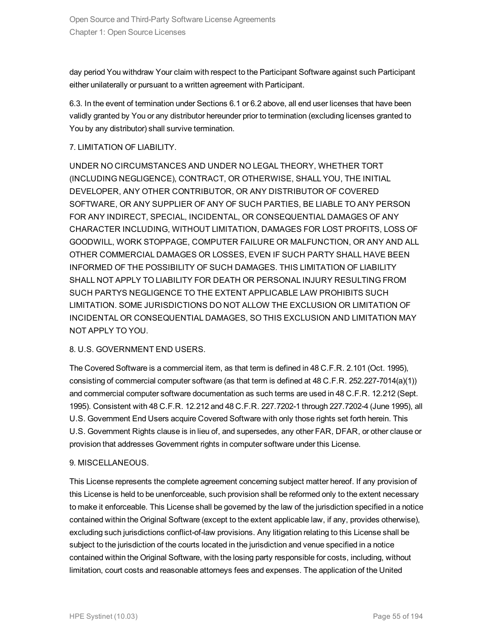day period You withdraw Your claim with respect to the Participant Software against such Participant either unilaterally or pursuant to a written agreement with Participant.

6.3. In the event of termination under Sections 6.1 or 6.2 above, all end user licenses that have been validly granted by You or any distributor hereunder prior to termination (excluding licenses granted to You by any distributor) shall survive termination.

#### 7. LIMITATION OF LIABILITY.

UNDER NO CIRCUMSTANCES AND UNDER NO LEGAL THEORY, WHETHER TORT (INCLUDING NEGLIGENCE), CONTRACT, OR OTHERWISE, SHALL YOU, THE INITIAL DEVELOPER, ANY OTHER CONTRIBUTOR, OR ANY DISTRIBUTOR OF COVERED SOFTWARE, OR ANY SUPPLIER OF ANY OF SUCH PARTIES, BE LIABLE TO ANY PERSON FOR ANY INDIRECT, SPECIAL, INCIDENTAL, OR CONSEQUENTIAL DAMAGES OF ANY CHARACTER INCLUDING, WITHOUT LIMITATION, DAMAGES FOR LOST PROFITS, LOSS OF GOODWILL, WORK STOPPAGE, COMPUTER FAILURE OR MALFUNCTION, OR ANY AND ALL OTHER COMMERCIAL DAMAGES OR LOSSES, EVEN IF SUCH PARTY SHALL HAVE BEEN INFORMED OF THE POSSIBILITY OF SUCH DAMAGES. THIS LIMITATION OF LIABILITY SHALL NOT APPLY TO LIABILITY FOR DEATH OR PERSONAL INJURY RESULTING FROM SUCH PARTYS NEGLIGENCE TO THE EXTENT APPLICABLE LAW PROHIBITS SUCH LIMITATION. SOME JURISDICTIONS DO NOT ALLOW THE EXCLUSION OR LIMITATION OF INCIDENTAL OR CONSEQUENTIAL DAMAGES, SO THIS EXCLUSION AND LIMITATION MAY NOT APPLY TO YOU.

#### 8. U.S. GOVERNMENT END USERS.

The Covered Software is a commercial item, as that term is defined in 48 C.F.R. 2.101 (Oct. 1995), consisting of commercial computer software (as that term is defined at 48 C.F.R. 252.227-7014(a)(1)) and commercial computer software documentation as such terms are used in 48 C.F.R. 12.212 (Sept. 1995). Consistent with 48 C.F.R. 12.212 and 48 C.F.R. 227.7202-1 through 227.7202-4 (June 1995), all U.S. Government End Users acquire Covered Software with only those rights set forth herein. This U.S. Government Rights clause is in lieu of, and supersedes, any other FAR, DFAR, or other clause or provision that addresses Government rights in computer software under this License.

#### 9. MISCELLANEOUS.

This License represents the complete agreement concerning subject matter hereof. If any provision of this License is held to be unenforceable, such provision shall be reformed only to the extent necessary to make it enforceable. This License shall be governed by the law of the jurisdiction specified in a notice contained within the Original Software (except to the extent applicable law, if any, provides otherwise), excluding such jurisdictions conflict-of-law provisions. Any litigation relating to this License shall be subject to the jurisdiction of the courts located in the jurisdiction and venue specified in a notice contained within the Original Software, with the losing party responsible for costs, including, without limitation, court costs and reasonable attorneys fees and expenses. The application of the United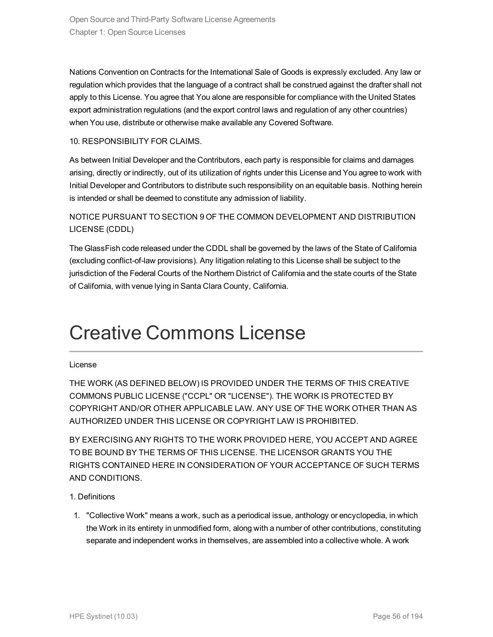Nations Convention on Contracts for the International Sale of Goods is expressly excluded. Any law or regulation which provides that the language of a contract shall be construed against the drafter shall not apply to this License. You agree that You alone are responsible for compliance with the United States export administration regulations (and the export control laws and regulation of any other countries) when You use, distribute or otherwise make available any Covered Software.

#### 10. RESPONSIBILITY FOR CLAIMS.

As between Initial Developer and the Contributors, each party is responsible for claims and damages arising, directly or indirectly, out of its utilization of rights under this License and You agree to work with Initial Developer and Contributors to distribute such responsibility on an equitable basis. Nothing herein is intended or shall be deemed to constitute any admission of liability.

NOTICE PURSUANT TO SECTION 9 OF THE COMMON DEVELOPMENT AND DISTRIBUTION LICENSE (CDDL)

The GlassFish code released under the CDDL shall be governed by the laws of the State of California (excluding conflict-of-law provisions). Any litigation relating to this License shall be subject to the jurisdiction of the Federal Courts of the Northern District of California and the state courts of the State of California, with venue lying in Santa Clara County, California.

### Creative Commons License

#### License

THE WORK (AS DEFINED BELOW) IS PROVIDED UNDER THE TERMS OF THIS CREATIVE COMMONS PUBLIC LICENSE ("CCPL" OR "LICENSE"). THE WORK IS PROTECTED BY COPYRIGHT AND/OR OTHER APPLICABLE LAW. ANY USE OF THE WORK OTHER THAN AS AUTHORIZED UNDER THIS LICENSE OR COPYRIGHT LAW IS PROHIBITED.

BY EXERCISING ANY RIGHTS TO THE WORK PROVIDED HERE, YOU ACCEPT AND AGREE TO BE BOUND BY THE TERMS OF THIS LICENSE. THE LICENSOR GRANTS YOU THE RIGHTS CONTAINED HERE IN CONSIDERATION OF YOUR ACCEPTANCE OF SUCH TERMS AND CONDITIONS.

#### 1. Definitions

1. "Collective Work" means a work, such as a periodical issue, anthology or encyclopedia, in which the Work in its entirety in unmodified form, along with a number of other contributions, constituting separate and independent works in themselves, are assembled into a collective whole. A work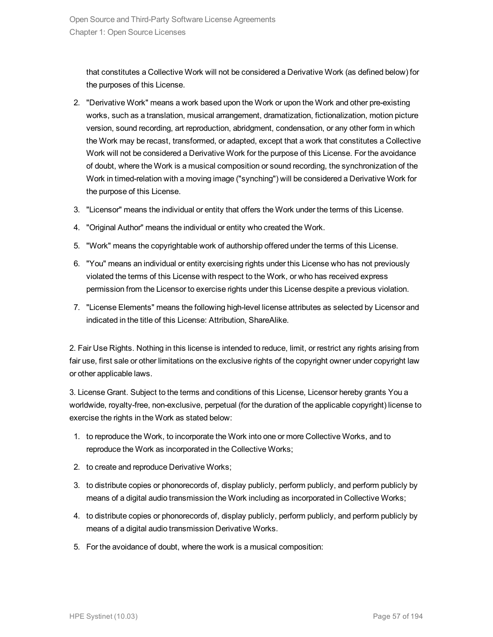that constitutes a Collective Work will not be considered a Derivative Work (as defined below) for the purposes of this License.

- 2. "Derivative Work" means a work based upon the Work or upon the Work and other pre-existing works, such as a translation, musical arrangement, dramatization, fictionalization, motion picture version, sound recording, art reproduction, abridgment, condensation, or any other form in which the Work may be recast, transformed, or adapted, except that a work that constitutes a Collective Work will not be considered a Derivative Work for the purpose of this License. For the avoidance of doubt, where the Work is a musical composition or sound recording, the synchronization of the Work in timed-relation with a moving image ("synching") will be considered a Derivative Work for the purpose of this License.
- 3. "Licensor" means the individual or entity that offers the Work under the terms of this License.
- 4. "Original Author" means the individual or entity who created the Work.
- 5. "Work" means the copyrightable work of authorship offered under the terms of this License.
- 6. "You" means an individual or entity exercising rights under this License who has not previously violated the terms of this License with respect to the Work, or who has received express permission from the Licensor to exercise rights under this License despite a previous violation.
- 7. "License Elements" means the following high-level license attributes as selected by Licensor and indicated in the title of this License: Attribution, ShareAlike.

2. Fair Use Rights. Nothing in this license is intended to reduce, limit, or restrict any rights arising from fair use, first sale or other limitations on the exclusive rights of the copyright owner under copyright law or other applicable laws.

3. License Grant. Subject to the terms and conditions of this License, Licensor hereby grants You a worldwide, royalty-free, non-exclusive, perpetual (for the duration of the applicable copyright) license to exercise the rights in the Work as stated below:

- 1. to reproduce the Work, to incorporate the Work into one or more Collective Works, and to reproduce the Work as incorporated in the Collective Works;
- 2. to create and reproduce Derivative Works;
- 3. to distribute copies or phonorecords of, display publicly, perform publicly, and perform publicly by means of a digital audio transmission the Work including as incorporated in Collective Works;
- 4. to distribute copies or phonorecords of, display publicly, perform publicly, and perform publicly by means of a digital audio transmission Derivative Works.
- 5. For the avoidance of doubt, where the work is a musical composition: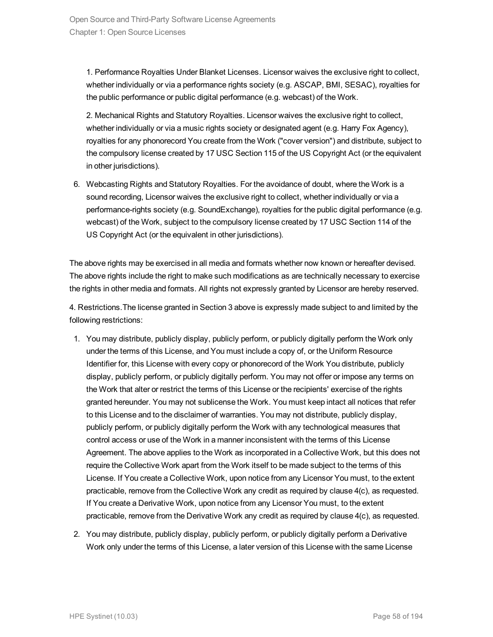1. Performance Royalties Under Blanket Licenses. Licensor waives the exclusive right to collect, whether individually or via a performance rights society (e.g. ASCAP, BMI, SESAC), royalties for the public performance or public digital performance (e.g. webcast) of the Work.

2. Mechanical Rights and Statutory Royalties. Licensor waives the exclusive right to collect, whether individually or via a music rights society or designated agent (e.g. Harry Fox Agency), royalties for any phonorecord You create from the Work ("cover version") and distribute, subject to the compulsory license created by 17 USC Section 115 of the US Copyright Act (or the equivalent in other jurisdictions).

6. Webcasting Rights and Statutory Royalties. For the avoidance of doubt, where the Work is a sound recording, Licensor waives the exclusive right to collect, whether individually or via a performance-rights society (e.g. SoundExchange), royalties for the public digital performance (e.g. webcast) of the Work, subject to the compulsory license created by 17 USC Section 114 of the US Copyright Act (or the equivalent in other jurisdictions).

The above rights may be exercised in all media and formats whether now known or hereafter devised. The above rights include the right to make such modifications as are technically necessary to exercise the rights in other media and formats. All rights not expressly granted by Licensor are hereby reserved.

4. Restrictions.The license granted in Section 3 above is expressly made subject to and limited by the following restrictions:

- 1. You may distribute, publicly display, publicly perform, or publicly digitally perform the Work only under the terms of this License, and You must include a copy of, or the Uniform Resource Identifier for, this License with every copy or phonorecord of the Work You distribute, publicly display, publicly perform, or publicly digitally perform. You may not offer or impose any terms on the Work that alter or restrict the terms of this License or the recipients' exercise of the rights granted hereunder. You may not sublicense the Work. You must keep intact all notices that refer to this License and to the disclaimer of warranties. You may not distribute, publicly display, publicly perform, or publicly digitally perform the Work with any technological measures that control access or use of the Work in a manner inconsistent with the terms of this License Agreement. The above applies to the Work as incorporated in a Collective Work, but this does not require the Collective Work apart from the Work itself to be made subject to the terms of this License. If You create a Collective Work, upon notice from any Licensor You must, to the extent practicable, remove from the Collective Work any credit as required by clause 4(c), as requested. If You create a Derivative Work, upon notice from any Licensor You must, to the extent practicable, remove from the Derivative Work any credit as required by clause 4(c), as requested.
- 2. You may distribute, publicly display, publicly perform, or publicly digitally perform a Derivative Work only under the terms of this License, a later version of this License with the same License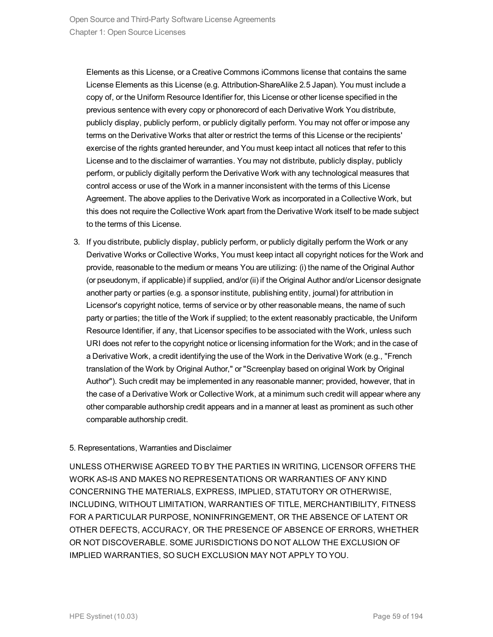Elements as this License, or a Creative Commons iCommons license that contains the same License Elements as this License (e.g. Attribution-ShareAlike 2.5 Japan). You must include a copy of, or the Uniform Resource Identifier for, this License or other license specified in the previous sentence with every copy or phonorecord of each Derivative Work You distribute, publicly display, publicly perform, or publicly digitally perform. You may not offer or impose any terms on the Derivative Works that alter or restrict the terms of this License or the recipients' exercise of the rights granted hereunder, and You must keep intact all notices that refer to this License and to the disclaimer of warranties. You may not distribute, publicly display, publicly perform, or publicly digitally perform the Derivative Work with any technological measures that control access or use of the Work in a manner inconsistent with the terms of this License Agreement. The above applies to the Derivative Work as incorporated in a Collective Work, but this does not require the Collective Work apart from the Derivative Work itself to be made subject to the terms of this License.

3. If you distribute, publicly display, publicly perform, or publicly digitally perform the Work or any Derivative Works or Collective Works, You must keep intact all copyright notices for the Work and provide, reasonable to the medium or means You are utilizing: (i) the name of the Original Author (or pseudonym, if applicable) if supplied, and/or (ii) if the Original Author and/or Licensor designate another party or parties (e.g. a sponsor institute, publishing entity, journal) for attribution in Licensor's copyright notice, terms of service or by other reasonable means, the name of such party or parties; the title of the Work if supplied; to the extent reasonably practicable, the Uniform Resource Identifier, if any, that Licensor specifies to be associated with the Work, unless such URI does not refer to the copyright notice or licensing information for the Work; and in the case of a Derivative Work, a credit identifying the use of the Work in the Derivative Work (e.g., "French translation of the Work by Original Author," or "Screenplay based on original Work by Original Author"). Such credit may be implemented in any reasonable manner; provided, however, that in the case of a Derivative Work or Collective Work, at a minimum such credit will appear where any other comparable authorship credit appears and in a manner at least as prominent as such other comparable authorship credit.

#### 5. Representations, Warranties and Disclaimer

UNLESS OTHERWISE AGREED TO BY THE PARTIES IN WRITING, LICENSOR OFFERS THE WORK AS-IS AND MAKES NO REPRESENTATIONS OR WARRANTIES OF ANY KIND CONCERNING THE MATERIALS, EXPRESS, IMPLIED, STATUTORY OR OTHERWISE, INCLUDING, WITHOUT LIMITATION, WARRANTIES OF TITLE, MERCHANTIBILITY, FITNESS FOR A PARTICULAR PURPOSE, NONINFRINGEMENT, OR THE ABSENCE OF LATENT OR OTHER DEFECTS, ACCURACY, OR THE PRESENCE OF ABSENCE OF ERRORS, WHETHER OR NOT DISCOVERABLE. SOME JURISDICTIONS DO NOT ALLOW THE EXCLUSION OF IMPLIED WARRANTIES, SO SUCH EXCLUSION MAY NOT APPLY TO YOU.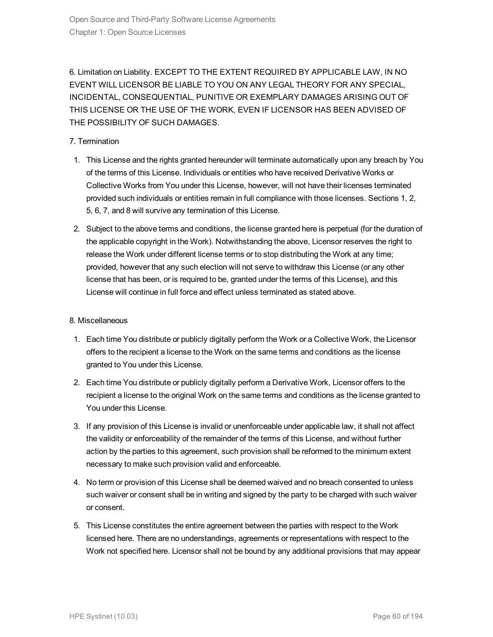6. Limitation on Liability. EXCEPT TO THE EXTENT REQUIRED BY APPLICABLE LAW, IN NO EVENT WILL LICENSOR BE LIABLE TO YOU ON ANY LEGAL THEORY FOR ANY SPECIAL, INCIDENTAL, CONSEQUENTIAL, PUNITIVE OR EXEMPLARY DAMAGES ARISING OUT OF THIS LICENSE OR THE USE OF THE WORK, EVEN IF LICENSOR HAS BEEN ADVISED OF THE POSSIBILITY OF SUCH DAMAGES.

#### 7. Termination

- 1. This License and the rights granted hereunder will terminate automatically upon any breach by You of the terms of this License. Individuals or entities who have received Derivative Works or Collective Works from You under this License, however, will not have their licenses terminated provided such individuals or entities remain in full compliance with those licenses. Sections 1, 2, 5, 6, 7, and 8 will survive any termination of this License.
- 2. Subject to the above terms and conditions, the license granted here is perpetual (for the duration of the applicable copyright in the Work). Notwithstanding the above, Licensor reserves the right to release the Work under different license terms or to stop distributing the Work at any time; provided, however that any such election will not serve to withdraw this License (or any other license that has been, or is required to be, granted under the terms of this License), and this License will continue in full force and effect unless terminated as stated above.

#### 8. Miscellaneous

- 1. Each time You distribute or publicly digitally perform the Work or a Collective Work, the Licensor offers to the recipient a license to the Work on the same terms and conditions as the license granted to You under this License.
- 2. Each time You distribute or publicly digitally perform a Derivative Work, Licensor offers to the recipient a license to the original Work on the same terms and conditions as the license granted to You under this License.
- 3. If any provision of this License is invalid or unenforceable under applicable law, it shall not affect the validity or enforceability of the remainder of the terms of this License, and without further action by the parties to this agreement, such provision shall be reformed to the minimum extent necessary to make such provision valid and enforceable.
- 4. No term or provision of this License shall be deemed waived and no breach consented to unless such waiver or consent shall be in writing and signed by the party to be charged with such waiver or consent.
- 5. This License constitutes the entire agreement between the parties with respect to the Work licensed here. There are no understandings, agreements or representations with respect to the Work not specified here. Licensor shall not be bound by any additional provisions that may appear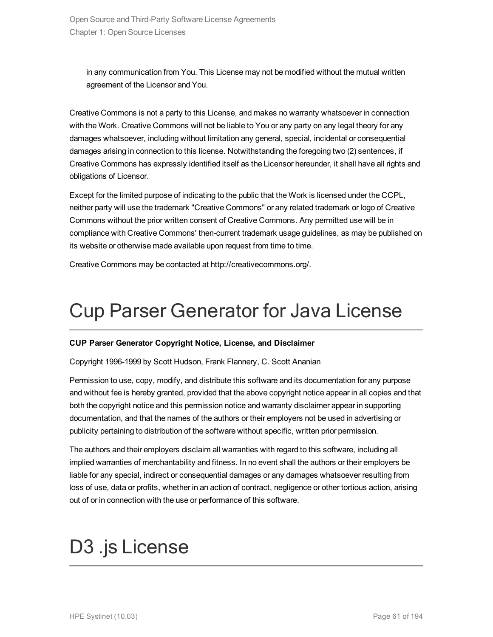in any communication from You. This License may not be modified without the mutual written agreement of the Licensor and You.

Creative Commons is not a party to this License, and makes no warranty whatsoever in connection with the Work. Creative Commons will not be liable to You or any party on any legal theory for any damages whatsoever, including without limitation any general, special, incidental or consequential damages arising in connection to this license. Notwithstanding the foregoing two (2) sentences, if Creative Commons has expressly identified itself as the Licensor hereunder, it shall have all rights and obligations of Licensor.

Except for the limited purpose of indicating to the public that the Work is licensed under the CCPL, neither party will use the trademark "Creative Commons" or any related trademark or logo of Creative Commons without the prior written consent of Creative Commons. Any permitted use will be in compliance with Creative Commons' then-current trademark usage guidelines, as may be published on its website or otherwise made available upon request from time to time.

Creative Commons may be contacted at http://creativecommons.org/.

# Cup Parser Generator for Java License

#### **CUP Parser Generator Copyright Notice, License, and Disclaimer**

Copyright 1996-1999 by Scott Hudson, Frank Flannery, C. Scott Ananian

Permission to use, copy, modify, and distribute this software and its documentation for any purpose and without fee is hereby granted, provided that the above copyright notice appear in all copies and that both the copyright notice and this permission notice and warranty disclaimer appear in supporting documentation, and that the names of the authors or their employers not be used in advertising or publicity pertaining to distribution of the software without specific, written prior permission.

The authors and their employers disclaim all warranties with regard to this software, including all implied warranties of merchantability and fitness. In no event shall the authors or their employers be liable for any special, indirect or consequential damages or any damages whatsoever resulting from loss of use, data or profits, whether in an action of contract, negligence or other tortious action, arising out of or in connection with the use or performance of this software.

### D3 .js License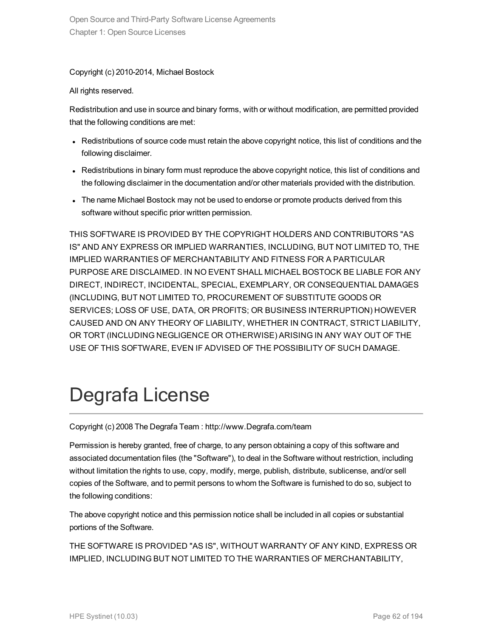#### Copyright (c) 2010-2014, Michael Bostock

#### All rights reserved.

Redistribution and use in source and binary forms, with or without modification, are permitted provided that the following conditions are met:

- Redistributions of source code must retain the above copyright notice, this list of conditions and the following disclaimer.
- Redistributions in binary form must reproduce the above copyright notice, this list of conditions and the following disclaimer in the documentation and/or other materials provided with the distribution.
- The name Michael Bostock may not be used to endorse or promote products derived from this software without specific prior written permission.

THIS SOFTWARE IS PROVIDED BY THE COPYRIGHT HOLDERS AND CONTRIBUTORS "AS IS" AND ANY EXPRESS OR IMPLIED WARRANTIES, INCLUDING, BUT NOT LIMITED TO, THE IMPLIED WARRANTIES OF MERCHANTABILITY AND FITNESS FOR A PARTICULAR PURPOSE ARE DISCLAIMED. IN NO EVENT SHALL MICHAEL BOSTOCK BE LIABLE FOR ANY DIRECT, INDIRECT, INCIDENTAL, SPECIAL, EXEMPLARY, OR CONSEQUENTIAL DAMAGES (INCLUDING, BUT NOT LIMITED TO, PROCUREMENT OF SUBSTITUTE GOODS OR SERVICES; LOSS OF USE, DATA, OR PROFITS; OR BUSINESS INTERRUPTION) HOWEVER CAUSED AND ON ANY THEORY OF LIABILITY, WHETHER IN CONTRACT, STRICT LIABILITY, OR TORT (INCLUDING NEGLIGENCE OR OTHERWISE) ARISING IN ANY WAY OUT OF THE USE OF THIS SOFTWARE, EVEN IF ADVISED OF THE POSSIBILITY OF SUCH DAMAGE.

# Degrafa License

Copyright (c) 2008 The Degrafa Team : http://www.Degrafa.com/team

Permission is hereby granted, free of charge, to any person obtaining a copy of this software and associated documentation files (the "Software"), to deal in the Software without restriction, including without limitation the rights to use, copy, modify, merge, publish, distribute, sublicense, and/or sell copies of the Software, and to permit persons to whom the Software is furnished to do so, subject to the following conditions:

The above copyright notice and this permission notice shall be included in all copies or substantial portions of the Software.

THE SOFTWARE IS PROVIDED "AS IS", WITHOUT WARRANTY OF ANY KIND, EXPRESS OR IMPLIED, INCLUDING BUT NOT LIMITED TO THE WARRANTIES OF MERCHANTABILITY,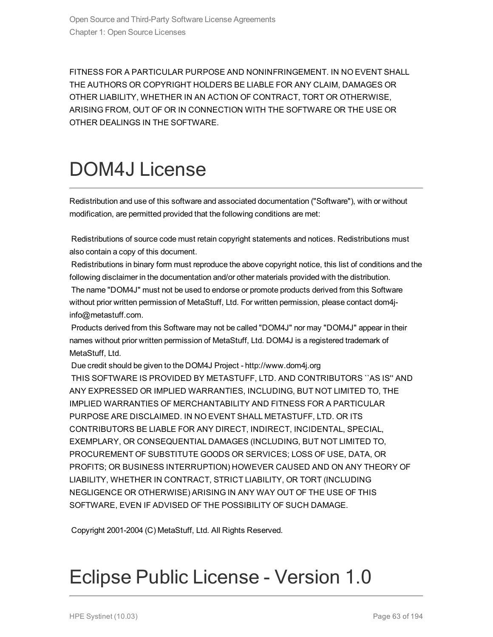FITNESS FOR A PARTICULAR PURPOSE AND NONINFRINGEMENT. IN NO EVENT SHALL THE AUTHORS OR COPYRIGHT HOLDERS BE LIABLE FOR ANY CLAIM, DAMAGES OR OTHER LIABILITY, WHETHER IN AN ACTION OF CONTRACT, TORT OR OTHERWISE, ARISING FROM, OUT OF OR IN CONNECTION WITH THE SOFTWARE OR THE USE OR OTHER DEALINGS IN THE SOFTWARE.

# DOM4J License

Redistribution and use of this software and associated documentation ("Software"), with or without modification, are permitted provided that the following conditions are met:

Redistributions of source code must retain copyright statements and notices. Redistributions must also contain a copy of this document.

Redistributions in binary form must reproduce the above copyright notice, this list of conditions and the following disclaimer in the documentation and/or other materials provided with the distribution. The name "DOM4J" must not be used to endorse or promote products derived from this Software without prior written permission of MetaStuff, Ltd. For written permission, please contact dom4jinfo@metastuff.com.

Products derived from this Software may not be called "DOM4J" nor may "DOM4J" appear in their names without prior written permission of MetaStuff, Ltd. DOM4J is a registered trademark of MetaStuff, Ltd.

Due credit should be given to the DOM4J Project - http://www.dom4j.org THIS SOFTWARE IS PROVIDED BY METASTUFF, LTD. AND CONTRIBUTORS ``AS IS'' AND ANY EXPRESSED OR IMPLIED WARRANTIES, INCLUDING, BUT NOT LIMITED TO, THE IMPLIED WARRANTIES OF MERCHANTABILITY AND FITNESS FOR A PARTICULAR PURPOSE ARE DISCLAIMED. IN NO EVENT SHALL METASTUFF, LTD. OR ITS CONTRIBUTORS BE LIABLE FOR ANY DIRECT, INDIRECT, INCIDENTAL, SPECIAL, EXEMPLARY, OR CONSEQUENTIAL DAMAGES (INCLUDING, BUT NOT LIMITED TO, PROCUREMENT OF SUBSTITUTE GOODS OR SERVICES; LOSS OF USE, DATA, OR PROFITS; OR BUSINESS INTERRUPTION) HOWEVER CAUSED AND ON ANY THEORY OF LIABILITY, WHETHER IN CONTRACT, STRICT LIABILITY, OR TORT (INCLUDING NEGLIGENCE OR OTHERWISE) ARISING IN ANY WAY OUT OF THE USE OF THIS SOFTWARE, EVEN IF ADVISED OF THE POSSIBILITY OF SUCH DAMAGE.

Copyright 2001-2004 (C) MetaStuff, Ltd. All Rights Reserved.

# Eclipse Public License - Version 1.0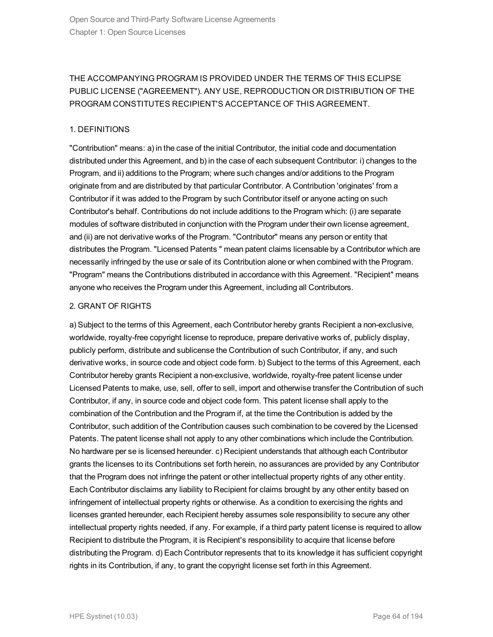#### THE ACCOMPANYING PROGRAM IS PROVIDED UNDER THE TERMS OF THIS ECLIPSE PUBLIC LICENSE ("AGREEMENT"). ANY USE, REPRODUCTION OR DISTRIBUTION OF THE PROGRAM CONSTITUTES RECIPIENT'S ACCEPTANCE OF THIS AGREEMENT.

#### 1. DEFINITIONS

"Contribution" means: a) in the case of the initial Contributor, the initial code and documentation distributed under this Agreement, and b) in the case of each subsequent Contributor: i) changes to the Program, and ii) additions to the Program; where such changes and/or additions to the Program originate from and are distributed by that particular Contributor. A Contribution 'originates' from a Contributor if it was added to the Program by such Contributor itself or anyone acting on such Contributor's behalf. Contributions do not include additions to the Program which: (i) are separate modules of software distributed in conjunction with the Program under their own license agreement, and (ii) are not derivative works of the Program. "Contributor" means any person or entity that distributes the Program. "Licensed Patents " mean patent claims licensable by a Contributor which are necessarily infringed by the use or sale of its Contribution alone or when combined with the Program. "Program" means the Contributions distributed in accordance with this Agreement. "Recipient" means anyone who receives the Program under this Agreement, including all Contributors.

#### 2. GRANT OF RIGHTS

a) Subject to the terms of this Agreement, each Contributor hereby grants Recipient a non-exclusive, worldwide, royalty-free copyright license to reproduce, prepare derivative works of, publicly display, publicly perform, distribute and sublicense the Contribution of such Contributor, if any, and such derivative works, in source code and object code form. b) Subject to the terms of this Agreement, each Contributor hereby grants Recipient a non-exclusive, worldwide, royalty-free patent license under Licensed Patents to make, use, sell, offer to sell, import and otherwise transfer the Contribution of such Contributor, if any, in source code and object code form. This patent license shall apply to the combination of the Contribution and the Program if, at the time the Contribution is added by the Contributor, such addition of the Contribution causes such combination to be covered by the Licensed Patents. The patent license shall not apply to any other combinations which include the Contribution. No hardware per se is licensed hereunder. c) Recipient understands that although each Contributor grants the licenses to its Contributions set forth herein, no assurances are provided by any Contributor that the Program does not infringe the patent or other intellectual property rights of any other entity. Each Contributor disclaims any liability to Recipient for claims brought by any other entity based on infringement of intellectual property rights or otherwise. As a condition to exercising the rights and licenses granted hereunder, each Recipient hereby assumes sole responsibility to secure any other intellectual property rights needed, if any. For example, if a third party patent license is required to allow Recipient to distribute the Program, it is Recipient's responsibility to acquire that license before distributing the Program. d) Each Contributor represents that to its knowledge it has sufficient copyright rights in its Contribution, if any, to grant the copyright license set forth in this Agreement.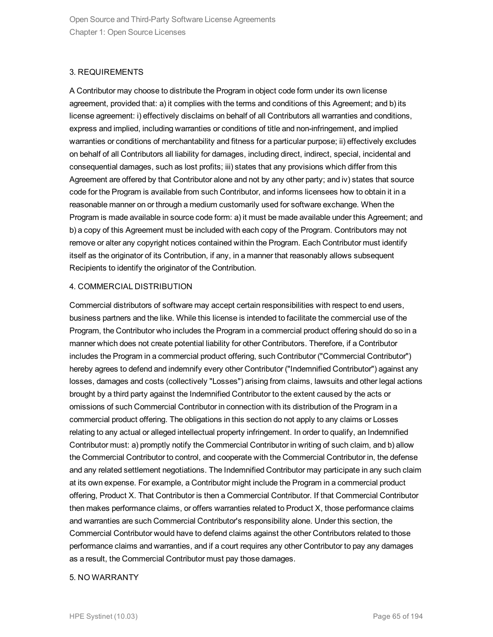#### 3. REQUIREMENTS

A Contributor may choose to distribute the Program in object code form under its own license agreement, provided that: a) it complies with the terms and conditions of this Agreement; and b) its license agreement: i) effectively disclaims on behalf of all Contributors all warranties and conditions, express and implied, including warranties or conditions of title and non-infringement, and implied warranties or conditions of merchantability and fitness for a particular purpose; ii) effectively excludes on behalf of all Contributors all liability for damages, including direct, indirect, special, incidental and consequential damages, such as lost profits; iii) states that any provisions which differ from this Agreement are offered by that Contributor alone and not by any other party; and iv) states that source code for the Program is available from such Contributor, and informs licensees how to obtain it in a reasonable manner on or through a medium customarily used for software exchange. When the Program is made available in source code form: a) it must be made available under this Agreement; and b) a copy of this Agreement must be included with each copy of the Program. Contributors may not remove or alter any copyright notices contained within the Program. Each Contributor must identify itself as the originator of its Contribution, if any, in a manner that reasonably allows subsequent Recipients to identify the originator of the Contribution.

#### 4. COMMERCIAL DISTRIBUTION

Commercial distributors of software may accept certain responsibilities with respect to end users, business partners and the like. While this license is intended to facilitate the commercial use of the Program, the Contributor who includes the Program in a commercial product offering should do so in a manner which does not create potential liability for other Contributors. Therefore, if a Contributor includes the Program in a commercial product offering, such Contributor ("Commercial Contributor") hereby agrees to defend and indemnify every other Contributor ("Indemnified Contributor") against any losses, damages and costs (collectively "Losses") arising from claims, lawsuits and other legal actions brought by a third party against the Indemnified Contributor to the extent caused by the acts or omissions of such Commercial Contributor in connection with its distribution of the Program in a commercial product offering. The obligations in this section do not apply to any claims or Losses relating to any actual or alleged intellectual property infringement. In order to qualify, an Indemnified Contributor must: a) promptly notify the Commercial Contributor in writing of such claim, and b) allow the Commercial Contributor to control, and cooperate with the Commercial Contributor in, the defense and any related settlement negotiations. The Indemnified Contributor may participate in any such claim at its own expense. For example, a Contributor might include the Program in a commercial product offering, Product X. That Contributor is then a Commercial Contributor. If that Commercial Contributor then makes performance claims, or offers warranties related to Product X, those performance claims and warranties are such Commercial Contributor's responsibility alone. Under this section, the Commercial Contributor would have to defend claims against the other Contributors related to those performance claims and warranties, and if a court requires any other Contributor to pay any damages as a result, the Commercial Contributor must pay those damages.

#### 5. NO WARRANTY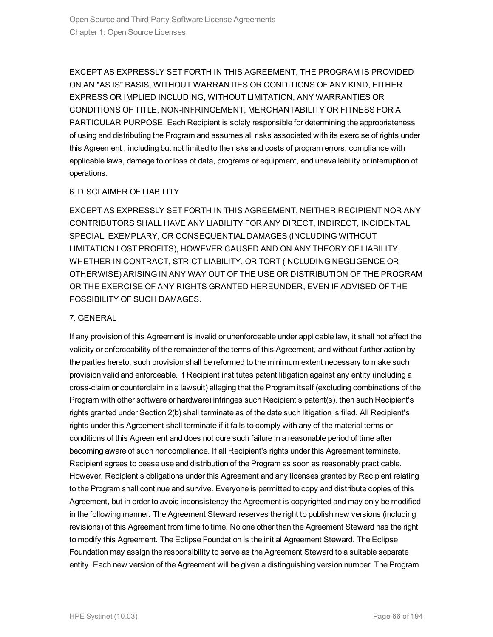EXCEPT AS EXPRESSLY SET FORTH IN THIS AGREEMENT, THE PROGRAM IS PROVIDED ON AN "AS IS" BASIS, WITHOUT WARRANTIES OR CONDITIONS OF ANY KIND, EITHER EXPRESS OR IMPLIED INCLUDING, WITHOUT LIMITATION, ANY WARRANTIES OR CONDITIONS OF TITLE, NON-INFRINGEMENT, MERCHANTABILITY OR FITNESS FOR A PARTICULAR PURPOSE. Each Recipient is solely responsible for determining the appropriateness of using and distributing the Program and assumes all risks associated with its exercise of rights under this Agreement , including but not limited to the risks and costs of program errors, compliance with applicable laws, damage to or loss of data, programs or equipment, and unavailability or interruption of operations.

#### 6. DISCLAIMER OF LIABILITY

EXCEPT AS EXPRESSLY SET FORTH IN THIS AGREEMENT, NEITHER RECIPIENT NOR ANY CONTRIBUTORS SHALL HAVE ANY LIABILITY FOR ANY DIRECT, INDIRECT, INCIDENTAL, SPECIAL, EXEMPLARY, OR CONSEQUENTIAL DAMAGES (INCLUDING WITHOUT LIMITATION LOST PROFITS), HOWEVER CAUSED AND ON ANY THEORY OF LIABILITY, WHETHER IN CONTRACT, STRICT LIABILITY, OR TORT (INCLUDING NEGLIGENCE OR OTHERWISE) ARISING IN ANY WAY OUT OF THE USE OR DISTRIBUTION OF THE PROGRAM OR THE EXERCISE OF ANY RIGHTS GRANTED HEREUNDER, EVEN IF ADVISED OF THE POSSIBILITY OF SUCH DAMAGES.

#### 7. GENERAL

If any provision of this Agreement is invalid or unenforceable under applicable law, it shall not affect the validity or enforceability of the remainder of the terms of this Agreement, and without further action by the parties hereto, such provision shall be reformed to the minimum extent necessary to make such provision valid and enforceable. If Recipient institutes patent litigation against any entity (including a cross-claim or counterclaim in a lawsuit) alleging that the Program itself (excluding combinations of the Program with other software or hardware) infringes such Recipient's patent(s), then such Recipient's rights granted under Section 2(b) shall terminate as of the date such litigation is filed. All Recipient's rights under this Agreement shall terminate if it fails to comply with any of the material terms or conditions of this Agreement and does not cure such failure in a reasonable period of time after becoming aware of such noncompliance. If all Recipient's rights under this Agreement terminate, Recipient agrees to cease use and distribution of the Program as soon as reasonably practicable. However, Recipient's obligations under this Agreement and any licenses granted by Recipient relating to the Program shall continue and survive. Everyone is permitted to copy and distribute copies of this Agreement, but in order to avoid inconsistency the Agreement is copyrighted and may only be modified in the following manner. The Agreement Steward reserves the right to publish new versions (including revisions) of this Agreement from time to time. No one other than the Agreement Steward has the right to modify this Agreement. The Eclipse Foundation is the initial Agreement Steward. The Eclipse Foundation may assign the responsibility to serve as the Agreement Steward to a suitable separate entity. Each new version of the Agreement will be given a distinguishing version number. The Program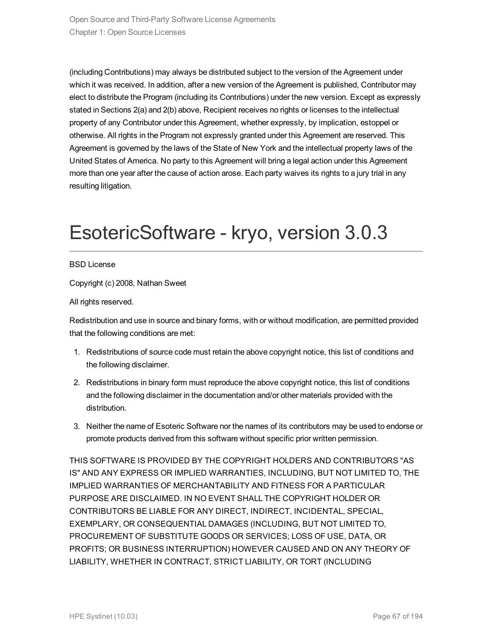(including Contributions) may always be distributed subject to the version of the Agreement under which it was received. In addition, after a new version of the Agreement is published, Contributor may elect to distribute the Program (including its Contributions) under the new version. Except as expressly stated in Sections 2(a) and 2(b) above, Recipient receives no rights or licenses to the intellectual property of any Contributor under this Agreement, whether expressly, by implication, estoppel or otherwise. All rights in the Program not expressly granted under this Agreement are reserved. This Agreement is governed by the laws of the State of New York and the intellectual property laws of the United States of America. No party to this Agreement will bring a legal action under this Agreement more than one year after the cause of action arose. Each party waives its rights to a jury trial in any resulting litigation.

### EsotericSoftware - kryo, version 3.0.3

#### BSD License

Copyright (c) 2008, Nathan Sweet

All rights reserved.

Redistribution and use in source and binary forms, with or without modification, are permitted provided that the following conditions are met:

- 1. Redistributions of source code must retain the above copyright notice, this list of conditions and the following disclaimer.
- 2. Redistributions in binary form must reproduce the above copyright notice, this list of conditions and the following disclaimer in the documentation and/or other materials provided with the distribution.
- 3. Neither the name of Esoteric Software nor the names of its contributors may be used to endorse or promote products derived from this software without specific prior written permission.

THIS SOFTWARE IS PROVIDED BY THE COPYRIGHT HOLDERS AND CONTRIBUTORS "AS IS" AND ANY EXPRESS OR IMPLIED WARRANTIES, INCLUDING, BUT NOT LIMITED TO, THE IMPLIED WARRANTIES OF MERCHANTABILITY AND FITNESS FOR A PARTICULAR PURPOSE ARE DISCLAIMED. IN NO EVENT SHALL THE COPYRIGHT HOLDER OR CONTRIBUTORS BE LIABLE FOR ANY DIRECT, INDIRECT, INCIDENTAL, SPECIAL, EXEMPLARY, OR CONSEQUENTIAL DAMAGES (INCLUDING, BUT NOT LIMITED TO, PROCUREMENT OF SUBSTITUTE GOODS OR SERVICES; LOSS OF USE, DATA, OR PROFITS; OR BUSINESS INTERRUPTION) HOWEVER CAUSED AND ON ANY THEORY OF LIABILITY, WHETHER IN CONTRACT, STRICT LIABILITY, OR TORT (INCLUDING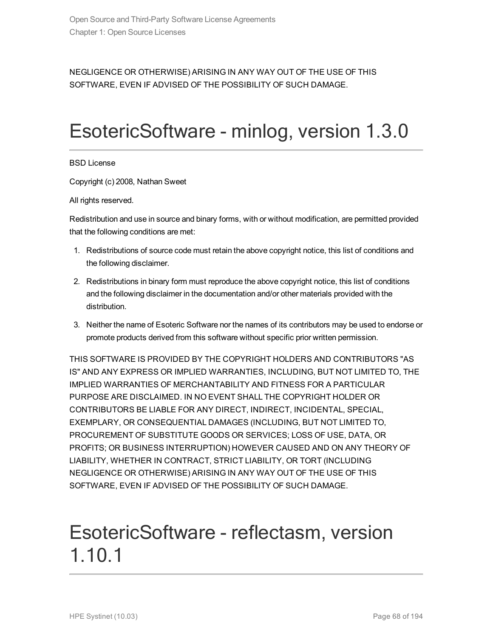NEGLIGENCE OR OTHERWISE) ARISING IN ANY WAY OUT OF THE USE OF THIS SOFTWARE, EVEN IF ADVISED OF THE POSSIBILITY OF SUCH DAMAGE.

### EsotericSoftware - minlog, version 1.3.0

#### BSD License

Copyright (c) 2008, Nathan Sweet

All rights reserved.

Redistribution and use in source and binary forms, with or without modification, are permitted provided that the following conditions are met:

- 1. Redistributions of source code must retain the above copyright notice, this list of conditions and the following disclaimer.
- 2. Redistributions in binary form must reproduce the above copyright notice, this list of conditions and the following disclaimer in the documentation and/or other materials provided with the distribution.
- 3. Neither the name of Esoteric Software nor the names of its contributors may be used to endorse or promote products derived from this software without specific prior written permission.

THIS SOFTWARE IS PROVIDED BY THE COPYRIGHT HOLDERS AND CONTRIBUTORS "AS IS" AND ANY EXPRESS OR IMPLIED WARRANTIES, INCLUDING, BUT NOT LIMITED TO, THE IMPLIED WARRANTIES OF MERCHANTABILITY AND FITNESS FOR A PARTICULAR PURPOSE ARE DISCLAIMED. IN NO EVENT SHALL THE COPYRIGHT HOLDER OR CONTRIBUTORS BE LIABLE FOR ANY DIRECT, INDIRECT, INCIDENTAL, SPECIAL, EXEMPLARY, OR CONSEQUENTIAL DAMAGES (INCLUDING, BUT NOT LIMITED TO, PROCUREMENT OF SUBSTITUTE GOODS OR SERVICES; LOSS OF USE, DATA, OR PROFITS; OR BUSINESS INTERRUPTION) HOWEVER CAUSED AND ON ANY THEORY OF LIABILITY, WHETHER IN CONTRACT, STRICT LIABILITY, OR TORT (INCLUDING NEGLIGENCE OR OTHERWISE) ARISING IN ANY WAY OUT OF THE USE OF THIS SOFTWARE, EVEN IF ADVISED OF THE POSSIBILITY OF SUCH DAMAGE.

## EsotericSoftware - reflectasm, version 1.10.1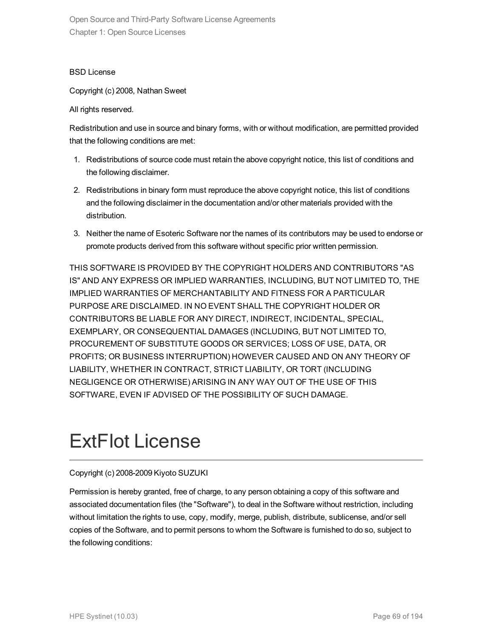#### BSD License

Copyright (c) 2008, Nathan Sweet

All rights reserved.

Redistribution and use in source and binary forms, with or without modification, are permitted provided that the following conditions are met:

- 1. Redistributions of source code must retain the above copyright notice, this list of conditions and the following disclaimer.
- 2. Redistributions in binary form must reproduce the above copyright notice, this list of conditions and the following disclaimer in the documentation and/or other materials provided with the distribution.
- 3. Neither the name of Esoteric Software nor the names of its contributors may be used to endorse or promote products derived from this software without specific prior written permission.

THIS SOFTWARE IS PROVIDED BY THE COPYRIGHT HOLDERS AND CONTRIBUTORS "AS IS" AND ANY EXPRESS OR IMPLIED WARRANTIES, INCLUDING, BUT NOT LIMITED TO, THE IMPLIED WARRANTIES OF MERCHANTABILITY AND FITNESS FOR A PARTICULAR PURPOSE ARE DISCLAIMED. IN NO EVENT SHALL THE COPYRIGHT HOLDER OR CONTRIBUTORS BE LIABLE FOR ANY DIRECT, INDIRECT, INCIDENTAL, SPECIAL, EXEMPLARY, OR CONSEQUENTIAL DAMAGES (INCLUDING, BUT NOT LIMITED TO, PROCUREMENT OF SUBSTITUTE GOODS OR SERVICES; LOSS OF USE, DATA, OR PROFITS; OR BUSINESS INTERRUPTION) HOWEVER CAUSED AND ON ANY THEORY OF LIABILITY, WHETHER IN CONTRACT, STRICT LIABILITY, OR TORT (INCLUDING NEGLIGENCE OR OTHERWISE) ARISING IN ANY WAY OUT OF THE USE OF THIS SOFTWARE, EVEN IF ADVISED OF THE POSSIBILITY OF SUCH DAMAGE.

### ExtFlot License

#### Copyright (c) 2008-2009 Kiyoto SUZUKI

Permission is hereby granted, free of charge, to any person obtaining a copy of this software and associated documentation files (the "Software"), to deal in the Software without restriction, including without limitation the rights to use, copy, modify, merge, publish, distribute, sublicense, and/or sell copies of the Software, and to permit persons to whom the Software is furnished to do so, subject to the following conditions: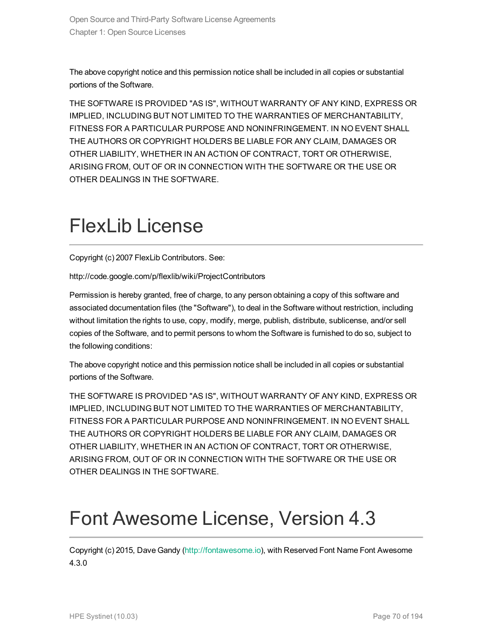The above copyright notice and this permission notice shall be included in all copies or substantial portions of the Software.

THE SOFTWARE IS PROVIDED "AS IS", WITHOUT WARRANTY OF ANY KIND, EXPRESS OR IMPLIED, INCLUDING BUT NOT LIMITED TO THE WARRANTIES OF MERCHANTABILITY, FITNESS FOR A PARTICULAR PURPOSE AND NONINFRINGEMENT. IN NO EVENT SHALL THE AUTHORS OR COPYRIGHT HOLDERS BE LIABLE FOR ANY CLAIM, DAMAGES OR OTHER LIABILITY, WHETHER IN AN ACTION OF CONTRACT, TORT OR OTHERWISE, ARISING FROM, OUT OF OR IN CONNECTION WITH THE SOFTWARE OR THE USE OR OTHER DEALINGS IN THE SOFTWARE.

## FlexLib License

Copyright (c) 2007 FlexLib Contributors. See:

http://code.google.com/p/flexlib/wiki/ProjectContributors

Permission is hereby granted, free of charge, to any person obtaining a copy of this software and associated documentation files (the "Software"), to deal in the Software without restriction, including without limitation the rights to use, copy, modify, merge, publish, distribute, sublicense, and/or sell copies of the Software, and to permit persons to whom the Software is furnished to do so, subject to the following conditions:

The above copyright notice and this permission notice shall be included in all copies or substantial portions of the Software.

THE SOFTWARE IS PROVIDED "AS IS", WITHOUT WARRANTY OF ANY KIND, EXPRESS OR IMPLIED, INCLUDING BUT NOT LIMITED TO THE WARRANTIES OF MERCHANTABILITY, FITNESS FOR A PARTICULAR PURPOSE AND NONINFRINGEMENT. IN NO EVENT SHALL THE AUTHORS OR COPYRIGHT HOLDERS BE LIABLE FOR ANY CLAIM, DAMAGES OR OTHER LIABILITY, WHETHER IN AN ACTION OF CONTRACT, TORT OR OTHERWISE, ARISING FROM, OUT OF OR IN CONNECTION WITH THE SOFTWARE OR THE USE OR OTHER DEALINGS IN THE SOFTWARE.

# Font Awesome License, Version 4.3

Copyright (c) 2015, Dave Gandy ([http://fontawesome.io](http://fontawesome.io/)), with Reserved Font Name Font Awesome 4.3.0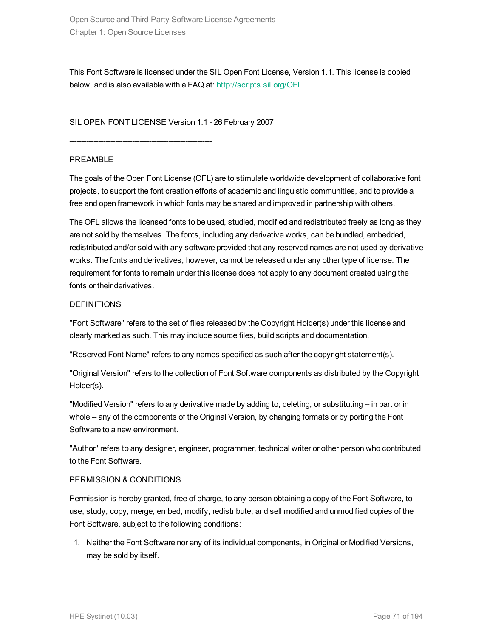This Font Software is licensed under the SIL Open Font License, Version 1.1. This license is copied below, and is also available with a FAQ at: <http://scripts.sil.org/OFL>

SIL OPEN FONT LICENSE Version 1.1 - 26 February 2007

-----------------------------------------------------------

-----------------------------------------------------------

#### PREAMBLE

The goals of the Open Font License (OFL) are to stimulate worldwide development of collaborative font projects, to support the font creation efforts of academic and linguistic communities, and to provide a free and open framework in which fonts may be shared and improved in partnership with others.

The OFL allows the licensed fonts to be used, studied, modified and redistributed freely as long as they are not sold by themselves. The fonts, including any derivative works, can be bundled, embedded, redistributed and/or sold with any software provided that any reserved names are not used by derivative works. The fonts and derivatives, however, cannot be released under any other type of license. The requirement for fonts to remain under this license does not apply to any document created using the fonts or their derivatives.

#### DEFINITIONS

"Font Software" refers to the set of files released by the Copyright Holder(s) under this license and clearly marked as such. This may include source files, build scripts and documentation.

"Reserved Font Name" refers to any names specified as such after the copyright statement(s).

"Original Version" refers to the collection of Font Software components as distributed by the Copyright Holder(s).

"Modified Version" refers to any derivative made by adding to, deleting, or substituting -- in part or in whole -- any of the components of the Original Version, by changing formats or by porting the Font Software to a new environment.

"Author" refers to any designer, engineer, programmer, technical writer or other person who contributed to the Font Software.

#### PERMISSION & CONDITIONS

Permission is hereby granted, free of charge, to any person obtaining a copy of the Font Software, to use, study, copy, merge, embed, modify, redistribute, and sell modified and unmodified copies of the Font Software, subject to the following conditions:

1. Neither the Font Software nor any of its individual components, in Original or Modified Versions, may be sold by itself.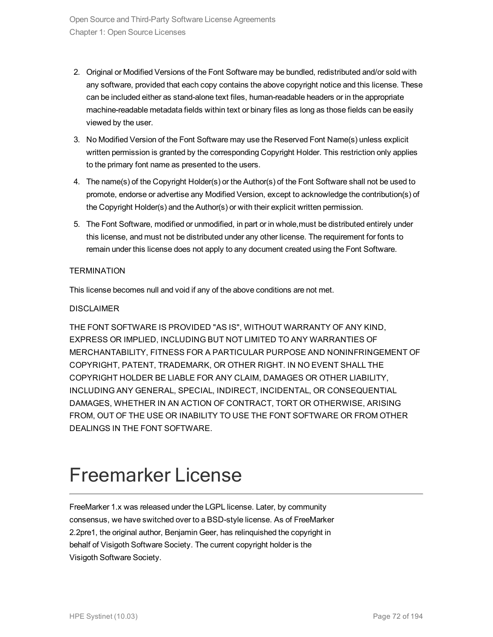- 2. Original or Modified Versions of the Font Software may be bundled, redistributed and/or sold with any software, provided that each copy contains the above copyright notice and this license. These can be included either as stand-alone text files, human-readable headers or in the appropriate machine-readable metadata fields within text or binary files as long as those fields can be easily viewed by the user.
- 3. No Modified Version of the Font Software may use the Reserved Font Name(s) unless explicit written permission is granted by the corresponding Copyright Holder. This restriction only applies to the primary font name as presented to the users.
- 4. The name(s) of the Copyright Holder(s) or the Author(s) of the Font Software shall not be used to promote, endorse or advertise any Modified Version, except to acknowledge the contribution(s) of the Copyright Holder(s) and the Author(s) or with their explicit written permission.
- 5. The Font Software, modified or unmodified, in part or in whole,must be distributed entirely under this license, and must not be distributed under any other license. The requirement for fonts to remain under this license does not apply to any document created using the Font Software.

#### **TERMINATION**

This license becomes null and void if any of the above conditions are not met.

#### **DISCLAIMER**

THE FONT SOFTWARE IS PROVIDED "AS IS", WITHOUT WARRANTY OF ANY KIND, EXPRESS OR IMPLIED, INCLUDING BUT NOT LIMITED TO ANY WARRANTIES OF MERCHANTABILITY, FITNESS FOR A PARTICULAR PURPOSE AND NONINFRINGEMENT OF COPYRIGHT, PATENT, TRADEMARK, OR OTHER RIGHT. IN NO EVENT SHALL THE COPYRIGHT HOLDER BE LIABLE FOR ANY CLAIM, DAMAGES OR OTHER LIABILITY, INCLUDING ANY GENERAL, SPECIAL, INDIRECT, INCIDENTAL, OR CONSEQUENTIAL DAMAGES, WHETHER IN AN ACTION OF CONTRACT, TORT OR OTHERWISE, ARISING FROM, OUT OF THE USE OR INABILITY TO USE THE FONT SOFTWARE OR FROM OTHER DEALINGS IN THE FONT SOFTWARE.

### Freemarker License

FreeMarker 1.x was released under the LGPL license. Later, by community consensus, we have switched over to a BSD-style license. As of FreeMarker 2.2pre1, the original author, Benjamin Geer, has relinquished the copyright in behalf of Visigoth Software Society. The current copyright holder is the Visigoth Software Society.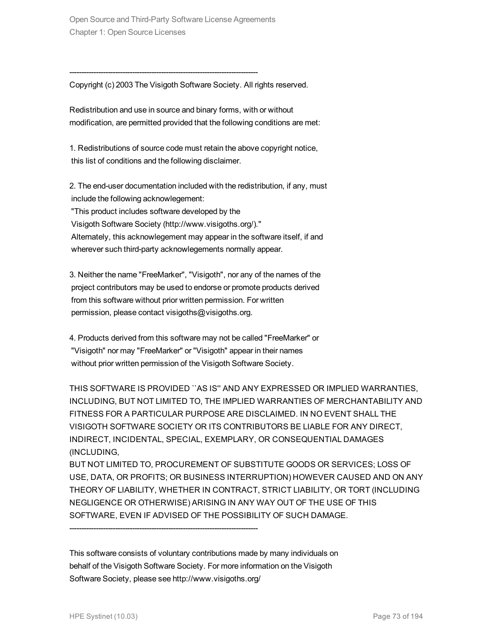------------------------------------------------------------------------------

Copyright (c) 2003 The Visigoth Software Society. All rights reserved.

Redistribution and use in source and binary forms, with or without modification, are permitted provided that the following conditions are met:

1. Redistributions of source code must retain the above copyright notice, this list of conditions and the following disclaimer.

2. The end-user documentation included with the redistribution, if any, must include the following acknowlegement:

"This product includes software developed by the Visigoth Software Society (http://www.visigoths.org/)." Alternately, this acknowlegement may appear in the software itself, if and wherever such third-party acknowlegements normally appear.

3. Neither the name "FreeMarker", "Visigoth", nor any of the names of the project contributors may be used to endorse or promote products derived from this software without prior written permission. For written permission, please contact visigoths@visigoths.org.

4. Products derived from this software may not be called "FreeMarker" or "Visigoth" nor may "FreeMarker" or "Visigoth" appear in their names without prior written permission of the Visigoth Software Society.

THIS SOFTWARE IS PROVIDED ``AS IS'' AND ANY EXPRESSED OR IMPLIED WARRANTIES, INCLUDING, BUT NOT LIMITED TO, THE IMPLIED WARRANTIES OF MERCHANTABILITY AND FITNESS FOR A PARTICULAR PURPOSE ARE DISCLAIMED. IN NO EVENT SHALL THE VISIGOTH SOFTWARE SOCIETY OR ITS CONTRIBUTORS BE LIABLE FOR ANY DIRECT, INDIRECT, INCIDENTAL, SPECIAL, EXEMPLARY, OR CONSEQUENTIAL DAMAGES (INCLUDING,

BUT NOT LIMITED TO, PROCUREMENT OF SUBSTITUTE GOODS OR SERVICES; LOSS OF USE, DATA, OR PROFITS; OR BUSINESS INTERRUPTION) HOWEVER CAUSED AND ON ANY THEORY OF LIABILITY, WHETHER IN CONTRACT, STRICT LIABILITY, OR TORT (INCLUDING NEGLIGENCE OR OTHERWISE) ARISING IN ANY WAY OUT OF THE USE OF THIS SOFTWARE, EVEN IF ADVISED OF THE POSSIBILITY OF SUCH DAMAGE.

This software consists of voluntary contributions made by many individuals on behalf of the Visigoth Software Society. For more information on the Visigoth Software Society, please see http://www.visigoths.org/

------------------------------------------------------------------------------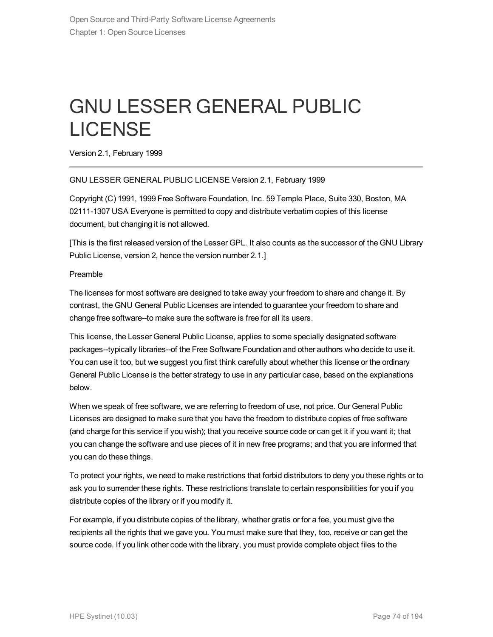# GNU LESSER GENERAL PUBLIC **LICENSE**

Version 2.1, February 1999

#### GNU LESSER GENERAL PUBLIC LICENSE Version 2.1, February 1999

Copyright (C) 1991, 1999 Free Software Foundation, Inc. 59 Temple Place, Suite 330, Boston, MA 02111-1307 USA Everyone is permitted to copy and distribute verbatim copies of this license document, but changing it is not allowed.

[This is the first released version of the Lesser GPL. It also counts as the successor of the GNU Library Public License, version 2, hence the version number 2.1.]

Preamble

The licenses for most software are designed to take away your freedom to share and change it. By contrast, the GNU General Public Licenses are intended to guarantee your freedom to share and change free software--to make sure the software is free for all its users.

This license, the Lesser General Public License, applies to some specially designated software packages--typically libraries--of the Free Software Foundation and other authors who decide to use it. You can use it too, but we suggest you first think carefully about whether this license or the ordinary General Public License is the better strategy to use in any particular case, based on the explanations below.

When we speak of free software, we are referring to freedom of use, not price. Our General Public Licenses are designed to make sure that you have the freedom to distribute copies of free software (and charge for this service if you wish); that you receive source code or can get it if you want it; that you can change the software and use pieces of it in new free programs; and that you are informed that you can do these things.

To protect your rights, we need to make restrictions that forbid distributors to deny you these rights or to ask you to surrender these rights. These restrictions translate to certain responsibilities for you if you distribute copies of the library or if you modify it.

For example, if you distribute copies of the library, whether gratis or for a fee, you must give the recipients all the rights that we gave you. You must make sure that they, too, receive or can get the source code. If you link other code with the library, you must provide complete object files to the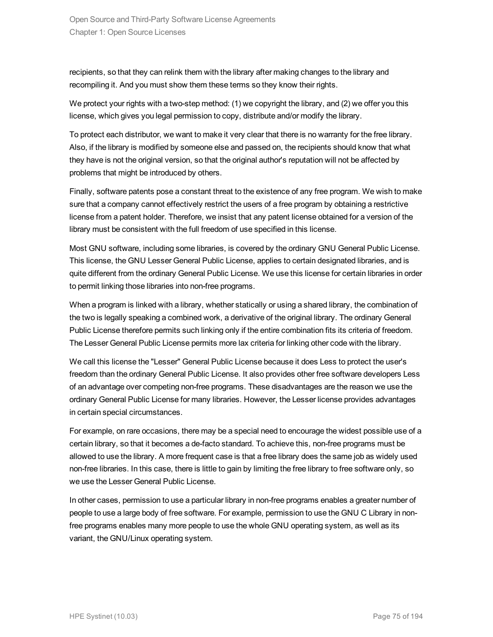recipients, so that they can relink them with the library after making changes to the library and recompiling it. And you must show them these terms so they know their rights.

We protect your rights with a two-step method: (1) we copyright the library, and (2) we offer you this license, which gives you legal permission to copy, distribute and/or modify the library.

To protect each distributor, we want to make it very clear that there is no warranty for the free library. Also, if the library is modified by someone else and passed on, the recipients should know that what they have is not the original version, so that the original author's reputation will not be affected by problems that might be introduced by others.

Finally, software patents pose a constant threat to the existence of any free program. We wish to make sure that a company cannot effectively restrict the users of a free program by obtaining a restrictive license from a patent holder. Therefore, we insist that any patent license obtained for a version of the library must be consistent with the full freedom of use specified in this license.

Most GNU software, including some libraries, is covered by the ordinary GNU General Public License. This license, the GNU Lesser General Public License, applies to certain designated libraries, and is quite different from the ordinary General Public License. We use this license for certain libraries in order to permit linking those libraries into non-free programs.

When a program is linked with a library, whether statically or using a shared library, the combination of the two is legally speaking a combined work, a derivative of the original library. The ordinary General Public License therefore permits such linking only if the entire combination fits its criteria of freedom. The Lesser General Public License permits more lax criteria for linking other code with the library.

We call this license the "Lesser" General Public License because it does Less to protect the user's freedom than the ordinary General Public License. It also provides other free software developers Less of an advantage over competing non-free programs. These disadvantages are the reason we use the ordinary General Public License for many libraries. However, the Lesser license provides advantages in certain special circumstances.

For example, on rare occasions, there may be a special need to encourage the widest possible use of a certain library, so that it becomes a de-facto standard. To achieve this, non-free programs must be allowed to use the library. A more frequent case is that a free library does the same job as widely used non-free libraries. In this case, there is little to gain by limiting the free library to free software only, so we use the Lesser General Public License.

In other cases, permission to use a particular library in non-free programs enables a greater number of people to use a large body of free software. For example, permission to use the GNU C Library in nonfree programs enables many more people to use the whole GNU operating system, as well as its variant, the GNU/Linux operating system.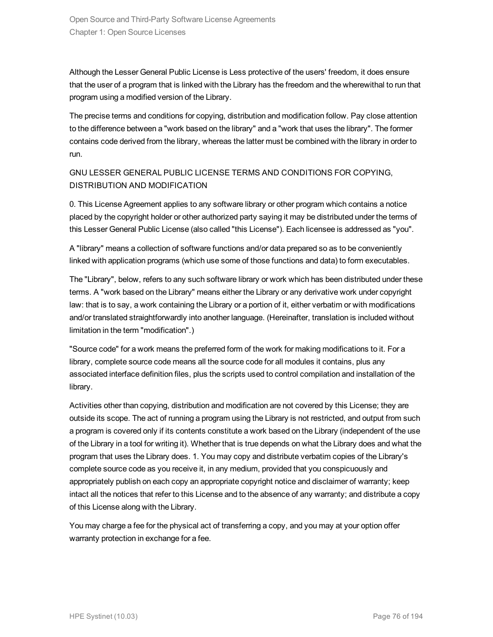Although the Lesser General Public License is Less protective of the users' freedom, it does ensure that the user of a program that is linked with the Library has the freedom and the wherewithal to run that program using a modified version of the Library.

The precise terms and conditions for copying, distribution and modification follow. Pay close attention to the difference between a "work based on the library" and a "work that uses the library". The former contains code derived from the library, whereas the latter must be combined with the library in order to run.

### GNU LESSER GENERAL PUBLIC LICENSE TERMS AND CONDITIONS FOR COPYING, DISTRIBUTION AND MODIFICATION

0. This License Agreement applies to any software library or other program which contains a notice placed by the copyright holder or other authorized party saying it may be distributed under the terms of this Lesser General Public License (also called "this License"). Each licensee is addressed as "you".

A "library" means a collection of software functions and/or data prepared so as to be conveniently linked with application programs (which use some of those functions and data) to form executables.

The "Library", below, refers to any such software library or work which has been distributed under these terms. A "work based on the Library" means either the Library or any derivative work under copyright law: that is to say, a work containing the Library or a portion of it, either verbatim or with modifications and/or translated straightforwardly into another language. (Hereinafter, translation is included without limitation in the term "modification".)

"Source code" for a work means the preferred form of the work for making modifications to it. For a library, complete source code means all the source code for all modules it contains, plus any associated interface definition files, plus the scripts used to control compilation and installation of the library.

Activities other than copying, distribution and modification are not covered by this License; they are outside its scope. The act of running a program using the Library is not restricted, and output from such a program is covered only if its contents constitute a work based on the Library (independent of the use of the Library in a tool for writing it). Whether that is true depends on what the Library does and what the program that uses the Library does. 1. You may copy and distribute verbatim copies of the Library's complete source code as you receive it, in any medium, provided that you conspicuously and appropriately publish on each copy an appropriate copyright notice and disclaimer of warranty; keep intact all the notices that refer to this License and to the absence of any warranty; and distribute a copy of this License along with the Library.

You may charge a fee for the physical act of transferring a copy, and you may at your option offer warranty protection in exchange for a fee.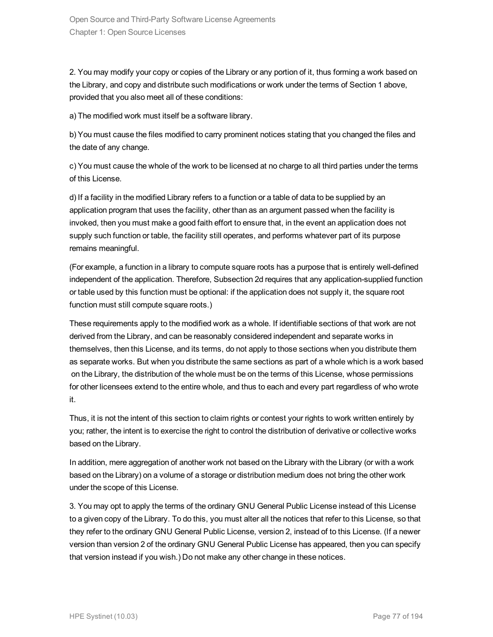2. You may modify your copy or copies of the Library or any portion of it, thus forming a work based on the Library, and copy and distribute such modifications or work under the terms of Section 1 above, provided that you also meet all of these conditions:

a) The modified work must itself be a software library.

b) You must cause the files modified to carry prominent notices stating that you changed the files and the date of any change.

c) You must cause the whole of the work to be licensed at no charge to all third parties under the terms of this License.

d) If a facility in the modified Library refers to a function or a table of data to be supplied by an application program that uses the facility, other than as an argument passed when the facility is invoked, then you must make a good faith effort to ensure that, in the event an application does not supply such function or table, the facility still operates, and performs whatever part of its purpose remains meaningful.

(For example, a function in a library to compute square roots has a purpose that is entirely well-defined independent of the application. Therefore, Subsection 2d requires that any application-supplied function or table used by this function must be optional: if the application does not supply it, the square root function must still compute square roots.)

These requirements apply to the modified work as a whole. If identifiable sections of that work are not derived from the Library, and can be reasonably considered independent and separate works in themselves, then this License, and its terms, do not apply to those sections when you distribute them as separate works. But when you distribute the same sections as part of a whole which is a work based on the Library, the distribution of the whole must be on the terms of this License, whose permissions for other licensees extend to the entire whole, and thus to each and every part regardless of who wrote it.

Thus, it is not the intent of this section to claim rights or contest your rights to work written entirely by you; rather, the intent is to exercise the right to control the distribution of derivative or collective works based on the Library.

In addition, mere aggregation of another work not based on the Library with the Library (or with a work based on the Library) on a volume of a storage or distribution medium does not bring the other work under the scope of this License.

3. You may opt to apply the terms of the ordinary GNU General Public License instead of this License to a given copy of the Library. To do this, you must alter all the notices that refer to this License, so that they refer to the ordinary GNU General Public License, version 2, instead of to this License. (If a newer version than version 2 of the ordinary GNU General Public License has appeared, then you can specify that version instead if you wish.) Do not make any other change in these notices.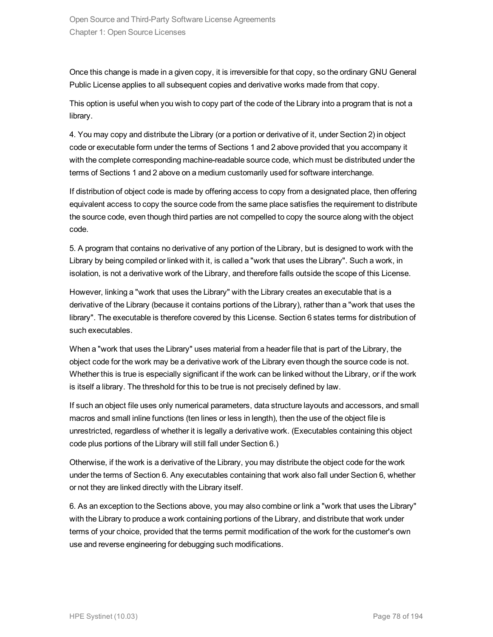Once this change is made in a given copy, it is irreversible for that copy, so the ordinary GNU General Public License applies to all subsequent copies and derivative works made from that copy.

This option is useful when you wish to copy part of the code of the Library into a program that is not a library.

4. You may copy and distribute the Library (or a portion or derivative of it, under Section 2) in object code or executable form under the terms of Sections 1 and 2 above provided that you accompany it with the complete corresponding machine-readable source code, which must be distributed under the terms of Sections 1 and 2 above on a medium customarily used for software interchange.

If distribution of object code is made by offering access to copy from a designated place, then offering equivalent access to copy the source code from the same place satisfies the requirement to distribute the source code, even though third parties are not compelled to copy the source along with the object code.

5. A program that contains no derivative of any portion of the Library, but is designed to work with the Library by being compiled or linked with it, is called a "work that uses the Library". Such a work, in isolation, is not a derivative work of the Library, and therefore falls outside the scope of this License.

However, linking a "work that uses the Library" with the Library creates an executable that is a derivative of the Library (because it contains portions of the Library), rather than a "work that uses the library". The executable is therefore covered by this License. Section 6 states terms for distribution of such executables.

When a "work that uses the Library" uses material from a header file that is part of the Library, the object code for the work may be a derivative work of the Library even though the source code is not. Whether this is true is especially significant if the work can be linked without the Library, or if the work is itself a library. The threshold for this to be true is not precisely defined by law.

If such an object file uses only numerical parameters, data structure layouts and accessors, and small macros and small inline functions (ten lines or less in length), then the use of the object file is unrestricted, regardless of whether it is legally a derivative work. (Executables containing this object code plus portions of the Library will still fall under Section 6.)

Otherwise, if the work is a derivative of the Library, you may distribute the object code for the work under the terms of Section 6. Any executables containing that work also fall under Section 6, whether or not they are linked directly with the Library itself.

6. As an exception to the Sections above, you may also combine or link a "work that uses the Library" with the Library to produce a work containing portions of the Library, and distribute that work under terms of your choice, provided that the terms permit modification of the work for the customer's own use and reverse engineering for debugging such modifications.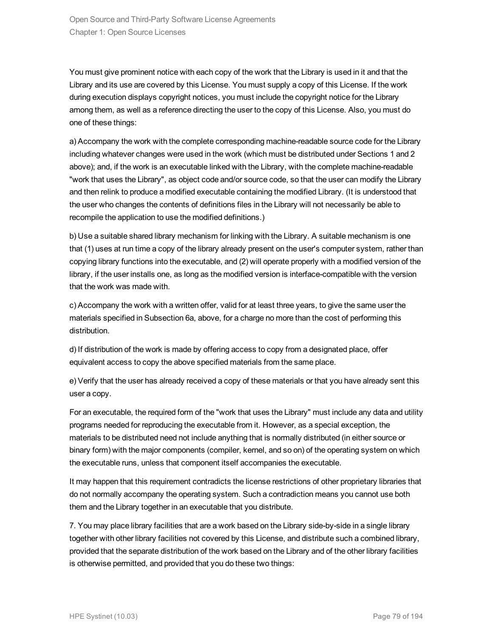You must give prominent notice with each copy of the work that the Library is used in it and that the Library and its use are covered by this License. You must supply a copy of this License. If the work during execution displays copyright notices, you must include the copyright notice for the Library among them, as well as a reference directing the user to the copy of this License. Also, you must do one of these things:

a) Accompany the work with the complete corresponding machine-readable source code for the Library including whatever changes were used in the work (which must be distributed under Sections 1 and 2 above); and, if the work is an executable linked with the Library, with the complete machine-readable "work that uses the Library", as object code and/or source code, so that the user can modify the Library and then relink to produce a modified executable containing the modified Library. (It is understood that the user who changes the contents of definitions files in the Library will not necessarily be able to recompile the application to use the modified definitions.)

b) Use a suitable shared library mechanism for linking with the Library. A suitable mechanism is one that (1) uses at run time a copy of the library already present on the user's computer system, rather than copying library functions into the executable, and (2) will operate properly with a modified version of the library, if the user installs one, as long as the modified version is interface-compatible with the version that the work was made with.

c) Accompany the work with a written offer, valid for at least three years, to give the same user the materials specified in Subsection 6a, above, for a charge no more than the cost of performing this distribution.

d) If distribution of the work is made by offering access to copy from a designated place, offer equivalent access to copy the above specified materials from the same place.

e) Verify that the user has already received a copy of these materials or that you have already sent this user a copy.

For an executable, the required form of the "work that uses the Library" must include any data and utility programs needed for reproducing the executable from it. However, as a special exception, the materials to be distributed need not include anything that is normally distributed (in either source or binary form) with the major components (compiler, kernel, and so on) of the operating system on which the executable runs, unless that component itself accompanies the executable.

It may happen that this requirement contradicts the license restrictions of other proprietary libraries that do not normally accompany the operating system. Such a contradiction means you cannot use both them and the Library together in an executable that you distribute.

7. You may place library facilities that are a work based on the Library side-by-side in a single library together with other library facilities not covered by this License, and distribute such a combined library, provided that the separate distribution of the work based on the Library and of the other library facilities is otherwise permitted, and provided that you do these two things: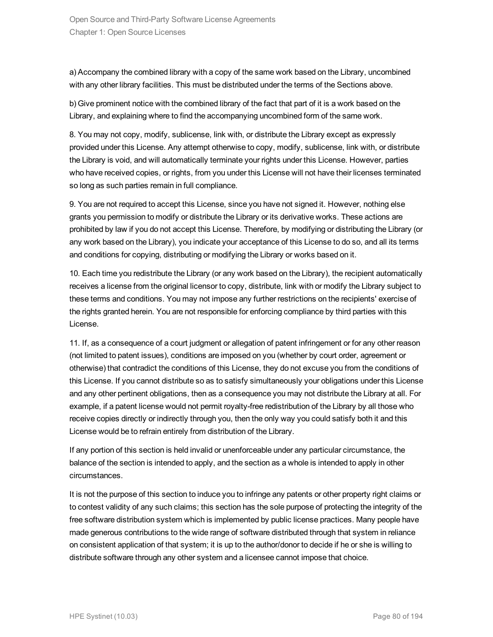a) Accompany the combined library with a copy of the same work based on the Library, uncombined with any other library facilities. This must be distributed under the terms of the Sections above.

b) Give prominent notice with the combined library of the fact that part of it is a work based on the Library, and explaining where to find the accompanying uncombined form of the same work.

8. You may not copy, modify, sublicense, link with, or distribute the Library except as expressly provided under this License. Any attempt otherwise to copy, modify, sublicense, link with, or distribute the Library is void, and will automatically terminate your rights under this License. However, parties who have received copies, or rights, from you under this License will not have their licenses terminated so long as such parties remain in full compliance.

9. You are not required to accept this License, since you have not signed it. However, nothing else grants you permission to modify or distribute the Library or its derivative works. These actions are prohibited by law if you do not accept this License. Therefore, by modifying or distributing the Library (or any work based on the Library), you indicate your acceptance of this License to do so, and all its terms and conditions for copying, distributing or modifying the Library or works based on it.

10. Each time you redistribute the Library (or any work based on the Library), the recipient automatically receives a license from the original licensor to copy, distribute, link with or modify the Library subject to these terms and conditions. You may not impose any further restrictions on the recipients' exercise of the rights granted herein. You are not responsible for enforcing compliance by third parties with this License.

11. If, as a consequence of a court judgment or allegation of patent infringement or for any other reason (not limited to patent issues), conditions are imposed on you (whether by court order, agreement or otherwise) that contradict the conditions of this License, they do not excuse you from the conditions of this License. If you cannot distribute so as to satisfy simultaneously your obligations under this License and any other pertinent obligations, then as a consequence you may not distribute the Library at all. For example, if a patent license would not permit royalty-free redistribution of the Library by all those who receive copies directly or indirectly through you, then the only way you could satisfy both it and this License would be to refrain entirely from distribution of the Library.

If any portion of this section is held invalid or unenforceable under any particular circumstance, the balance of the section is intended to apply, and the section as a whole is intended to apply in other circumstances.

It is not the purpose of this section to induce you to infringe any patents or other property right claims or to contest validity of any such claims; this section has the sole purpose of protecting the integrity of the free software distribution system which is implemented by public license practices. Many people have made generous contributions to the wide range of software distributed through that system in reliance on consistent application of that system; it is up to the author/donor to decide if he or she is willing to distribute software through any other system and a licensee cannot impose that choice.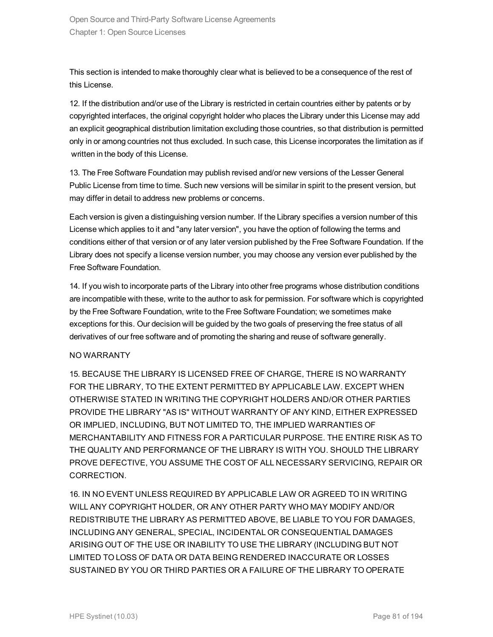This section is intended to make thoroughly clear what is believed to be a consequence of the rest of this License.

12. If the distribution and/or use of the Library is restricted in certain countries either by patents or by copyrighted interfaces, the original copyright holder who places the Library under this License may add an explicit geographical distribution limitation excluding those countries, so that distribution is permitted only in or among countries not thus excluded. In such case, this License incorporates the limitation as if written in the body of this License.

13. The Free Software Foundation may publish revised and/or new versions of the Lesser General Public License from time to time. Such new versions will be similar in spirit to the present version, but may differ in detail to address new problems or concerns.

Each version is given a distinguishing version number. If the Library specifies a version number of this License which applies to it and "any later version", you have the option of following the terms and conditions either of that version or of any later version published by the Free Software Foundation. If the Library does not specify a license version number, you may choose any version ever published by the Free Software Foundation.

14. If you wish to incorporate parts of the Library into other free programs whose distribution conditions are incompatible with these, write to the author to ask for permission. For software which is copyrighted by the Free Software Foundation, write to the Free Software Foundation; we sometimes make exceptions for this. Our decision will be guided by the two goals of preserving the free status of all derivatives of our free software and of promoting the sharing and reuse of software generally.

#### NO WARRANTY

15. BECAUSE THE LIBRARY IS LICENSED FREE OF CHARGE, THERE IS NO WARRANTY FOR THE LIBRARY, TO THE EXTENT PERMITTED BY APPLICABLE LAW. EXCEPT WHEN OTHERWISE STATED IN WRITING THE COPYRIGHT HOLDERS AND/OR OTHER PARTIES PROVIDE THE LIBRARY "AS IS" WITHOUT WARRANTY OF ANY KIND, EITHER EXPRESSED OR IMPLIED, INCLUDING, BUT NOT LIMITED TO, THE IMPLIED WARRANTIES OF MERCHANTABILITY AND FITNESS FOR A PARTICULAR PURPOSE. THE ENTIRE RISK AS TO THE QUALITY AND PERFORMANCE OF THE LIBRARY IS WITH YOU. SHOULD THE LIBRARY PROVE DEFECTIVE, YOU ASSUME THE COST OF ALL NECESSARY SERVICING, REPAIR OR CORRECTION.

16. IN NO EVENT UNLESS REQUIRED BY APPLICABLE LAW OR AGREED TO IN WRITING WILL ANY COPYRIGHT HOLDER, OR ANY OTHER PARTY WHO MAY MODIFY AND/OR REDISTRIBUTE THE LIBRARY AS PERMITTED ABOVE, BE LIABLE TO YOU FOR DAMAGES, INCLUDING ANY GENERAL, SPECIAL, INCIDENTAL OR CONSEQUENTIAL DAMAGES ARISING OUT OF THE USE OR INABILITY TO USE THE LIBRARY (INCLUDING BUT NOT LIMITED TO LOSS OF DATA OR DATA BEING RENDERED INACCURATE OR LOSSES SUSTAINED BY YOU OR THIRD PARTIES OR A FAILURE OF THE LIBRARY TO OPERATE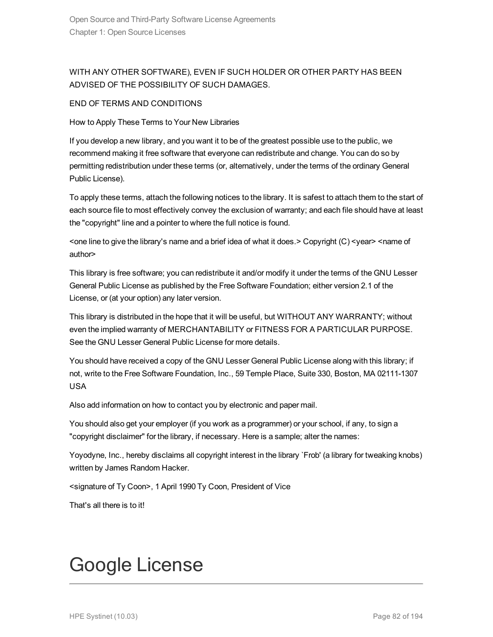### WITH ANY OTHER SOFTWARE), EVEN IF SUCH HOLDER OR OTHER PARTY HAS BEEN ADVISED OF THE POSSIBILITY OF SUCH DAMAGES.

### END OF TERMS AND CONDITIONS

How to Apply These Terms to Your New Libraries

If you develop a new library, and you want it to be of the greatest possible use to the public, we recommend making it free software that everyone can redistribute and change. You can do so by permitting redistribution under these terms (or, alternatively, under the terms of the ordinary General Public License).

To apply these terms, attach the following notices to the library. It is safest to attach them to the start of each source file to most effectively convey the exclusion of warranty; and each file should have at least the "copyright" line and a pointer to where the full notice is found.

 $\le$  one line to give the library's name and a brief idea of what it does.  $\geq$  Copyright (C)  $\leq$ year $\geq$   $\leq$  name of author>

This library is free software; you can redistribute it and/or modify it under the terms of the GNU Lesser General Public License as published by the Free Software Foundation; either version 2.1 of the License, or (at your option) any later version.

This library is distributed in the hope that it will be useful, but WITHOUT ANY WARRANTY; without even the implied warranty of MERCHANTABILITY or FITNESS FOR A PARTICULAR PURPOSE. See the GNU Lesser General Public License for more details.

You should have received a copy of the GNU Lesser General Public License along with this library; if not, write to the Free Software Foundation, Inc., 59 Temple Place, Suite 330, Boston, MA 02111-1307 USA

Also add information on how to contact you by electronic and paper mail.

You should also get your employer (if you work as a programmer) or your school, if any, to sign a "copyright disclaimer" for the library, if necessary. Here is a sample; alter the names:

Yoyodyne, Inc., hereby disclaims all copyright interest in the library `Frob' (a library for tweaking knobs) written by James Random Hacker.

<signature of Ty Coon>, 1 April 1990 Ty Coon, President of Vice

That's all there is to it!

### Google License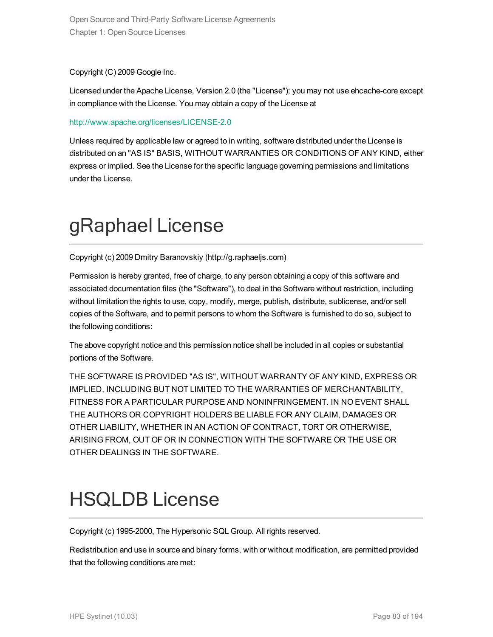Copyright (C) 2009 Google Inc.

Licensed under the Apache License, Version 2.0 (the "License"); you may not use ehcache-core except in compliance with the License. You may obtain a copy of the License at

### <http://www.apache.org/licenses/LICENSE-2.0>

Unless required by applicable law or agreed to in writing, software distributed under the License is distributed on an "AS IS" BASIS, WITHOUT WARRANTIES OR CONDITIONS OF ANY KIND, either express or implied. See the License for the specific language governing permissions and limitations under the License.

## gRaphael License

Copyright (c) 2009 Dmitry Baranovskiy (http://g.raphaeljs.com)

Permission is hereby granted, free of charge, to any person obtaining a copy of this software and associated documentation files (the "Software"), to deal in the Software without restriction, including without limitation the rights to use, copy, modify, merge, publish, distribute, sublicense, and/or sell copies of the Software, and to permit persons to whom the Software is furnished to do so, subject to the following conditions:

The above copyright notice and this permission notice shall be included in all copies or substantial portions of the Software.

THE SOFTWARE IS PROVIDED "AS IS", WITHOUT WARRANTY OF ANY KIND, EXPRESS OR IMPLIED, INCLUDING BUT NOT LIMITED TO THE WARRANTIES OF MERCHANTABILITY, FITNESS FOR A PARTICULAR PURPOSE AND NONINFRINGEMENT. IN NO EVENT SHALL THE AUTHORS OR COPYRIGHT HOLDERS BE LIABLE FOR ANY CLAIM, DAMAGES OR OTHER LIABILITY, WHETHER IN AN ACTION OF CONTRACT, TORT OR OTHERWISE, ARISING FROM, OUT OF OR IN CONNECTION WITH THE SOFTWARE OR THE USE OR OTHER DEALINGS IN THE SOFTWARE.

# HSQLDB License

Copyright (c) 1995-2000, The Hypersonic SQL Group. All rights reserved.

Redistribution and use in source and binary forms, with or without modification, are permitted provided that the following conditions are met: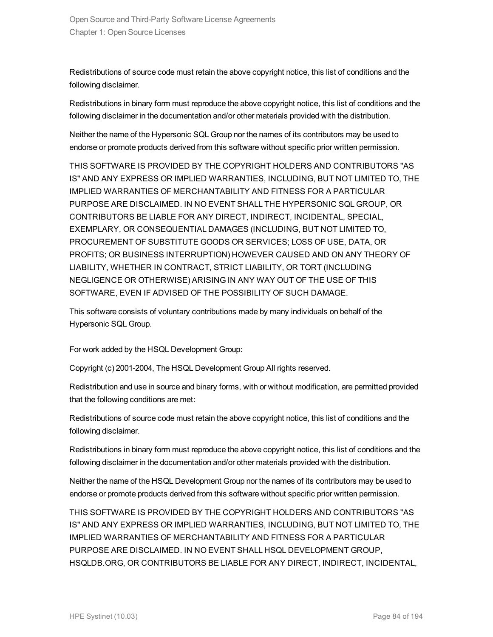Redistributions of source code must retain the above copyright notice, this list of conditions and the following disclaimer.

Redistributions in binary form must reproduce the above copyright notice, this list of conditions and the following disclaimer in the documentation and/or other materials provided with the distribution.

Neither the name of the Hypersonic SQL Group nor the names of its contributors may be used to endorse or promote products derived from this software without specific prior written permission.

THIS SOFTWARE IS PROVIDED BY THE COPYRIGHT HOLDERS AND CONTRIBUTORS "AS IS" AND ANY EXPRESS OR IMPLIED WARRANTIES, INCLUDING, BUT NOT LIMITED TO, THE IMPLIED WARRANTIES OF MERCHANTABILITY AND FITNESS FOR A PARTICULAR PURPOSE ARE DISCLAIMED. IN NO EVENT SHALL THE HYPERSONIC SQL GROUP, OR CONTRIBUTORS BE LIABLE FOR ANY DIRECT, INDIRECT, INCIDENTAL, SPECIAL, EXEMPLARY, OR CONSEQUENTIAL DAMAGES (INCLUDING, BUT NOT LIMITED TO, PROCUREMENT OF SUBSTITUTE GOODS OR SERVICES; LOSS OF USE, DATA, OR PROFITS; OR BUSINESS INTERRUPTION) HOWEVER CAUSED AND ON ANY THEORY OF LIABILITY, WHETHER IN CONTRACT, STRICT LIABILITY, OR TORT (INCLUDING NEGLIGENCE OR OTHERWISE) ARISING IN ANY WAY OUT OF THE USE OF THIS SOFTWARE, EVEN IF ADVISED OF THE POSSIBILITY OF SUCH DAMAGE.

This software consists of voluntary contributions made by many individuals on behalf of the Hypersonic SQL Group.

For work added by the HSQL Development Group:

Copyright (c) 2001-2004, The HSQL Development Group All rights reserved.

Redistribution and use in source and binary forms, with or without modification, are permitted provided that the following conditions are met:

Redistributions of source code must retain the above copyright notice, this list of conditions and the following disclaimer.

Redistributions in binary form must reproduce the above copyright notice, this list of conditions and the following disclaimer in the documentation and/or other materials provided with the distribution.

Neither the name of the HSQL Development Group nor the names of its contributors may be used to endorse or promote products derived from this software without specific prior written permission.

THIS SOFTWARE IS PROVIDED BY THE COPYRIGHT HOLDERS AND CONTRIBUTORS "AS IS" AND ANY EXPRESS OR IMPLIED WARRANTIES, INCLUDING, BUT NOT LIMITED TO, THE IMPLIED WARRANTIES OF MERCHANTABILITY AND FITNESS FOR A PARTICULAR PURPOSE ARE DISCLAIMED. IN NO EVENT SHALL HSQL DEVELOPMENT GROUP, HSQLDB.ORG, OR CONTRIBUTORS BE LIABLE FOR ANY DIRECT, INDIRECT, INCIDENTAL,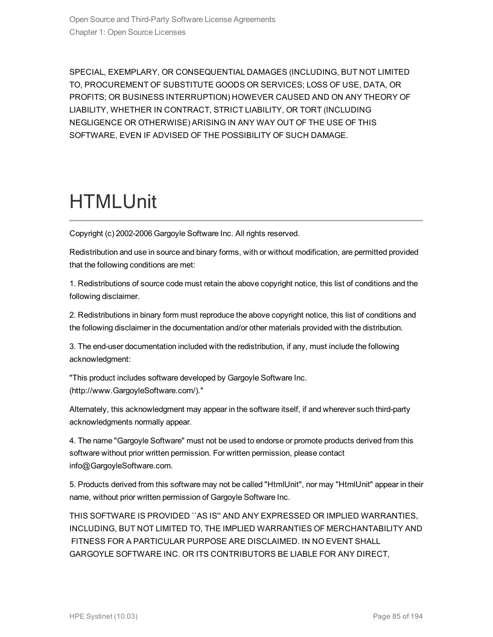SPECIAL, EXEMPLARY, OR CONSEQUENTIAL DAMAGES (INCLUDING, BUT NOT LIMITED TO, PROCUREMENT OF SUBSTITUTE GOODS OR SERVICES; LOSS OF USE, DATA, OR PROFITS; OR BUSINESS INTERRUPTION) HOWEVER CAUSED AND ON ANY THEORY OF LIABILITY, WHETHER IN CONTRACT, STRICT LIABILITY, OR TORT (INCLUDING NEGLIGENCE OR OTHERWISE) ARISING IN ANY WAY OUT OF THE USE OF THIS SOFTWARE, EVEN IF ADVISED OF THE POSSIBILITY OF SUCH DAMAGE.

## **HTMLUnit**

Copyright (c) 2002-2006 Gargoyle Software Inc. All rights reserved.

Redistribution and use in source and binary forms, with or without modification, are permitted provided that the following conditions are met:

1. Redistributions of source code must retain the above copyright notice, this list of conditions and the following disclaimer.

2. Redistributions in binary form must reproduce the above copyright notice, this list of conditions and the following disclaimer in the documentation and/or other materials provided with the distribution.

3. The end-user documentation included with the redistribution, if any, must include the following acknowledgment:

"This product includes software developed by Gargoyle Software Inc. (http://www.GargoyleSoftware.com/)."

Alternately, this acknowledgment may appear in the software itself, if and wherever such third-party acknowledgments normally appear.

4. The name "Gargoyle Software" must not be used to endorse or promote products derived from this software without prior written permission. For written permission, please contact info@GargoyleSoftware.com.

5. Products derived from this software may not be called "HtmlUnit", nor may "HtmlUnit" appear in their name, without prior written permission of Gargoyle Software Inc.

THIS SOFTWARE IS PROVIDED ``AS IS'' AND ANY EXPRESSED OR IMPLIED WARRANTIES, INCLUDING, BUT NOT LIMITED TO, THE IMPLIED WARRANTIES OF MERCHANTABILITY AND FITNESS FOR A PARTICULAR PURPOSE ARE DISCLAIMED. IN NO EVENT SHALL GARGOYLE SOFTWARE INC. OR ITS CONTRIBUTORS BE LIABLE FOR ANY DIRECT,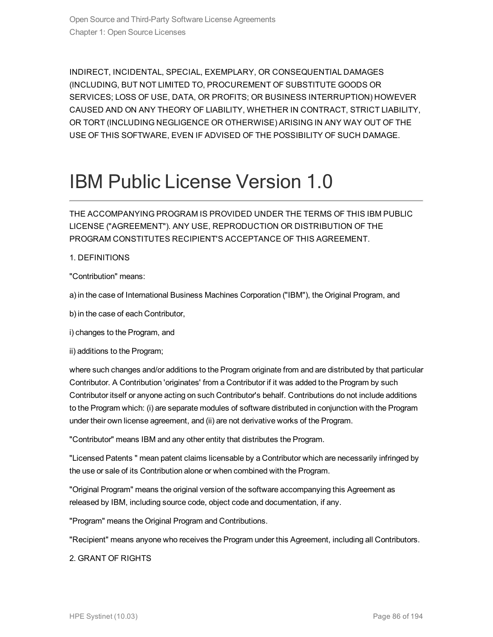INDIRECT, INCIDENTAL, SPECIAL, EXEMPLARY, OR CONSEQUENTIAL DAMAGES (INCLUDING, BUT NOT LIMITED TO, PROCUREMENT OF SUBSTITUTE GOODS OR SERVICES; LOSS OF USE, DATA, OR PROFITS; OR BUSINESS INTERRUPTION) HOWEVER CAUSED AND ON ANY THEORY OF LIABILITY, WHETHER IN CONTRACT, STRICT LIABILITY, OR TORT (INCLUDING NEGLIGENCE OR OTHERWISE) ARISING IN ANY WAY OUT OF THE USE OF THIS SOFTWARE, EVEN IF ADVISED OF THE POSSIBILITY OF SUCH DAMAGE.

### IBM Public License Version 1.0

THE ACCOMPANYING PROGRAM IS PROVIDED UNDER THE TERMS OF THIS IBM PUBLIC LICENSE ("AGREEMENT"). ANY USE, REPRODUCTION OR DISTRIBUTION OF THE PROGRAM CONSTITUTES RECIPIENT'S ACCEPTANCE OF THIS AGREEMENT.

### 1. DEFINITIONS

"Contribution" means:

a) in the case of International Business Machines Corporation ("IBM"), the Original Program, and

b) in the case of each Contributor,

i) changes to the Program, and

ii) additions to the Program;

where such changes and/or additions to the Program originate from and are distributed by that particular Contributor. A Contribution 'originates' from a Contributor if it was added to the Program by such Contributor itself or anyone acting on such Contributor's behalf. Contributions do not include additions to the Program which: (i) are separate modules of software distributed in conjunction with the Program under their own license agreement, and (ii) are not derivative works of the Program.

"Contributor" means IBM and any other entity that distributes the Program.

"Licensed Patents " mean patent claims licensable by a Contributor which are necessarily infringed by the use or sale of its Contribution alone or when combined with the Program.

"Original Program" means the original version of the software accompanying this Agreement as released by IBM, including source code, object code and documentation, if any.

"Program" means the Original Program and Contributions.

"Recipient" means anyone who receives the Program under this Agreement, including all Contributors.

2. GRANT OF RIGHTS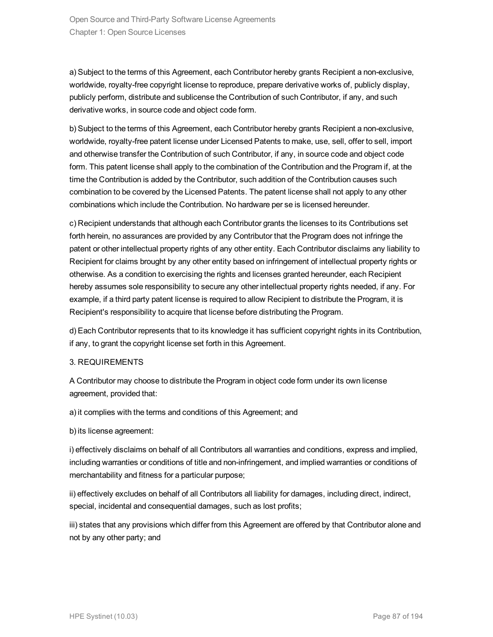a) Subject to the terms of this Agreement, each Contributor hereby grants Recipient a non-exclusive, worldwide, royalty-free copyright license to reproduce, prepare derivative works of, publicly display, publicly perform, distribute and sublicense the Contribution of such Contributor, if any, and such derivative works, in source code and object code form.

b) Subject to the terms of this Agreement, each Contributor hereby grants Recipient a non-exclusive, worldwide, royalty-free patent license under Licensed Patents to make, use, sell, offer to sell, import and otherwise transfer the Contribution of such Contributor, if any, in source code and object code form. This patent license shall apply to the combination of the Contribution and the Program if, at the time the Contribution is added by the Contributor, such addition of the Contribution causes such combination to be covered by the Licensed Patents. The patent license shall not apply to any other combinations which include the Contribution. No hardware per se is licensed hereunder.

c) Recipient understands that although each Contributor grants the licenses to its Contributions set forth herein, no assurances are provided by any Contributor that the Program does not infringe the patent or other intellectual property rights of any other entity. Each Contributor disclaims any liability to Recipient for claims brought by any other entity based on infringement of intellectual property rights or otherwise. As a condition to exercising the rights and licenses granted hereunder, each Recipient hereby assumes sole responsibility to secure any other intellectual property rights needed, if any. For example, if a third party patent license is required to allow Recipient to distribute the Program, it is Recipient's responsibility to acquire that license before distributing the Program.

d) Each Contributor represents that to its knowledge it has sufficient copyright rights in its Contribution, if any, to grant the copyright license set forth in this Agreement.

#### 3. REQUIREMENTS

A Contributor may choose to distribute the Program in object code form under its own license agreement, provided that:

a) it complies with the terms and conditions of this Agreement; and

b) its license agreement:

i) effectively disclaims on behalf of all Contributors all warranties and conditions, express and implied, including warranties or conditions of title and non-infringement, and implied warranties or conditions of merchantability and fitness for a particular purpose;

ii) effectively excludes on behalf of all Contributors all liability for damages, including direct, indirect, special, incidental and consequential damages, such as lost profits;

iii) states that any provisions which differ from this Agreement are offered by that Contributor alone and not by any other party; and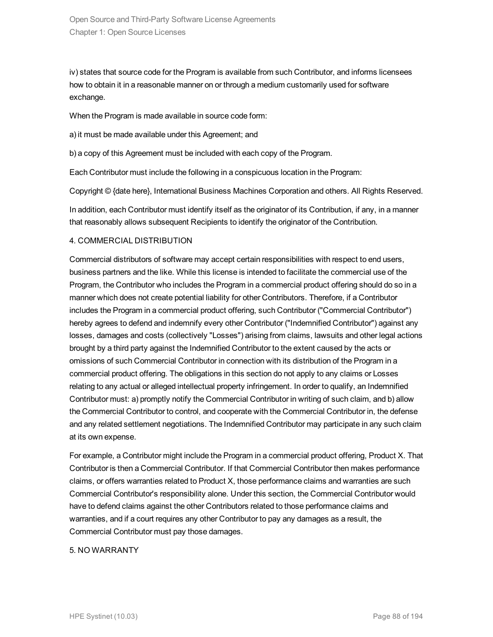iv) states that source code for the Program is available from such Contributor, and informs licensees how to obtain it in a reasonable manner on or through a medium customarily used for software exchange.

When the Program is made available in source code form:

a) it must be made available under this Agreement; and

b) a copy of this Agreement must be included with each copy of the Program.

Each Contributor must include the following in a conspicuous location in the Program:

Copyright © {date here}, International Business Machines Corporation and others. All Rights Reserved.

In addition, each Contributor must identify itself as the originator of its Contribution, if any, in a manner that reasonably allows subsequent Recipients to identify the originator of the Contribution.

#### 4. COMMERCIAL DISTRIBUTION

Commercial distributors of software may accept certain responsibilities with respect to end users, business partners and the like. While this license is intended to facilitate the commercial use of the Program, the Contributor who includes the Program in a commercial product offering should do so in a manner which does not create potential liability for other Contributors. Therefore, if a Contributor includes the Program in a commercial product offering, such Contributor ("Commercial Contributor") hereby agrees to defend and indemnify every other Contributor ("Indemnified Contributor") against any losses, damages and costs (collectively "Losses") arising from claims, lawsuits and other legal actions brought by a third party against the Indemnified Contributor to the extent caused by the acts or omissions of such Commercial Contributor in connection with its distribution of the Program in a commercial product offering. The obligations in this section do not apply to any claims or Losses relating to any actual or alleged intellectual property infringement. In order to qualify, an Indemnified Contributor must: a) promptly notify the Commercial Contributor in writing of such claim, and b) allow the Commercial Contributor to control, and cooperate with the Commercial Contributor in, the defense and any related settlement negotiations. The Indemnified Contributor may participate in any such claim at its own expense.

For example, a Contributor might include the Program in a commercial product offering, Product X. That Contributor is then a Commercial Contributor. If that Commercial Contributor then makes performance claims, or offers warranties related to Product X, those performance claims and warranties are such Commercial Contributor's responsibility alone. Under this section, the Commercial Contributor would have to defend claims against the other Contributors related to those performance claims and warranties, and if a court requires any other Contributor to pay any damages as a result, the Commercial Contributor must pay those damages.

#### 5. NO WARRANTY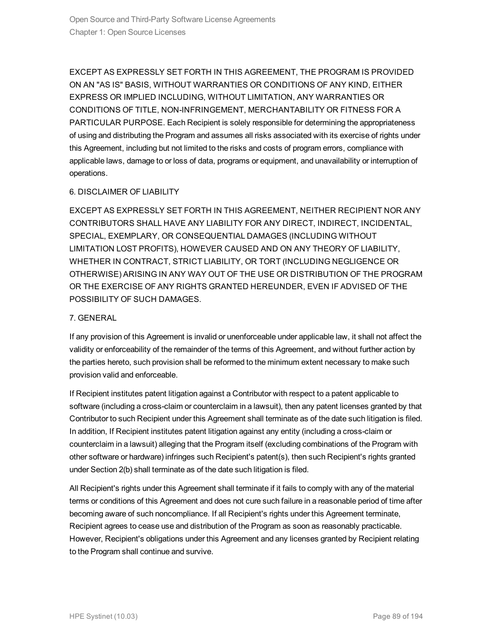EXCEPT AS EXPRESSLY SET FORTH IN THIS AGREEMENT, THE PROGRAM IS PROVIDED ON AN "AS IS" BASIS, WITHOUT WARRANTIES OR CONDITIONS OF ANY KIND, EITHER EXPRESS OR IMPLIED INCLUDING, WITHOUT LIMITATION, ANY WARRANTIES OR CONDITIONS OF TITLE, NON-INFRINGEMENT, MERCHANTABILITY OR FITNESS FOR A PARTICULAR PURPOSE. Each Recipient is solely responsible for determining the appropriateness of using and distributing the Program and assumes all risks associated with its exercise of rights under this Agreement, including but not limited to the risks and costs of program errors, compliance with applicable laws, damage to or loss of data, programs or equipment, and unavailability or interruption of operations.

### 6. DISCLAIMER OF LIABILITY

EXCEPT AS EXPRESSLY SET FORTH IN THIS AGREEMENT, NEITHER RECIPIENT NOR ANY CONTRIBUTORS SHALL HAVE ANY LIABILITY FOR ANY DIRECT, INDIRECT, INCIDENTAL, SPECIAL, EXEMPLARY, OR CONSEQUENTIAL DAMAGES (INCLUDING WITHOUT LIMITATION LOST PROFITS), HOWEVER CAUSED AND ON ANY THEORY OF LIABILITY, WHETHER IN CONTRACT, STRICT LIABILITY, OR TORT (INCLUDING NEGLIGENCE OR OTHERWISE) ARISING IN ANY WAY OUT OF THE USE OR DISTRIBUTION OF THE PROGRAM OR THE EXERCISE OF ANY RIGHTS GRANTED HEREUNDER, EVEN IF ADVISED OF THE POSSIBILITY OF SUCH DAMAGES.

### 7. GENERAL

If any provision of this Agreement is invalid or unenforceable under applicable law, it shall not affect the validity or enforceability of the remainder of the terms of this Agreement, and without further action by the parties hereto, such provision shall be reformed to the minimum extent necessary to make such provision valid and enforceable.

If Recipient institutes patent litigation against a Contributor with respect to a patent applicable to software (including a cross-claim or counterclaim in a lawsuit), then any patent licenses granted by that Contributor to such Recipient under this Agreement shall terminate as of the date such litigation is filed. In addition, If Recipient institutes patent litigation against any entity (including a cross-claim or counterclaim in a lawsuit) alleging that the Program itself (excluding combinations of the Program with other software or hardware) infringes such Recipient's patent(s), then such Recipient's rights granted under Section 2(b) shall terminate as of the date such litigation is filed.

All Recipient's rights under this Agreement shall terminate if it fails to comply with any of the material terms or conditions of this Agreement and does not cure such failure in a reasonable period of time after becoming aware of such noncompliance. If all Recipient's rights under this Agreement terminate, Recipient agrees to cease use and distribution of the Program as soon as reasonably practicable. However, Recipient's obligations under this Agreement and any licenses granted by Recipient relating to the Program shall continue and survive.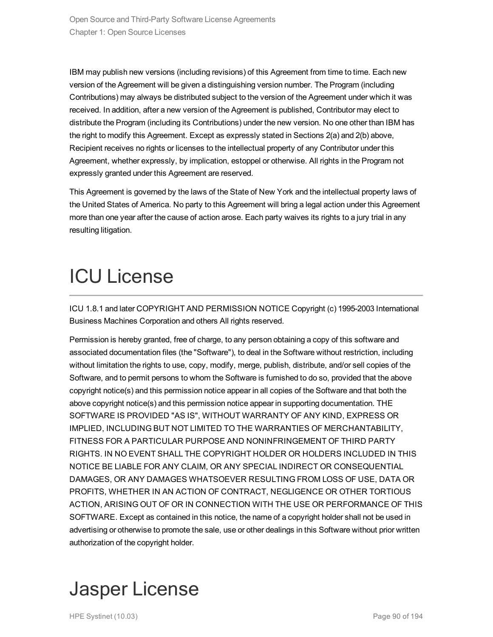IBM may publish new versions (including revisions) of this Agreement from time to time. Each new version of the Agreement will be given a distinguishing version number. The Program (including Contributions) may always be distributed subject to the version of the Agreement under which it was received. In addition, after a new version of the Agreement is published, Contributor may elect to distribute the Program (including its Contributions) under the new version. No one other than IBM has the right to modify this Agreement. Except as expressly stated in Sections 2(a) and 2(b) above, Recipient receives no rights or licenses to the intellectual property of any Contributor under this Agreement, whether expressly, by implication, estoppel or otherwise. All rights in the Program not expressly granted under this Agreement are reserved.

This Agreement is governed by the laws of the State of New York and the intellectual property laws of the United States of America. No party to this Agreement will bring a legal action under this Agreement more than one year after the cause of action arose. Each party waives its rights to a jury trial in any resulting litigation.

# ICU License

ICU 1.8.1 and later COPYRIGHT AND PERMISSION NOTICE Copyright (c) 1995-2003 International Business Machines Corporation and others All rights reserved.

Permission is hereby granted, free of charge, to any person obtaining a copy of this software and associated documentation files (the "Software"), to deal in the Software without restriction, including without limitation the rights to use, copy, modify, merge, publish, distribute, and/or sell copies of the Software, and to permit persons to whom the Software is furnished to do so, provided that the above copyright notice(s) and this permission notice appear in all copies of the Software and that both the above copyright notice(s) and this permission notice appear in supporting documentation. THE SOFTWARE IS PROVIDED "AS IS", WITHOUT WARRANTY OF ANY KIND, EXPRESS OR IMPLIED, INCLUDING BUT NOT LIMITED TO THE WARRANTIES OF MERCHANTABILITY, FITNESS FOR A PARTICULAR PURPOSE AND NONINFRINGEMENT OF THIRD PARTY RIGHTS. IN NO EVENT SHALL THE COPYRIGHT HOLDER OR HOLDERS INCLUDED IN THIS NOTICE BE LIABLE FOR ANY CLAIM, OR ANY SPECIAL INDIRECT OR CONSEQUENTIAL DAMAGES, OR ANY DAMAGES WHATSOEVER RESULTING FROM LOSS OF USE, DATA OR PROFITS, WHETHER IN AN ACTION OF CONTRACT, NEGLIGENCE OR OTHER TORTIOUS ACTION, ARISING OUT OF OR IN CONNECTION WITH THE USE OR PERFORMANCE OF THIS SOFTWARE. Except as contained in this notice, the name of a copyright holder shall not be used in advertising or otherwise to promote the sale, use or other dealings in this Software without prior written authorization of the copyright holder.

### Jasper License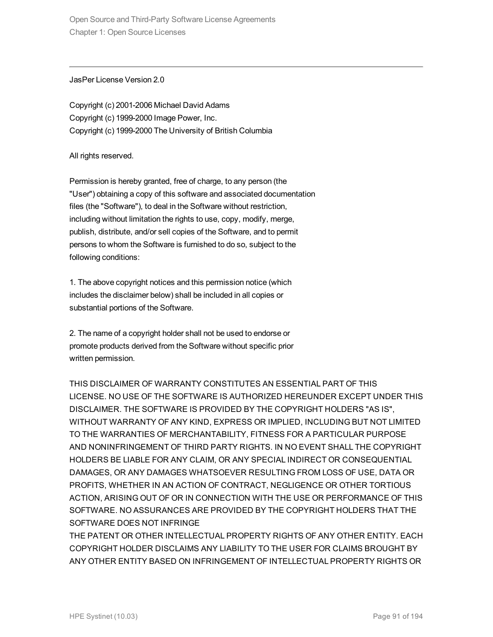JasPer License Version 2.0

Copyright (c) 2001-2006 Michael David Adams Copyright (c) 1999-2000 Image Power, Inc. Copyright (c) 1999-2000 The University of British Columbia

All rights reserved.

Permission is hereby granted, free of charge, to any person (the "User") obtaining a copy of this software and associated documentation files (the "Software"), to deal in the Software without restriction, including without limitation the rights to use, copy, modify, merge, publish, distribute, and/or sell copies of the Software, and to permit persons to whom the Software is furnished to do so, subject to the following conditions:

1. The above copyright notices and this permission notice (which includes the disclaimer below) shall be included in all copies or substantial portions of the Software.

2. The name of a copyright holder shall not be used to endorse or promote products derived from the Software without specific prior written permission.

THIS DISCLAIMER OF WARRANTY CONSTITUTES AN ESSENTIAL PART OF THIS LICENSE. NO USE OF THE SOFTWARE IS AUTHORIZED HEREUNDER EXCEPT UNDER THIS DISCLAIMER. THE SOFTWARE IS PROVIDED BY THE COPYRIGHT HOLDERS "AS IS", WITHOUT WARRANTY OF ANY KIND, EXPRESS OR IMPLIED, INCLUDING BUT NOT LIMITED TO THE WARRANTIES OF MERCHANTABILITY, FITNESS FOR A PARTICULAR PURPOSE AND NONINFRINGEMENT OF THIRD PARTY RIGHTS. IN NO EVENT SHALL THE COPYRIGHT HOLDERS BE LIABLE FOR ANY CLAIM, OR ANY SPECIAL INDIRECT OR CONSEQUENTIAL DAMAGES, OR ANY DAMAGES WHATSOEVER RESULTING FROM LOSS OF USE, DATA OR PROFITS, WHETHER IN AN ACTION OF CONTRACT, NEGLIGENCE OR OTHER TORTIOUS ACTION, ARISING OUT OF OR IN CONNECTION WITH THE USE OR PERFORMANCE OF THIS SOFTWARE. NO ASSURANCES ARE PROVIDED BY THE COPYRIGHT HOLDERS THAT THE SOFTWARE DOES NOT INFRINGE

THE PATENT OR OTHER INTELLECTUAL PROPERTY RIGHTS OF ANY OTHER ENTITY. EACH COPYRIGHT HOLDER DISCLAIMS ANY LIABILITY TO THE USER FOR CLAIMS BROUGHT BY ANY OTHER ENTITY BASED ON INFRINGEMENT OF INTELLECTUAL PROPERTY RIGHTS OR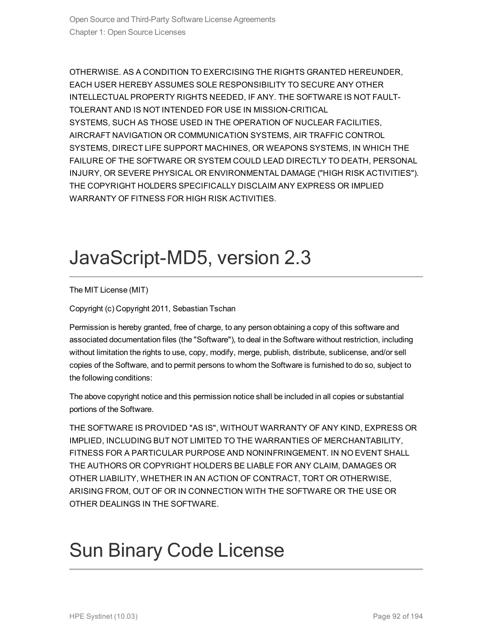OTHERWISE. AS A CONDITION TO EXERCISING THE RIGHTS GRANTED HEREUNDER, EACH USER HEREBY ASSUMES SOLE RESPONSIBILITY TO SECURE ANY OTHER INTELLECTUAL PROPERTY RIGHTS NEEDED, IF ANY. THE SOFTWARE IS NOT FAULT-TOLERANT AND IS NOT INTENDED FOR USE IN MISSION-CRITICAL SYSTEMS, SUCH AS THOSE USED IN THE OPERATION OF NUCLEAR FACILITIES, AIRCRAFT NAVIGATION OR COMMUNICATION SYSTEMS, AIR TRAFFIC CONTROL SYSTEMS, DIRECT LIFE SUPPORT MACHINES, OR WEAPONS SYSTEMS, IN WHICH THE FAILURE OF THE SOFTWARE OR SYSTEM COULD LEAD DIRECTLY TO DEATH, PERSONAL INJURY, OR SEVERE PHYSICAL OR ENVIRONMENTAL DAMAGE ("HIGH RISK ACTIVITIES"). THE COPYRIGHT HOLDERS SPECIFICALLY DISCLAIM ANY EXPRESS OR IMPLIED WARRANTY OF FITNESS FOR HIGH RISK ACTIVITIES.

### JavaScript-MD5, version 2.3

The MIT License (MIT)

Copyright (c) Copyright 2011, Sebastian Tschan

Permission is hereby granted, free of charge, to any person obtaining a copy of this software and associated documentation files (the "Software"), to deal in the Software without restriction, including without limitation the rights to use, copy, modify, merge, publish, distribute, sublicense, and/or sell copies of the Software, and to permit persons to whom the Software is furnished to do so, subject to the following conditions:

The above copyright notice and this permission notice shall be included in all copies or substantial portions of the Software.

THE SOFTWARE IS PROVIDED "AS IS", WITHOUT WARRANTY OF ANY KIND, EXPRESS OR IMPLIED, INCLUDING BUT NOT LIMITED TO THE WARRANTIES OF MERCHANTABILITY, FITNESS FOR A PARTICULAR PURPOSE AND NONINFRINGEMENT. IN NO EVENT SHALL THE AUTHORS OR COPYRIGHT HOLDERS BE LIABLE FOR ANY CLAIM, DAMAGES OR OTHER LIABILITY, WHETHER IN AN ACTION OF CONTRACT, TORT OR OTHERWISE, ARISING FROM, OUT OF OR IN CONNECTION WITH THE SOFTWARE OR THE USE OR OTHER DEALINGS IN THE SOFTWARE.

### Sun Binary Code License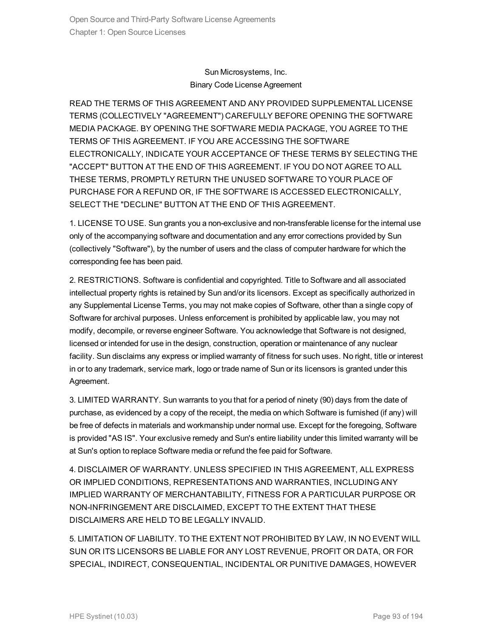Sun Microsystems, Inc. Binary Code License Agreement

READ THE TERMS OF THIS AGREEMENT AND ANY PROVIDED SUPPLEMENTAL LICENSE TERMS (COLLECTIVELY "AGREEMENT") CAREFULLY BEFORE OPENING THE SOFTWARE MEDIA PACKAGE. BY OPENING THE SOFTWARE MEDIA PACKAGE, YOU AGREE TO THE TERMS OF THIS AGREEMENT. IF YOU ARE ACCESSING THE SOFTWARE ELECTRONICALLY, INDICATE YOUR ACCEPTANCE OF THESE TERMS BY SELECTING THE "ACCEPT" BUTTON AT THE END OF THIS AGREEMENT. IF YOU DO NOT AGREE TO ALL THESE TERMS, PROMPTLY RETURN THE UNUSED SOFTWARE TO YOUR PLACE OF PURCHASE FOR A REFUND OR, IF THE SOFTWARE IS ACCESSED ELECTRONICALLY, SELECT THE "DECLINE" BUTTON AT THE END OF THIS AGREEMENT.

1. LICENSE TO USE. Sun grants you a non-exclusive and non-transferable license for the internal use only of the accompanying software and documentation and any error corrections provided by Sun (collectively "Software"), by the number of users and the class of computer hardware for which the corresponding fee has been paid.

2. RESTRICTIONS. Software is confidential and copyrighted. Title to Software and all associated intellectual property rights is retained by Sun and/or its licensors. Except as specifically authorized in any Supplemental License Terms, you may not make copies of Software, other than a single copy of Software for archival purposes. Unless enforcement is prohibited by applicable law, you may not modify, decompile, or reverse engineer Software. You acknowledge that Software is not designed, licensed or intended for use in the design, construction, operation or maintenance of any nuclear facility. Sun disclaims any express or implied warranty of fitness for such uses. No right, title or interest in or to any trademark, service mark, logo or trade name of Sun or its licensors is granted under this Agreement.

3. LIMITED WARRANTY. Sun warrants to you that for a period of ninety (90) days from the date of purchase, as evidenced by a copy of the receipt, the media on which Software is furnished (if any) will be free of defects in materials and workmanship under normal use. Except for the foregoing, Software is provided "AS IS". Your exclusive remedy and Sun's entire liability under this limited warranty will be at Sun's option to replace Software media or refund the fee paid for Software.

4. DISCLAIMER OF WARRANTY. UNLESS SPECIFIED IN THIS AGREEMENT, ALL EXPRESS OR IMPLIED CONDITIONS, REPRESENTATIONS AND WARRANTIES, INCLUDING ANY IMPLIED WARRANTY OF MERCHANTABILITY, FITNESS FOR A PARTICULAR PURPOSE OR NON-INFRINGEMENT ARE DISCLAIMED, EXCEPT TO THE EXTENT THAT THESE DISCLAIMERS ARE HELD TO BE LEGALLY INVALID.

5. LIMITATION OF LIABILITY. TO THE EXTENT NOT PROHIBITED BY LAW, IN NO EVENT WILL SUN OR ITS LICENSORS BE LIABLE FOR ANY LOST REVENUE, PROFIT OR DATA, OR FOR SPECIAL, INDIRECT, CONSEQUENTIAL, INCIDENTAL OR PUNITIVE DAMAGES, HOWEVER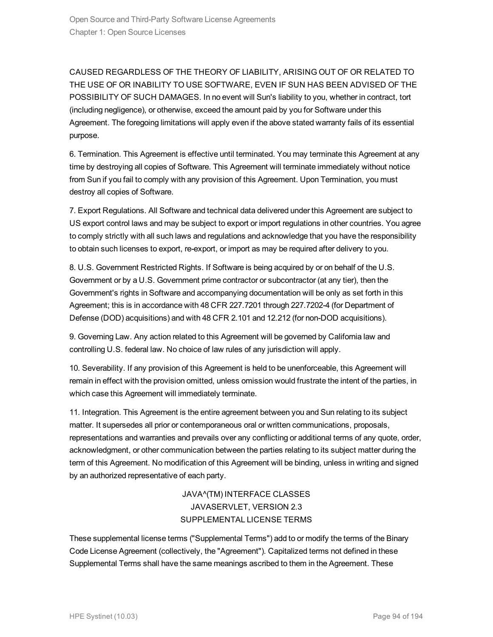CAUSED REGARDLESS OF THE THEORY OF LIABILITY, ARISING OUT OF OR RELATED TO THE USE OF OR INABILITY TO USE SOFTWARE, EVEN IF SUN HAS BEEN ADVISED OF THE POSSIBILITY OF SUCH DAMAGES. In no event will Sun's liability to you, whether in contract, tort (including negligence), or otherwise, exceed the amount paid by you for Software under this Agreement. The foregoing limitations will apply even if the above stated warranty fails of its essential purpose.

6. Termination. This Agreement is effective until terminated. You may terminate this Agreement at any time by destroying all copies of Software. This Agreement will terminate immediately without notice from Sun if you fail to comply with any provision of this Agreement. Upon Termination, you must destroy all copies of Software.

7. Export Regulations. All Software and technical data delivered under this Agreement are subject to US export control laws and may be subject to export or import regulations in other countries. You agree to comply strictly with all such laws and regulations and acknowledge that you have the responsibility to obtain such licenses to export, re-export, or import as may be required after delivery to you.

8. U.S. Government Restricted Rights. If Software is being acquired by or on behalf of the U.S. Government or by a U.S. Government prime contractor or subcontractor (at any tier), then the Government's rights in Software and accompanying documentation will be only as set forth in this Agreement; this is in accordance with 48 CFR 227.7201 through 227.7202-4 (for Department of Defense (DOD) acquisitions) and with 48 CFR 2.101 and 12.212 (for non-DOD acquisitions).

9. Governing Law. Any action related to this Agreement will be governed by California law and controlling U.S. federal law. No choice of law rules of any jurisdiction will apply.

10. Severability. If any provision of this Agreement is held to be unenforceable, this Agreement will remain in effect with the provision omitted, unless omission would frustrate the intent of the parties, in which case this Agreement will immediately terminate.

11. Integration. This Agreement is the entire agreement between you and Sun relating to its subject matter. It supersedes all prior or contemporaneous oral or written communications, proposals, representations and warranties and prevails over any conflicting or additional terms of any quote, order, acknowledgment, or other communication between the parties relating to its subject matter during the term of this Agreement. No modification of this Agreement will be binding, unless in writing and signed by an authorized representative of each party.

> JAVA^(TM) INTERFACE CLASSES JAVASERVLET, VERSION 2.3 SUPPLEMENTAL LICENSE TERMS

These supplemental license terms ("Supplemental Terms") add to or modify the terms of the Binary Code License Agreement (collectively, the "Agreement"). Capitalized terms not defined in these Supplemental Terms shall have the same meanings ascribed to them in the Agreement. These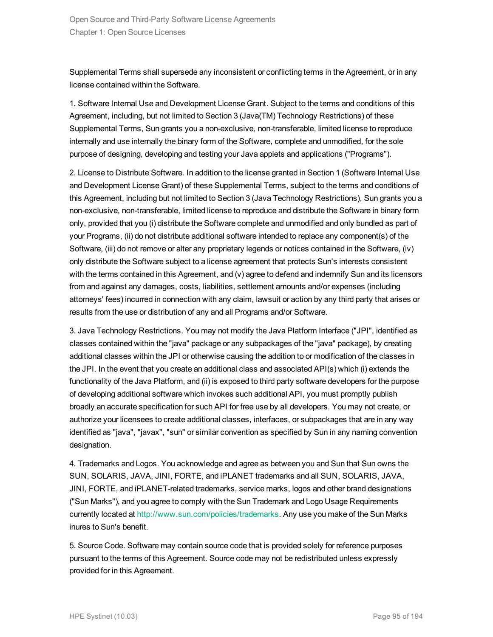Supplemental Terms shall supersede any inconsistent or conflicting terms in the Agreement, or in any license contained within the Software.

1. Software Internal Use and Development License Grant. Subject to the terms and conditions of this Agreement, including, but not limited to Section 3 (Java(TM) Technology Restrictions) of these Supplemental Terms, Sun grants you a non-exclusive, non-transferable, limited license to reproduce internally and use internally the binary form of the Software, complete and unmodified, for the sole purpose of designing, developing and testing your Java applets and applications ("Programs").

2. License to Distribute Software. In addition to the license granted in Section 1 (Software Internal Use and Development License Grant) of these Supplemental Terms, subject to the terms and conditions of this Agreement, including but not limited to Section 3 (Java Technology Restrictions), Sun grants you a non-exclusive, non-transferable, limited license to reproduce and distribute the Software in binary form only, provided that you (i) distribute the Software complete and unmodified and only bundled as part of your Programs, (ii) do not distribute additional software intended to replace any component(s) of the Software, (iii) do not remove or alter any proprietary legends or notices contained in the Software, (iv) only distribute the Software subject to a license agreement that protects Sun's interests consistent with the terms contained in this Agreement, and (v) agree to defend and indemnify Sun and its licensors from and against any damages, costs, liabilities, settlement amounts and/or expenses (including attorneys' fees) incurred in connection with any claim, lawsuit or action by any third party that arises or results from the use or distribution of any and all Programs and/or Software.

3. Java Technology Restrictions. You may not modify the Java Platform Interface ("JPI", identified as classes contained within the "java" package or any subpackages of the "java" package), by creating additional classes within the JPI or otherwise causing the addition to or modification of the classes in the JPI. In the event that you create an additional class and associated API(s) which (i) extends the functionality of the Java Platform, and (ii) is exposed to third party software developers for the purpose of developing additional software which invokes such additional API, you must promptly publish broadly an accurate specification for such API for free use by all developers. You may not create, or authorize your licensees to create additional classes, interfaces, or subpackages that are in any way identified as "java", "javax", "sun" or similar convention as specified by Sun in any naming convention designation.

4. Trademarks and Logos. You acknowledge and agree as between you and Sun that Sun owns the SUN, SOLARIS, JAVA, JINI, FORTE, and iPLANET trademarks and all SUN, SOLARIS, JAVA, JINI, FORTE, and iPLANET-related trademarks, service marks, logos and other brand designations ("Sun Marks"), and you agree to comply with the Sun Trademark and Logo Usage Requirements currently located at <http://www.sun.com/policies/trademarks>. Any use you make of the Sun Marks inures to Sun's benefit.

5. Source Code. Software may contain source code that is provided solely for reference purposes pursuant to the terms of this Agreement. Source code may not be redistributed unless expressly provided for in this Agreement.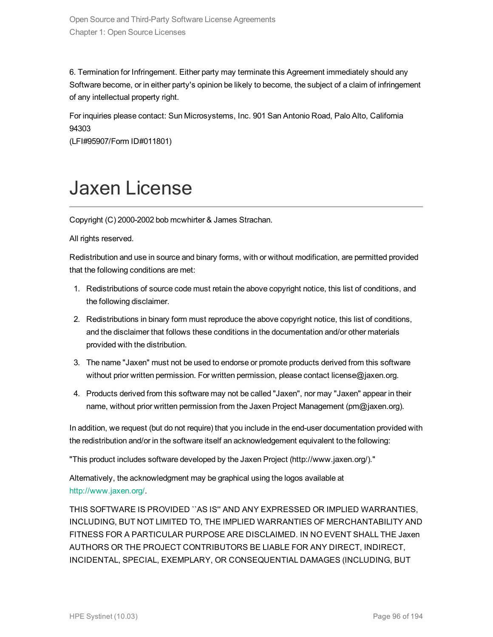6. Termination for Infringement. Either party may terminate this Agreement immediately should any Software become, or in either party's opinion be likely to become, the subject of a claim of infringement of any intellectual property right.

For inquiries please contact: Sun Microsystems, Inc. 901 San Antonio Road, Palo Alto, California 94303

(LFI#95907/Form ID#011801)

### Jaxen License

Copyright (C) 2000-2002 bob mcwhirter & James Strachan.

#### All rights reserved.

Redistribution and use in source and binary forms, with or without modification, are permitted provided that the following conditions are met:

- 1. Redistributions of source code must retain the above copyright notice, this list of conditions, and the following disclaimer.
- 2. Redistributions in binary form must reproduce the above copyright notice, this list of conditions, and the disclaimer that follows these conditions in the documentation and/or other materials provided with the distribution.
- 3. The name "Jaxen" must not be used to endorse or promote products derived from this software without prior written permission. For written permission, please contact license@jaxen.org.
- 4. Products derived from this software may not be called "Jaxen", nor may "Jaxen" appear in their name, without prior written permission from the Jaxen Project Management (pm@jaxen.org).

In addition, we request (but do not require) that you include in the end-user documentation provided with the redistribution and/or in the software itself an acknowledgement equivalent to the following:

"This product includes software developed by the Jaxen Project (http://www.jaxen.org/)."

Alternatively, the acknowledgment may be graphical using the logos available at <http://www.jaxen.org/>.

THIS SOFTWARE IS PROVIDED ``AS IS'' AND ANY EXPRESSED OR IMPLIED WARRANTIES, INCLUDING, BUT NOT LIMITED TO, THE IMPLIED WARRANTIES OF MERCHANTABILITY AND FITNESS FOR A PARTICULAR PURPOSE ARE DISCLAIMED. IN NO EVENT SHALL THE Jaxen AUTHORS OR THE PROJECT CONTRIBUTORS BE LIABLE FOR ANY DIRECT, INDIRECT, INCIDENTAL, SPECIAL, EXEMPLARY, OR CONSEQUENTIAL DAMAGES (INCLUDING, BUT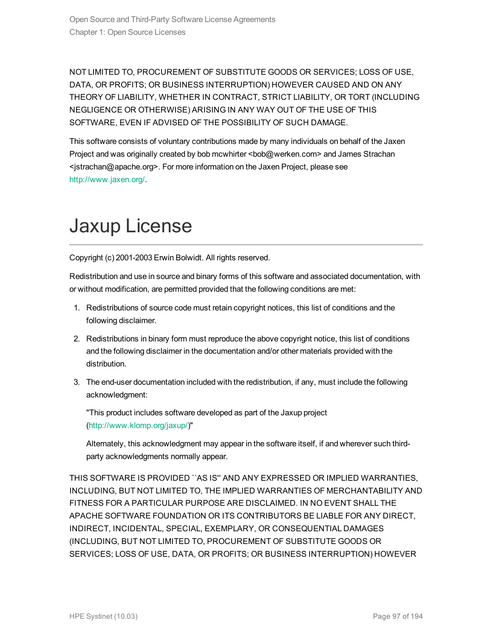NOT LIMITED TO, PROCUREMENT OF SUBSTITUTE GOODS OR SERVICES; LOSS OF USE, DATA, OR PROFITS; OR BUSINESS INTERRUPTION) HOWEVER CAUSED AND ON ANY THEORY OF LIABILITY, WHETHER IN CONTRACT, STRICT LIABILITY, OR TORT (INCLUDING NEGLIGENCE OR OTHERWISE) ARISING IN ANY WAY OUT OF THE USE OF THIS SOFTWARE, EVEN IF ADVISED OF THE POSSIBILITY OF SUCH DAMAGE.

This software consists of voluntary contributions made by many individuals on behalf of the Jaxen Project and was originally created by bob mcwhirter <bob@werken.com> and James Strachan <jstrachan@apache.org>. For more information on the Jaxen Project, please see <http://www.jaxen.org/>.

### Jaxup License

Copyright (c) 2001-2003 Erwin Bolwidt. All rights reserved.

Redistribution and use in source and binary forms of this software and associated documentation, with or without modification, are permitted provided that the following conditions are met:

- 1. Redistributions of source code must retain copyright notices, this list of conditions and the following disclaimer.
- 2. Redistributions in binary form must reproduce the above copyright notice, this list of conditions and the following disclaimer in the documentation and/or other materials provided with the distribution.
- 3. The end-user documentation included with the redistribution, if any, must include the following acknowledgment:

"This product includes software developed as part of the Jaxup project [\(http://www.klomp.org/jaxup/](http://www.klomp.org/jaxup/))"

Alternately, this acknowledgment may appear in the software itself, if and wherever such thirdparty acknowledgments normally appear.

THIS SOFTWARE IS PROVIDED ``AS IS'' AND ANY EXPRESSED OR IMPLIED WARRANTIES, INCLUDING, BUT NOT LIMITED TO, THE IMPLIED WARRANTIES OF MERCHANTABILITY AND FITNESS FOR A PARTICULAR PURPOSE ARE DISCLAIMED. IN NO EVENT SHALL THE APACHE SOFTWARE FOUNDATION OR ITS CONTRIBUTORS BE LIABLE FOR ANY DIRECT, INDIRECT, INCIDENTAL, SPECIAL, EXEMPLARY, OR CONSEQUENTIAL DAMAGES (INCLUDING, BUT NOT LIMITED TO, PROCUREMENT OF SUBSTITUTE GOODS OR SERVICES; LOSS OF USE, DATA, OR PROFITS; OR BUSINESS INTERRUPTION) HOWEVER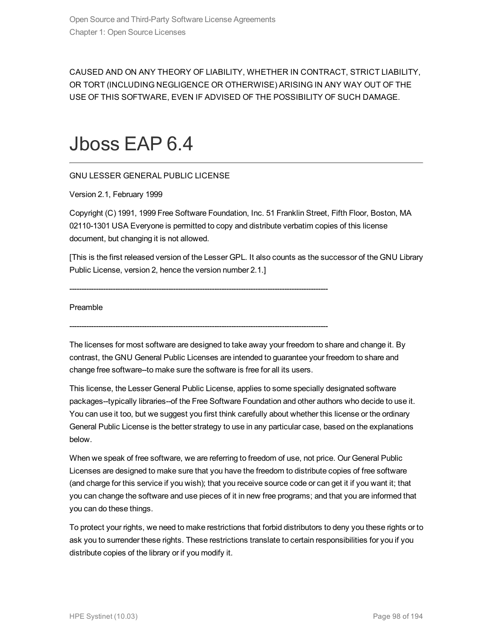CAUSED AND ON ANY THEORY OF LIABILITY, WHETHER IN CONTRACT, STRICT LIABILITY, OR TORT (INCLUDING NEGLIGENCE OR OTHERWISE) ARISING IN ANY WAY OUT OF THE USE OF THIS SOFTWARE, EVEN IF ADVISED OF THE POSSIBILITY OF SUCH DAMAGE.

### Jboss EAP 6.4

#### GNU LESSER GENERAL PUBLIC LICENSE

Version 2.1, February 1999

Copyright (C) 1991, 1999 Free Software Foundation, Inc. 51 Franklin Street, Fifth Floor, Boston, MA 02110-1301 USA Everyone is permitted to copy and distribute verbatim copies of this license document, but changing it is not allowed.

[This is the first released version of the Lesser GPL. It also counts as the successor of the GNU Library Public License, version 2, hence the version number 2.1.]

Preamble

The licenses for most software are designed to take away your freedom to share and change it. By contrast, the GNU General Public Licenses are intended to guarantee your freedom to share and change free software--to make sure the software is free for all its users.

-----------------------------------------------------------------------------------------------------------

-----------------------------------------------------------------------------------------------------------

This license, the Lesser General Public License, applies to some specially designated software packages--typically libraries--of the Free Software Foundation and other authors who decide to use it. You can use it too, but we suggest you first think carefully about whether this license or the ordinary General Public License is the better strategy to use in any particular case, based on the explanations below.

When we speak of free software, we are referring to freedom of use, not price. Our General Public Licenses are designed to make sure that you have the freedom to distribute copies of free software (and charge for this service if you wish); that you receive source code or can get it if you want it; that you can change the software and use pieces of it in new free programs; and that you are informed that you can do these things.

To protect your rights, we need to make restrictions that forbid distributors to deny you these rights or to ask you to surrender these rights. These restrictions translate to certain responsibilities for you if you distribute copies of the library or if you modify it.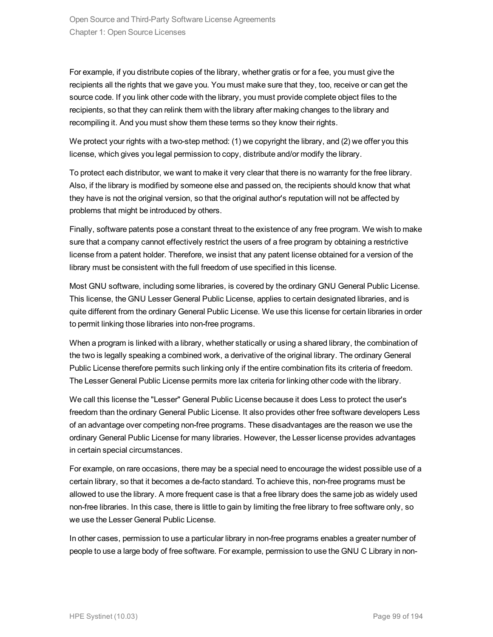For example, if you distribute copies of the library, whether gratis or for a fee, you must give the recipients all the rights that we gave you. You must make sure that they, too, receive or can get the source code. If you link other code with the library, you must provide complete object files to the recipients, so that they can relink them with the library after making changes to the library and recompiling it. And you must show them these terms so they know their rights.

We protect your rights with a two-step method: (1) we copyright the library, and (2) we offer you this license, which gives you legal permission to copy, distribute and/or modify the library.

To protect each distributor, we want to make it very clear that there is no warranty for the free library. Also, if the library is modified by someone else and passed on, the recipients should know that what they have is not the original version, so that the original author's reputation will not be affected by problems that might be introduced by others.

Finally, software patents pose a constant threat to the existence of any free program. We wish to make sure that a company cannot effectively restrict the users of a free program by obtaining a restrictive license from a patent holder. Therefore, we insist that any patent license obtained for a version of the library must be consistent with the full freedom of use specified in this license.

Most GNU software, including some libraries, is covered by the ordinary GNU General Public License. This license, the GNU Lesser General Public License, applies to certain designated libraries, and is quite different from the ordinary General Public License. We use this license for certain libraries in order to permit linking those libraries into non-free programs.

When a program is linked with a library, whether statically or using a shared library, the combination of the two is legally speaking a combined work, a derivative of the original library. The ordinary General Public License therefore permits such linking only if the entire combination fits its criteria of freedom. The Lesser General Public License permits more lax criteria for linking other code with the library.

We call this license the "Lesser" General Public License because it does Less to protect the user's freedom than the ordinary General Public License. It also provides other free software developers Less of an advantage over competing non-free programs. These disadvantages are the reason we use the ordinary General Public License for many libraries. However, the Lesser license provides advantages in certain special circumstances.

For example, on rare occasions, there may be a special need to encourage the widest possible use of a certain library, so that it becomes a de-facto standard. To achieve this, non-free programs must be allowed to use the library. A more frequent case is that a free library does the same job as widely used non-free libraries. In this case, there is little to gain by limiting the free library to free software only, so we use the Lesser General Public License.

In other cases, permission to use a particular library in non-free programs enables a greater number of people to use a large body of free software. For example, permission to use the GNU C Library in non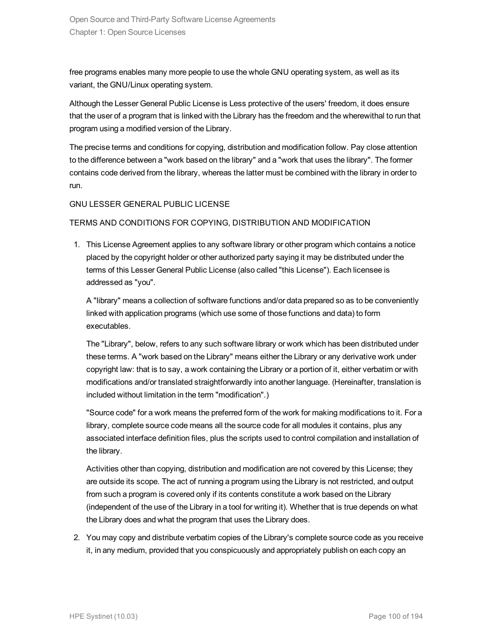free programs enables many more people to use the whole GNU operating system, as well as its variant, the GNU/Linux operating system.

Although the Lesser General Public License is Less protective of the users' freedom, it does ensure that the user of a program that is linked with the Library has the freedom and the wherewithal to run that program using a modified version of the Library.

The precise terms and conditions for copying, distribution and modification follow. Pay close attention to the difference between a "work based on the library" and a "work that uses the library". The former contains code derived from the library, whereas the latter must be combined with the library in order to run.

### GNU LESSER GENERAL PUBLIC LICENSE

### TERMS AND CONDITIONS FOR COPYING, DISTRIBUTION AND MODIFICATION

1. This License Agreement applies to any software library or other program which contains a notice placed by the copyright holder or other authorized party saying it may be distributed under the terms of this Lesser General Public License (also called "this License"). Each licensee is addressed as "you".

A "library" means a collection of software functions and/or data prepared so as to be conveniently linked with application programs (which use some of those functions and data) to form executables.

The "Library", below, refers to any such software library or work which has been distributed under these terms. A "work based on the Library" means either the Library or any derivative work under copyright law: that is to say, a work containing the Library or a portion of it, either verbatim or with modifications and/or translated straightforwardly into another language. (Hereinafter, translation is included without limitation in the term "modification".)

"Source code" for a work means the preferred form of the work for making modifications to it. For a library, complete source code means all the source code for all modules it contains, plus any associated interface definition files, plus the scripts used to control compilation and installation of the library.

Activities other than copying, distribution and modification are not covered by this License; they are outside its scope. The act of running a program using the Library is not restricted, and output from such a program is covered only if its contents constitute a work based on the Library (independent of the use of the Library in a tool for writing it). Whether that is true depends on what the Library does and what the program that uses the Library does.

2. You may copy and distribute verbatim copies of the Library's complete source code as you receive it, in any medium, provided that you conspicuously and appropriately publish on each copy an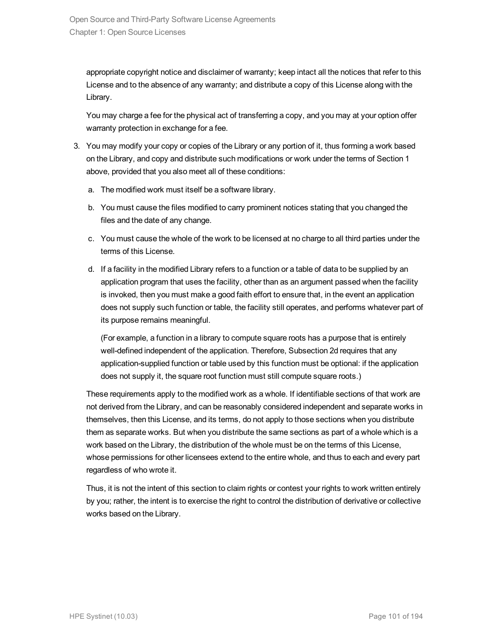appropriate copyright notice and disclaimer of warranty; keep intact all the notices that refer to this License and to the absence of any warranty; and distribute a copy of this License along with the Library.

You may charge a fee for the physical act of transferring a copy, and you may at your option offer warranty protection in exchange for a fee.

- 3. You may modify your copy or copies of the Library or any portion of it, thus forming a work based on the Library, and copy and distribute such modifications or work under the terms of Section 1 above, provided that you also meet all of these conditions:
	- a. The modified work must itself be a software library.
	- b. You must cause the files modified to carry prominent notices stating that you changed the files and the date of any change.
	- c. You must cause the whole of the work to be licensed at no charge to all third parties under the terms of this License.
	- d. If a facility in the modified Library refers to a function or a table of data to be supplied by an application program that uses the facility, other than as an argument passed when the facility is invoked, then you must make a good faith effort to ensure that, in the event an application does not supply such function or table, the facility still operates, and performs whatever part of its purpose remains meaningful.

(For example, a function in a library to compute square roots has a purpose that is entirely well-defined independent of the application. Therefore, Subsection 2d requires that any application-supplied function or table used by this function must be optional: if the application does not supply it, the square root function must still compute square roots.)

These requirements apply to the modified work as a whole. If identifiable sections of that work are not derived from the Library, and can be reasonably considered independent and separate works in themselves, then this License, and its terms, do not apply to those sections when you distribute them as separate works. But when you distribute the same sections as part of a whole which is a work based on the Library, the distribution of the whole must be on the terms of this License, whose permissions for other licensees extend to the entire whole, and thus to each and every part regardless of who wrote it.

Thus, it is not the intent of this section to claim rights or contest your rights to work written entirely by you; rather, the intent is to exercise the right to control the distribution of derivative or collective works based on the Library.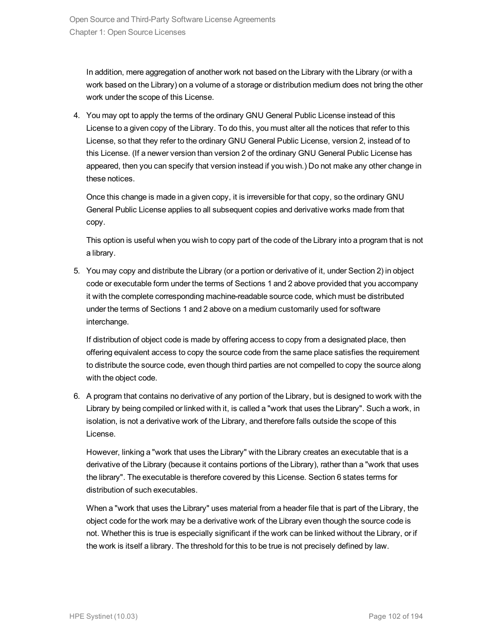In addition, mere aggregation of another work not based on the Library with the Library (or with a work based on the Library) on a volume of a storage or distribution medium does not bring the other work under the scope of this License.

4. You may opt to apply the terms of the ordinary GNU General Public License instead of this License to a given copy of the Library. To do this, you must alter all the notices that refer to this License, so that they refer to the ordinary GNU General Public License, version 2, instead of to this License. (If a newer version than version 2 of the ordinary GNU General Public License has appeared, then you can specify that version instead if you wish.) Do not make any other change in these notices.

Once this change is made in a given copy, it is irreversible for that copy, so the ordinary GNU General Public License applies to all subsequent copies and derivative works made from that copy.

This option is useful when you wish to copy part of the code of the Library into a program that is not a library.

5. You may copy and distribute the Library (or a portion or derivative of it, under Section 2) in object code or executable form under the terms of Sections 1 and 2 above provided that you accompany it with the complete corresponding machine-readable source code, which must be distributed under the terms of Sections 1 and 2 above on a medium customarily used for software interchange.

If distribution of object code is made by offering access to copy from a designated place, then offering equivalent access to copy the source code from the same place satisfies the requirement to distribute the source code, even though third parties are not compelled to copy the source along with the object code.

6. A program that contains no derivative of any portion of the Library, but is designed to work with the Library by being compiled or linked with it, is called a "work that uses the Library". Such a work, in isolation, is not a derivative work of the Library, and therefore falls outside the scope of this License.

However, linking a "work that uses the Library" with the Library creates an executable that is a derivative of the Library (because it contains portions of the Library), rather than a "work that uses the library". The executable is therefore covered by this License. Section 6 states terms for distribution of such executables.

When a "work that uses the Library" uses material from a header file that is part of the Library, the object code for the work may be a derivative work of the Library even though the source code is not. Whether this is true is especially significant if the work can be linked without the Library, or if the work is itself a library. The threshold for this to be true is not precisely defined by law.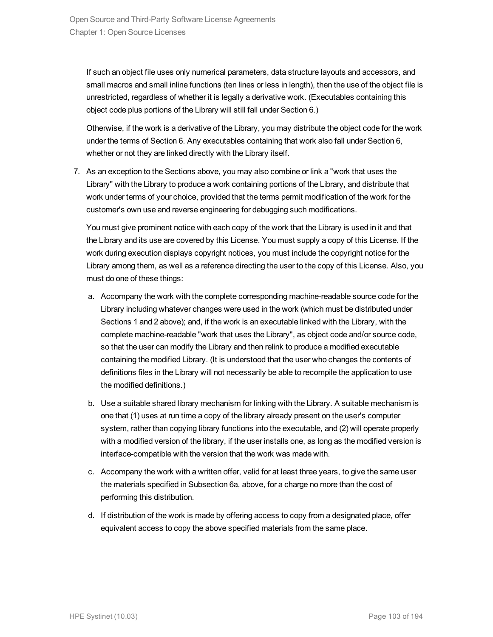If such an object file uses only numerical parameters, data structure layouts and accessors, and small macros and small inline functions (ten lines or less in length), then the use of the object file is unrestricted, regardless of whether it is legally a derivative work. (Executables containing this object code plus portions of the Library will still fall under Section 6.)

Otherwise, if the work is a derivative of the Library, you may distribute the object code for the work under the terms of Section 6. Any executables containing that work also fall under Section 6, whether or not they are linked directly with the Library itself.

7. As an exception to the Sections above, you may also combine or link a "work that uses the Library" with the Library to produce a work containing portions of the Library, and distribute that work under terms of your choice, provided that the terms permit modification of the work for the customer's own use and reverse engineering for debugging such modifications.

You must give prominent notice with each copy of the work that the Library is used in it and that the Library and its use are covered by this License. You must supply a copy of this License. If the work during execution displays copyright notices, you must include the copyright notice for the Library among them, as well as a reference directing the user to the copy of this License. Also, you must do one of these things:

- a. Accompany the work with the complete corresponding machine-readable source code for the Library including whatever changes were used in the work (which must be distributed under Sections 1 and 2 above); and, if the work is an executable linked with the Library, with the complete machine-readable "work that uses the Library", as object code and/or source code, so that the user can modify the Library and then relink to produce a modified executable containing the modified Library. (It is understood that the user who changes the contents of definitions files in the Library will not necessarily be able to recompile the application to use the modified definitions.)
- b. Use a suitable shared library mechanism for linking with the Library. A suitable mechanism is one that (1) uses at run time a copy of the library already present on the user's computer system, rather than copying library functions into the executable, and (2) will operate properly with a modified version of the library, if the user installs one, as long as the modified version is interface-compatible with the version that the work was made with.
- c. Accompany the work with a written offer, valid for at least three years, to give the same user the materials specified in Subsection 6a, above, for a charge no more than the cost of performing this distribution.
- d. If distribution of the work is made by offering access to copy from a designated place, offer equivalent access to copy the above specified materials from the same place.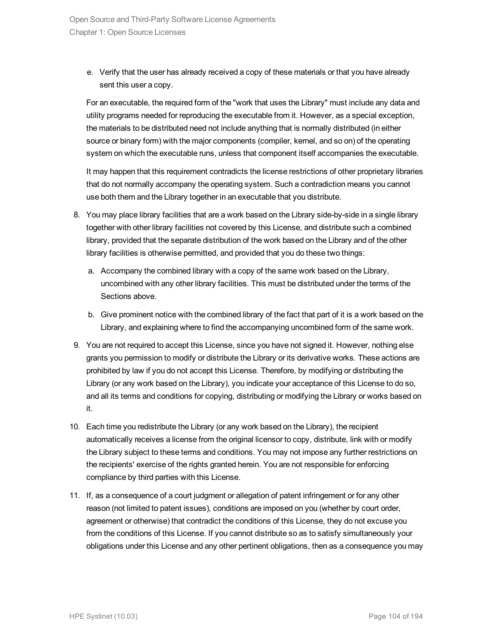e. Verify that the user has already received a copy of these materials or that you have already sent this user a copy.

For an executable, the required form of the "work that uses the Library" must include any data and utility programs needed for reproducing the executable from it. However, as a special exception, the materials to be distributed need not include anything that is normally distributed (in either source or binary form) with the major components (compiler, kernel, and so on) of the operating system on which the executable runs, unless that component itself accompanies the executable.

It may happen that this requirement contradicts the license restrictions of other proprietary libraries that do not normally accompany the operating system. Such a contradiction means you cannot use both them and the Library together in an executable that you distribute.

- 8. You may place library facilities that are a work based on the Library side-by-side in a single library together with other library facilities not covered by this License, and distribute such a combined library, provided that the separate distribution of the work based on the Library and of the other library facilities is otherwise permitted, and provided that you do these two things:
	- a. Accompany the combined library with a copy of the same work based on the Library, uncombined with any other library facilities. This must be distributed under the terms of the Sections above.
	- b. Give prominent notice with the combined library of the fact that part of it is a work based on the Library, and explaining where to find the accompanying uncombined form of the same work.
- 9. You are not required to accept this License, since you have not signed it. However, nothing else grants you permission to modify or distribute the Library or its derivative works. These actions are prohibited by law if you do not accept this License. Therefore, by modifying or distributing the Library (or any work based on the Library), you indicate your acceptance of this License to do so, and all its terms and conditions for copying, distributing or modifying the Library or works based on it.
- 10. Each time you redistribute the Library (or any work based on the Library), the recipient automatically receives a license from the original licensor to copy, distribute, link with or modify the Library subject to these terms and conditions. You may not impose any further restrictions on the recipients' exercise of the rights granted herein. You are not responsible for enforcing compliance by third parties with this License.
- 11. If, as a consequence of a court judgment or allegation of patent infringement or for any other reason (not limited to patent issues), conditions are imposed on you (whether by court order, agreement or otherwise) that contradict the conditions of this License, they do not excuse you from the conditions of this License. If you cannot distribute so as to satisfy simultaneously your obligations under this License and any other pertinent obligations, then as a consequence you may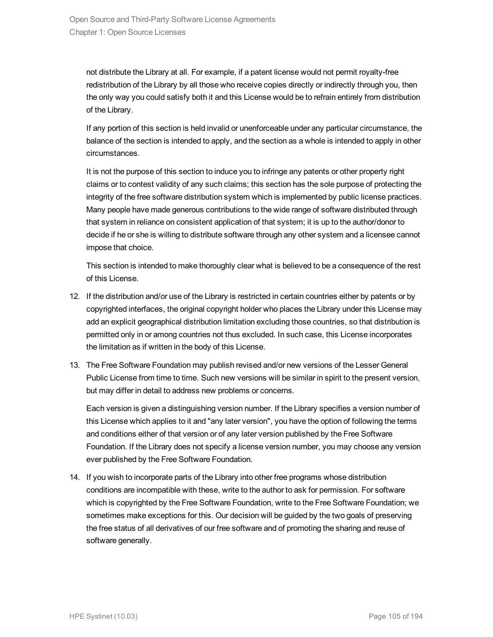not distribute the Library at all. For example, if a patent license would not permit royalty-free redistribution of the Library by all those who receive copies directly or indirectly through you, then the only way you could satisfy both it and this License would be to refrain entirely from distribution of the Library.

If any portion of this section is held invalid or unenforceable under any particular circumstance, the balance of the section is intended to apply, and the section as a whole is intended to apply in other circumstances.

It is not the purpose of this section to induce you to infringe any patents or other property right claims or to contest validity of any such claims; this section has the sole purpose of protecting the integrity of the free software distribution system which is implemented by public license practices. Many people have made generous contributions to the wide range of software distributed through that system in reliance on consistent application of that system; it is up to the author/donor to decide if he or she is willing to distribute software through any other system and a licensee cannot impose that choice.

This section is intended to make thoroughly clear what is believed to be a consequence of the rest of this License.

- 12. If the distribution and/or use of the Library is restricted in certain countries either by patents or by copyrighted interfaces, the original copyright holder who places the Library under this License may add an explicit geographical distribution limitation excluding those countries, so that distribution is permitted only in or among countries not thus excluded. In such case, this License incorporates the limitation as if written in the body of this License.
- 13. The Free Software Foundation may publish revised and/or new versions of the Lesser General Public License from time to time. Such new versions will be similar in spirit to the present version, but may differ in detail to address new problems or concerns.

Each version is given a distinguishing version number. If the Library specifies a version number of this License which applies to it and "any later version", you have the option of following the terms and conditions either of that version or of any later version published by the Free Software Foundation. If the Library does not specify a license version number, you may choose any version ever published by the Free Software Foundation.

14. If you wish to incorporate parts of the Library into other free programs whose distribution conditions are incompatible with these, write to the author to ask for permission. For software which is copyrighted by the Free Software Foundation, write to the Free Software Foundation; we sometimes make exceptions for this. Our decision will be guided by the two goals of preserving the free status of all derivatives of our free software and of promoting the sharing and reuse of software generally.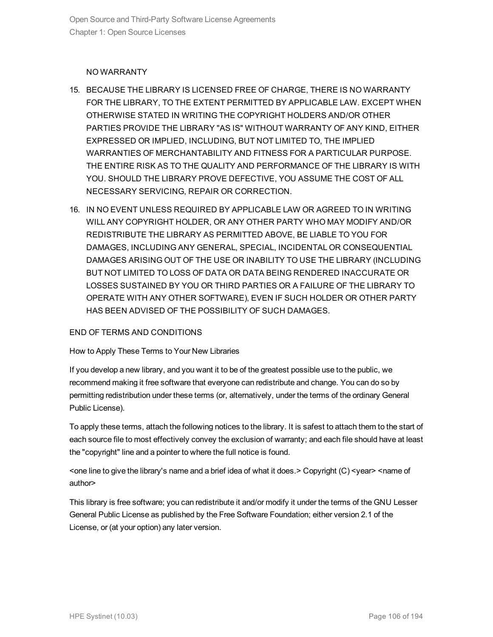### NO WARRANTY

- 15. BECAUSE THE LIBRARY IS LICENSED FREE OF CHARGE, THERE IS NO WARRANTY FOR THE LIBRARY, TO THE EXTENT PERMITTED BY APPLICABLE LAW. EXCEPT WHEN OTHERWISE STATED IN WRITING THE COPYRIGHT HOLDERS AND/OR OTHER PARTIES PROVIDE THE LIBRARY "AS IS" WITHOUT WARRANTY OF ANY KIND, EITHER EXPRESSED OR IMPLIED, INCLUDING, BUT NOT LIMITED TO, THE IMPLIED WARRANTIES OF MERCHANTABILITY AND FITNESS FOR A PARTICULAR PURPOSE. THE ENTIRE RISK AS TO THE QUALITY AND PERFORMANCE OF THE LIBRARY IS WITH YOU. SHOULD THE LIBRARY PROVE DEFECTIVE, YOU ASSUME THE COST OF ALL NECESSARY SERVICING, REPAIR OR CORRECTION.
- 16. IN NO EVENT UNLESS REQUIRED BY APPLICABLE LAW OR AGREED TO IN WRITING WILL ANY COPYRIGHT HOLDER, OR ANY OTHER PARTY WHO MAY MODIFY AND/OR REDISTRIBUTE THE LIBRARY AS PERMITTED ABOVE, BE LIABLE TO YOU FOR DAMAGES, INCLUDING ANY GENERAL, SPECIAL, INCIDENTAL OR CONSEQUENTIAL DAMAGES ARISING OUT OF THE USE OR INABILITY TO USE THE LIBRARY (INCLUDING BUT NOT LIMITED TO LOSS OF DATA OR DATA BEING RENDERED INACCURATE OR LOSSES SUSTAINED BY YOU OR THIRD PARTIES OR A FAILURE OF THE LIBRARY TO OPERATE WITH ANY OTHER SOFTWARE), EVEN IF SUCH HOLDER OR OTHER PARTY HAS BEEN ADVISED OF THE POSSIBILITY OF SUCH DAMAGES.

### END OF TERMS AND CONDITIONS

#### How to Apply These Terms to Your New Libraries

If you develop a new library, and you want it to be of the greatest possible use to the public, we recommend making it free software that everyone can redistribute and change. You can do so by permitting redistribution under these terms (or, alternatively, under the terms of the ordinary General Public License).

To apply these terms, attach the following notices to the library. It is safest to attach them to the start of each source file to most effectively convey the exclusion of warranty; and each file should have at least the "copyright" line and a pointer to where the full notice is found.

 $\le$  one line to give the library's name and a brief idea of what it does. > Copyright (C)  $\le$  year  $\le$   $\le$  name of author>

This library is free software; you can redistribute it and/or modify it under the terms of the GNU Lesser General Public License as published by the Free Software Foundation; either version 2.1 of the License, or (at your option) any later version.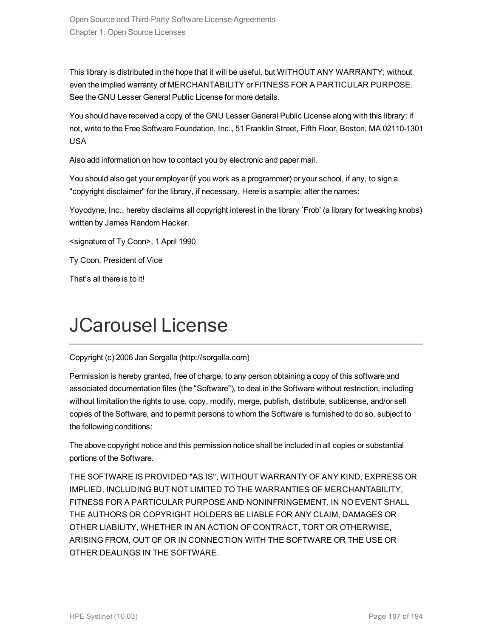This library is distributed in the hope that it will be useful, but WITHOUT ANY WARRANTY; without even the implied warranty of MERCHANTABILITY or FITNESS FOR A PARTICULAR PURPOSE. See the GNU Lesser General Public License for more details.

You should have received a copy of the GNU Lesser General Public License along with this library; if not, write to the Free Software Foundation, Inc., 51 Franklin Street, Fifth Floor, Boston, MA 02110-1301 USA

Also add information on how to contact you by electronic and paper mail.

You should also get your employer (if you work as a programmer) or your school, if any, to sign a "copyright disclaimer" for the library, if necessary. Here is a sample; alter the names:

Yoyodyne, Inc., hereby disclaims all copyright interest in the library `Frob' (a library for tweaking knobs) written by James Random Hacker.

<signature of Ty Coon>, 1 April 1990

Ty Coon, President of Vice

That's all there is to it!

## JCarousel License

Copyright (c) 2006 Jan Sorgalla (http://sorgalla.com)

Permission is hereby granted, free of charge, to any person obtaining a copy of this software and associated documentation files (the "Software"), to deal in the Software without restriction, including without limitation the rights to use, copy, modify, merge, publish, distribute, sublicense, and/or sell copies of the Software, and to permit persons to whom the Software is furnished to do so, subject to the following conditions:

The above copyright notice and this permission notice shall be included in all copies or substantial portions of the Software.

THE SOFTWARE IS PROVIDED "AS IS", WITHOUT WARRANTY OF ANY KIND, EXPRESS OR IMPLIED, INCLUDING BUT NOT LIMITED TO THE WARRANTIES OF MERCHANTABILITY, FITNESS FOR A PARTICULAR PURPOSE AND NONINFRINGEMENT. IN NO EVENT SHALL THE AUTHORS OR COPYRIGHT HOLDERS BE LIABLE FOR ANY CLAIM, DAMAGES OR OTHER LIABILITY, WHETHER IN AN ACTION OF CONTRACT, TORT OR OTHERWISE, ARISING FROM, OUT OF OR IN CONNECTION WITH THE SOFTWARE OR THE USE OR OTHER DEALINGS IN THE SOFTWARE.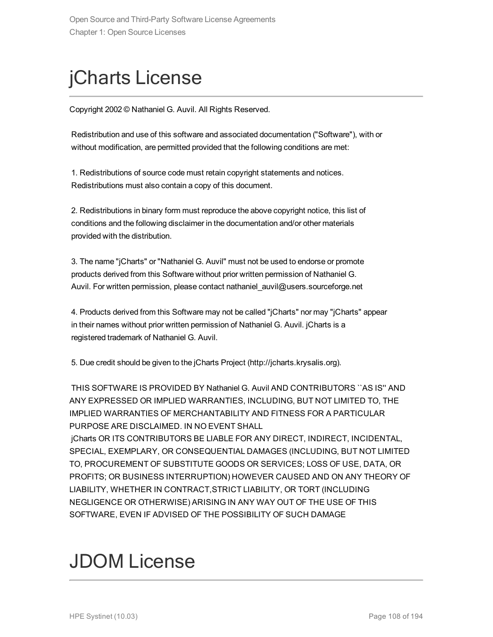# jCharts License

Copyright 2002 © Nathaniel G. Auvil. All Rights Reserved.

Redistribution and use of this software and associated documentation ("Software"), with or without modification, are permitted provided that the following conditions are met:

1. Redistributions of source code must retain copyright statements and notices. Redistributions must also contain a copy of this document.

2. Redistributions in binary form must reproduce the above copyright notice, this list of conditions and the following disclaimer in the documentation and/or other materials provided with the distribution.

3. The name "jCharts" or "Nathaniel G. Auvil" must not be used to endorse or promote products derived from this Software without prior written permission of Nathaniel G. Auvil. For written permission, please contact nathaniel\_auvil@users.sourceforge.net

4. Products derived from this Software may not be called "jCharts" nor may "jCharts" appear in their names without prior written permission of Nathaniel G. Auvil. jCharts is a registered trademark of Nathaniel G. Auvil.

5. Due credit should be given to the jCharts Project (http://jcharts.krysalis.org).

THIS SOFTWARE IS PROVIDED BY Nathaniel G. Auvil AND CONTRIBUTORS ``AS IS'' AND ANY EXPRESSED OR IMPLIED WARRANTIES, INCLUDING, BUT NOT LIMITED TO, THE IMPLIED WARRANTIES OF MERCHANTABILITY AND FITNESS FOR A PARTICULAR PURPOSE ARE DISCLAIMED. IN NO EVENT SHALL

jCharts OR ITS CONTRIBUTORS BE LIABLE FOR ANY DIRECT, INDIRECT, INCIDENTAL, SPECIAL, EXEMPLARY, OR CONSEQUENTIAL DAMAGES (INCLUDING, BUT NOT LIMITED TO, PROCUREMENT OF SUBSTITUTE GOODS OR SERVICES; LOSS OF USE, DATA, OR PROFITS; OR BUSINESS INTERRUPTION) HOWEVER CAUSED AND ON ANY THEORY OF LIABILITY, WHETHER IN CONTRACT,STRICT LIABILITY, OR TORT (INCLUDING NEGLIGENCE OR OTHERWISE) ARISING IN ANY WAY OUT OF THE USE OF THIS SOFTWARE, EVEN IF ADVISED OF THE POSSIBILITY OF SUCH DAMAGE

### JDOM License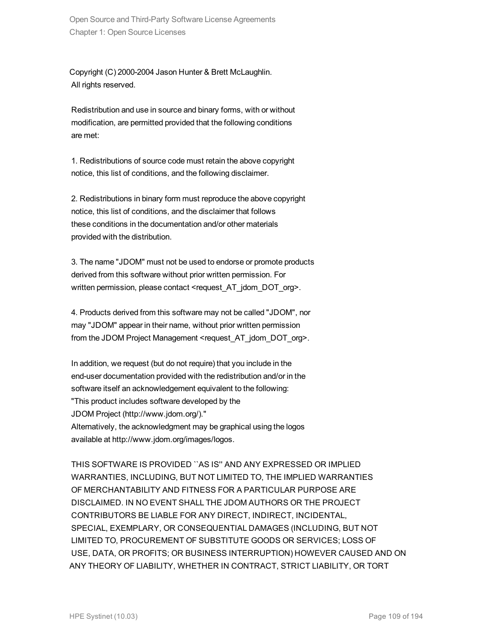Open Source and Third-Party Software License Agreements Chapter 1: Open Source Licenses

Copyright (C) 2000-2004 Jason Hunter & Brett McLaughlin. All rights reserved.

Redistribution and use in source and binary forms, with or without modification, are permitted provided that the following conditions are met:

1. Redistributions of source code must retain the above copyright notice, this list of conditions, and the following disclaimer.

2. Redistributions in binary form must reproduce the above copyright notice, this list of conditions, and the disclaimer that follows these conditions in the documentation and/or other materials provided with the distribution.

3. The name "JDOM" must not be used to endorse or promote products derived from this software without prior written permission. For written permission, please contact <request\_AT\_jdom\_DOT\_org>.

4. Products derived from this software may not be called "JDOM", nor may "JDOM" appear in their name, without prior written permission from the JDOM Project Management <request\_AT\_jdom\_DOT\_org>.

In addition, we request (but do not require) that you include in the end-user documentation provided with the redistribution and/or in the software itself an acknowledgement equivalent to the following: "This product includes software developed by the JDOM Project (http://www.jdom.org/)." Alternatively, the acknowledgment may be graphical using the logos available at http://www.jdom.org/images/logos.

THIS SOFTWARE IS PROVIDED ``AS IS'' AND ANY EXPRESSED OR IMPLIED WARRANTIES, INCLUDING, BUT NOT LIMITED TO, THE IMPLIED WARRANTIES OF MERCHANTABILITY AND FITNESS FOR A PARTICULAR PURPOSE ARE DISCLAIMED. IN NO EVENT SHALL THE JDOM AUTHORS OR THE PROJECT CONTRIBUTORS BE LIABLE FOR ANY DIRECT, INDIRECT, INCIDENTAL, SPECIAL, EXEMPLARY, OR CONSEQUENTIAL DAMAGES (INCLUDING, BUT NOT LIMITED TO, PROCUREMENT OF SUBSTITUTE GOODS OR SERVICES; LOSS OF USE, DATA, OR PROFITS; OR BUSINESS INTERRUPTION) HOWEVER CAUSED AND ON ANY THEORY OF LIABILITY, WHETHER IN CONTRACT, STRICT LIABILITY, OR TORT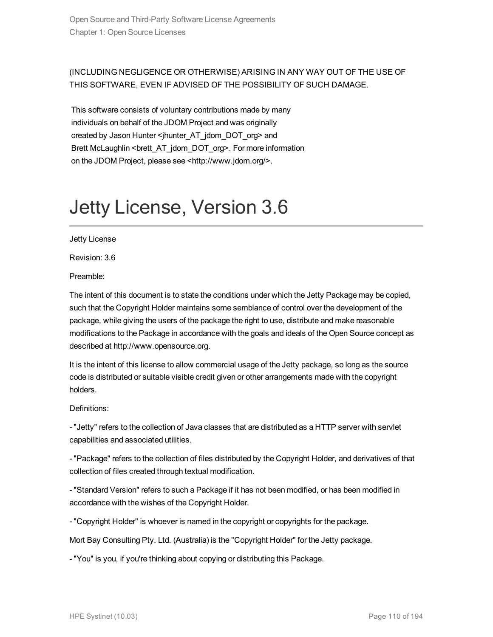#### (INCLUDING NEGLIGENCE OR OTHERWISE) ARISING IN ANY WAY OUT OF THE USE OF THIS SOFTWARE, EVEN IF ADVISED OF THE POSSIBILITY OF SUCH DAMAGE.

This software consists of voluntary contributions made by many individuals on behalf of the JDOM Project and was originally created by Jason Hunter <jhunter\_AT\_jdom\_DOT\_org> and Brett McLaughlin <br ett\_AT\_jdom\_DOT\_org>. For more information on the JDOM Project, please see <http://www.jdom.org/>.

### Jetty License, Version 3.6

Jetty License

Revision: 3.6

Preamble:

The intent of this document is to state the conditions under which the Jetty Package may be copied, such that the Copyright Holder maintains some semblance of control over the development of the package, while giving the users of the package the right to use, distribute and make reasonable modifications to the Package in accordance with the goals and ideals of the Open Source concept as described at http://www.opensource.org.

It is the intent of this license to allow commercial usage of the Jetty package, so long as the source code is distributed or suitable visible credit given or other arrangements made with the copyright holders.

Definitions:

- "Jetty" refers to the collection of Java classes that are distributed as a HTTP server with servlet capabilities and associated utilities.

- "Package" refers to the collection of files distributed by the Copyright Holder, and derivatives of that collection of files created through textual modification.

- "Standard Version" refers to such a Package if it has not been modified, or has been modified in accordance with the wishes of the Copyright Holder.

- "Copyright Holder" is whoever is named in the copyright or copyrights for the package.

Mort Bay Consulting Pty. Ltd. (Australia) is the "Copyright Holder" for the Jetty package.

- "You" is you, if you're thinking about copying or distributing this Package.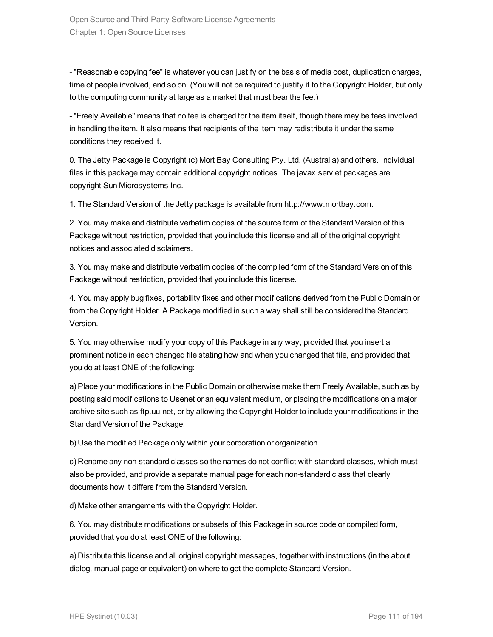- "Reasonable copying fee" is whatever you can justify on the basis of media cost, duplication charges, time of people involved, and so on. (You will not be required to justify it to the Copyright Holder, but only to the computing community at large as a market that must bear the fee.)

- "Freely Available" means that no fee is charged for the item itself, though there may be fees involved in handling the item. It also means that recipients of the item may redistribute it under the same conditions they received it.

0. The Jetty Package is Copyright (c) Mort Bay Consulting Pty. Ltd. (Australia) and others. Individual files in this package may contain additional copyright notices. The javax.servlet packages are copyright Sun Microsystems Inc.

1. The Standard Version of the Jetty package is available from http://www.mortbay.com.

2. You may make and distribute verbatim copies of the source form of the Standard Version of this Package without restriction, provided that you include this license and all of the original copyright notices and associated disclaimers.

3. You may make and distribute verbatim copies of the compiled form of the Standard Version of this Package without restriction, provided that you include this license.

4. You may apply bug fixes, portability fixes and other modifications derived from the Public Domain or from the Copyright Holder. A Package modified in such a way shall still be considered the Standard Version.

5. You may otherwise modify your copy of this Package in any way, provided that you insert a prominent notice in each changed file stating how and when you changed that file, and provided that you do at least ONE of the following:

a) Place your modifications in the Public Domain or otherwise make them Freely Available, such as by posting said modifications to Usenet or an equivalent medium, or placing the modifications on a major archive site such as ftp.uu.net, or by allowing the Copyright Holder to include your modifications in the Standard Version of the Package.

b) Use the modified Package only within your corporation or organization.

c) Rename any non-standard classes so the names do not conflict with standard classes, which must also be provided, and provide a separate manual page for each non-standard class that clearly documents how it differs from the Standard Version.

d) Make other arrangements with the Copyright Holder.

6. You may distribute modifications or subsets of this Package in source code or compiled form, provided that you do at least ONE of the following:

a) Distribute this license and all original copyright messages, together with instructions (in the about dialog, manual page or equivalent) on where to get the complete Standard Version.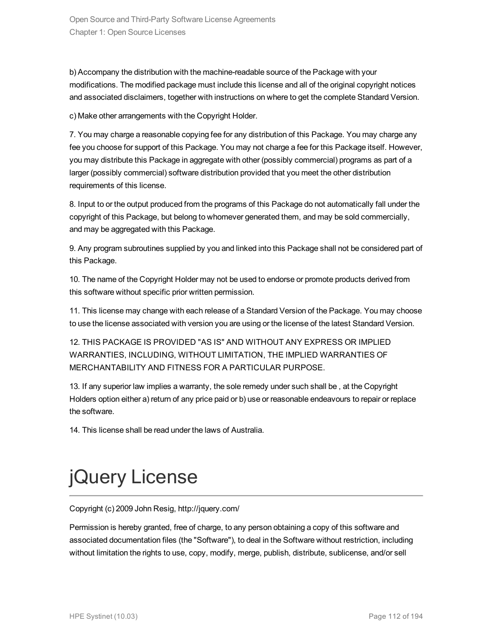b) Accompany the distribution with the machine-readable source of the Package with your modifications. The modified package must include this license and all of the original copyright notices and associated disclaimers, together with instructions on where to get the complete Standard Version.

c) Make other arrangements with the Copyright Holder.

7. You may charge a reasonable copying fee for any distribution of this Package. You may charge any fee you choose for support of this Package. You may not charge a fee for this Package itself. However, you may distribute this Package in aggregate with other (possibly commercial) programs as part of a larger (possibly commercial) software distribution provided that you meet the other distribution requirements of this license.

8. Input to or the output produced from the programs of this Package do not automatically fall under the copyright of this Package, but belong to whomever generated them, and may be sold commercially, and may be aggregated with this Package.

9. Any program subroutines supplied by you and linked into this Package shall not be considered part of this Package.

10. The name of the Copyright Holder may not be used to endorse or promote products derived from this software without specific prior written permission.

11. This license may change with each release of a Standard Version of the Package. You may choose to use the license associated with version you are using or the license of the latest Standard Version.

12. THIS PACKAGE IS PROVIDED "AS IS" AND WITHOUT ANY EXPRESS OR IMPLIED WARRANTIES, INCLUDING, WITHOUT LIMITATION, THE IMPLIED WARRANTIES OF MERCHANTABILITY AND FITNESS FOR A PARTICULAR PURPOSE.

13. If any superior law implies a warranty, the sole remedy under such shall be , at the Copyright Holders option either a) return of any price paid or b) use or reasonable endeavours to repair or replace the software.

14. This license shall be read under the laws of Australia.

# jQuery License

Copyright (c) 2009 John Resig, http://jquery.com/

Permission is hereby granted, free of charge, to any person obtaining a copy of this software and associated documentation files (the "Software"), to deal in the Software without restriction, including without limitation the rights to use, copy, modify, merge, publish, distribute, sublicense, and/or sell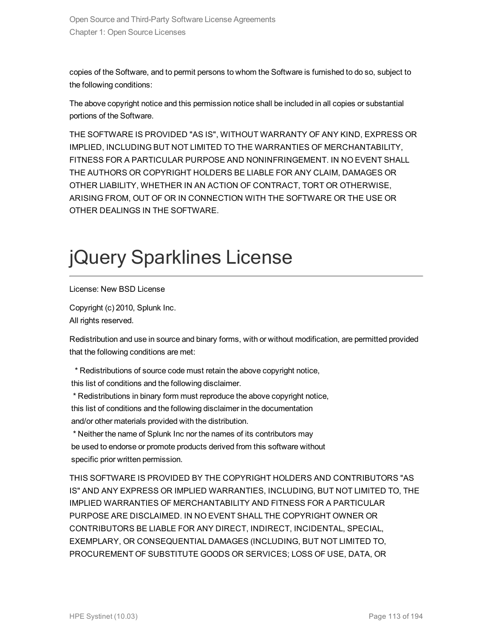copies of the Software, and to permit persons to whom the Software is furnished to do so, subject to the following conditions:

The above copyright notice and this permission notice shall be included in all copies or substantial portions of the Software.

THE SOFTWARE IS PROVIDED "AS IS", WITHOUT WARRANTY OF ANY KIND, EXPRESS OR IMPLIED, INCLUDING BUT NOT LIMITED TO THE WARRANTIES OF MERCHANTABILITY, FITNESS FOR A PARTICULAR PURPOSE AND NONINFRINGEMENT. IN NO EVENT SHALL THE AUTHORS OR COPYRIGHT HOLDERS BE LIABLE FOR ANY CLAIM, DAMAGES OR OTHER LIABILITY, WHETHER IN AN ACTION OF CONTRACT, TORT OR OTHERWISE, ARISING FROM, OUT OF OR IN CONNECTION WITH THE SOFTWARE OR THE USE OR OTHER DEALINGS IN THE SOFTWARE.

## jQuery Sparklines License

License: New BSD License

Copyright (c) 2010, Splunk Inc. All rights reserved.

Redistribution and use in source and binary forms, with or without modification, are permitted provided that the following conditions are met:

\* Redistributions of source code must retain the above copyright notice, this list of conditions and the following disclaimer.

\* Redistributions in binary form must reproduce the above copyright notice, this list of conditions and the following disclaimer in the documentation

and/or other materials provided with the distribution.

\* Neither the name of Splunk Inc nor the names of its contributors may be used to endorse or promote products derived from this software without specific prior written permission.

THIS SOFTWARE IS PROVIDED BY THE COPYRIGHT HOLDERS AND CONTRIBUTORS "AS IS" AND ANY EXPRESS OR IMPLIED WARRANTIES, INCLUDING, BUT NOT LIMITED TO, THE IMPLIED WARRANTIES OF MERCHANTABILITY AND FITNESS FOR A PARTICULAR PURPOSE ARE DISCLAIMED. IN NO EVENT SHALL THE COPYRIGHT OWNER OR CONTRIBUTORS BE LIABLE FOR ANY DIRECT, INDIRECT, INCIDENTAL, SPECIAL, EXEMPLARY, OR CONSEQUENTIAL DAMAGES (INCLUDING, BUT NOT LIMITED TO, PROCUREMENT OF SUBSTITUTE GOODS OR SERVICES; LOSS OF USE, DATA, OR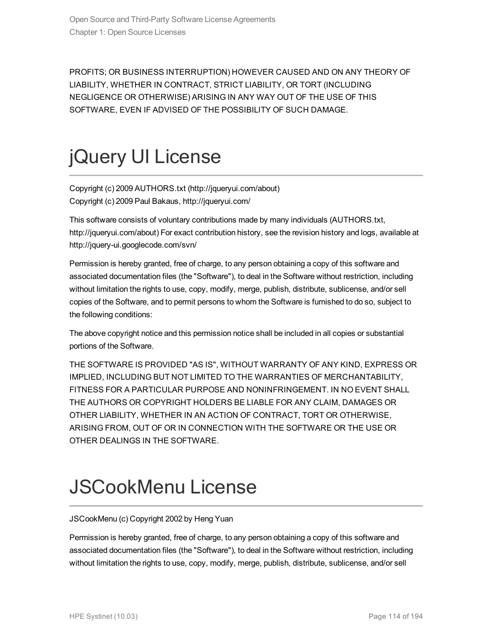PROFITS; OR BUSINESS INTERRUPTION) HOWEVER CAUSED AND ON ANY THEORY OF LIABILITY, WHETHER IN CONTRACT, STRICT LIABILITY, OR TORT (INCLUDING NEGLIGENCE OR OTHERWISE) ARISING IN ANY WAY OUT OF THE USE OF THIS SOFTWARE, EVEN IF ADVISED OF THE POSSIBILITY OF SUCH DAMAGE.

# jQuery UI License

Copyright (c) 2009 AUTHORS.txt (http://jqueryui.com/about) Copyright (c) 2009 Paul Bakaus, http://jqueryui.com/

This software consists of voluntary contributions made by many individuals (AUTHORS.txt, http://jqueryui.com/about) For exact contribution history, see the revision history and logs, available at http://jquery-ui.googlecode.com/svn/

Permission is hereby granted, free of charge, to any person obtaining a copy of this software and associated documentation files (the "Software"), to deal in the Software without restriction, including without limitation the rights to use, copy, modify, merge, publish, distribute, sublicense, and/or sell copies of the Software, and to permit persons to whom the Software is furnished to do so, subject to the following conditions:

The above copyright notice and this permission notice shall be included in all copies or substantial portions of the Software.

THE SOFTWARE IS PROVIDED "AS IS", WITHOUT WARRANTY OF ANY KIND, EXPRESS OR IMPLIED, INCLUDING BUT NOT LIMITED TO THE WARRANTIES OF MERCHANTABILITY, FITNESS FOR A PARTICULAR PURPOSE AND NONINFRINGEMENT. IN NO EVENT SHALL THE AUTHORS OR COPYRIGHT HOLDERS BE LIABLE FOR ANY CLAIM, DAMAGES OR OTHER LIABILITY, WHETHER IN AN ACTION OF CONTRACT, TORT OR OTHERWISE, ARISING FROM, OUT OF OR IN CONNECTION WITH THE SOFTWARE OR THE USE OR OTHER DEALINGS IN THE SOFTWARE.

# JSCookMenu License

#### JSCookMenu (c) Copyright 2002 by Heng Yuan

Permission is hereby granted, free of charge, to any person obtaining a copy of this software and associated documentation files (the "Software"), to deal in the Software without restriction, including without limitation the rights to use, copy, modify, merge, publish, distribute, sublicense, and/or sell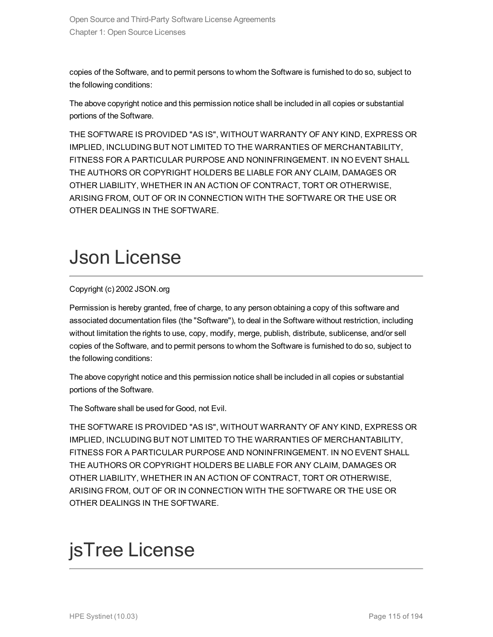copies of the Software, and to permit persons to whom the Software is furnished to do so, subject to the following conditions:

The above copyright notice and this permission notice shall be included in all copies or substantial portions of the Software.

THE SOFTWARE IS PROVIDED "AS IS", WITHOUT WARRANTY OF ANY KIND, EXPRESS OR IMPLIED, INCLUDING BUT NOT LIMITED TO THE WARRANTIES OF MERCHANTABILITY, FITNESS FOR A PARTICULAR PURPOSE AND NONINFRINGEMENT. IN NO EVENT SHALL THE AUTHORS OR COPYRIGHT HOLDERS BE LIABLE FOR ANY CLAIM, DAMAGES OR OTHER LIABILITY, WHETHER IN AN ACTION OF CONTRACT, TORT OR OTHERWISE, ARISING FROM, OUT OF OR IN CONNECTION WITH THE SOFTWARE OR THE USE OR OTHER DEALINGS IN THE SOFTWARE.

### Json License

#### Copyright (c) 2002 JSON.org

Permission is hereby granted, free of charge, to any person obtaining a copy of this software and associated documentation files (the "Software"), to deal in the Software without restriction, including without limitation the rights to use, copy, modify, merge, publish, distribute, sublicense, and/or sell copies of the Software, and to permit persons to whom the Software is furnished to do so, subject to the following conditions:

The above copyright notice and this permission notice shall be included in all copies or substantial portions of the Software.

The Software shall be used for Good, not Evil.

THE SOFTWARE IS PROVIDED "AS IS", WITHOUT WARRANTY OF ANY KIND, EXPRESS OR IMPLIED, INCLUDING BUT NOT LIMITED TO THE WARRANTIES OF MERCHANTABILITY, FITNESS FOR A PARTICULAR PURPOSE AND NONINFRINGEMENT. IN NO EVENT SHALL THE AUTHORS OR COPYRIGHT HOLDERS BE LIABLE FOR ANY CLAIM, DAMAGES OR OTHER LIABILITY, WHETHER IN AN ACTION OF CONTRACT, TORT OR OTHERWISE, ARISING FROM, OUT OF OR IN CONNECTION WITH THE SOFTWARE OR THE USE OR OTHER DEALINGS IN THE SOFTWARE.

### jsTree License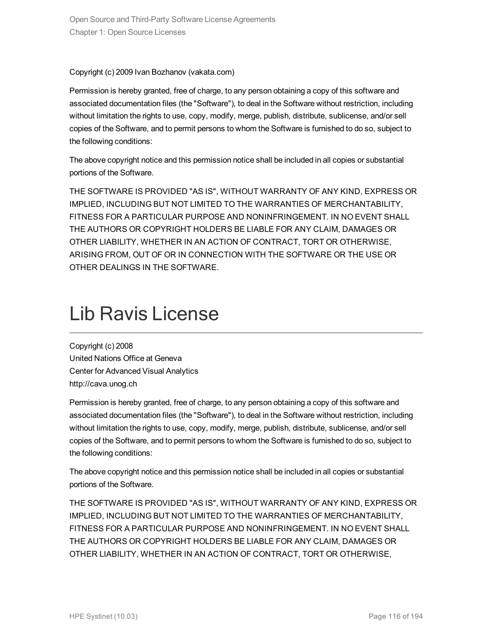Copyright (c) 2009 Ivan Bozhanov (vakata.com)

Permission is hereby granted, free of charge, to any person obtaining a copy of this software and associated documentation files (the "Software"), to deal in the Software without restriction, including without limitation the rights to use, copy, modify, merge, publish, distribute, sublicense, and/or sell copies of the Software, and to permit persons to whom the Software is furnished to do so, subject to the following conditions:

The above copyright notice and this permission notice shall be included in all copies or substantial portions of the Software.

THE SOFTWARE IS PROVIDED "AS IS", WITHOUT WARRANTY OF ANY KIND, EXPRESS OR IMPLIED, INCLUDING BUT NOT LIMITED TO THE WARRANTIES OF MERCHANTABILITY, FITNESS FOR A PARTICULAR PURPOSE AND NONINFRINGEMENT. IN NO EVENT SHALL THE AUTHORS OR COPYRIGHT HOLDERS BE LIABLE FOR ANY CLAIM, DAMAGES OR OTHER LIABILITY, WHETHER IN AN ACTION OF CONTRACT, TORT OR OTHERWISE, ARISING FROM, OUT OF OR IN CONNECTION WITH THE SOFTWARE OR THE USE OR OTHER DEALINGS IN THE SOFTWARE.

### Lib Ravis License

Copyright (c) 2008 United Nations Office at Geneva Center for Advanced Visual Analytics http://cava.unog.ch

Permission is hereby granted, free of charge, to any person obtaining a copy of this software and associated documentation files (the "Software"), to deal in the Software without restriction, including without limitation the rights to use, copy, modify, merge, publish, distribute, sublicense, and/or sell copies of the Software, and to permit persons to whom the Software is furnished to do so, subject to the following conditions:

The above copyright notice and this permission notice shall be included in all copies or substantial portions of the Software.

THE SOFTWARE IS PROVIDED "AS IS", WITHOUT WARRANTY OF ANY KIND, EXPRESS OR IMPLIED, INCLUDING BUT NOT LIMITED TO THE WARRANTIES OF MERCHANTABILITY, FITNESS FOR A PARTICULAR PURPOSE AND NONINFRINGEMENT. IN NO EVENT SHALL THE AUTHORS OR COPYRIGHT HOLDERS BE LIABLE FOR ANY CLAIM, DAMAGES OR OTHER LIABILITY, WHETHER IN AN ACTION OF CONTRACT, TORT OR OTHERWISE,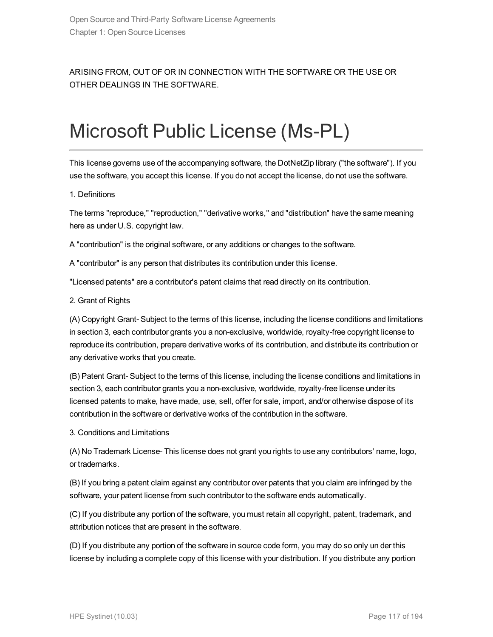ARISING FROM, OUT OF OR IN CONNECTION WITH THE SOFTWARE OR THE USE OR OTHER DEALINGS IN THE SOFTWARE.

### Microsoft Public License (Ms-PL)

This license governs use of the accompanying software, the DotNetZip library ("the software"). If you use the software, you accept this license. If you do not accept the license, do not use the software.

#### 1. Definitions

The terms "reproduce," "reproduction," "derivative works," and "distribution" have the same meaning here as under U.S. copyright law.

A "contribution" is the original software, or any additions or changes to the software.

A "contributor" is any person that distributes its contribution under this license.

"Licensed patents" are a contributor's patent claims that read directly on its contribution.

#### 2. Grant of Rights

(A) Copyright Grant- Subject to the terms of this license, including the license conditions and limitations in section 3, each contributor grants you a non-exclusive, worldwide, royalty-free copyright license to reproduce its contribution, prepare derivative works of its contribution, and distribute its contribution or any derivative works that you create.

(B) Patent Grant- Subject to the terms of this license, including the license conditions and limitations in section 3, each contributor grants you a non-exclusive, worldwide, royalty-free license under its licensed patents to make, have made, use, sell, offer for sale, import, and/or otherwise dispose of its contribution in the software or derivative works of the contribution in the software.

3. Conditions and Limitations

(A) No Trademark License- This license does not grant you rights to use any contributors' name, logo, or trademarks.

(B) If you bring a patent claim against any contributor over patents that you claim are infringed by the software, your patent license from such contributor to the software ends automatically.

(C) If you distribute any portion of the software, you must retain all copyright, patent, trademark, and attribution notices that are present in the software.

(D) If you distribute any portion of the software in source code form, you may do so only un der this license by including a complete copy of this license with your distribution. If you distribute any portion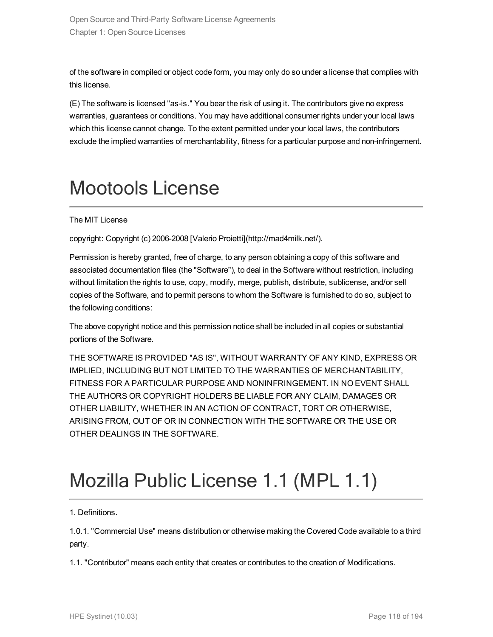of the software in compiled or object code form, you may only do so under a license that complies with this license.

(E) The software is licensed "as-is." You bear the risk of using it. The contributors give no express warranties, guarantees or conditions. You may have additional consumer rights under your local laws which this license cannot change. To the extent permitted under your local laws, the contributors exclude the implied warranties of merchantability, fitness for a particular purpose and non-infringement.

### Mootools License

#### The MIT License

copyright: Copyright (c) 2006-2008 [Valerio Proietti](http://mad4milk.net/).

Permission is hereby granted, free of charge, to any person obtaining a copy of this software and associated documentation files (the "Software"), to deal in the Software without restriction, including without limitation the rights to use, copy, modify, merge, publish, distribute, sublicense, and/or sell copies of the Software, and to permit persons to whom the Software is furnished to do so, subject to the following conditions:

The above copyright notice and this permission notice shall be included in all copies or substantial portions of the Software.

THE SOFTWARE IS PROVIDED "AS IS", WITHOUT WARRANTY OF ANY KIND, EXPRESS OR IMPLIED, INCLUDING BUT NOT LIMITED TO THE WARRANTIES OF MERCHANTABILITY, FITNESS FOR A PARTICULAR PURPOSE AND NONINFRINGEMENT. IN NO EVENT SHALL THE AUTHORS OR COPYRIGHT HOLDERS BE LIABLE FOR ANY CLAIM, DAMAGES OR OTHER LIABILITY, WHETHER IN AN ACTION OF CONTRACT, TORT OR OTHERWISE, ARISING FROM, OUT OF OR IN CONNECTION WITH THE SOFTWARE OR THE USE OR OTHER DEALINGS IN THE SOFTWARE.

## Mozilla Public License 1.1 (MPL 1.1)

1. Definitions.

1.0.1. "Commercial Use" means distribution or otherwise making the Covered Code available to a third party.

1.1. "Contributor" means each entity that creates or contributes to the creation of Modifications.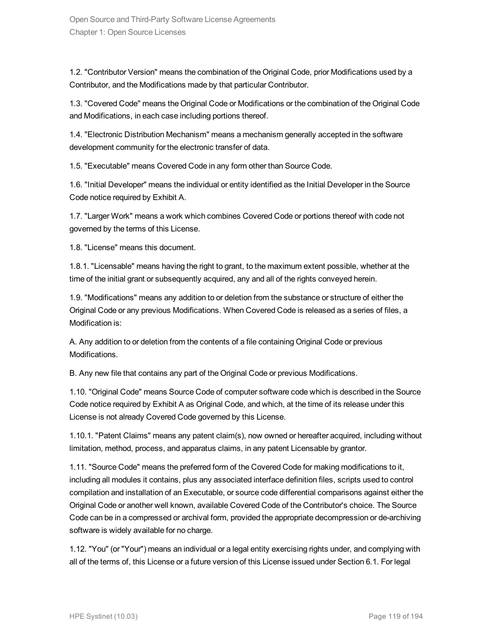1.2. "Contributor Version" means the combination of the Original Code, prior Modifications used by a Contributor, and the Modifications made by that particular Contributor.

1.3. "Covered Code" means the Original Code or Modifications or the combination of the Original Code and Modifications, in each case including portions thereof.

1.4. "Electronic Distribution Mechanism" means a mechanism generally accepted in the software development community for the electronic transfer of data.

1.5. "Executable" means Covered Code in any form other than Source Code.

1.6. "Initial Developer" means the individual or entity identified as the Initial Developer in the Source Code notice required by Exhibit A.

1.7. "Larger Work" means a work which combines Covered Code or portions thereof with code not governed by the terms of this License.

1.8. "License" means this document.

1.8.1. "Licensable" means having the right to grant, to the maximum extent possible, whether at the time of the initial grant or subsequently acquired, any and all of the rights conveyed herein.

1.9. "Modifications" means any addition to or deletion from the substance or structure of either the Original Code or any previous Modifications. When Covered Code is released as a series of files, a Modification is:

A. Any addition to or deletion from the contents of a file containing Original Code or previous Modifications.

B. Any new file that contains any part of the Original Code or previous Modifications.

1.10. "Original Code" means Source Code of computer software code which is described in the Source Code notice required by Exhibit A as Original Code, and which, at the time of its release under this License is not already Covered Code governed by this License.

1.10.1. "Patent Claims" means any patent claim(s), now owned or hereafter acquired, including without limitation, method, process, and apparatus claims, in any patent Licensable by grantor.

1.11. "Source Code" means the preferred form of the Covered Code for making modifications to it, including all modules it contains, plus any associated interface definition files, scripts used to control compilation and installation of an Executable, or source code differential comparisons against either the Original Code or another well known, available Covered Code of the Contributor's choice. The Source Code can be in a compressed or archival form, provided the appropriate decompression or de-archiving software is widely available for no charge.

1.12. "You" (or "Your") means an individual or a legal entity exercising rights under, and complying with all of the terms of, this License or a future version of this License issued under Section 6.1. For legal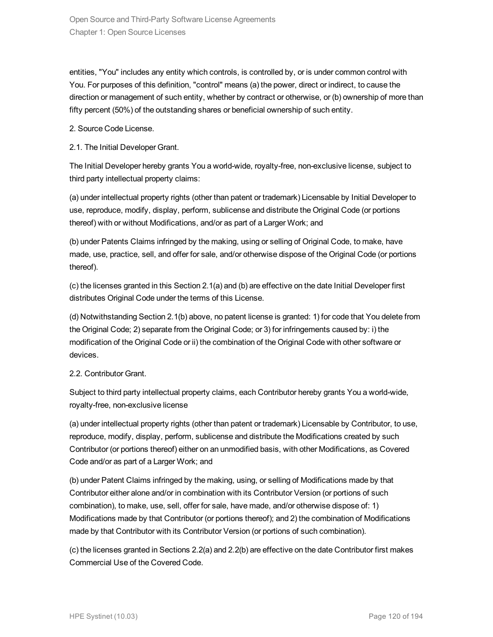entities, "You" includes any entity which controls, is controlled by, or is under common control with You. For purposes of this definition, "control" means (a) the power, direct or indirect, to cause the direction or management of such entity, whether by contract or otherwise, or (b) ownership of more than fifty percent (50%) of the outstanding shares or beneficial ownership of such entity.

- 2. Source Code License.
- 2.1. The Initial Developer Grant.

The Initial Developer hereby grants You a world-wide, royalty-free, non-exclusive license, subject to third party intellectual property claims:

(a) under intellectual property rights (other than patent or trademark) Licensable by Initial Developer to use, reproduce, modify, display, perform, sublicense and distribute the Original Code (or portions thereof) with or without Modifications, and/or as part of a Larger Work; and

(b) under Patents Claims infringed by the making, using or selling of Original Code, to make, have made, use, practice, sell, and offer for sale, and/or otherwise dispose of the Original Code (or portions thereof).

(c) the licenses granted in this Section 2.1(a) and (b) are effective on the date Initial Developer first distributes Original Code under the terms of this License.

(d) Notwithstanding Section 2.1(b) above, no patent license is granted: 1) for code that You delete from the Original Code; 2) separate from the Original Code; or 3) for infringements caused by: i) the modification of the Original Code or ii) the combination of the Original Code with other software or devices.

#### 2.2. Contributor Grant.

Subject to third party intellectual property claims, each Contributor hereby grants You a world-wide, royalty-free, non-exclusive license

(a) under intellectual property rights (other than patent or trademark) Licensable by Contributor, to use, reproduce, modify, display, perform, sublicense and distribute the Modifications created by such Contributor (or portions thereof) either on an unmodified basis, with other Modifications, as Covered Code and/or as part of a Larger Work; and

(b) under Patent Claims infringed by the making, using, or selling of Modifications made by that Contributor either alone and/or in combination with its Contributor Version (or portions of such combination), to make, use, sell, offer for sale, have made, and/or otherwise dispose of: 1) Modifications made by that Contributor (or portions thereof); and 2) the combination of Modifications made by that Contributor with its Contributor Version (or portions of such combination).

(c) the licenses granted in Sections 2.2(a) and 2.2(b) are effective on the date Contributor first makes Commercial Use of the Covered Code.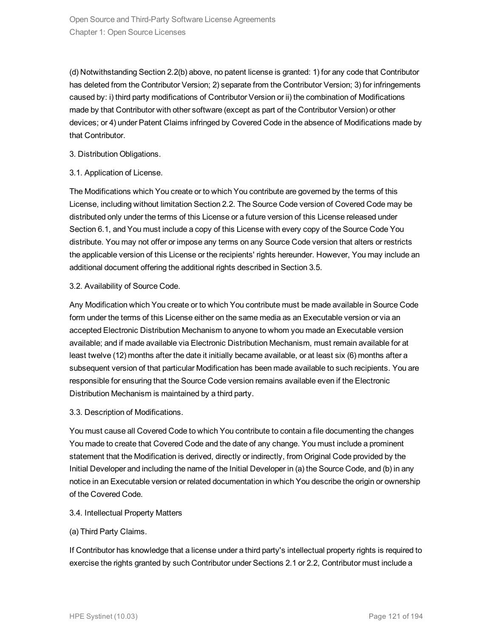(d) Notwithstanding Section 2.2(b) above, no patent license is granted: 1) for any code that Contributor has deleted from the Contributor Version; 2) separate from the Contributor Version; 3) for infringements caused by: i) third party modifications of Contributor Version or ii) the combination of Modifications made by that Contributor with other software (except as part of the Contributor Version) or other devices; or 4) under Patent Claims infringed by Covered Code in the absence of Modifications made by that Contributor.

#### 3. Distribution Obligations.

#### 3.1. Application of License.

The Modifications which You create or to which You contribute are governed by the terms of this License, including without limitation Section 2.2. The Source Code version of Covered Code may be distributed only under the terms of this License or a future version of this License released under Section 6.1, and You must include a copy of this License with every copy of the Source Code You distribute. You may not offer or impose any terms on any Source Code version that alters or restricts the applicable version of this License or the recipients' rights hereunder. However, You may include an additional document offering the additional rights described in Section 3.5.

#### 3.2. Availability of Source Code.

Any Modification which You create or to which You contribute must be made available in Source Code form under the terms of this License either on the same media as an Executable version or via an accepted Electronic Distribution Mechanism to anyone to whom you made an Executable version available; and if made available via Electronic Distribution Mechanism, must remain available for at least twelve (12) months after the date it initially became available, or at least six (6) months after a subsequent version of that particular Modification has been made available to such recipients. You are responsible for ensuring that the Source Code version remains available even if the Electronic Distribution Mechanism is maintained by a third party.

#### 3.3. Description of Modifications.

You must cause all Covered Code to which You contribute to contain a file documenting the changes You made to create that Covered Code and the date of any change. You must include a prominent statement that the Modification is derived, directly or indirectly, from Original Code provided by the Initial Developer and including the name of the Initial Developer in (a) the Source Code, and (b) in any notice in an Executable version or related documentation in which You describe the origin or ownership of the Covered Code.

#### 3.4. Intellectual Property Matters

#### (a) Third Party Claims.

If Contributor has knowledge that a license under a third party's intellectual property rights is required to exercise the rights granted by such Contributor under Sections 2.1 or 2.2, Contributor must include a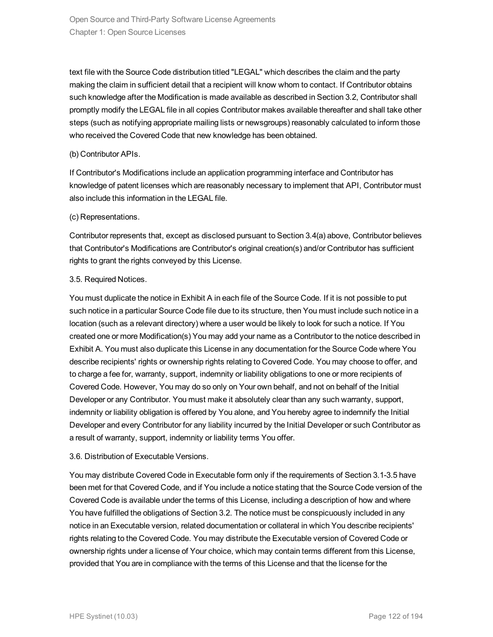text file with the Source Code distribution titled "LEGAL" which describes the claim and the party making the claim in sufficient detail that a recipient will know whom to contact. If Contributor obtains such knowledge after the Modification is made available as described in Section 3.2, Contributor shall promptly modify the LEGAL file in all copies Contributor makes available thereafter and shall take other steps (such as notifying appropriate mailing lists or newsgroups) reasonably calculated to inform those who received the Covered Code that new knowledge has been obtained.

#### (b) Contributor APIs.

If Contributor's Modifications include an application programming interface and Contributor has knowledge of patent licenses which are reasonably necessary to implement that API, Contributor must also include this information in the LEGAL file.

#### (c) Representations.

Contributor represents that, except as disclosed pursuant to Section 3.4(a) above, Contributor believes that Contributor's Modifications are Contributor's original creation(s) and/or Contributor has sufficient rights to grant the rights conveyed by this License.

#### 3.5. Required Notices.

You must duplicate the notice in Exhibit A in each file of the Source Code. If it is not possible to put such notice in a particular Source Code file due to its structure, then You must include such notice in a location (such as a relevant directory) where a user would be likely to look for such a notice. If You created one or more Modification(s) You may add your name as a Contributor to the notice described in Exhibit A. You must also duplicate this License in any documentation for the Source Code where You describe recipients' rights or ownership rights relating to Covered Code. You may choose to offer, and to charge a fee for, warranty, support, indemnity or liability obligations to one or more recipients of Covered Code. However, You may do so only on Your own behalf, and not on behalf of the Initial Developer or any Contributor. You must make it absolutely clear than any such warranty, support, indemnity or liability obligation is offered by You alone, and You hereby agree to indemnify the Initial Developer and every Contributor for any liability incurred by the Initial Developer or such Contributor as a result of warranty, support, indemnity or liability terms You offer.

#### 3.6. Distribution of Executable Versions.

You may distribute Covered Code in Executable form only if the requirements of Section 3.1-3.5 have been met for that Covered Code, and if You include a notice stating that the Source Code version of the Covered Code is available under the terms of this License, including a description of how and where You have fulfilled the obligations of Section 3.2. The notice must be conspicuously included in any notice in an Executable version, related documentation or collateral in which You describe recipients' rights relating to the Covered Code. You may distribute the Executable version of Covered Code or ownership rights under a license of Your choice, which may contain terms different from this License, provided that You are in compliance with the terms of this License and that the license for the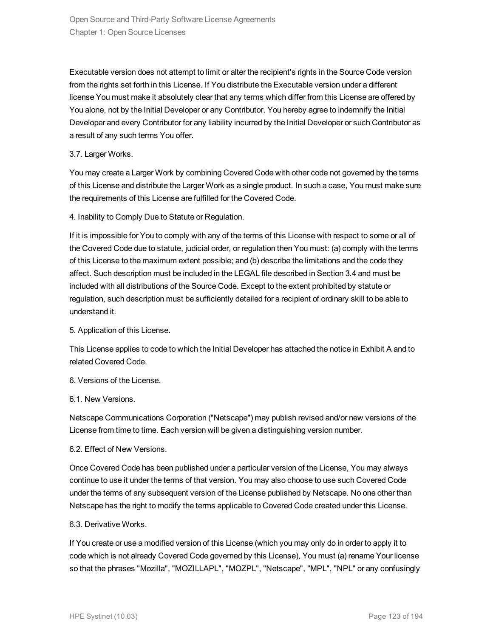Executable version does not attempt to limit or alter the recipient's rights in the Source Code version from the rights set forth in this License. If You distribute the Executable version under a different license You must make it absolutely clear that any terms which differ from this License are offered by You alone, not by the Initial Developer or any Contributor. You hereby agree to indemnify the Initial Developer and every Contributor for any liability incurred by the Initial Developer or such Contributor as a result of any such terms You offer.

#### 3.7. Larger Works.

You may create a Larger Work by combining Covered Code with other code not governed by the terms of this License and distribute the Larger Work as a single product. In such a case, You must make sure the requirements of this License are fulfilled for the Covered Code.

4. Inability to Comply Due to Statute or Regulation.

If it is impossible for You to comply with any of the terms of this License with respect to some or all of the Covered Code due to statute, judicial order, or regulation then You must: (a) comply with the terms of this License to the maximum extent possible; and (b) describe the limitations and the code they affect. Such description must be included in the LEGAL file described in Section 3.4 and must be included with all distributions of the Source Code. Except to the extent prohibited by statute or regulation, such description must be sufficiently detailed for a recipient of ordinary skill to be able to understand it.

5. Application of this License.

This License applies to code to which the Initial Developer has attached the notice in Exhibit A and to related Covered Code.

6. Versions of the License.

6.1. New Versions.

Netscape Communications Corporation ("Netscape") may publish revised and/or new versions of the License from time to time. Each version will be given a distinguishing version number.

#### 6.2. Effect of New Versions.

Once Covered Code has been published under a particular version of the License, You may always continue to use it under the terms of that version. You may also choose to use such Covered Code under the terms of any subsequent version of the License published by Netscape. No one other than Netscape has the right to modify the terms applicable to Covered Code created under this License.

#### 6.3. Derivative Works.

If You create or use a modified version of this License (which you may only do in order to apply it to code which is not already Covered Code governed by this License), You must (a) rename Your license so that the phrases "Mozilla", "MOZILLAPL", "MOZPL", "Netscape", "MPL", "NPL" or any confusingly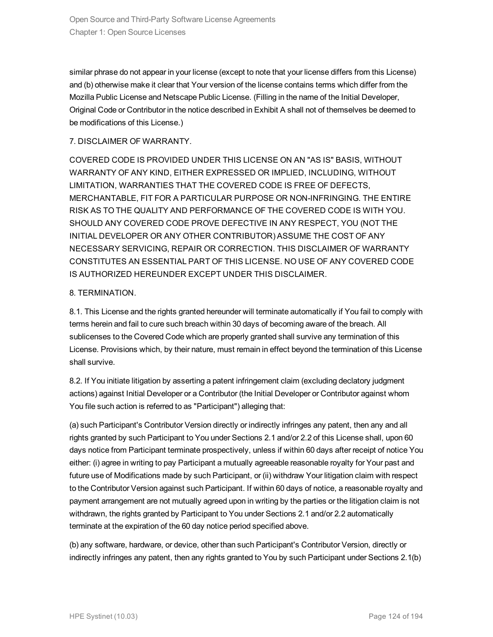similar phrase do not appear in your license (except to note that your license differs from this License) and (b) otherwise make it clear that Your version of the license contains terms which differ from the Mozilla Public License and Netscape Public License. (Filling in the name of the Initial Developer, Original Code or Contributor in the notice described in Exhibit A shall not of themselves be deemed to be modifications of this License.)

#### 7. DISCLAIMER OF WARRANTY.

COVERED CODE IS PROVIDED UNDER THIS LICENSE ON AN "AS IS" BASIS, WITHOUT WARRANTY OF ANY KIND, EITHER EXPRESSED OR IMPLIED, INCLUDING, WITHOUT LIMITATION, WARRANTIES THAT THE COVERED CODE IS FREE OF DEFECTS, MERCHANTABLE, FIT FOR A PARTICULAR PURPOSE OR NON-INFRINGING. THE ENTIRE RISK AS TO THE QUALITY AND PERFORMANCE OF THE COVERED CODE IS WITH YOU. SHOULD ANY COVERED CODE PROVE DEFECTIVE IN ANY RESPECT, YOU (NOT THE INITIAL DEVELOPER OR ANY OTHER CONTRIBUTOR) ASSUME THE COST OF ANY NECESSARY SERVICING, REPAIR OR CORRECTION. THIS DISCLAIMER OF WARRANTY CONSTITUTES AN ESSENTIAL PART OF THIS LICENSE. NO USE OF ANY COVERED CODE IS AUTHORIZED HEREUNDER EXCEPT UNDER THIS DISCLAIMER.

#### 8. TERMINATION.

8.1. This License and the rights granted hereunder will terminate automatically if You fail to comply with terms herein and fail to cure such breach within 30 days of becoming aware of the breach. All sublicenses to the Covered Code which are properly granted shall survive any termination of this License. Provisions which, by their nature, must remain in effect beyond the termination of this License shall survive.

8.2. If You initiate litigation by asserting a patent infringement claim (excluding declatory judgment actions) against Initial Developer or a Contributor (the Initial Developer or Contributor against whom You file such action is referred to as "Participant") alleging that:

(a) such Participant's Contributor Version directly or indirectly infringes any patent, then any and all rights granted by such Participant to You under Sections 2.1 and/or 2.2 of this License shall, upon 60 days notice from Participant terminate prospectively, unless if within 60 days after receipt of notice You either: (i) agree in writing to pay Participant a mutually agreeable reasonable royalty for Your past and future use of Modifications made by such Participant, or (ii) withdraw Your litigation claim with respect to the Contributor Version against such Participant. If within 60 days of notice, a reasonable royalty and payment arrangement are not mutually agreed upon in writing by the parties or the litigation claim is not withdrawn, the rights granted by Participant to You under Sections 2.1 and/or 2.2 automatically terminate at the expiration of the 60 day notice period specified above.

(b) any software, hardware, or device, other than such Participant's Contributor Version, directly or indirectly infringes any patent, then any rights granted to You by such Participant under Sections 2.1(b)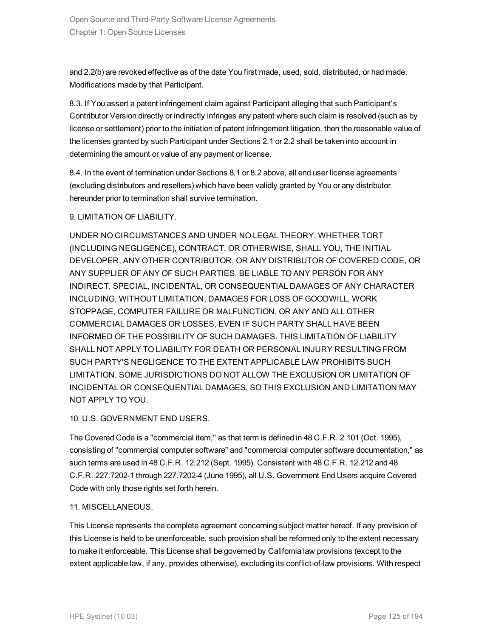and 2.2(b) are revoked effective as of the date You first made, used, sold, distributed, or had made, Modifications made by that Participant.

8.3. If You assert a patent infringement claim against Participant alleging that such Participant's Contributor Version directly or indirectly infringes any patent where such claim is resolved (such as by license or settlement) prior to the initiation of patent infringement litigation, then the reasonable value of the licenses granted by such Participant under Sections 2.1 or 2.2 shall be taken into account in determining the amount or value of any payment or license.

8.4. In the event of termination under Sections 8.1 or 8.2 above, all end user license agreements (excluding distributors and resellers) which have been validly granted by You or any distributor hereunder prior to termination shall survive termination.

#### 9. LIMITATION OF LIABILITY.

UNDER NO CIRCUMSTANCES AND UNDER NO LEGAL THEORY, WHETHER TORT (INCLUDING NEGLIGENCE), CONTRACT, OR OTHERWISE, SHALL YOU, THE INITIAL DEVELOPER, ANY OTHER CONTRIBUTOR, OR ANY DISTRIBUTOR OF COVERED CODE, OR ANY SUPPLIER OF ANY OF SUCH PARTIES, BE LIABLE TO ANY PERSON FOR ANY INDIRECT, SPECIAL, INCIDENTAL, OR CONSEQUENTIAL DAMAGES OF ANY CHARACTER INCLUDING, WITHOUT LIMITATION, DAMAGES FOR LOSS OF GOODWILL, WORK STOPPAGE, COMPUTER FAILURE OR MALFUNCTION, OR ANY AND ALL OTHER COMMERCIAL DAMAGES OR LOSSES, EVEN IF SUCH PARTY SHALL HAVE BEEN INFORMED OF THE POSSIBILITY OF SUCH DAMAGES. THIS LIMITATION OF LIABILITY SHALL NOT APPLY TO LIABILITY FOR DEATH OR PERSONAL INJURY RESULTING FROM SUCH PARTY'S NEGLIGENCE TO THE EXTENT APPLICABLE LAW PROHIBITS SUCH LIMITATION. SOME JURISDICTIONS DO NOT ALLOW THE EXCLUSION OR LIMITATION OF INCIDENTAL OR CONSEQUENTIAL DAMAGES, SO THIS EXCLUSION AND LIMITATION MAY NOT APPLY TO YOU.

#### 10. U.S. GOVERNMENT END USERS.

The Covered Code is a "commercial item," as that term is defined in 48 C.F.R. 2.101 (Oct. 1995), consisting of "commercial computer software" and "commercial computer software documentation," as such terms are used in 48 C.F.R. 12.212 (Sept. 1995). Consistent with 48 C.F.R. 12.212 and 48 C.F.R. 227.7202-1 through 227.7202-4 (June 1995), all U.S. Government End Users acquire Covered Code with only those rights set forth herein.

#### 11. MISCELLANEOUS.

This License represents the complete agreement concerning subject matter hereof. If any provision of this License is held to be unenforceable, such provision shall be reformed only to the extent necessary to make it enforceable. This License shall be governed by California law provisions (except to the extent applicable law, if any, provides otherwise), excluding its conflict-of-law provisions. With respect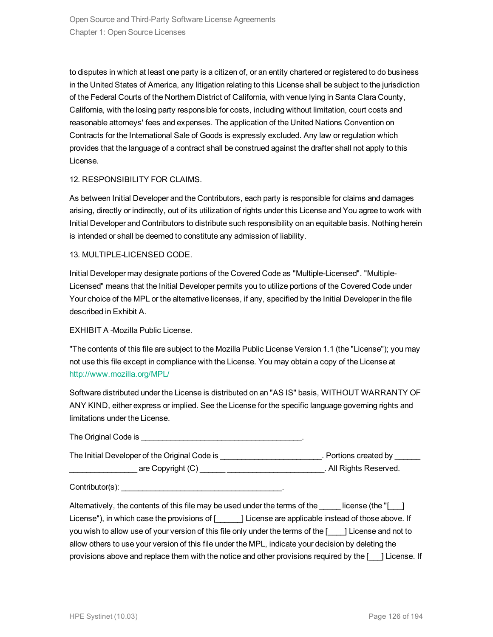to disputes in which at least one party is a citizen of, or an entity chartered or registered to do business in the United States of America, any litigation relating to this License shall be subject to the jurisdiction of the Federal Courts of the Northern District of California, with venue lying in Santa Clara County, California, with the losing party responsible for costs, including without limitation, court costs and reasonable attorneys' fees and expenses. The application of the United Nations Convention on Contracts for the International Sale of Goods is expressly excluded. Any law or regulation which provides that the language of a contract shall be construed against the drafter shall not apply to this License.

#### 12. RESPONSIBILITY FOR CLAIMS.

As between Initial Developer and the Contributors, each party is responsible for claims and damages arising, directly or indirectly, out of its utilization of rights under this License and You agree to work with Initial Developer and Contributors to distribute such responsibility on an equitable basis. Nothing herein is intended or shall be deemed to constitute any admission of liability.

#### 13. MULTIPLE-LICENSED CODE.

Initial Developer may designate portions of the Covered Code as "Multiple-Licensed". "Multiple-Licensed" means that the Initial Developer permits you to utilize portions of the Covered Code under Your choice of the MPL or the alternative licenses, if any, specified by the Initial Developer in the file described in Exhibit A.

#### EXHIBIT A -Mozilla Public License.

"The contents of this file are subject to the Mozilla Public License Version 1.1 (the "License"); you may not use this file except in compliance with the License. You may obtain a copy of the License at <http://www.mozilla.org/MPL/>

Software distributed under the License is distributed on an "AS IS" basis, WITHOUT WARRANTY OF ANY KIND, either express or implied. See the License for the specific language governing rights and limitations under the License.

| The Original Code is |
|----------------------|
|----------------------|

The Initial Developer of the Original Code is \_\_\_\_\_\_\_\_\_\_\_\_\_\_\_\_\_\_\_\_\_\_\_\_. Portions created by \_\_\_\_\_\_ \_\_\_\_\_\_\_\_\_\_\_\_ are Copyright (C) \_\_\_\_\_\_\_ \_\_\_\_\_\_\_\_\_\_\_\_\_\_\_\_\_\_\_\_\_\_\_\_\_\_. All Rights Reserved.

Contributor(s): \_\_\_\_\_\_\_\_\_\_\_\_\_\_\_\_\_\_\_\_\_\_\_\_\_\_\_\_\_\_\_\_\_\_\_\_\_\_.

Alternatively, the contents of this file may be used under the terms of the  $\frac{1}{2}$  license (the  $\frac{1}{2}$ License"), in which case the provisions of [  $\qquad$  ] License are applicable instead of those above. If you wish to allow use of your version of this file only under the terms of the [1000] License and not to allow others to use your version of this file under the MPL, indicate your decision by deleting the provisions above and replace them with the notice and other provisions required by the [\_\_\_] License. If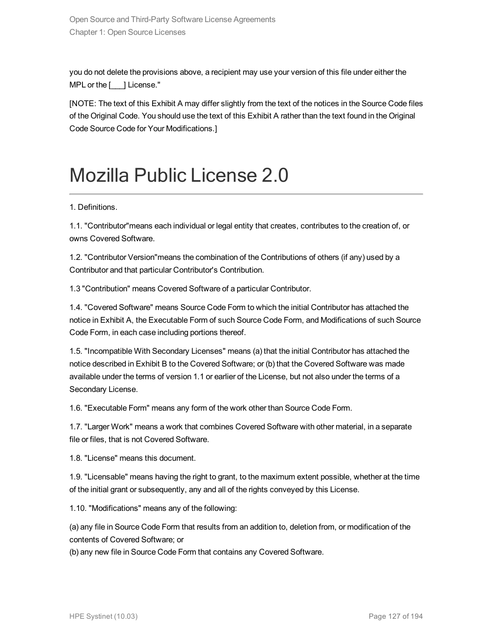you do not delete the provisions above, a recipient may use your version of this file under either the MPL or the [  $\Box$ ] License."

[NOTE: The text of this Exhibit A may differ slightly from the text of the notices in the Source Code files of the Original Code. You should use the text of this Exhibit A rather than the text found in the Original Code Source Code for Your Modifications.]

### Mozilla Public License 2.0

1. Definitions.

1.1. "Contributor"means each individual or legal entity that creates, contributes to the creation of, or owns Covered Software.

1.2. "Contributor Version"means the combination of the Contributions of others (if any) used by a Contributor and that particular Contributor's Contribution.

1.3 "Contribution" means Covered Software of a particular Contributor.

1.4. "Covered Software" means Source Code Form to which the initial Contributor has attached the notice in Exhibit A, the Executable Form of such Source Code Form, and Modifications of such Source Code Form, in each case including portions thereof.

1.5. "Incompatible With Secondary Licenses" means (a) that the initial Contributor has attached the notice described in Exhibit B to the Covered Software; or (b) that the Covered Software was made available under the terms of version 1.1 or earlier of the License, but not also under the terms of a Secondary License.

1.6. "Executable Form" means any form of the work other than Source Code Form.

1.7. "Larger Work" means a work that combines Covered Software with other material, in a separate file or files, that is not Covered Software.

1.8. "License" means this document.

1.9. "Licensable" means having the right to grant, to the maximum extent possible, whether at the time of the initial grant or subsequently, any and all of the rights conveyed by this License.

1.10. "Modifications" means any of the following:

(a) any file in Source Code Form that results from an addition to, deletion from, or modification of the contents of Covered Software; or

(b) any new file in Source Code Form that contains any Covered Software.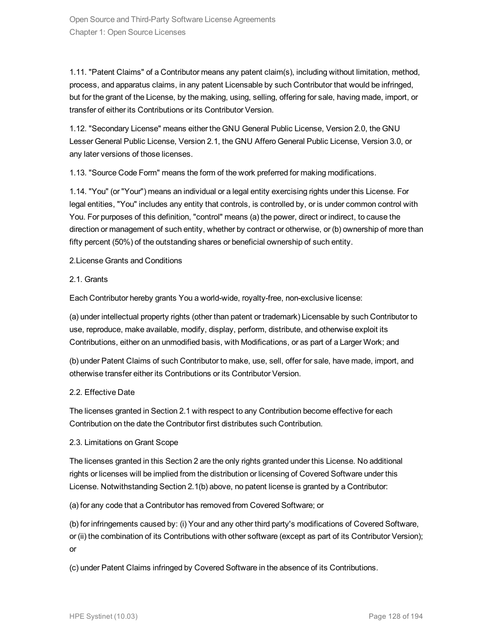1.11. "Patent Claims" of a Contributor means any patent claim(s), including without limitation, method, process, and apparatus claims, in any patent Licensable by such Contributor that would be infringed, but for the grant of the License, by the making, using, selling, offering for sale, having made, import, or transfer of either its Contributions or its Contributor Version.

1.12. "Secondary License" means either the GNU General Public License, Version 2.0, the GNU Lesser General Public License, Version 2.1, the GNU Affero General Public License, Version 3.0, or any later versions of those licenses.

1.13. "Source Code Form" means the form of the work preferred for making modifications.

1.14. "You" (or "Your") means an individual or a legal entity exercising rights under this License. For legal entities, "You" includes any entity that controls, is controlled by, or is under common control with You. For purposes of this definition, "control" means (a) the power, direct or indirect, to cause the direction or management of such entity, whether by contract or otherwise, or (b) ownership of more than fifty percent (50%) of the outstanding shares or beneficial ownership of such entity.

2.License Grants and Conditions

#### 2.1. Grants

Each Contributor hereby grants You a world-wide, royalty-free, non-exclusive license:

(a) under intellectual property rights (other than patent or trademark) Licensable by such Contributor to use, reproduce, make available, modify, display, perform, distribute, and otherwise exploit its Contributions, either on an unmodified basis, with Modifications, or as part of a Larger Work; and

(b) under Patent Claims of such Contributor to make, use, sell, offer for sale, have made, import, and otherwise transfer either its Contributions or its Contributor Version.

#### 2.2. Effective Date

The licenses granted in Section 2.1 with respect to any Contribution become effective for each Contribution on the date the Contributor first distributes such Contribution.

#### 2.3. Limitations on Grant Scope

The licenses granted in this Section 2 are the only rights granted under this License. No additional rights or licenses will be implied from the distribution or licensing of Covered Software under this License. Notwithstanding Section 2.1(b) above, no patent license is granted by a Contributor:

(a) for any code that a Contributor has removed from Covered Software; or

(b) for infringements caused by: (i) Your and any other third party's modifications of Covered Software, or (ii) the combination of its Contributions with other software (except as part of its Contributor Version); or

(c) under Patent Claims infringed by Covered Software in the absence of its Contributions.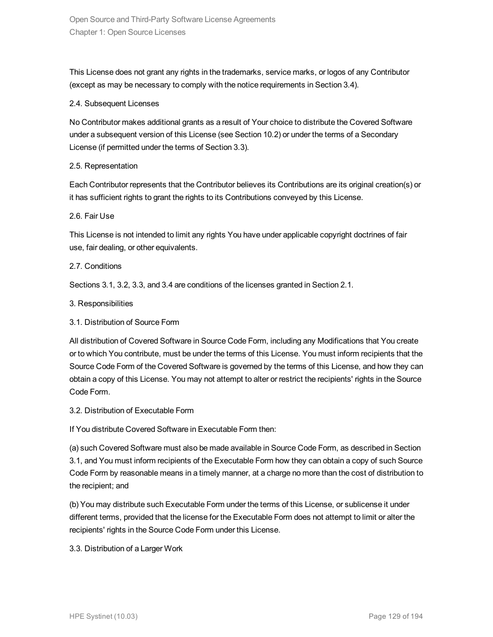This License does not grant any rights in the trademarks, service marks, or logos of any Contributor (except as may be necessary to comply with the notice requirements in Section 3.4).

#### 2.4. Subsequent Licenses

No Contributor makes additional grants as a result of Your choice to distribute the Covered Software under a subsequent version of this License (see Section 10.2) or under the terms of a Secondary License (if permitted under the terms of Section 3.3).

#### 2.5. Representation

Each Contributor represents that the Contributor believes its Contributions are its original creation(s) or it has sufficient rights to grant the rights to its Contributions conveyed by this License.

#### 2.6. Fair Use

This License is not intended to limit any rights You have under applicable copyright doctrines of fair use, fair dealing, or other equivalents.

#### 2.7. Conditions

Sections 3.1, 3.2, 3.3, and 3.4 are conditions of the licenses granted in Section 2.1.

#### 3. Responsibilities

#### 3.1. Distribution of Source Form

All distribution of Covered Software in Source Code Form, including any Modifications that You create or to which You contribute, must be under the terms of this License. You must inform recipients that the Source Code Form of the Covered Software is governed by the terms of this License, and how they can obtain a copy of this License. You may not attempt to alter or restrict the recipients' rights in the Source Code Form.

#### 3.2. Distribution of Executable Form

If You distribute Covered Software in Executable Form then:

(a) such Covered Software must also be made available in Source Code Form, as described in Section 3.1, and You must inform recipients of the Executable Form how they can obtain a copy of such Source Code Form by reasonable means in a timely manner, at a charge no more than the cost of distribution to the recipient; and

(b) You may distribute such Executable Form under the terms of this License, or sublicense it under different terms, provided that the license for the Executable Form does not attempt to limit or alter the recipients' rights in the Source Code Form under this License.

3.3. Distribution of a Larger Work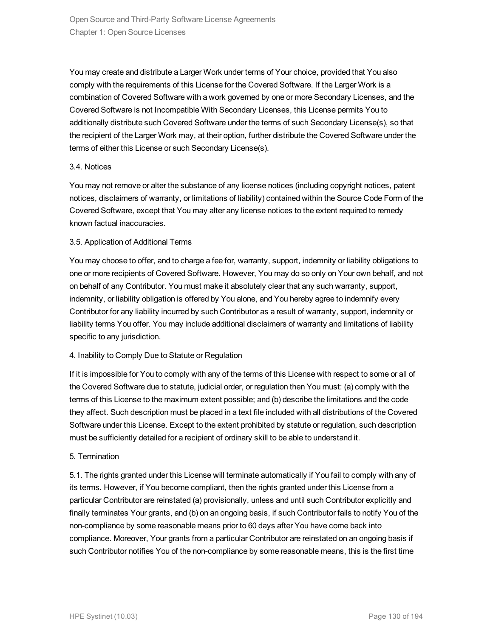You may create and distribute a Larger Work under terms of Your choice, provided that You also comply with the requirements of this License for the Covered Software. If the Larger Work is a combination of Covered Software with a work governed by one or more Secondary Licenses, and the Covered Software is not Incompatible With Secondary Licenses, this License permits You to additionally distribute such Covered Software under the terms of such Secondary License(s), so that the recipient of the Larger Work may, at their option, further distribute the Covered Software under the terms of either this License or such Secondary License(s).

#### 3.4. Notices

You may not remove or alter the substance of any license notices (including copyright notices, patent notices, disclaimers of warranty, or limitations of liability) contained within the Source Code Form of the Covered Software, except that You may alter any license notices to the extent required to remedy known factual inaccuracies.

#### 3.5. Application of Additional Terms

You may choose to offer, and to charge a fee for, warranty, support, indemnity or liability obligations to one or more recipients of Covered Software. However, You may do so only on Your own behalf, and not on behalf of any Contributor. You must make it absolutely clear that any such warranty, support, indemnity, or liability obligation is offered by You alone, and You hereby agree to indemnify every Contributor for any liability incurred by such Contributor as a result of warranty, support, indemnity or liability terms You offer. You may include additional disclaimers of warranty and limitations of liability specific to any jurisdiction.

#### 4. Inability to Comply Due to Statute or Regulation

If it is impossible for You to comply with any of the terms of this License with respect to some or all of the Covered Software due to statute, judicial order, or regulation then You must: (a) comply with the terms of this License to the maximum extent possible; and (b) describe the limitations and the code they affect. Such description must be placed in a text file included with all distributions of the Covered Software under this License. Except to the extent prohibited by statute or regulation, such description must be sufficiently detailed for a recipient of ordinary skill to be able to understand it.

#### 5. Termination

5.1. The rights granted under this License will terminate automatically if You fail to comply with any of its terms. However, if You become compliant, then the rights granted under this License from a particular Contributor are reinstated (a) provisionally, unless and until such Contributor explicitly and finally terminates Your grants, and (b) on an ongoing basis, if such Contributor fails to notify You of the non-compliance by some reasonable means prior to 60 days after You have come back into compliance. Moreover, Your grants from a particular Contributor are reinstated on an ongoing basis if such Contributor notifies You of the non-compliance by some reasonable means, this is the first time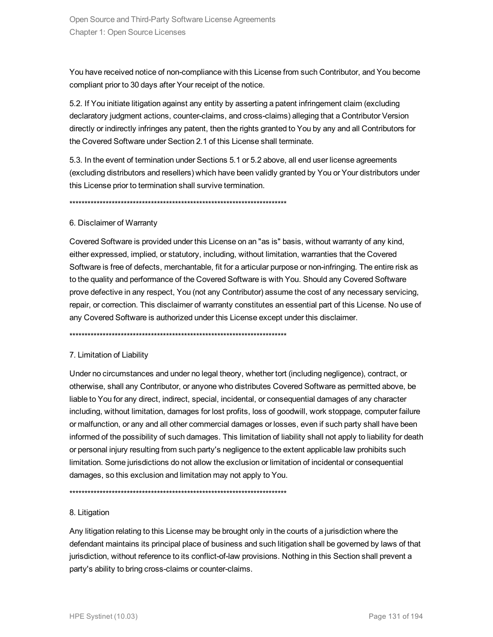You have received notice of non-compliance with this License from such Contributor, and You become compliant prior to 30 days after Your receipt of the notice.

5.2. If You initiate litigation against any entity by asserting a patent infringement claim (excluding declaratory judgment actions, counter-claims, and cross-claims) alleging that a Contributor Version directly or indirectly infringes any patent, then the rights granted to You by any and all Contributors for the Covered Software under Section 2.1 of this License shall terminate.

5.3. In the event of termination under Sections 5.1 or 5.2 above, all end user license agreements (excluding distributors and resellers) which have been validly granted by You or Your distributors under this License prior to termination shall survive termination.

\*\*\*\*\*\*\*\*\*\*\*\*\*\*\*\*\*\*\*\*\*\*\*\*\*\*\*\*\*\*\*\*\*\*\*\*\*\*\*\*\*\*\*\*\*\*\*\*\*\*\*\*\*\*\*\*\*\*\*\*\*\*\*\*\*\*\*\*\*\*\*\*

#### 6. Disclaimer of Warranty

Covered Software is provided under this License on an "as is" basis, without warranty of any kind, either expressed, implied, or statutory, including, without limitation, warranties that the Covered Software is free of defects, merchantable, fit for a articular purpose or non-infringing. The entire risk as to the quality and performance of the Covered Software is with You. Should any Covered Software prove defective in any respect, You (not any Contributor) assume the cost of any necessary servicing, repair, or correction. This disclaimer of warranty constitutes an essential part of this License. No use of any Covered Software is authorized under this License except under this disclaimer.

\*\*\*\*\*\*\*\*\*\*\*\*\*\*\*\*\*\*\*\*\*\*\*\*\*\*\*\*\*\*\*\*\*\*\*\*\*\*\*\*\*\*\*\*\*\*\*\*\*\*\*\*\*\*\*\*\*\*\*\*\*\*\*\*\*\*\*\*\*\*\*\*

#### 7. Limitation of Liability

Under no circumstances and under no legal theory, whether tort (including negligence), contract, or otherwise, shall any Contributor, or anyone who distributes Covered Software as permitted above, be liable to You for any direct, indirect, special, incidental, or consequential damages of any character including, without limitation, damages for lost profits, loss of goodwill, work stoppage, computer failure or malfunction, or any and all other commercial damages or losses, even if such party shall have been informed of the possibility of such damages. This limitation of liability shall not apply to liability for death or personal injury resulting from such party's negligence to the extent applicable law prohibits such limitation. Some jurisdictions do not allow the exclusion or limitation of incidental or consequential damages, so this exclusion and limitation may not apply to You.

\*\*\*\*\*\*\*\*\*\*\*\*\*\*\*\*\*\*\*\*\*\*\*\*\*\*\*\*\*\*\*\*\*\*\*\*\*\*\*\*\*\*\*\*\*\*\*\*\*\*\*\*\*\*\*\*\*\*\*\*\*\*\*\*\*\*\*\*\*\*\*\*

#### 8. Litigation

Any litigation relating to this License may be brought only in the courts of a jurisdiction where the defendant maintains its principal place of business and such litigation shall be governed by laws of that jurisdiction, without reference to its conflict-of-law provisions. Nothing in this Section shall prevent a party's ability to bring cross-claims or counter-claims.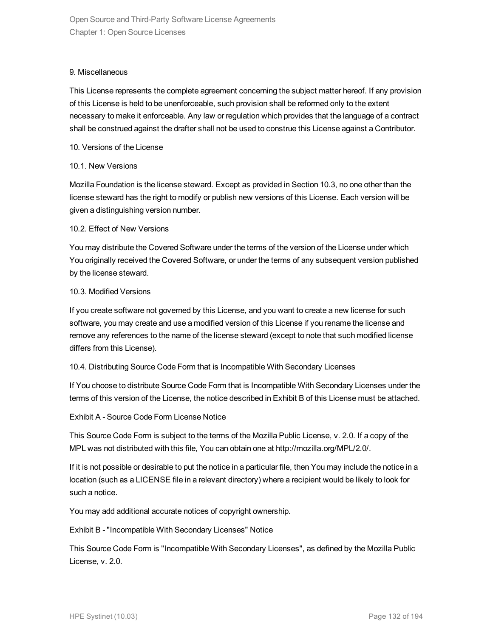#### 9. Miscellaneous

This License represents the complete agreement concerning the subject matter hereof. If any provision of this License is held to be unenforceable, such provision shall be reformed only to the extent necessary to make it enforceable. Any law or regulation which provides that the language of a contract shall be construed against the drafter shall not be used to construe this License against a Contributor.

#### 10. Versions of the License

#### 10.1. New Versions

Mozilla Foundation is the license steward. Except as provided in Section 10.3, no one other than the license steward has the right to modify or publish new versions of this License. Each version will be given a distinguishing version number.

#### 10.2. Effect of New Versions

You may distribute the Covered Software under the terms of the version of the License under which You originally received the Covered Software, or under the terms of any subsequent version published by the license steward.

#### 10.3. Modified Versions

If you create software not governed by this License, and you want to create a new license for such software, you may create and use a modified version of this License if you rename the license and remove any references to the name of the license steward (except to note that such modified license differs from this License).

#### 10.4. Distributing Source Code Form that is Incompatible With Secondary Licenses

If You choose to distribute Source Code Form that is Incompatible With Secondary Licenses under the terms of this version of the License, the notice described in Exhibit B of this License must be attached.

#### Exhibit A - Source Code Form License Notice

This Source Code Form is subject to the terms of the Mozilla Public License, v. 2.0. If a copy of the MPL was not distributed with this file, You can obtain one at http://mozilla.org/MPL/2.0/.

If it is not possible or desirable to put the notice in a particular file, then You may include the notice in a location (such as a LICENSE file in a relevant directory) where a recipient would be likely to look for such a notice.

You may add additional accurate notices of copyright ownership.

Exhibit B - "Incompatible With Secondary Licenses" Notice

This Source Code Form is "Incompatible With Secondary Licenses", as defined by the Mozilla Public License, v. 2.0.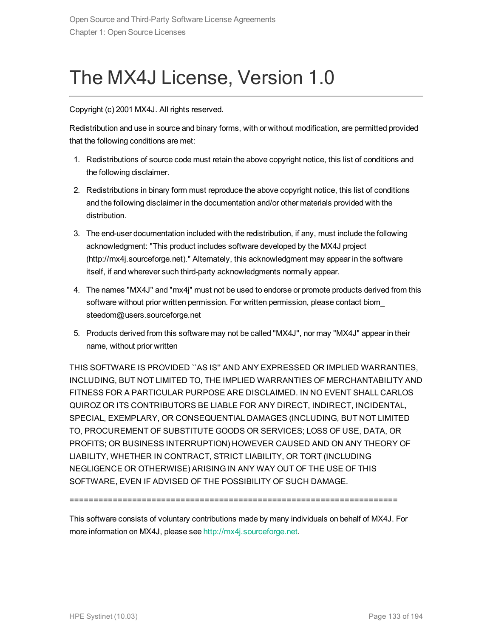# The MX4J License, Version 1.0

Copyright (c) 2001 MX4J. All rights reserved.

Redistribution and use in source and binary forms, with or without modification, are permitted provided that the following conditions are met:

- 1. Redistributions of source code must retain the above copyright notice, this list of conditions and the following disclaimer.
- 2. Redistributions in binary form must reproduce the above copyright notice, this list of conditions and the following disclaimer in the documentation and/or other materials provided with the distribution.
- 3. The end-user documentation included with the redistribution, if any, must include the following acknowledgment: "This product includes software developed by the MX4J project (http://mx4j.sourceforge.net)." Alternately, this acknowledgment may appear in the software itself, if and wherever such third-party acknowledgments normally appear.
- 4. The names "MX4J" and "mx4j" must not be used to endorse or promote products derived from this software without prior written permission. For written permission, please contact biorn\_ steedom@users.sourceforge.net
- 5. Products derived from this software may not be called "MX4J", nor may "MX4J" appear in their name, without prior written

THIS SOFTWARE IS PROVIDED ``AS IS'' AND ANY EXPRESSED OR IMPLIED WARRANTIES, INCLUDING, BUT NOT LIMITED TO, THE IMPLIED WARRANTIES OF MERCHANTABILITY AND FITNESS FOR A PARTICULAR PURPOSE ARE DISCLAIMED. IN NO EVENT SHALL CARLOS QUIROZ OR ITS CONTRIBUTORS BE LIABLE FOR ANY DIRECT, INDIRECT, INCIDENTAL, SPECIAL, EXEMPLARY, OR CONSEQUENTIAL DAMAGES (INCLUDING, BUT NOT LIMITED TO, PROCUREMENT OF SUBSTITUTE GOODS OR SERVICES; LOSS OF USE, DATA, OR PROFITS; OR BUSINESS INTERRUPTION) HOWEVER CAUSED AND ON ANY THEORY OF LIABILITY, WHETHER IN CONTRACT, STRICT LIABILITY, OR TORT (INCLUDING NEGLIGENCE OR OTHERWISE) ARISING IN ANY WAY OUT OF THE USE OF THIS SOFTWARE, EVEN IF ADVISED OF THE POSSIBILITY OF SUCH DAMAGE.

====================================================================

This software consists of voluntary contributions made by many individuals on behalf of MX4J. For more information on MX4J, please see [http://mx4j.sourceforge.net.](http://mx4j.sourceforge.net/)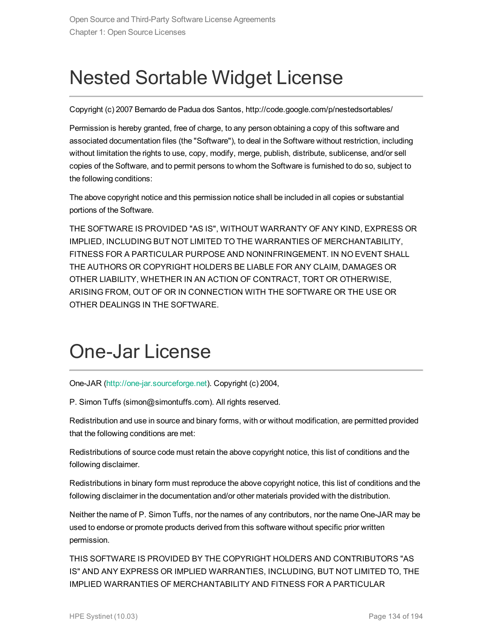## Nested Sortable Widget License

Copyright (c) 2007 Bernardo de Padua dos Santos, http://code.google.com/p/nestedsortables/

Permission is hereby granted, free of charge, to any person obtaining a copy of this software and associated documentation files (the "Software"), to deal in the Software without restriction, including without limitation the rights to use, copy, modify, merge, publish, distribute, sublicense, and/or sell copies of the Software, and to permit persons to whom the Software is furnished to do so, subject to the following conditions:

The above copyright notice and this permission notice shall be included in all copies or substantial portions of the Software.

THE SOFTWARE IS PROVIDED "AS IS", WITHOUT WARRANTY OF ANY KIND, EXPRESS OR IMPLIED, INCLUDING BUT NOT LIMITED TO THE WARRANTIES OF MERCHANTABILITY, FITNESS FOR A PARTICULAR PURPOSE AND NONINFRINGEMENT. IN NO EVENT SHALL THE AUTHORS OR COPYRIGHT HOLDERS BE LIABLE FOR ANY CLAIM, DAMAGES OR OTHER LIABILITY, WHETHER IN AN ACTION OF CONTRACT, TORT OR OTHERWISE, ARISING FROM, OUT OF OR IN CONNECTION WITH THE SOFTWARE OR THE USE OR OTHER DEALINGS IN THE SOFTWARE.

### One-Jar License

One-JAR [\(http://one-jar.sourceforge.net](http://one-jar.sourceforge.net/)). Copyright (c) 2004,

P. Simon Tuffs (simon@simontuffs.com). All rights reserved.

Redistribution and use in source and binary forms, with or without modification, are permitted provided that the following conditions are met:

Redistributions of source code must retain the above copyright notice, this list of conditions and the following disclaimer.

Redistributions in binary form must reproduce the above copyright notice, this list of conditions and the following disclaimer in the documentation and/or other materials provided with the distribution.

Neither the name of P. Simon Tuffs, nor the names of any contributors, nor the name One-JAR may be used to endorse or promote products derived from this software without specific prior written permission.

THIS SOFTWARE IS PROVIDED BY THE COPYRIGHT HOLDERS AND CONTRIBUTORS "AS IS" AND ANY EXPRESS OR IMPLIED WARRANTIES, INCLUDING, BUT NOT LIMITED TO, THE IMPLIED WARRANTIES OF MERCHANTABILITY AND FITNESS FOR A PARTICULAR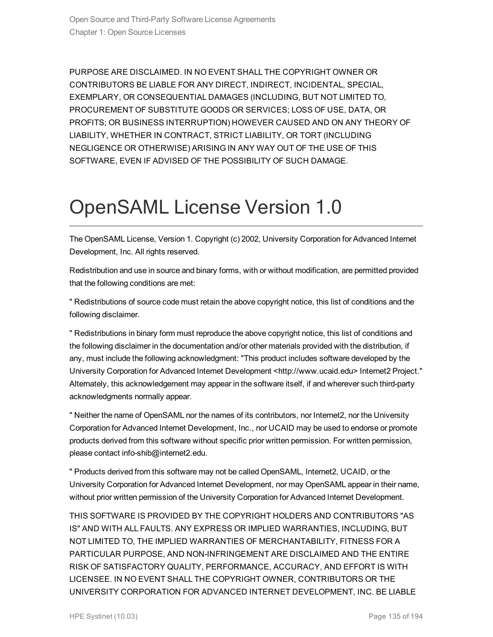PURPOSE ARE DISCLAIMED. IN NO EVENT SHALL THE COPYRIGHT OWNER OR CONTRIBUTORS BE LIABLE FOR ANY DIRECT, INDIRECT, INCIDENTAL, SPECIAL, EXEMPLARY, OR CONSEQUENTIAL DAMAGES (INCLUDING, BUT NOT LIMITED TO, PROCUREMENT OF SUBSTITUTE GOODS OR SERVICES; LOSS OF USE, DATA, OR PROFITS; OR BUSINESS INTERRUPTION) HOWEVER CAUSED AND ON ANY THEORY OF LIABILITY, WHETHER IN CONTRACT, STRICT LIABILITY, OR TORT (INCLUDING NEGLIGENCE OR OTHERWISE) ARISING IN ANY WAY OUT OF THE USE OF THIS SOFTWARE, EVEN IF ADVISED OF THE POSSIBILITY OF SUCH DAMAGE.

### OpenSAML License Version 1.0

The OpenSAML License, Version 1. Copyright (c) 2002, University Corporation for Advanced Internet Development, Inc. All rights reserved.

Redistribution and use in source and binary forms, with or without modification, are permitted provided that the following conditions are met:

" Redistributions of source code must retain the above copyright notice, this list of conditions and the following disclaimer.

" Redistributions in binary form must reproduce the above copyright notice, this list of conditions and the following disclaimer in the documentation and/or other materials provided with the distribution, if any, must include the following acknowledgment: "This product includes software developed by the University Corporation for Advanced Internet Development <http://www.ucaid.edu> Internet2 Project." Alternately, this acknowledgement may appear in the software itself, if and wherever such third-party acknowledgments normally appear.

" Neither the name of OpenSAML nor the names of its contributors, nor Internet2, nor the University Corporation for Advanced Internet Development, Inc., nor UCAID may be used to endorse or promote products derived from this software without specific prior written permission. For written permission, please contact info-shib@internet2.edu.

" Products derived from this software may not be called OpenSAML, Internet2, UCAID, or the University Corporation for Advanced Internet Development, nor may OpenSAML appear in their name, without prior written permission of the University Corporation for Advanced Internet Development.

THIS SOFTWARE IS PROVIDED BY THE COPYRIGHT HOLDERS AND CONTRIBUTORS "AS IS" AND WITH ALL FAULTS. ANY EXPRESS OR IMPLIED WARRANTIES, INCLUDING, BUT NOT LIMITED TO, THE IMPLIED WARRANTIES OF MERCHANTABILITY, FITNESS FOR A PARTICULAR PURPOSE, AND NON-INFRINGEMENT ARE DISCLAIMED AND THE ENTIRE RISK OF SATISFACTORY QUALITY, PERFORMANCE, ACCURACY, AND EFFORT IS WITH LICENSEE. IN NO EVENT SHALL THE COPYRIGHT OWNER, CONTRIBUTORS OR THE UNIVERSITY CORPORATION FOR ADVANCED INTERNET DEVELOPMENT, INC. BE LIABLE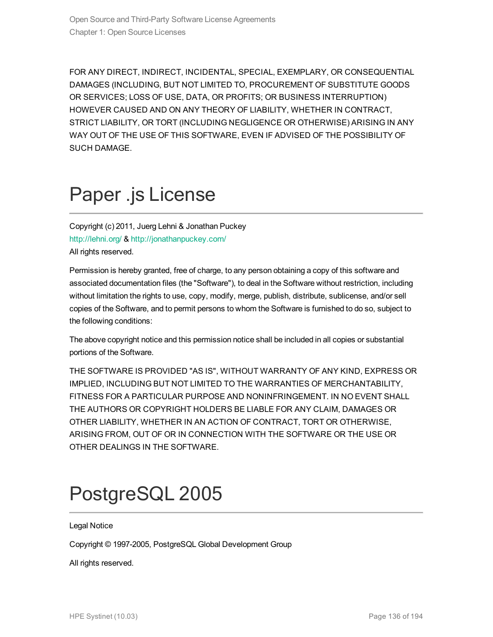FOR ANY DIRECT, INDIRECT, INCIDENTAL, SPECIAL, EXEMPLARY, OR CONSEQUENTIAL DAMAGES (INCLUDING, BUT NOT LIMITED TO, PROCUREMENT OF SUBSTITUTE GOODS OR SERVICES; LOSS OF USE, DATA, OR PROFITS; OR BUSINESS INTERRUPTION) HOWEVER CAUSED AND ON ANY THEORY OF LIABILITY, WHETHER IN CONTRACT, STRICT LIABILITY, OR TORT (INCLUDING NEGLIGENCE OR OTHERWISE) ARISING IN ANY WAY OUT OF THE USE OF THIS SOFTWARE, EVEN IF ADVISED OF THE POSSIBILITY OF SUCH DAMAGE.

### Paper .js License

Copyright (c) 2011, Juerg Lehni & Jonathan Puckey <http://lehni.org/> & <http://jonathanpuckey.com/> All rights reserved.

Permission is hereby granted, free of charge, to any person obtaining a copy of this software and associated documentation files (the "Software"), to deal in the Software without restriction, including without limitation the rights to use, copy, modify, merge, publish, distribute, sublicense, and/or sell copies of the Software, and to permit persons to whom the Software is furnished to do so, subject to the following conditions:

The above copyright notice and this permission notice shall be included in all copies or substantial portions of the Software.

THE SOFTWARE IS PROVIDED "AS IS", WITHOUT WARRANTY OF ANY KIND, EXPRESS OR IMPLIED, INCLUDING BUT NOT LIMITED TO THE WARRANTIES OF MERCHANTABILITY, FITNESS FOR A PARTICULAR PURPOSE AND NONINFRINGEMENT. IN NO EVENT SHALL THE AUTHORS OR COPYRIGHT HOLDERS BE LIABLE FOR ANY CLAIM, DAMAGES OR OTHER LIABILITY, WHETHER IN AN ACTION OF CONTRACT, TORT OR OTHERWISE, ARISING FROM, OUT OF OR IN CONNECTION WITH THE SOFTWARE OR THE USE OR OTHER DEALINGS IN THE SOFTWARE.

### PostgreSQL 2005

#### Legal Notice

Copyright © 1997-2005, PostgreSQL Global Development Group

All rights reserved.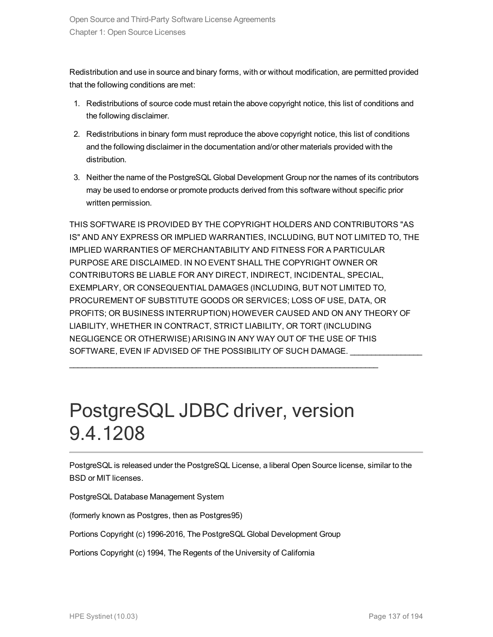Redistribution and use in source and binary forms, with or without modification, are permitted provided that the following conditions are met:

- 1. Redistributions of source code must retain the above copyright notice, this list of conditions and the following disclaimer.
- 2. Redistributions in binary form must reproduce the above copyright notice, this list of conditions and the following disclaimer in the documentation and/or other materials provided with the distribution.
- 3. Neither the name of the PostgreSQL Global Development Group nor the names of its contributors may be used to endorse or promote products derived from this software without specific prior written permission.

THIS SOFTWARE IS PROVIDED BY THE COPYRIGHT HOLDERS AND CONTRIBUTORS "AS IS" AND ANY EXPRESS OR IMPLIED WARRANTIES, INCLUDING, BUT NOT LIMITED TO, THE IMPLIED WARRANTIES OF MERCHANTABILITY AND FITNESS FOR A PARTICULAR PURPOSE ARE DISCLAIMED. IN NO EVENT SHALL THE COPYRIGHT OWNER OR CONTRIBUTORS BE LIABLE FOR ANY DIRECT, INDIRECT, INCIDENTAL, SPECIAL, EXEMPLARY, OR CONSEQUENTIAL DAMAGES (INCLUDING, BUT NOT LIMITED TO, PROCUREMENT OF SUBSTITUTE GOODS OR SERVICES; LOSS OF USE, DATA, OR PROFITS; OR BUSINESS INTERRUPTION) HOWEVER CAUSED AND ON ANY THEORY OF LIABILITY, WHETHER IN CONTRACT, STRICT LIABILITY, OR TORT (INCLUDING NEGLIGENCE OR OTHERWISE) ARISING IN ANY WAY OUT OF THE USE OF THIS SOFTWARE, EVEN IF ADVISED OF THE POSSIBILITY OF SUCH DAMAGE.

## PostgreSQL JDBC driver, version 9.4.1208

\_\_\_\_\_\_\_\_\_\_\_\_\_\_\_\_\_\_\_\_\_\_\_\_\_\_\_\_\_\_\_\_\_\_\_\_\_\_\_\_\_\_\_\_\_\_\_\_\_\_\_\_\_\_\_\_\_\_\_\_\_\_\_\_\_\_\_\_\_\_\_\_\_

PostgreSQL is released under the PostgreSQL License, a liberal Open Source license, similar to the BSD or MIT licenses.

PostgreSQL Database Management System

(formerly known as Postgres, then as Postgres95)

Portions Copyright (c) 1996-2016, The PostgreSQL Global Development Group

Portions Copyright (c) 1994, The Regents of the University of California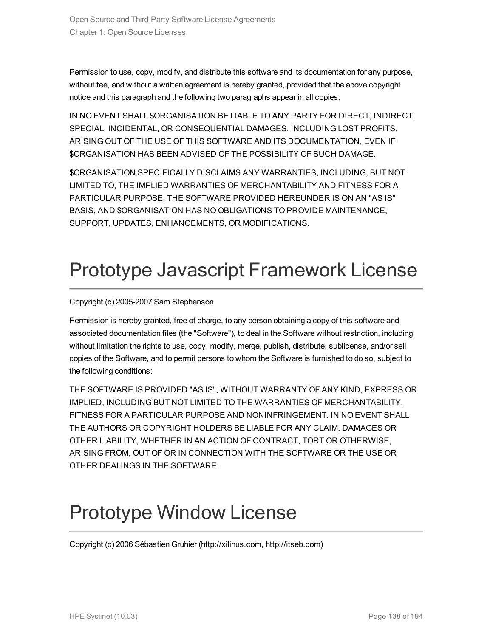Permission to use, copy, modify, and distribute this software and its documentation for any purpose, without fee, and without a written agreement is hereby granted, provided that the above copyright notice and this paragraph and the following two paragraphs appear in all copies.

IN NO EVENT SHALL \$ORGANISATION BE LIABLE TO ANY PARTY FOR DIRECT, INDIRECT, SPECIAL, INCIDENTAL, OR CONSEQUENTIAL DAMAGES, INCLUDING LOST PROFITS, ARISING OUT OF THE USE OF THIS SOFTWARE AND ITS DOCUMENTATION, EVEN IF \$ORGANISATION HAS BEEN ADVISED OF THE POSSIBILITY OF SUCH DAMAGE.

\$ORGANISATION SPECIFICALLY DISCLAIMS ANY WARRANTIES, INCLUDING, BUT NOT LIMITED TO, THE IMPLIED WARRANTIES OF MERCHANTABILITY AND FITNESS FOR A PARTICULAR PURPOSE. THE SOFTWARE PROVIDED HEREUNDER IS ON AN "AS IS" BASIS, AND \$ORGANISATION HAS NO OBLIGATIONS TO PROVIDE MAINTENANCE, SUPPORT, UPDATES, ENHANCEMENTS, OR MODIFICATIONS.

## Prototype Javascript Framework License

#### Copyright (c) 2005-2007 Sam Stephenson

Permission is hereby granted, free of charge, to any person obtaining a copy of this software and associated documentation files (the "Software"), to deal in the Software without restriction, including without limitation the rights to use, copy, modify, merge, publish, distribute, sublicense, and/or sell copies of the Software, and to permit persons to whom the Software is furnished to do so, subject to the following conditions:

THE SOFTWARE IS PROVIDED "AS IS", WITHOUT WARRANTY OF ANY KIND, EXPRESS OR IMPLIED, INCLUDING BUT NOT LIMITED TO THE WARRANTIES OF MERCHANTABILITY, FITNESS FOR A PARTICULAR PURPOSE AND NONINFRINGEMENT. IN NO EVENT SHALL THE AUTHORS OR COPYRIGHT HOLDERS BE LIABLE FOR ANY CLAIM, DAMAGES OR OTHER LIABILITY, WHETHER IN AN ACTION OF CONTRACT, TORT OR OTHERWISE, ARISING FROM, OUT OF OR IN CONNECTION WITH THE SOFTWARE OR THE USE OR OTHER DEALINGS IN THE SOFTWARE.

## Prototype Window License

Copyright (c) 2006 Sébastien Gruhier (http://xilinus.com, http://itseb.com)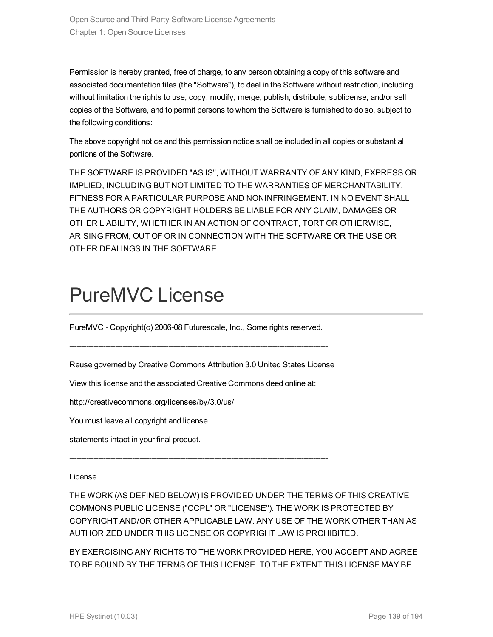Permission is hereby granted, free of charge, to any person obtaining a copy of this software and associated documentation files (the "Software"), to deal in the Software without restriction, including without limitation the rights to use, copy, modify, merge, publish, distribute, sublicense, and/or sell copies of the Software, and to permit persons to whom the Software is furnished to do so, subject to the following conditions:

The above copyright notice and this permission notice shall be included in all copies or substantial portions of the Software.

THE SOFTWARE IS PROVIDED "AS IS", WITHOUT WARRANTY OF ANY KIND, EXPRESS OR IMPLIED, INCLUDING BUT NOT LIMITED TO THE WARRANTIES OF MERCHANTABILITY, FITNESS FOR A PARTICULAR PURPOSE AND NONINFRINGEMENT. IN NO EVENT SHALL THE AUTHORS OR COPYRIGHT HOLDERS BE LIABLE FOR ANY CLAIM, DAMAGES OR OTHER LIABILITY, WHETHER IN AN ACTION OF CONTRACT, TORT OR OTHERWISE, ARISING FROM, OUT OF OR IN CONNECTION WITH THE SOFTWARE OR THE USE OR OTHER DEALINGS IN THE SOFTWARE.

### PureMVC License

PureMVC - Copyright(c) 2006-08 Futurescale, Inc., Some rights reserved.

Reuse governed by Creative Commons Attribution 3.0 United States License

-----------------------------------------------------------------------------------------------------------

View this license and the associated Creative Commons deed online at:

http://creativecommons.org/licenses/by/3.0/us/

You must leave all copyright and license

statements intact in your final product.

-----------------------------------------------------------------------------------------------------------

License

THE WORK (AS DEFINED BELOW) IS PROVIDED UNDER THE TERMS OF THIS CREATIVE COMMONS PUBLIC LICENSE ("CCPL" OR "LICENSE"). THE WORK IS PROTECTED BY COPYRIGHT AND/OR OTHER APPLICABLE LAW. ANY USE OF THE WORK OTHER THAN AS AUTHORIZED UNDER THIS LICENSE OR COPYRIGHT LAW IS PROHIBITED.

BY EXERCISING ANY RIGHTS TO THE WORK PROVIDED HERE, YOU ACCEPT AND AGREE TO BE BOUND BY THE TERMS OF THIS LICENSE. TO THE EXTENT THIS LICENSE MAY BE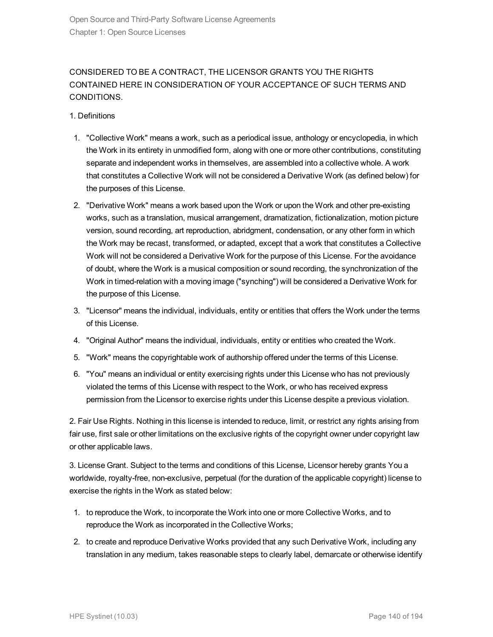#### CONSIDERED TO BE A CONTRACT, THE LICENSOR GRANTS YOU THE RIGHTS CONTAINED HERE IN CONSIDERATION OF YOUR ACCEPTANCE OF SUCH TERMS AND CONDITIONS.

- 1. Definitions
- 1. "Collective Work" means a work, such as a periodical issue, anthology or encyclopedia, in which the Work in its entirety in unmodified form, along with one or more other contributions, constituting separate and independent works in themselves, are assembled into a collective whole. A work that constitutes a Collective Work will not be considered a Derivative Work (as defined below) for the purposes of this License.
- 2. "Derivative Work" means a work based upon the Work or upon the Work and other pre-existing works, such as a translation, musical arrangement, dramatization, fictionalization, motion picture version, sound recording, art reproduction, abridgment, condensation, or any other form in which the Work may be recast, transformed, or adapted, except that a work that constitutes a Collective Work will not be considered a Derivative Work for the purpose of this License. For the avoidance of doubt, where the Work is a musical composition or sound recording, the synchronization of the Work in timed-relation with a moving image ("synching") will be considered a Derivative Work for the purpose of this License.
- 3. "Licensor" means the individual, individuals, entity or entities that offers the Work under the terms of this License.
- 4. "Original Author" means the individual, individuals, entity or entities who created the Work.
- 5. "Work" means the copyrightable work of authorship offered under the terms of this License.
- 6. "You" means an individual or entity exercising rights under this License who has not previously violated the terms of this License with respect to the Work, or who has received express permission from the Licensor to exercise rights under this License despite a previous violation.

2. Fair Use Rights. Nothing in this license is intended to reduce, limit, or restrict any rights arising from fair use, first sale or other limitations on the exclusive rights of the copyright owner under copyright law or other applicable laws.

3. License Grant. Subject to the terms and conditions of this License, Licensor hereby grants You a worldwide, royalty-free, non-exclusive, perpetual (for the duration of the applicable copyright) license to exercise the rights in the Work as stated below:

- 1. to reproduce the Work, to incorporate the Work into one or more Collective Works, and to reproduce the Work as incorporated in the Collective Works;
- 2. to create and reproduce Derivative Works provided that any such Derivative Work, including any translation in any medium, takes reasonable steps to clearly label, demarcate or otherwise identify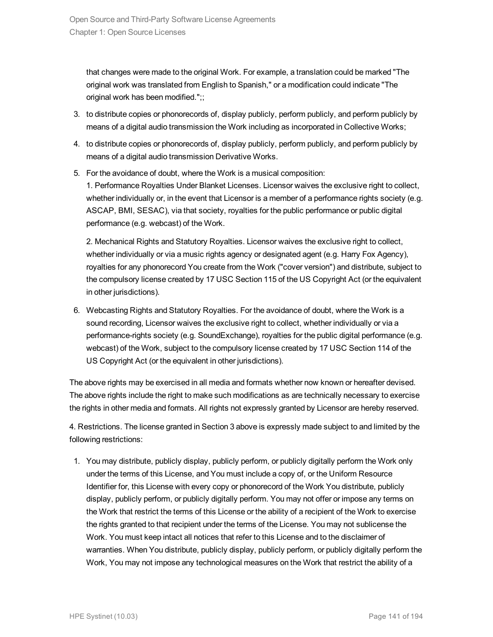that changes were made to the original Work. For example, a translation could be marked "The original work was translated from English to Spanish," or a modification could indicate "The original work has been modified.";;

- 3. to distribute copies or phonorecords of, display publicly, perform publicly, and perform publicly by means of a digital audio transmission the Work including as incorporated in Collective Works;
- 4. to distribute copies or phonorecords of, display publicly, perform publicly, and perform publicly by means of a digital audio transmission Derivative Works.

5. For the avoidance of doubt, where the Work is a musical composition: 1. Performance Royalties Under Blanket Licenses. Licensor waives the exclusive right to collect, whether individually or, in the event that Licensor is a member of a performance rights society (e.g. ASCAP, BMI, SESAC), via that society, royalties for the public performance or public digital performance (e.g. webcast) of the Work.

2. Mechanical Rights and Statutory Royalties. Licensor waives the exclusive right to collect, whether individually or via a music rights agency or designated agent (e.g. Harry Fox Agency), royalties for any phonorecord You create from the Work ("cover version") and distribute, subject to the compulsory license created by 17 USC Section 115 of the US Copyright Act (or the equivalent in other jurisdictions).

6. Webcasting Rights and Statutory Royalties. For the avoidance of doubt, where the Work is a sound recording, Licensor waives the exclusive right to collect, whether individually or via a performance-rights society (e.g. SoundExchange), royalties for the public digital performance (e.g. webcast) of the Work, subject to the compulsory license created by 17 USC Section 114 of the US Copyright Act (or the equivalent in other jurisdictions).

The above rights may be exercised in all media and formats whether now known or hereafter devised. The above rights include the right to make such modifications as are technically necessary to exercise the rights in other media and formats. All rights not expressly granted by Licensor are hereby reserved.

4. Restrictions. The license granted in Section 3 above is expressly made subject to and limited by the following restrictions:

1. You may distribute, publicly display, publicly perform, or publicly digitally perform the Work only under the terms of this License, and You must include a copy of, or the Uniform Resource Identifier for, this License with every copy or phonorecord of the Work You distribute, publicly display, publicly perform, or publicly digitally perform. You may not offer or impose any terms on the Work that restrict the terms of this License or the ability of a recipient of the Work to exercise the rights granted to that recipient under the terms of the License. You may not sublicense the Work. You must keep intact all notices that refer to this License and to the disclaimer of warranties. When You distribute, publicly display, publicly perform, or publicly digitally perform the Work, You may not impose any technological measures on the Work that restrict the ability of a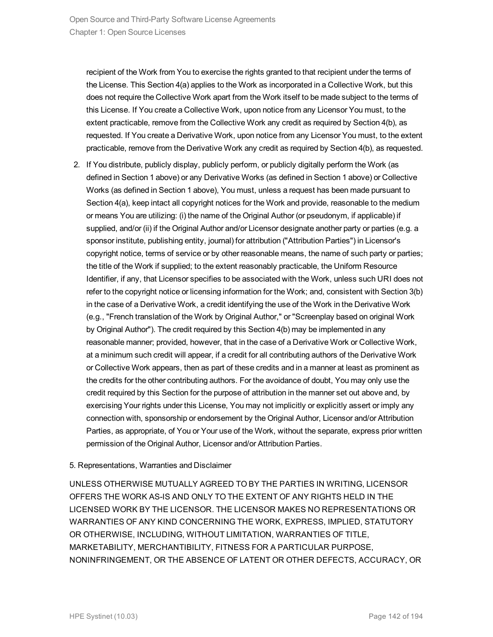recipient of the Work from You to exercise the rights granted to that recipient under the terms of the License. This Section 4(a) applies to the Work as incorporated in a Collective Work, but this does not require the Collective Work apart from the Work itself to be made subject to the terms of this License. If You create a Collective Work, upon notice from any Licensor You must, to the extent practicable, remove from the Collective Work any credit as required by Section 4(b), as requested. If You create a Derivative Work, upon notice from any Licensor You must, to the extent practicable, remove from the Derivative Work any credit as required by Section 4(b), as requested.

2. If You distribute, publicly display, publicly perform, or publicly digitally perform the Work (as defined in Section 1 above) or any Derivative Works (as defined in Section 1 above) or Collective Works (as defined in Section 1 above), You must, unless a request has been made pursuant to Section 4(a), keep intact all copyright notices for the Work and provide, reasonable to the medium or means You are utilizing: (i) the name of the Original Author (or pseudonym, if applicable) if supplied, and/or (ii) if the Original Author and/or Licensor designate another party or parties (e.g. a sponsor institute, publishing entity, journal) for attribution ("Attribution Parties") in Licensor's copyright notice, terms of service or by other reasonable means, the name of such party or parties; the title of the Work if supplied; to the extent reasonably practicable, the Uniform Resource Identifier, if any, that Licensor specifies to be associated with the Work, unless such URI does not refer to the copyright notice or licensing information for the Work; and, consistent with Section 3(b) in the case of a Derivative Work, a credit identifying the use of the Work in the Derivative Work (e.g., "French translation of the Work by Original Author," or "Screenplay based on original Work by Original Author"). The credit required by this Section 4(b) may be implemented in any reasonable manner; provided, however, that in the case of a Derivative Work or Collective Work, at a minimum such credit will appear, if a credit for all contributing authors of the Derivative Work or Collective Work appears, then as part of these credits and in a manner at least as prominent as the credits for the other contributing authors. For the avoidance of doubt, You may only use the credit required by this Section for the purpose of attribution in the manner set out above and, by exercising Your rights under this License, You may not implicitly or explicitly assert or imply any connection with, sponsorship or endorsement by the Original Author, Licensor and/or Attribution Parties, as appropriate, of You or Your use of the Work, without the separate, express prior written permission of the Original Author, Licensor and/or Attribution Parties.

#### 5. Representations, Warranties and Disclaimer

UNLESS OTHERWISE MUTUALLY AGREED TO BY THE PARTIES IN WRITING, LICENSOR OFFERS THE WORK AS-IS AND ONLY TO THE EXTENT OF ANY RIGHTS HELD IN THE LICENSED WORK BY THE LICENSOR. THE LICENSOR MAKES NO REPRESENTATIONS OR WARRANTIES OF ANY KIND CONCERNING THE WORK, EXPRESS, IMPLIED, STATUTORY OR OTHERWISE, INCLUDING, WITHOUT LIMITATION, WARRANTIES OF TITLE, MARKETABILITY, MERCHANTIBILITY, FITNESS FOR A PARTICULAR PURPOSE, NONINFRINGEMENT, OR THE ABSENCE OF LATENT OR OTHER DEFECTS, ACCURACY, OR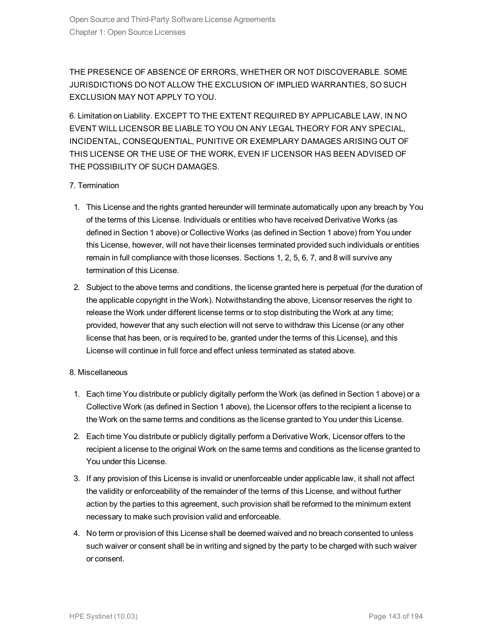THE PRESENCE OF ABSENCE OF ERRORS, WHETHER OR NOT DISCOVERABLE. SOME JURISDICTIONS DO NOT ALLOW THE EXCLUSION OF IMPLIED WARRANTIES, SO SUCH EXCLUSION MAY NOT APPLY TO YOU.

6. Limitation on Liability. EXCEPT TO THE EXTENT REQUIRED BY APPLICABLE LAW, IN NO EVENT WILL LICENSOR BE LIABLE TO YOU ON ANY LEGAL THEORY FOR ANY SPECIAL, INCIDENTAL, CONSEQUENTIAL, PUNITIVE OR EXEMPLARY DAMAGES ARISING OUT OF THIS LICENSE OR THE USE OF THE WORK, EVEN IF LICENSOR HAS BEEN ADVISED OF THE POSSIBILITY OF SUCH DAMAGES.

#### 7. Termination

- 1. This License and the rights granted hereunder will terminate automatically upon any breach by You of the terms of this License. Individuals or entities who have received Derivative Works (as defined in Section 1 above) or Collective Works (as defined in Section 1 above) from You under this License, however, will not have their licenses terminated provided such individuals or entities remain in full compliance with those licenses. Sections 1, 2, 5, 6, 7, and 8 will survive any termination of this License.
- 2. Subject to the above terms and conditions, the license granted here is perpetual (for the duration of the applicable copyright in the Work). Notwithstanding the above, Licensor reserves the right to release the Work under different license terms or to stop distributing the Work at any time; provided, however that any such election will not serve to withdraw this License (or any other license that has been, or is required to be, granted under the terms of this License), and this License will continue in full force and effect unless terminated as stated above.

#### 8. Miscellaneous

- 1. Each time You distribute or publicly digitally perform the Work (as defined in Section 1 above) or a Collective Work (as defined in Section 1 above), the Licensor offers to the recipient a license to the Work on the same terms and conditions as the license granted to You under this License.
- 2. Each time You distribute or publicly digitally perform a Derivative Work, Licensor offers to the recipient a license to the original Work on the same terms and conditions as the license granted to You under this License.
- 3. If any provision of this License is invalid or unenforceable under applicable law, it shall not affect the validity or enforceability of the remainder of the terms of this License, and without further action by the parties to this agreement, such provision shall be reformed to the minimum extent necessary to make such provision valid and enforceable.
- 4. No term or provision of this License shall be deemed waived and no breach consented to unless such waiver or consent shall be in writing and signed by the party to be charged with such waiver or consent.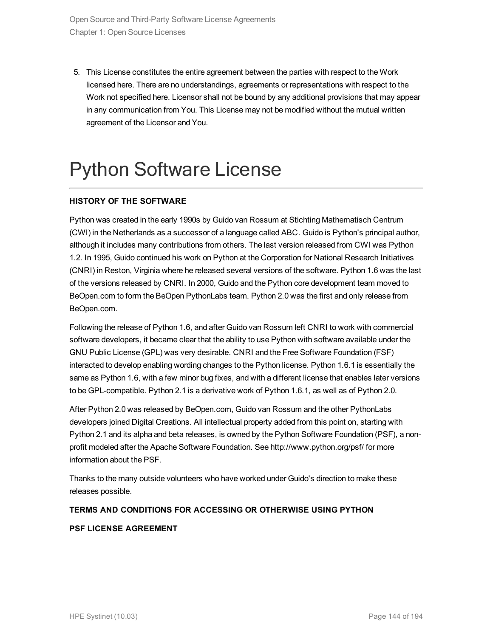5. This License constitutes the entire agreement between the parties with respect to the Work licensed here. There are no understandings, agreements or representations with respect to the Work not specified here. Licensor shall not be bound by any additional provisions that may appear in any communication from You. This License may not be modified without the mutual written agreement of the Licensor and You.

# Python Software License

#### **HISTORY OF THE SOFTWARE**

Python was created in the early 1990s by Guido van Rossum at Stichting Mathematisch Centrum (CWI) in the Netherlands as a successor of a language called ABC. Guido is Python's principal author, although it includes many contributions from others. The last version released from CWI was Python 1.2. In 1995, Guido continued his work on Python at the Corporation for National Research Initiatives (CNRI) in Reston, Virginia where he released several versions of the software. Python 1.6 was the last of the versions released by CNRI. In 2000, Guido and the Python core development team moved to BeOpen.com to form the BeOpen PythonLabs team. Python 2.0 was the first and only release from BeOpen.com.

Following the release of Python 1.6, and after Guido van Rossum left CNRI to work with commercial software developers, it became clear that the ability to use Python with software available under the GNU Public License (GPL) was very desirable. CNRI and the Free Software Foundation (FSF) interacted to develop enabling wording changes to the Python license. Python 1.6.1 is essentially the same as Python 1.6, with a few minor bug fixes, and with a different license that enables later versions to be GPL-compatible. Python 2.1 is a derivative work of Python 1.6.1, as well as of Python 2.0.

After Python 2.0 was released by BeOpen.com, Guido van Rossum and the other PythonLabs developers joined Digital Creations. All intellectual property added from this point on, starting with Python 2.1 and its alpha and beta releases, is owned by the Python Software Foundation (PSF), a nonprofit modeled after the Apache Software Foundation. See http://www.python.org/psf/ for more information about the PSF.

Thanks to the many outside volunteers who have worked under Guido's direction to make these releases possible.

#### **TERMS AND CONDITIONS FOR ACCESSING OR OTHERWISE USING PYTHON**

#### **PSF LICENSE AGREEMENT**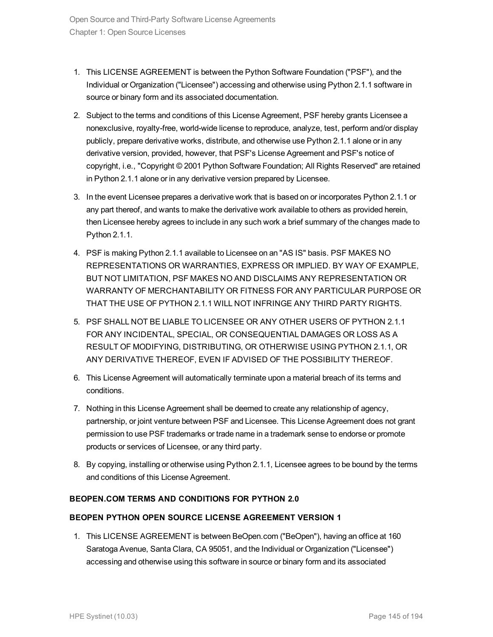- 1. This LICENSE AGREEMENT is between the Python Software Foundation ("PSF"), and the Individual or Organization ("Licensee") accessing and otherwise using Python 2.1.1 software in source or binary form and its associated documentation.
- 2. Subject to the terms and conditions of this License Agreement, PSF hereby grants Licensee a nonexclusive, royalty-free, world-wide license to reproduce, analyze, test, perform and/or display publicly, prepare derivative works, distribute, and otherwise use Python 2.1.1 alone or in any derivative version, provided, however, that PSF's License Agreement and PSF's notice of copyright, i.e., "Copyright © 2001 Python Software Foundation; All Rights Reserved" are retained in Python 2.1.1 alone or in any derivative version prepared by Licensee.
- 3. In the event Licensee prepares a derivative work that is based on or incorporates Python 2.1.1 or any part thereof, and wants to make the derivative work available to others as provided herein, then Licensee hereby agrees to include in any such work a brief summary of the changes made to Python 2.1.1.
- 4. PSF is making Python 2.1.1 available to Licensee on an "AS IS" basis. PSF MAKES NO REPRESENTATIONS OR WARRANTIES, EXPRESS OR IMPLIED. BY WAY OF EXAMPLE, BUT NOT LIMITATION, PSF MAKES NO AND DISCLAIMS ANY REPRESENTATION OR WARRANTY OF MERCHANTABILITY OR FITNESS FOR ANY PARTICULAR PURPOSE OR THAT THE USE OF PYTHON 2.1.1 WILL NOT INFRINGE ANY THIRD PARTY RIGHTS.
- 5. PSF SHALL NOT BE LIABLE TO LICENSEE OR ANY OTHER USERS OF PYTHON 2.1.1 FOR ANY INCIDENTAL, SPECIAL, OR CONSEQUENTIAL DAMAGES OR LOSS AS A RESULT OF MODIFYING, DISTRIBUTING, OR OTHERWISE USING PYTHON 2.1.1, OR ANY DERIVATIVE THEREOF, EVEN IF ADVISED OF THE POSSIBILITY THEREOF.
- 6. This License Agreement will automatically terminate upon a material breach of its terms and conditions.
- 7. Nothing in this License Agreement shall be deemed to create any relationship of agency, partnership, or joint venture between PSF and Licensee. This License Agreement does not grant permission to use PSF trademarks or trade name in a trademark sense to endorse or promote products or services of Licensee, or any third party.
- 8. By copying, installing or otherwise using Python 2.1.1, Licensee agrees to be bound by the terms and conditions of this License Agreement.

### **BEOPEN.COM TERMS AND CONDITIONS FOR PYTHON 2.0**

#### **BEOPEN PYTHON OPEN SOURCE LICENSE AGREEMENT VERSION 1**

1. This LICENSE AGREEMENT is between BeOpen.com ("BeOpen"), having an office at 160 Saratoga Avenue, Santa Clara, CA 95051, and the Individual or Organization ("Licensee") accessing and otherwise using this software in source or binary form and its associated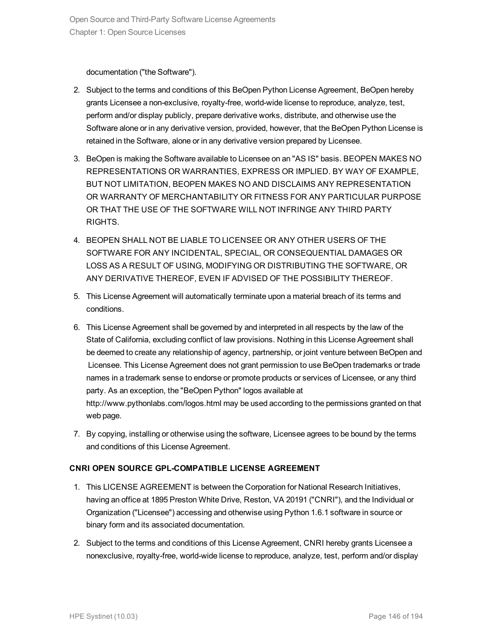documentation ("the Software").

- 2. Subject to the terms and conditions of this BeOpen Python License Agreement, BeOpen hereby grants Licensee a non-exclusive, royalty-free, world-wide license to reproduce, analyze, test, perform and/or display publicly, prepare derivative works, distribute, and otherwise use the Software alone or in any derivative version, provided, however, that the BeOpen Python License is retained in the Software, alone or in any derivative version prepared by Licensee.
- 3. BeOpen is making the Software available to Licensee on an "AS IS" basis. BEOPEN MAKES NO REPRESENTATIONS OR WARRANTIES, EXPRESS OR IMPLIED. BY WAY OF EXAMPLE, BUT NOT LIMITATION, BEOPEN MAKES NO AND DISCLAIMS ANY REPRESENTATION OR WARRANTY OF MERCHANTABILITY OR FITNESS FOR ANY PARTICULAR PURPOSE OR THAT THE USE OF THE SOFTWARE WILL NOT INFRINGE ANY THIRD PARTY RIGHTS.
- 4. BEOPEN SHALL NOT BE LIABLE TO LICENSEE OR ANY OTHER USERS OF THE SOFTWARE FOR ANY INCIDENTAL, SPECIAL, OR CONSEQUENTIAL DAMAGES OR LOSS AS A RESULT OF USING, MODIFYING OR DISTRIBUTING THE SOFTWARE, OR ANY DERIVATIVE THEREOF, EVEN IF ADVISED OF THE POSSIBILITY THEREOF.
- 5. This License Agreement will automatically terminate upon a material breach of its terms and conditions.
- 6. This License Agreement shall be governed by and interpreted in all respects by the law of the State of California, excluding conflict of law provisions. Nothing in this License Agreement shall be deemed to create any relationship of agency, partnership, or joint venture between BeOpen and Licensee. This License Agreement does not grant permission to use BeOpen trademarks or trade names in a trademark sense to endorse or promote products or services of Licensee, or any third party. As an exception, the "BeOpen Python" logos available at http://www.pythonlabs.com/logos.html may be used according to the permissions granted on that web page.
- 7. By copying, installing or otherwise using the software, Licensee agrees to be bound by the terms and conditions of this License Agreement.

#### **CNRI OPEN SOURCE GPL-COMPATIBLE LICENSE AGREEMENT**

- 1. This LICENSE AGREEMENT is between the Corporation for National Research Initiatives, having an office at 1895 Preston White Drive, Reston, VA 20191 ("CNRI"), and the Individual or Organization ("Licensee") accessing and otherwise using Python 1.6.1 software in source or binary form and its associated documentation.
- 2. Subject to the terms and conditions of this License Agreement, CNRI hereby grants Licensee a nonexclusive, royalty-free, world-wide license to reproduce, analyze, test, perform and/or display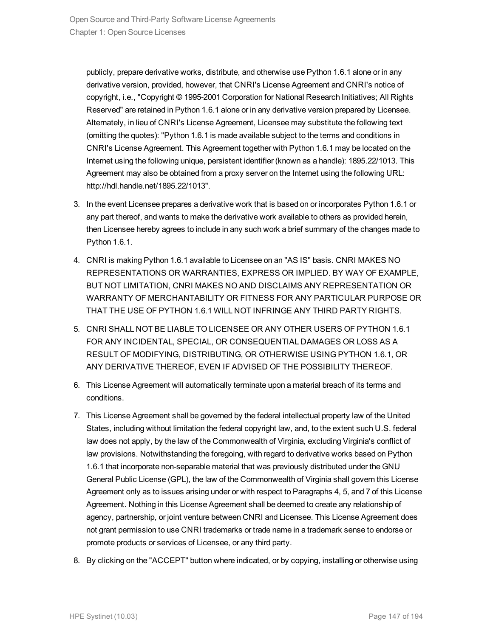publicly, prepare derivative works, distribute, and otherwise use Python 1.6.1 alone or in any derivative version, provided, however, that CNRI's License Agreement and CNRI's notice of copyright, i.e., "Copyright © 1995-2001 Corporation for National Research Initiatives; All Rights Reserved" are retained in Python 1.6.1 alone or in any derivative version prepared by Licensee. Alternately, in lieu of CNRI's License Agreement, Licensee may substitute the following text (omitting the quotes): "Python 1.6.1 is made available subject to the terms and conditions in CNRI's License Agreement. This Agreement together with Python 1.6.1 may be located on the Internet using the following unique, persistent identifier (known as a handle): 1895.22/1013. This Agreement may also be obtained from a proxy server on the Internet using the following URL: http://hdl.handle.net/1895.22/1013".

- 3. In the event Licensee prepares a derivative work that is based on or incorporates Python 1.6.1 or any part thereof, and wants to make the derivative work available to others as provided herein, then Licensee hereby agrees to include in any such work a brief summary of the changes made to Python 1.6.1.
- 4. CNRI is making Python 1.6.1 available to Licensee on an "AS IS" basis. CNRI MAKES NO REPRESENTATIONS OR WARRANTIES, EXPRESS OR IMPLIED. BY WAY OF EXAMPLE, BUT NOT LIMITATION, CNRI MAKES NO AND DISCLAIMS ANY REPRESENTATION OR WARRANTY OF MERCHANTABILITY OR FITNESS FOR ANY PARTICULAR PURPOSE OR THAT THE USE OF PYTHON 1.6.1 WILL NOT INFRINGE ANY THIRD PARTY RIGHTS.
- 5. CNRI SHALL NOT BE LIABLE TO LICENSEE OR ANY OTHER USERS OF PYTHON 1.6.1 FOR ANY INCIDENTAL, SPECIAL, OR CONSEQUENTIAL DAMAGES OR LOSS AS A RESULT OF MODIFYING, DISTRIBUTING, OR OTHERWISE USING PYTHON 1.6.1, OR ANY DERIVATIVE THEREOF, EVEN IF ADVISED OF THE POSSIBILITY THEREOF.
- 6. This License Agreement will automatically terminate upon a material breach of its terms and conditions.
- 7. This License Agreement shall be governed by the federal intellectual property law of the United States, including without limitation the federal copyright law, and, to the extent such U.S. federal law does not apply, by the law of the Commonwealth of Virginia, excluding Virginia's conflict of law provisions. Notwithstanding the foregoing, with regard to derivative works based on Python 1.6.1 that incorporate non-separable material that was previously distributed under the GNU General Public License (GPL), the law of the Commonwealth of Virginia shall govern this License Agreement only as to issues arising under or with respect to Paragraphs 4, 5, and 7 of this License Agreement. Nothing in this License Agreement shall be deemed to create any relationship of agency, partnership, or joint venture between CNRI and Licensee. This License Agreement does not grant permission to use CNRI trademarks or trade name in a trademark sense to endorse or promote products or services of Licensee, or any third party.
- 8. By clicking on the "ACCEPT" button where indicated, or by copying, installing or otherwise using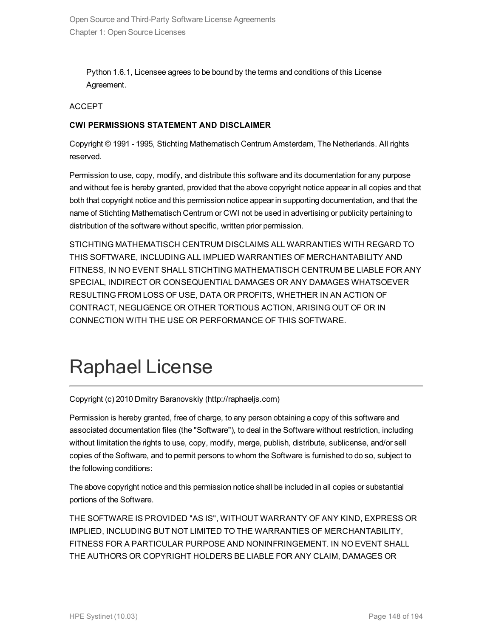Python 1.6.1, Licensee agrees to be bound by the terms and conditions of this License Agreement.

ACCEPT

#### **CWI PERMISSIONS STATEMENT AND DISCLAIMER**

Copyright © 1991 - 1995, Stichting Mathematisch Centrum Amsterdam, The Netherlands. All rights reserved.

Permission to use, copy, modify, and distribute this software and its documentation for any purpose and without fee is hereby granted, provided that the above copyright notice appear in all copies and that both that copyright notice and this permission notice appear in supporting documentation, and that the name of Stichting Mathematisch Centrum or CWI not be used in advertising or publicity pertaining to distribution of the software without specific, written prior permission.

STICHTING MATHEMATISCH CENTRUM DISCLAIMS ALL WARRANTIES WITH REGARD TO THIS SOFTWARE, INCLUDING ALL IMPLIED WARRANTIES OF MERCHANTABILITY AND FITNESS, IN NO EVENT SHALL STICHTING MATHEMATISCH CENTRUM BE LIABLE FOR ANY SPECIAL, INDIRECT OR CONSEQUENTIAL DAMAGES OR ANY DAMAGES WHATSOEVER RESULTING FROM LOSS OF USE, DATA OR PROFITS, WHETHER IN AN ACTION OF CONTRACT, NEGLIGENCE OR OTHER TORTIOUS ACTION, ARISING OUT OF OR IN CONNECTION WITH THE USE OR PERFORMANCE OF THIS SOFTWARE.

## Raphael License

Copyright (c) 2010 Dmitry Baranovskiy (http://raphaeljs.com)

Permission is hereby granted, free of charge, to any person obtaining a copy of this software and associated documentation files (the "Software"), to deal in the Software without restriction, including without limitation the rights to use, copy, modify, merge, publish, distribute, sublicense, and/or sell copies of the Software, and to permit persons to whom the Software is furnished to do so, subject to the following conditions:

The above copyright notice and this permission notice shall be included in all copies or substantial portions of the Software.

THE SOFTWARE IS PROVIDED "AS IS", WITHOUT WARRANTY OF ANY KIND, EXPRESS OR IMPLIED, INCLUDING BUT NOT LIMITED TO THE WARRANTIES OF MERCHANTABILITY, FITNESS FOR A PARTICULAR PURPOSE AND NONINFRINGEMENT. IN NO EVENT SHALL THE AUTHORS OR COPYRIGHT HOLDERS BE LIABLE FOR ANY CLAIM, DAMAGES OR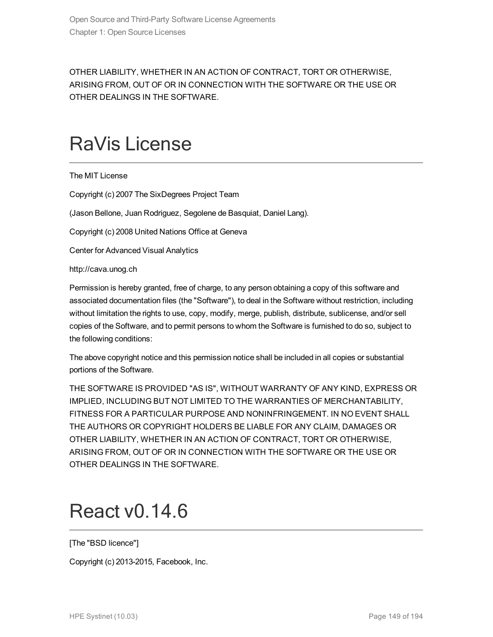OTHER LIABILITY, WHETHER IN AN ACTION OF CONTRACT, TORT OR OTHERWISE, ARISING FROM, OUT OF OR IN CONNECTION WITH THE SOFTWARE OR THE USE OR OTHER DEALINGS IN THE SOFTWARE.

## RaVis License

The MIT License

Copyright (c) 2007 The SixDegrees Project Team (Jason Bellone, Juan Rodriguez, Segolene de Basquiat, Daniel Lang). Copyright (c) 2008 United Nations Office at Geneva Center for Advanced Visual Analytics http://cava.unog.ch

Permission is hereby granted, free of charge, to any person obtaining a copy of this software and associated documentation files (the "Software"), to deal in the Software without restriction, including without limitation the rights to use, copy, modify, merge, publish, distribute, sublicense, and/or sell copies of the Software, and to permit persons to whom the Software is furnished to do so, subject to the following conditions:

The above copyright notice and this permission notice shall be included in all copies or substantial portions of the Software.

THE SOFTWARE IS PROVIDED "AS IS", WITHOUT WARRANTY OF ANY KIND, EXPRESS OR IMPLIED, INCLUDING BUT NOT LIMITED TO THE WARRANTIES OF MERCHANTABILITY, FITNESS FOR A PARTICULAR PURPOSE AND NONINFRINGEMENT. IN NO EVENT SHALL THE AUTHORS OR COPYRIGHT HOLDERS BE LIABLE FOR ANY CLAIM, DAMAGES OR OTHER LIABILITY, WHETHER IN AN ACTION OF CONTRACT, TORT OR OTHERWISE, ARISING FROM, OUT OF OR IN CONNECTION WITH THE SOFTWARE OR THE USE OR OTHER DEALINGS IN THE SOFTWARE.

## React v0.14.6

[The "BSD licence"]

Copyright (c) 2013-2015, Facebook, Inc.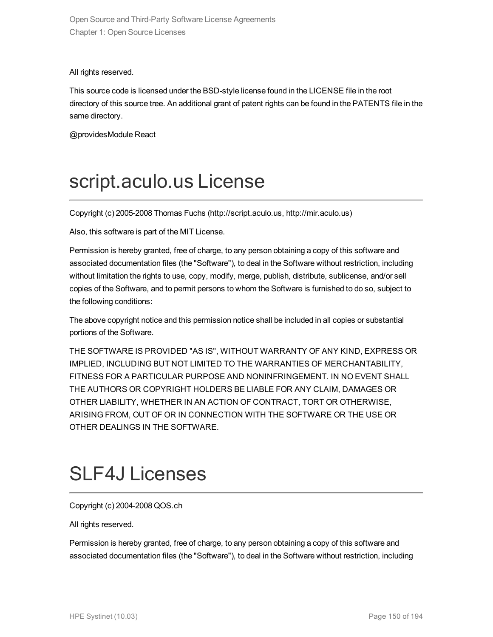All rights reserved.

This source code is licensed under the BSD-style license found in the LICENSE file in the root directory of this source tree. An additional grant of patent rights can be found in the PATENTS file in the same directory.

@providesModule React

### script.aculo.us License

Copyright (c) 2005-2008 Thomas Fuchs (http://script.aculo.us, http://mir.aculo.us)

Also, this software is part of the MIT License.

Permission is hereby granted, free of charge, to any person obtaining a copy of this software and associated documentation files (the "Software"), to deal in the Software without restriction, including without limitation the rights to use, copy, modify, merge, publish, distribute, sublicense, and/or sell copies of the Software, and to permit persons to whom the Software is furnished to do so, subject to the following conditions:

The above copyright notice and this permission notice shall be included in all copies or substantial portions of the Software.

THE SOFTWARE IS PROVIDED "AS IS", WITHOUT WARRANTY OF ANY KIND, EXPRESS OR IMPLIED, INCLUDING BUT NOT LIMITED TO THE WARRANTIES OF MERCHANTABILITY, FITNESS FOR A PARTICULAR PURPOSE AND NONINFRINGEMENT. IN NO EVENT SHALL THE AUTHORS OR COPYRIGHT HOLDERS BE LIABLE FOR ANY CLAIM, DAMAGES OR OTHER LIABILITY, WHETHER IN AN ACTION OF CONTRACT, TORT OR OTHERWISE, ARISING FROM, OUT OF OR IN CONNECTION WITH THE SOFTWARE OR THE USE OR OTHER DEALINGS IN THE SOFTWARE.

### SLF4J Licenses

Copyright (c) 2004-2008 QOS.ch

All rights reserved.

Permission is hereby granted, free of charge, to any person obtaining a copy of this software and associated documentation files (the "Software"), to deal in the Software without restriction, including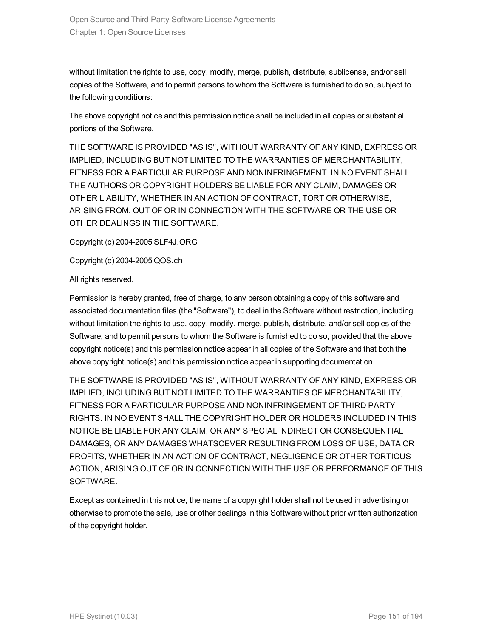without limitation the rights to use, copy, modify, merge, publish, distribute, sublicense, and/or sell copies of the Software, and to permit persons to whom the Software is furnished to do so, subject to the following conditions:

The above copyright notice and this permission notice shall be included in all copies or substantial portions of the Software.

THE SOFTWARE IS PROVIDED "AS IS", WITHOUT WARRANTY OF ANY KIND, EXPRESS OR IMPLIED, INCLUDING BUT NOT LIMITED TO THE WARRANTIES OF MERCHANTABILITY, FITNESS FOR A PARTICULAR PURPOSE AND NONINFRINGEMENT. IN NO EVENT SHALL THE AUTHORS OR COPYRIGHT HOLDERS BE LIABLE FOR ANY CLAIM, DAMAGES OR OTHER LIABILITY, WHETHER IN AN ACTION OF CONTRACT, TORT OR OTHERWISE, ARISING FROM, OUT OF OR IN CONNECTION WITH THE SOFTWARE OR THE USE OR OTHER DEALINGS IN THE SOFTWARE.

Copyright (c) 2004-2005 SLF4J.ORG

Copyright (c) 2004-2005 QOS.ch

All rights reserved.

Permission is hereby granted, free of charge, to any person obtaining a copy of this software and associated documentation files (the "Software"), to deal in the Software without restriction, including without limitation the rights to use, copy, modify, merge, publish, distribute, and/or sell copies of the Software, and to permit persons to whom the Software is furnished to do so, provided that the above copyright notice(s) and this permission notice appear in all copies of the Software and that both the above copyright notice(s) and this permission notice appear in supporting documentation.

THE SOFTWARE IS PROVIDED "AS IS", WITHOUT WARRANTY OF ANY KIND, EXPRESS OR IMPLIED, INCLUDING BUT NOT LIMITED TO THE WARRANTIES OF MERCHANTABILITY, FITNESS FOR A PARTICULAR PURPOSE AND NONINFRINGEMENT OF THIRD PARTY RIGHTS. IN NO EVENT SHALL THE COPYRIGHT HOLDER OR HOLDERS INCLUDED IN THIS NOTICE BE LIABLE FOR ANY CLAIM, OR ANY SPECIAL INDIRECT OR CONSEQUENTIAL DAMAGES, OR ANY DAMAGES WHATSOEVER RESULTING FROM LOSS OF USE, DATA OR PROFITS, WHETHER IN AN ACTION OF CONTRACT, NEGLIGENCE OR OTHER TORTIOUS ACTION, ARISING OUT OF OR IN CONNECTION WITH THE USE OR PERFORMANCE OF THIS SOFTWARE.

Except as contained in this notice, the name of a copyright holder shall not be used in advertising or otherwise to promote the sale, use or other dealings in this Software without prior written authorization of the copyright holder.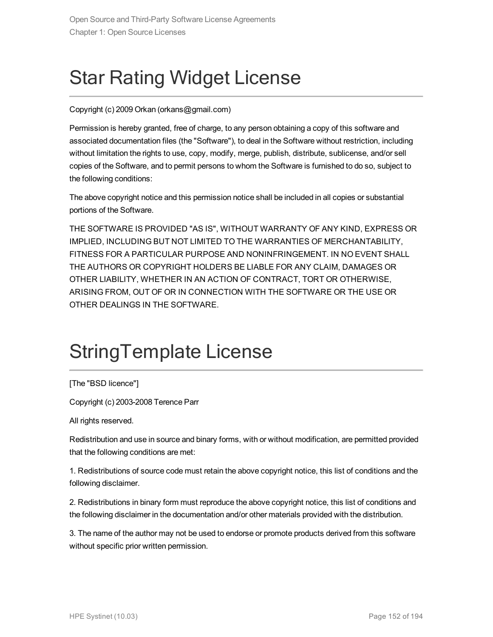# Star Rating Widget License

#### Copyright (c) 2009 Orkan (orkans@gmail.com)

Permission is hereby granted, free of charge, to any person obtaining a copy of this software and associated documentation files (the "Software"), to deal in the Software without restriction, including without limitation the rights to use, copy, modify, merge, publish, distribute, sublicense, and/or sell copies of the Software, and to permit persons to whom the Software is furnished to do so, subject to the following conditions:

The above copyright notice and this permission notice shall be included in all copies or substantial portions of the Software.

THE SOFTWARE IS PROVIDED "AS IS", WITHOUT WARRANTY OF ANY KIND, EXPRESS OR IMPLIED, INCLUDING BUT NOT LIMITED TO THE WARRANTIES OF MERCHANTABILITY, FITNESS FOR A PARTICULAR PURPOSE AND NONINFRINGEMENT. IN NO EVENT SHALL THE AUTHORS OR COPYRIGHT HOLDERS BE LIABLE FOR ANY CLAIM, DAMAGES OR OTHER LIABILITY, WHETHER IN AN ACTION OF CONTRACT, TORT OR OTHERWISE, ARISING FROM, OUT OF OR IN CONNECTION WITH THE SOFTWARE OR THE USE OR OTHER DEALINGS IN THE SOFTWARE.

## StringTemplate License

[The "BSD licence"]

Copyright (c) 2003-2008 Terence Parr

All rights reserved.

Redistribution and use in source and binary forms, with or without modification, are permitted provided that the following conditions are met:

1. Redistributions of source code must retain the above copyright notice, this list of conditions and the following disclaimer.

2. Redistributions in binary form must reproduce the above copyright notice, this list of conditions and the following disclaimer in the documentation and/or other materials provided with the distribution.

3. The name of the author may not be used to endorse or promote products derived from this software without specific prior written permission.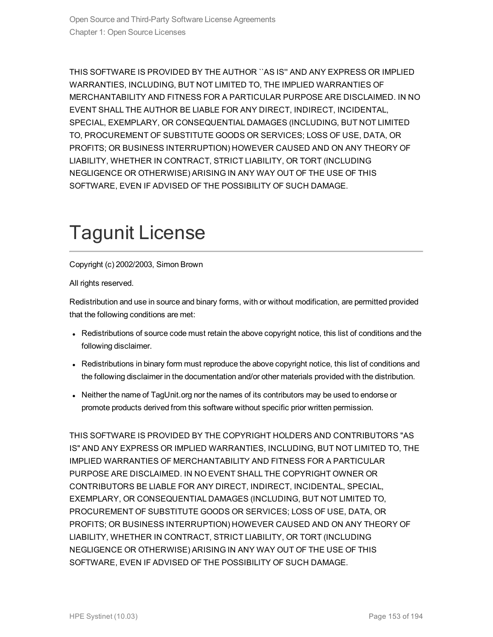THIS SOFTWARE IS PROVIDED BY THE AUTHOR ``AS IS'' AND ANY EXPRESS OR IMPLIED WARRANTIES, INCLUDING, BUT NOT LIMITED TO, THE IMPLIED WARRANTIES OF MERCHANTABILITY AND FITNESS FOR A PARTICULAR PURPOSE ARE DISCLAIMED. IN NO EVENT SHALL THE AUTHOR BE LIABLE FOR ANY DIRECT, INDIRECT, INCIDENTAL, SPECIAL, EXEMPLARY, OR CONSEQUENTIAL DAMAGES (INCLUDING, BUT NOT LIMITED TO, PROCUREMENT OF SUBSTITUTE GOODS OR SERVICES; LOSS OF USE, DATA, OR PROFITS; OR BUSINESS INTERRUPTION) HOWEVER CAUSED AND ON ANY THEORY OF LIABILITY, WHETHER IN CONTRACT, STRICT LIABILITY, OR TORT (INCLUDING NEGLIGENCE OR OTHERWISE) ARISING IN ANY WAY OUT OF THE USE OF THIS SOFTWARE, EVEN IF ADVISED OF THE POSSIBILITY OF SUCH DAMAGE.

### Tagunit License

Copyright (c) 2002/2003, Simon Brown

All rights reserved.

Redistribution and use in source and binary forms, with or without modification, are permitted provided that the following conditions are met:

- Redistributions of source code must retain the above copyright notice, this list of conditions and the following disclaimer.
- Redistributions in binary form must reproduce the above copyright notice, this list of conditions and the following disclaimer in the documentation and/or other materials provided with the distribution.
- Neither the name of TagUnit.org nor the names of its contributors may be used to endorse or promote products derived from this software without specific prior written permission.

THIS SOFTWARE IS PROVIDED BY THE COPYRIGHT HOLDERS AND CONTRIBUTORS "AS IS" AND ANY EXPRESS OR IMPLIED WARRANTIES, INCLUDING, BUT NOT LIMITED TO, THE IMPLIED WARRANTIES OF MERCHANTABILITY AND FITNESS FOR A PARTICULAR PURPOSE ARE DISCLAIMED. IN NO EVENT SHALL THE COPYRIGHT OWNER OR CONTRIBUTORS BE LIABLE FOR ANY DIRECT, INDIRECT, INCIDENTAL, SPECIAL, EXEMPLARY, OR CONSEQUENTIAL DAMAGES (INCLUDING, BUT NOT LIMITED TO, PROCUREMENT OF SUBSTITUTE GOODS OR SERVICES; LOSS OF USE, DATA, OR PROFITS; OR BUSINESS INTERRUPTION) HOWEVER CAUSED AND ON ANY THEORY OF LIABILITY, WHETHER IN CONTRACT, STRICT LIABILITY, OR TORT (INCLUDING NEGLIGENCE OR OTHERWISE) ARISING IN ANY WAY OUT OF THE USE OF THIS SOFTWARE, EVEN IF ADVISED OF THE POSSIBILITY OF SUCH DAMAGE.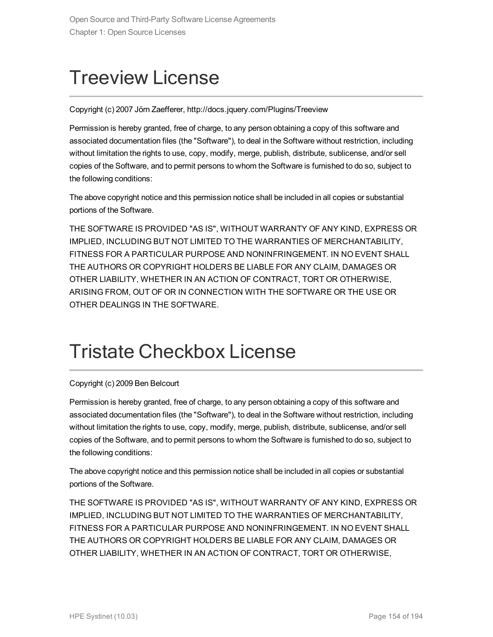## Treeview License

Copyright (c) 2007 Jörn Zaefferer, http://docs.jquery.com/Plugins/Treeview

Permission is hereby granted, free of charge, to any person obtaining a copy of this software and associated documentation files (the "Software"), to deal in the Software without restriction, including without limitation the rights to use, copy, modify, merge, publish, distribute, sublicense, and/or sell copies of the Software, and to permit persons to whom the Software is furnished to do so, subject to the following conditions:

The above copyright notice and this permission notice shall be included in all copies or substantial portions of the Software.

THE SOFTWARE IS PROVIDED "AS IS", WITHOUT WARRANTY OF ANY KIND, EXPRESS OR IMPLIED, INCLUDING BUT NOT LIMITED TO THE WARRANTIES OF MERCHANTABILITY, FITNESS FOR A PARTICULAR PURPOSE AND NONINFRINGEMENT. IN NO EVENT SHALL THE AUTHORS OR COPYRIGHT HOLDERS BE LIABLE FOR ANY CLAIM, DAMAGES OR OTHER LIABILITY, WHETHER IN AN ACTION OF CONTRACT, TORT OR OTHERWISE, ARISING FROM, OUT OF OR IN CONNECTION WITH THE SOFTWARE OR THE USE OR OTHER DEALINGS IN THE SOFTWARE.

### Tristate Checkbox License

### Copyright (c) 2009 Ben Belcourt

Permission is hereby granted, free of charge, to any person obtaining a copy of this software and associated documentation files (the "Software"), to deal in the Software without restriction, including without limitation the rights to use, copy, modify, merge, publish, distribute, sublicense, and/or sell copies of the Software, and to permit persons to whom the Software is furnished to do so, subject to the following conditions:

The above copyright notice and this permission notice shall be included in all copies or substantial portions of the Software.

THE SOFTWARE IS PROVIDED "AS IS", WITHOUT WARRANTY OF ANY KIND, EXPRESS OR IMPLIED, INCLUDING BUT NOT LIMITED TO THE WARRANTIES OF MERCHANTABILITY, FITNESS FOR A PARTICULAR PURPOSE AND NONINFRINGEMENT. IN NO EVENT SHALL THE AUTHORS OR COPYRIGHT HOLDERS BE LIABLE FOR ANY CLAIM, DAMAGES OR OTHER LIABILITY, WHETHER IN AN ACTION OF CONTRACT, TORT OR OTHERWISE,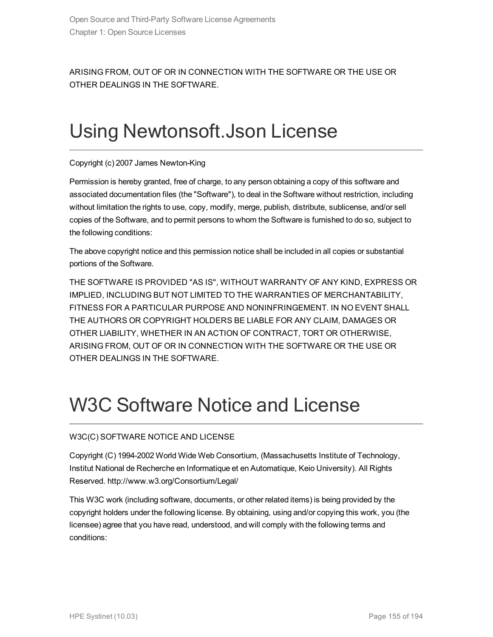ARISING FROM, OUT OF OR IN CONNECTION WITH THE SOFTWARE OR THE USE OR OTHER DEALINGS IN THE SOFTWARE.

## Using Newtonsoft.Json License

#### Copyright (c) 2007 James Newton-King

Permission is hereby granted, free of charge, to any person obtaining a copy of this software and associated documentation files (the "Software"), to deal in the Software without restriction, including without limitation the rights to use, copy, modify, merge, publish, distribute, sublicense, and/or sell copies of the Software, and to permit persons to whom the Software is furnished to do so, subject to the following conditions:

The above copyright notice and this permission notice shall be included in all copies or substantial portions of the Software.

THE SOFTWARE IS PROVIDED "AS IS", WITHOUT WARRANTY OF ANY KIND, EXPRESS OR IMPLIED, INCLUDING BUT NOT LIMITED TO THE WARRANTIES OF MERCHANTABILITY, FITNESS FOR A PARTICULAR PURPOSE AND NONINFRINGEMENT. IN NO EVENT SHALL THE AUTHORS OR COPYRIGHT HOLDERS BE LIABLE FOR ANY CLAIM, DAMAGES OR OTHER LIABILITY, WHETHER IN AN ACTION OF CONTRACT, TORT OR OTHERWISE, ARISING FROM, OUT OF OR IN CONNECTION WITH THE SOFTWARE OR THE USE OR OTHER DEALINGS IN THE SOFTWARE.

## W3C Software Notice and License

### W3C(C) SOFTWARE NOTICE AND LICENSE

Copyright (C) 1994-2002 World Wide Web Consortium, (Massachusetts Institute of Technology, Institut National de Recherche en Informatique et en Automatique, Keio University). All Rights Reserved. http://www.w3.org/Consortium/Legal/

This W3C work (including software, documents, or other related items) is being provided by the copyright holders under the following license. By obtaining, using and/or copying this work, you (the licensee) agree that you have read, understood, and will comply with the following terms and conditions: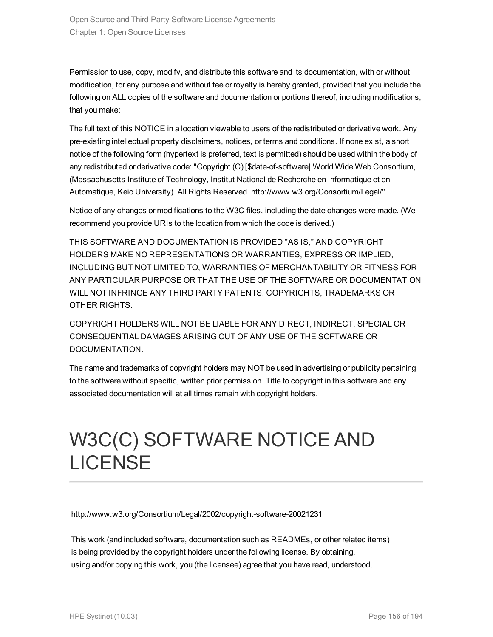Permission to use, copy, modify, and distribute this software and its documentation, with or without modification, for any purpose and without fee or royalty is hereby granted, provided that you include the following on ALL copies of the software and documentation or portions thereof, including modifications, that you make:

The full text of this NOTICE in a location viewable to users of the redistributed or derivative work. Any pre-existing intellectual property disclaimers, notices, or terms and conditions. If none exist, a short notice of the following form (hypertext is preferred, text is permitted) should be used within the body of any redistributed or derivative code: "Copyright (C) [\$date-of-software] World Wide Web Consortium, (Massachusetts Institute of Technology, Institut National de Recherche en Informatique et en Automatique, Keio University). All Rights Reserved. http://www.w3.org/Consortium/Legal/"

Notice of any changes or modifications to the W3C files, including the date changes were made. (We recommend you provide URIs to the location from which the code is derived.)

THIS SOFTWARE AND DOCUMENTATION IS PROVIDED "AS IS," AND COPYRIGHT HOLDERS MAKE NO REPRESENTATIONS OR WARRANTIES, EXPRESS OR IMPLIED, INCLUDING BUT NOT LIMITED TO, WARRANTIES OF MERCHANTABILITY OR FITNESS FOR ANY PARTICULAR PURPOSE OR THAT THE USE OF THE SOFTWARE OR DOCUMENTATION WILL NOT INFRINGE ANY THIRD PARTY PATENTS, COPYRIGHTS, TRADEMARKS OR OTHER RIGHTS.

COPYRIGHT HOLDERS WILL NOT BE LIABLE FOR ANY DIRECT, INDIRECT, SPECIAL OR CONSEQUENTIAL DAMAGES ARISING OUT OF ANY USE OF THE SOFTWARE OR DOCUMENTATION.

The name and trademarks of copyright holders may NOT be used in advertising or publicity pertaining to the software without specific, written prior permission. Title to copyright in this software and any associated documentation will at all times remain with copyright holders.

## W3C(C) SOFTWARE NOTICE AND **LICENSE**

http://www.w3.org/Consortium/Legal/2002/copyright-software-20021231

This work (and included software, documentation such as READMEs, or other related items) is being provided by the copyright holders under the following license. By obtaining, using and/or copying this work, you (the licensee) agree that you have read, understood,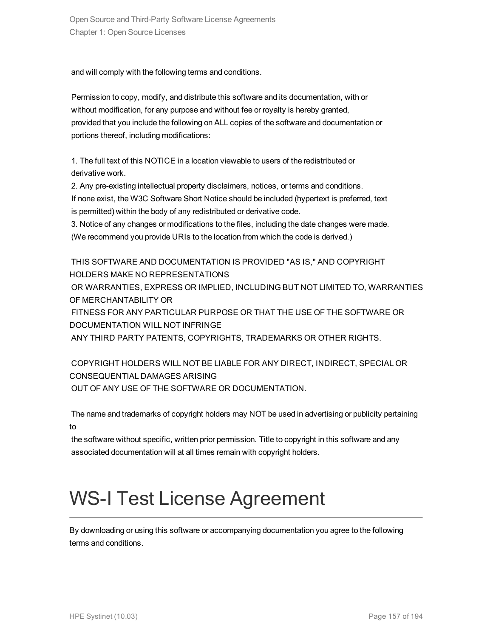and will comply with the following terms and conditions.

Permission to copy, modify, and distribute this software and its documentation, with or without modification, for any purpose and without fee or royalty is hereby granted, provided that you include the following on ALL copies of the software and documentation or portions thereof, including modifications:

1. The full text of this NOTICE in a location viewable to users of the redistributed or derivative work.

2. Any pre-existing intellectual property disclaimers, notices, or terms and conditions.

If none exist, the W3C Software Short Notice should be included (hypertext is preferred, text is permitted) within the body of any redistributed or derivative code.

3. Notice of any changes or modifications to the files, including the date changes were made. (We recommend you provide URIs to the location from which the code is derived.)

THIS SOFTWARE AND DOCUMENTATION IS PROVIDED "AS IS," AND COPYRIGHT HOLDERS MAKE NO REPRESENTATIONS

OR WARRANTIES, EXPRESS OR IMPLIED, INCLUDING BUT NOT LIMITED TO, WARRANTIES OF MERCHANTABILITY OR

FITNESS FOR ANY PARTICULAR PURPOSE OR THAT THE USE OF THE SOFTWARE OR DOCUMENTATION WILL NOT INFRINGE

ANY THIRD PARTY PATENTS, COPYRIGHTS, TRADEMARKS OR OTHER RIGHTS.

COPYRIGHT HOLDERS WILL NOT BE LIABLE FOR ANY DIRECT, INDIRECT, SPECIAL OR CONSEQUENTIAL DAMAGES ARISING OUT OF ANY USE OF THE SOFTWARE OR DOCUMENTATION.

The name and trademarks of copyright holders may NOT be used in advertising or publicity pertaining to

the software without specific, written prior permission. Title to copyright in this software and any associated documentation will at all times remain with copyright holders.

## WS-I Test License Agreement

By downloading or using this software or accompanying documentation you agree to the following terms and conditions.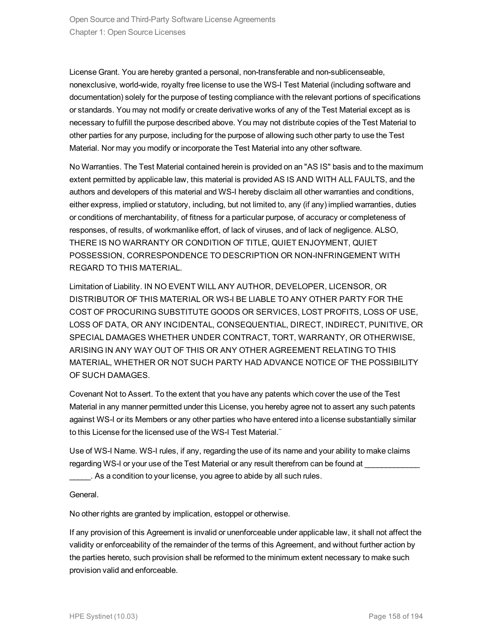License Grant. You are hereby granted a personal, non-transferable and non-sublicenseable, nonexclusive, world-wide, royalty free license to use the WS-I Test Material (including software and documentation) solely for the purpose of testing compliance with the relevant portions of specifications or standards. You may not modify or create derivative works of any of the Test Material except as is necessary to fulfill the purpose described above. You may not distribute copies of the Test Material to other parties for any purpose, including for the purpose of allowing such other party to use the Test Material. Nor may you modify or incorporate the Test Material into any other software.

No Warranties. The Test Material contained herein is provided on an "AS IS" basis and to the maximum extent permitted by applicable law, this material is provided AS IS AND WITH ALL FAULTS, and the authors and developers of this material and WS-I hereby disclaim all other warranties and conditions, either express, implied or statutory, including, but not limited to, any (if any) implied warranties, duties or conditions of merchantability, of fitness for a particular purpose, of accuracy or completeness of responses, of results, of workmanlike effort, of lack of viruses, and of lack of negligence. ALSO, THERE IS NO WARRANTY OR CONDITION OF TITLE, QUIET ENJOYMENT, QUIET POSSESSION, CORRESPONDENCE TO DESCRIPTION OR NON-INFRINGEMENT WITH REGARD TO THIS MATERIAL.

Limitation of Liability. IN NO EVENT WILL ANY AUTHOR, DEVELOPER, LICENSOR, OR DISTRIBUTOR OF THIS MATERIAL OR WS-I BE LIABLE TO ANY OTHER PARTY FOR THE COST OF PROCURING SUBSTITUTE GOODS OR SERVICES, LOST PROFITS, LOSS OF USE, LOSS OF DATA, OR ANY INCIDENTAL, CONSEQUENTIAL, DIRECT, INDIRECT, PUNITIVE, OR SPECIAL DAMAGES WHETHER UNDER CONTRACT, TORT, WARRANTY, OR OTHERWISE, ARISING IN ANY WAY OUT OF THIS OR ANY OTHER AGREEMENT RELATING TO THIS MATERIAL, WHETHER OR NOT SUCH PARTY HAD ADVANCE NOTICE OF THE POSSIBILITY OF SUCH DAMAGES.

Covenant Not to Assert. To the extent that you have any patents which cover the use of the Test Material in any manner permitted under this License, you hereby agree not to assert any such patents against WS-I or its Members or any other parties who have entered into a license substantially similar to this License for the licensed use of the WS-I Test Material.¨

Use of WS-I Name. WS-I rules, if any, regarding the use of its name and your ability to make claims regarding WS-I or your use of the Test Material or any result therefrom can be found at \_\_\_\_\_. As a condition to your license, you agree to abide by all such rules.

General.

No other rights are granted by implication, estoppel or otherwise.

If any provision of this Agreement is invalid or unenforceable under applicable law, it shall not affect the validity or enforceability of the remainder of the terms of this Agreement, and without further action by the parties hereto, such provision shall be reformed to the minimum extent necessary to make such provision valid and enforceable.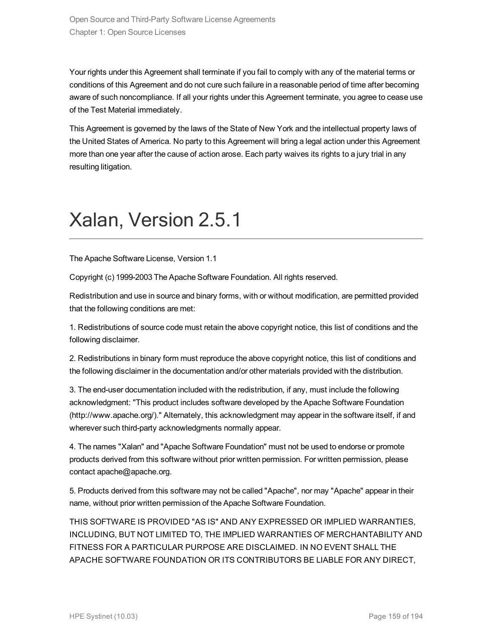Your rights under this Agreement shall terminate if you fail to comply with any of the material terms or conditions of this Agreement and do not cure such failure in a reasonable period of time after becoming aware of such noncompliance. If all your rights under this Agreement terminate, you agree to cease use of the Test Material immediately.

This Agreement is governed by the laws of the State of New York and the intellectual property laws of the United States of America. No party to this Agreement will bring a legal action under this Agreement more than one year after the cause of action arose. Each party waives its rights to a jury trial in any resulting litigation.

# Xalan, Version 2.5.1

The Apache Software License, Version 1.1

Copyright (c) 1999-2003 The Apache Software Foundation. All rights reserved.

Redistribution and use in source and binary forms, with or without modification, are permitted provided that the following conditions are met:

1. Redistributions of source code must retain the above copyright notice, this list of conditions and the following disclaimer.

2. Redistributions in binary form must reproduce the above copyright notice, this list of conditions and the following disclaimer in the documentation and/or other materials provided with the distribution.

3. The end-user documentation included with the redistribution, if any, must include the following acknowledgment: "This product includes software developed by the Apache Software Foundation (http://www.apache.org/)." Alternately, this acknowledgment may appear in the software itself, if and wherever such third-party acknowledgments normally appear.

4. The names "Xalan" and "Apache Software Foundation" must not be used to endorse or promote products derived from this software without prior written permission. For written permission, please contact apache@apache.org.

5. Products derived from this software may not be called "Apache", nor may "Apache" appear in their name, without prior written permission of the Apache Software Foundation.

THIS SOFTWARE IS PROVIDED "AS IS" AND ANY EXPRESSED OR IMPLIED WARRANTIES, INCLUDING, BUT NOT LIMITED TO, THE IMPLIED WARRANTIES OF MERCHANTABILITY AND FITNESS FOR A PARTICULAR PURPOSE ARE DISCLAIMED. IN NO EVENT SHALL THE APACHE SOFTWARE FOUNDATION OR ITS CONTRIBUTORS BE LIABLE FOR ANY DIRECT,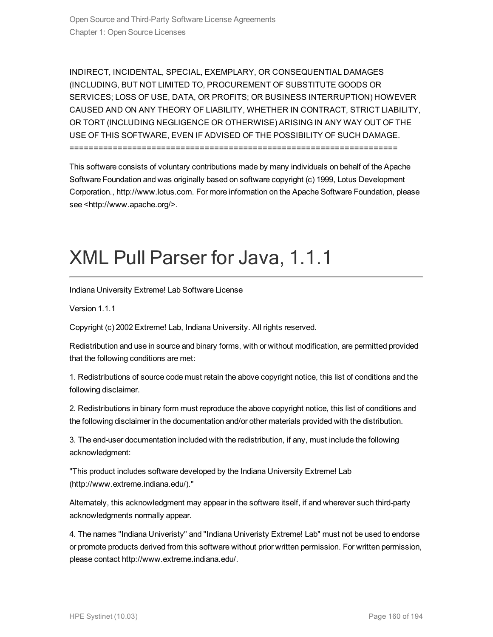INDIRECT, INCIDENTAL, SPECIAL, EXEMPLARY, OR CONSEQUENTIAL DAMAGES (INCLUDING, BUT NOT LIMITED TO, PROCUREMENT OF SUBSTITUTE GOODS OR SERVICES; LOSS OF USE, DATA, OR PROFITS; OR BUSINESS INTERRUPTION) HOWEVER CAUSED AND ON ANY THEORY OF LIABILITY, WHETHER IN CONTRACT, STRICT LIABILITY, OR TORT (INCLUDING NEGLIGENCE OR OTHERWISE) ARISING IN ANY WAY OUT OF THE USE OF THIS SOFTWARE, EVEN IF ADVISED OF THE POSSIBILITY OF SUCH DAMAGE. ====================================================================

This software consists of voluntary contributions made by many individuals on behalf of the Apache Software Foundation and was originally based on software copyright (c) 1999, Lotus Development Corporation., http://www.lotus.com. For more information on the Apache Software Foundation, please see <http://www.apache.org/>.

## XML Pull Parser for Java, 1.1.1

Indiana University Extreme! Lab Software License

Version 1.1.1

Copyright (c) 2002 Extreme! Lab, Indiana University. All rights reserved.

Redistribution and use in source and binary forms, with or without modification, are permitted provided that the following conditions are met:

1. Redistributions of source code must retain the above copyright notice, this list of conditions and the following disclaimer.

2. Redistributions in binary form must reproduce the above copyright notice, this list of conditions and the following disclaimer in the documentation and/or other materials provided with the distribution.

3. The end-user documentation included with the redistribution, if any, must include the following acknowledgment:

"This product includes software developed by the Indiana University Extreme! Lab (http://www.extreme.indiana.edu/)."

Alternately, this acknowledgment may appear in the software itself, if and wherever such third-party acknowledgments normally appear.

4. The names "Indiana Univeristy" and "Indiana Univeristy Extreme! Lab" must not be used to endorse or promote products derived from this software without prior written permission. For written permission, please contact http://www.extreme.indiana.edu/.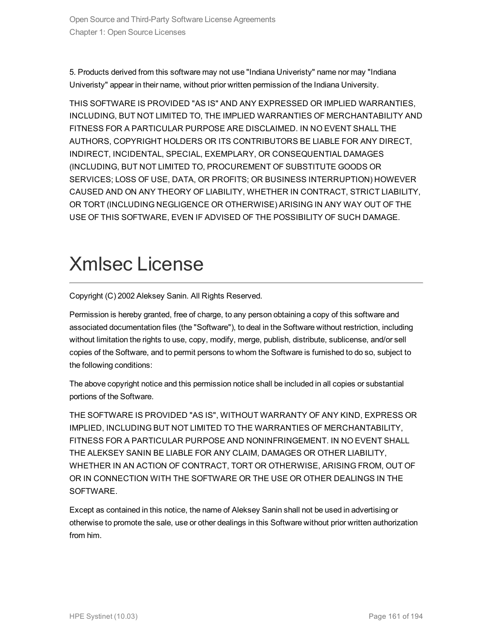5. Products derived from this software may not use "Indiana Univeristy" name nor may "Indiana Univeristy" appear in their name, without prior written permission of the Indiana University.

THIS SOFTWARE IS PROVIDED "AS IS" AND ANY EXPRESSED OR IMPLIED WARRANTIES, INCLUDING, BUT NOT LIMITED TO, THE IMPLIED WARRANTIES OF MERCHANTABILITY AND FITNESS FOR A PARTICULAR PURPOSE ARE DISCLAIMED. IN NO EVENT SHALL THE AUTHORS, COPYRIGHT HOLDERS OR ITS CONTRIBUTORS BE LIABLE FOR ANY DIRECT, INDIRECT, INCIDENTAL, SPECIAL, EXEMPLARY, OR CONSEQUENTIAL DAMAGES (INCLUDING, BUT NOT LIMITED TO, PROCUREMENT OF SUBSTITUTE GOODS OR SERVICES; LOSS OF USE, DATA, OR PROFITS; OR BUSINESS INTERRUPTION) HOWEVER CAUSED AND ON ANY THEORY OF LIABILITY, WHETHER IN CONTRACT, STRICT LIABILITY, OR TORT (INCLUDING NEGLIGENCE OR OTHERWISE) ARISING IN ANY WAY OUT OF THE USE OF THIS SOFTWARE, EVEN IF ADVISED OF THE POSSIBILITY OF SUCH DAMAGE.

# Xmlsec License

Copyright (C) 2002 Aleksey Sanin. All Rights Reserved.

Permission is hereby granted, free of charge, to any person obtaining a copy of this software and associated documentation files (the "Software"), to deal in the Software without restriction, including without limitation the rights to use, copy, modify, merge, publish, distribute, sublicense, and/or sell copies of the Software, and to permit persons to whom the Software is furnished to do so, subject to the following conditions:

The above copyright notice and this permission notice shall be included in all copies or substantial portions of the Software.

THE SOFTWARE IS PROVIDED "AS IS", WITHOUT WARRANTY OF ANY KIND, EXPRESS OR IMPLIED, INCLUDING BUT NOT LIMITED TO THE WARRANTIES OF MERCHANTABILITY, FITNESS FOR A PARTICULAR PURPOSE AND NONINFRINGEMENT. IN NO EVENT SHALL THE ALEKSEY SANIN BE LIABLE FOR ANY CLAIM, DAMAGES OR OTHER LIABILITY, WHETHER IN AN ACTION OF CONTRACT, TORT OR OTHERWISE, ARISING FROM, OUT OF OR IN CONNECTION WITH THE SOFTWARE OR THE USE OR OTHER DEALINGS IN THE SOFTWARE.

Except as contained in this notice, the name of Aleksey Sanin shall not be used in advertising or otherwise to promote the sale, use or other dealings in this Software without prior written authorization from him.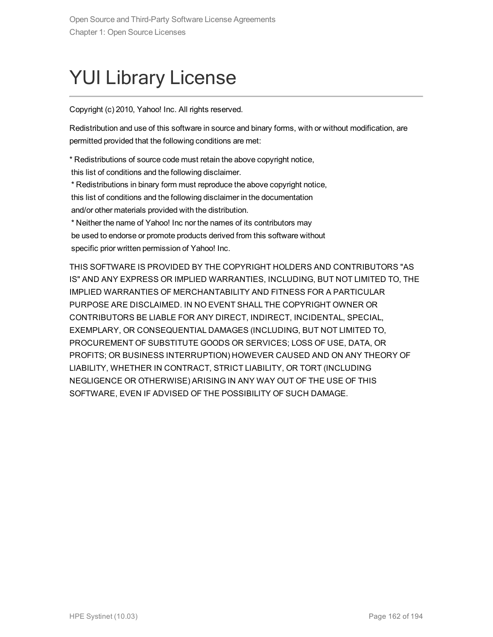# YUI Library License

Copyright (c) 2010, Yahoo! Inc. All rights reserved.

Redistribution and use of this software in source and binary forms, with or without modification, are permitted provided that the following conditions are met:

\* Redistributions of source code must retain the above copyright notice, this list of conditions and the following disclaimer. \* Redistributions in binary form must reproduce the above copyright notice, this list of conditions and the following disclaimer in the documentation and/or other materials provided with the distribution. \* Neither the name of Yahoo! Inc nor the names of its contributors may be used to endorse or promote products derived from this software without specific prior written permission of Yahoo! Inc.

THIS SOFTWARE IS PROVIDED BY THE COPYRIGHT HOLDERS AND CONTRIBUTORS "AS IS" AND ANY EXPRESS OR IMPLIED WARRANTIES, INCLUDING, BUT NOT LIMITED TO, THE IMPLIED WARRANTIES OF MERCHANTABILITY AND FITNESS FOR A PARTICULAR PURPOSE ARE DISCLAIMED. IN NO EVENT SHALL THE COPYRIGHT OWNER OR CONTRIBUTORS BE LIABLE FOR ANY DIRECT, INDIRECT, INCIDENTAL, SPECIAL, EXEMPLARY, OR CONSEQUENTIAL DAMAGES (INCLUDING, BUT NOT LIMITED TO, PROCUREMENT OF SUBSTITUTE GOODS OR SERVICES; LOSS OF USE, DATA, OR PROFITS; OR BUSINESS INTERRUPTION) HOWEVER CAUSED AND ON ANY THEORY OF LIABILITY, WHETHER IN CONTRACT, STRICT LIABILITY, OR TORT (INCLUDING NEGLIGENCE OR OTHERWISE) ARISING IN ANY WAY OUT OF THE USE OF THIS SOFTWARE, EVEN IF ADVISED OF THE POSSIBILITY OF SUCH DAMAGE.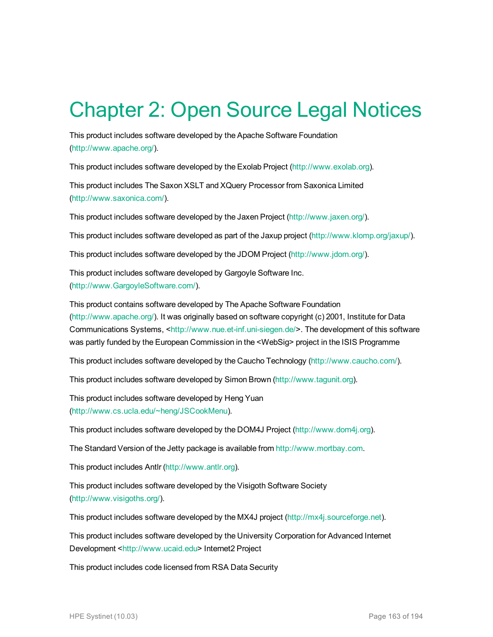# Chapter 2: Open Source Legal Notices

This product includes software developed by the Apache Software Foundation [\(http://www.apache.org/](http://www.apache.org/)).

This product includes software developed by the Exolab Project [\(http://www.exolab.org](http://www.exolab.org/)).

This product includes The Saxon XSLT and XQuery Processor from Saxonica Limited [\(http://www.saxonica.com/](http://www.saxonica.com/)).

This product includes software developed by the Jaxen Project [\(http://www.jaxen.org/](http://www.jaxen.org/)).

This product includes software developed as part of the Jaxup project [\(http://www.klomp.org/jaxup/](http://www.klomp.org/jaxup/)).

This product includes software developed by the JDOM Project (<http://www.jdom.org/>).

This product includes software developed by Gargoyle Software Inc. [\(http://www.GargoyleSoftware.com/](http://www.gargoylesoftware.com/)).

This product contains software developed by The Apache Software Foundation [\(http://www.apache.org/](http://www.apache.org/)). It was originally based on software copyright (c) 2001, Institute for Data Communications Systems, [<http://www.nue.et-inf.uni-siegen.de/>](http://www.nue.et-inf.uni-siegen.de/). The development of this software was partly funded by the European Commission in the <WebSig> project in the ISIS Programme

This product includes software developed by the Caucho Technology [\(http://www.caucho.com/\)](http://www.caucho.com/).

This product includes software developed by Simon Brown [\(http://www.tagunit.org\)](http://www.tagunit.org/).

This product includes software developed by Heng Yuan [\(http://www.cs.ucla.edu/~heng/JSCookMenu\)](http://www.cs.ucla.edu/~heng/JSCookMenu).

This product includes software developed by the DOM4J Project [\(http://www.dom4j.org](http://www.dom4j.org/)).

The Standard Version of the Jetty package is available from [http://www.mortbay.com.](http://www.mortbay.com/)

This product includes Antlr ([http://www.antlr.org\)](http://www.antlr.org/).

This product includes software developed by the Visigoth Software Society [\(http://www.visigoths.org/\)](http://www.visigoths.org/).

This product includes software developed by the MX4J project [\(http://mx4j.sourceforge.net](http://mx4j.sourceforge.net/)).

This product includes software developed by the University Corporation for Advanced Internet Development [<http://www.ucaid.edu](http://www.ucaid.edu/)> Internet2 Project

This product includes code licensed from RSA Data Security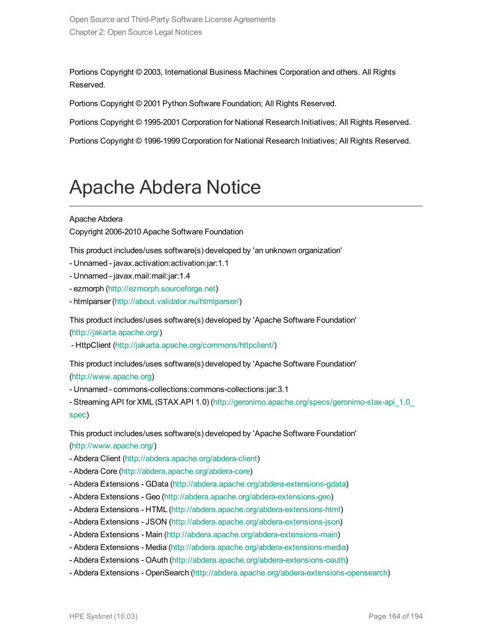Portions Copyright © 2003, International Business Machines Corporation and others. All Rights Reserved.

Portions Copyright © 2001 Python Software Foundation; All Rights Reserved.

Portions Copyright © 1995-2001 Corporation for National Research Initiatives; All Rights Reserved.

Portions Copyright © 1996-1999 Corporation for National Research Initiatives; All Rights Reserved.

## Apache Abdera Notice

Apache Abdera Copyright 2006-2010 Apache Software Foundation

This product includes/uses software(s) developed by 'an unknown organization'

- Unnamed javax.activation:activation:jar:1.1
- Unnamed javax.mail:mail:jar:1.4
- ezmorph [\(http://ezmorph.sourceforge.net\)](http://ezmorph.sourceforge.net/)
- htmlparser [\(http://about.validator.nu/htmlparser/](http://about.validator.nu/htmlparser/))

This product includes/uses software(s) developed by 'Apache Software Foundation' [\(http://jakarta.apache.org/](http://jakarta.apache.org/))

- HttpClient [\(http://jakarta.apache.org/commons/httpclient/](http://jakarta.apache.org/commons/httpclient/))

This product includes/uses software(s) developed by 'Apache Software Foundation' [\(http://www.apache.org](http://www.apache.org/))

- Unnamed - commons-collections:commons-collections:jar:3.1

- Streaming API for XML (STAX API 1.0) [\(http://geronimo.apache.org/specs/geronimo-stax-api\\_1.0\\_](http://geronimo.apache.org/specs/geronimo-stax-api_1.0_spec) [spec](http://geronimo.apache.org/specs/geronimo-stax-api_1.0_spec))

This product includes/uses software(s) developed by 'Apache Software Foundation' [\(http://www.apache.org/](http://www.apache.org/))

- Abdera Client [\(http://abdera.apache.org/abdera-client\)](http://abdera.apache.org/abdera-client)
- Abdera Core [\(http://abdera.apache.org/abdera-core](http://abdera.apache.org/abdera-core))
- Abdera Extensions GData [\(http://abdera.apache.org/abdera-extensions-gdata\)](http://abdera.apache.org/abdera-extensions-gdata)
- Abdera Extensions Geo [\(http://abdera.apache.org/abdera-extensions-geo](http://abdera.apache.org/abdera-extensions-geo))
- Abdera Extensions HTML [\(http://abdera.apache.org/abdera-extensions-html](http://abdera.apache.org/abdera-extensions-html))
- Abdera Extensions JSON [\(http://abdera.apache.org/abdera-extensions-json](http://abdera.apache.org/abdera-extensions-json))
- Abdera Extensions Main [\(http://abdera.apache.org/abdera-extensions-main](http://abdera.apache.org/abdera-extensions-main))
- Abdera Extensions Media [\(http://abdera.apache.org/abdera-extensions-media\)](http://abdera.apache.org/abdera-extensions-media)
- Abdera Extensions OAuth [\(http://abdera.apache.org/abdera-extensions-oauth](http://abdera.apache.org/abdera-extensions-oauth))
- Abdera Extensions OpenSearch [\(http://abdera.apache.org/abdera-extensions-opensearch\)](http://abdera.apache.org/abdera-extensions-opensearch)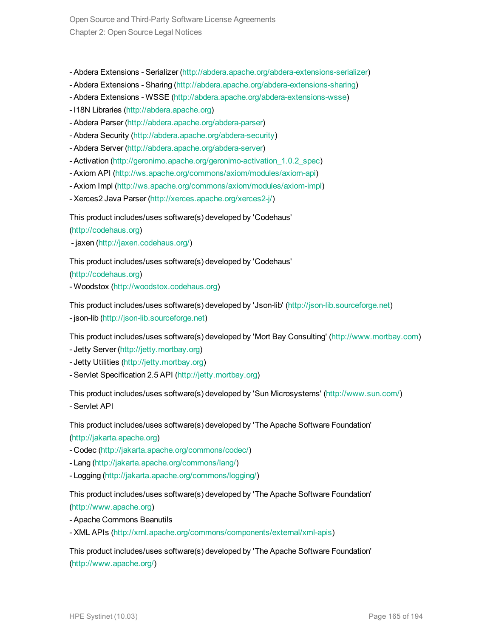- Abdera Extensions Serializer [\(http://abdera.apache.org/abdera-extensions-serializer\)](http://abdera.apache.org/abdera-extensions-serializer)
- Abdera Extensions Sharing [\(http://abdera.apache.org/abdera-extensions-sharing\)](http://abdera.apache.org/abdera-extensions-sharing)
- Abdera Extensions WSSE [\(http://abdera.apache.org/abdera-extensions-wsse](http://abdera.apache.org/abdera-extensions-wsse))
- I18N Libraries [\(http://abdera.apache.org](http://abdera.apache.org/))
- Abdera Parser [\(http://abdera.apache.org/abdera-parser](http://abdera.apache.org/abdera-parser))
- Abdera Security [\(http://abdera.apache.org/abdera-security](http://abdera.apache.org/abdera-security))
- Abdera Server [\(http://abdera.apache.org/abdera-server](http://abdera.apache.org/abdera-server))
- Activation [\(http://geronimo.apache.org/geronimo-activation\\_1.0.2\\_spec\)](http://geronimo.apache.org/geronimo-activation_1.0.2_spec)
- Axiom API [\(http://ws.apache.org/commons/axiom/modules/axiom-api](http://ws.apache.org/commons/axiom/modules/axiom-api))
- Axiom Impl ([http://ws.apache.org/commons/axiom/modules/axiom-impl\)](http://ws.apache.org/commons/axiom/modules/axiom-impl)
- Xerces2 Java Parser [\(http://xerces.apache.org/xerces2-j/](http://xerces.apache.org/xerces2-j/))

This product includes/uses software(s) developed by 'Codehaus'

[\(http://codehaus.org](http://codehaus.org/))

- jaxen [\(http://jaxen.codehaus.org/\)](http://jaxen.codehaus.org/)

This product includes/uses software(s) developed by 'Codehaus'

[\(http://codehaus.org](http://codehaus.org/))

- Woodstox [\(http://woodstox.codehaus.org](http://woodstox.codehaus.org/))

This product includes/uses software(s) developed by 'Json-lib' [\(http://json-lib.sourceforge.net](http://json-lib.sourceforge.net/)) - json-lib ([http://json-lib.sourceforge.net](http://json-lib.sourceforge.net/))

This product includes/uses software(s) developed by 'Mort Bay Consulting' [\(http://www.mortbay.com\)](http://www.mortbay.com/)

- Jetty Server [\(http://jetty.mortbay.org](http://jetty.mortbay.org/))
- Jetty Utilities [\(http://jetty.mortbay.org\)](http://jetty.mortbay.org/)
- Servlet Specification 2.5 API [\(http://jetty.mortbay.org\)](http://jetty.mortbay.org/)

This product includes/uses software(s) developed by 'Sun Microsystems' [\(http://www.sun.com/](http://www.sun.com/)) - Servlet API

This product includes/uses software(s) developed by 'The Apache Software Foundation' [\(http://jakarta.apache.org](http://jakarta.apache.org/))

- Codec [\(http://jakarta.apache.org/commons/codec/](http://jakarta.apache.org/commons/codec/))
- Lang [\(http://jakarta.apache.org/commons/lang/](http://jakarta.apache.org/commons/lang/))
- Logging [\(http://jakarta.apache.org/commons/logging/\)](http://jakarta.apache.org/commons/logging/)

This product includes/uses software(s) developed by 'The Apache Software Foundation' [\(http://www.apache.org](http://www.apache.org/))

- Apache Commons Beanutils
- XML APIs [\(http://xml.apache.org/commons/components/external/xml-apis](http://xml.apache.org/commons/components/external/xml-apis))

This product includes/uses software(s) developed by 'The Apache Software Foundation' [\(http://www.apache.org/](http://www.apache.org/))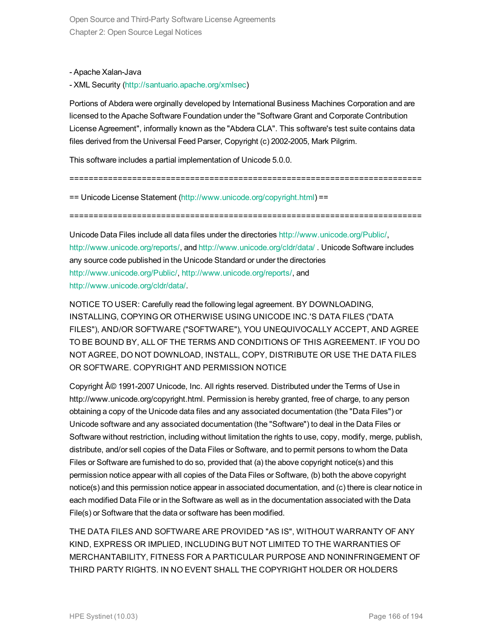#### - Apache Xalan-Java

- XML Security [\(http://santuario.apache.org/xmlsec](http://santuario.apache.org/xmlsec))

Portions of Abdera were orginally developed by International Business Machines Corporation and are licensed to the Apache Software Foundation under the "Software Grant and Corporate Contribution License Agreement", informally known as the "Abdera CLA". This software's test suite contains data files derived from the Universal Feed Parser, Copyright (c) 2002-2005, Mark Pilgrim.

This software includes a partial implementation of Unicode 5.0.0.

=========================================================================

== Unicode License Statement [\(http://www.unicode.org/copyright.html\)](http://www.unicode.org/copyright.html) ==

=========================================================================

Unicode Data Files include all data files under the directories [http://www.unicode.org/Public/,](http://www.unicode.org/Public/) [http://www.unicode.org/reports/,](http://www.unicode.org/reports/) and <http://www.unicode.org/cldr/data/> . Unicode Software includes any source code published in the Unicode Standard or under the directories <http://www.unicode.org/Public/>, <http://www.unicode.org/reports/>, and <http://www.unicode.org/cldr/data/>.

NOTICE TO USER: Carefully read the following legal agreement. BY DOWNLOADING, INSTALLING, COPYING OR OTHERWISE USING UNICODE INC.'S DATA FILES ("DATA FILES"), AND/OR SOFTWARE ("SOFTWARE"), YOU UNEQUIVOCALLY ACCEPT, AND AGREE TO BE BOUND BY, ALL OF THE TERMS AND CONDITIONS OF THIS AGREEMENT. IF YOU DO NOT AGREE, DO NOT DOWNLOAD, INSTALL, COPY, DISTRIBUTE OR USE THE DATA FILES OR SOFTWARE. COPYRIGHT AND PERMISSION NOTICE

Copyright © 1991-2007 Unicode, Inc. All rights reserved. Distributed under the Terms of Use in http://www.unicode.org/copyright.html. Permission is hereby granted, free of charge, to any person obtaining a copy of the Unicode data files and any associated documentation (the "Data Files") or Unicode software and any associated documentation (the "Software") to deal in the Data Files or Software without restriction, including without limitation the rights to use, copy, modify, merge, publish, distribute, and/or sell copies of the Data Files or Software, and to permit persons to whom the Data Files or Software are furnished to do so, provided that (a) the above copyright notice(s) and this permission notice appear with all copies of the Data Files or Software, (b) both the above copyright notice(s) and this permission notice appear in associated documentation, and (c) there is clear notice in each modified Data File or in the Software as well as in the documentation associated with the Data File(s) or Software that the data or software has been modified.

THE DATA FILES AND SOFTWARE ARE PROVIDED "AS IS", WITHOUT WARRANTY OF ANY KIND, EXPRESS OR IMPLIED, INCLUDING BUT NOT LIMITED TO THE WARRANTIES OF MERCHANTABILITY, FITNESS FOR A PARTICULAR PURPOSE AND NONINFRINGEMENT OF THIRD PARTY RIGHTS. IN NO EVENT SHALL THE COPYRIGHT HOLDER OR HOLDERS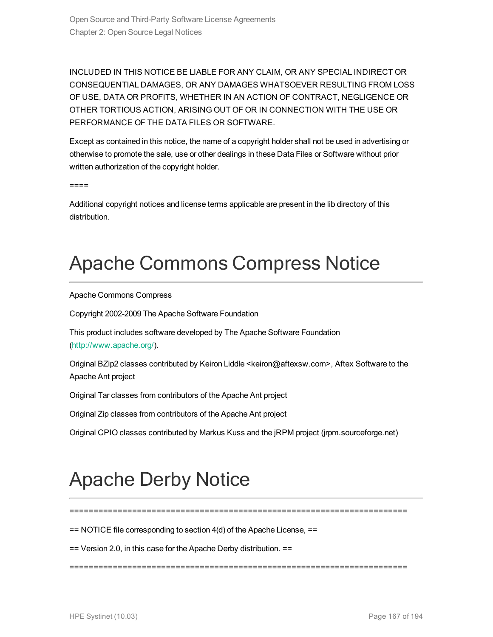INCLUDED IN THIS NOTICE BE LIABLE FOR ANY CLAIM, OR ANY SPECIAL INDIRECT OR CONSEQUENTIAL DAMAGES, OR ANY DAMAGES WHATSOEVER RESULTING FROM LOSS OF USE, DATA OR PROFITS, WHETHER IN AN ACTION OF CONTRACT, NEGLIGENCE OR OTHER TORTIOUS ACTION, ARISING OUT OF OR IN CONNECTION WITH THE USE OR PERFORMANCE OF THE DATA FILES OR SOFTWARE.

Except as contained in this notice, the name of a copyright holder shall not be used in advertising or otherwise to promote the sale, use or other dealings in these Data Files or Software without prior written authorization of the copyright holder.

====

Additional copyright notices and license terms applicable are present in the lib directory of this distribution.

## Apache Commons Compress Notice

Apache Commons Compress

Copyright 2002-2009 The Apache Software Foundation

This product includes software developed by The Apache Software Foundation [\(http://www.apache.org/](http://www.apache.org/)).

Original BZip2 classes contributed by Keiron Liddle <keiron@aftexsw.com>, Aftex Software to the Apache Ant project

Original Tar classes from contributors of the Apache Ant project

Original Zip classes from contributors of the Apache Ant project

Original CPIO classes contributed by Markus Kuss and the jRPM project (jrpm.sourceforge.net)

### Apache Derby Notice

======================================================================

== NOTICE file corresponding to section 4(d) of the Apache License, ==

== Version 2.0, in this case for the Apache Derby distribution. ==

======================================================================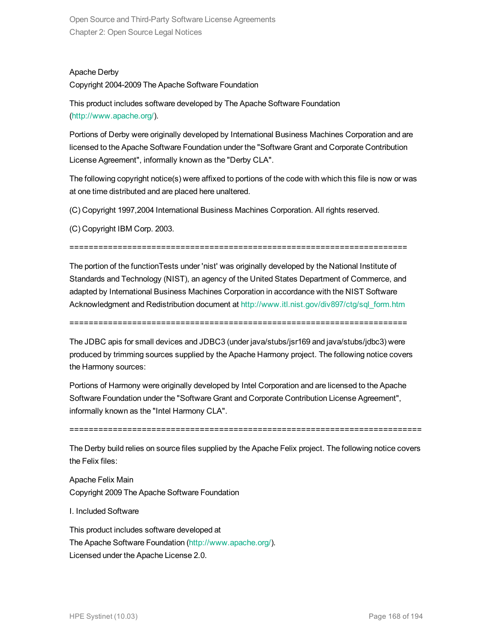Apache Derby

Copyright 2004-2009 The Apache Software Foundation

This product includes software developed by The Apache Software Foundation [\(http://www.apache.org/](http://www.apache.org/)).

Portions of Derby were originally developed by International Business Machines Corporation and are licensed to the Apache Software Foundation under the "Software Grant and Corporate Contribution License Agreement", informally known as the "Derby CLA".

The following copyright notice(s) were affixed to portions of the code with which this file is now or was at one time distributed and are placed here unaltered.

(C) Copyright 1997,2004 International Business Machines Corporation. All rights reserved.

(C) Copyright IBM Corp. 2003.

======================================================================

The portion of the functionTests under 'nist' was originally developed by the National Institute of Standards and Technology (NIST), an agency of the United States Department of Commerce, and adapted by International Business Machines Corporation in accordance with the NIST Software Acknowledgment and Redistribution document at [http://www.itl.nist.gov/div897/ctg/sql\\_form.htm](http://www.itl.nist.gov/div897/ctg/sql_form.htm)

======================================================================

The JDBC apis for small devices and JDBC3 (under java/stubs/jsr169 and java/stubs/jdbc3) were produced by trimming sources supplied by the Apache Harmony project. The following notice covers the Harmony sources:

Portions of Harmony were originally developed by Intel Corporation and are licensed to the Apache Software Foundation under the "Software Grant and Corporate Contribution License Agreement", informally known as the "Intel Harmony CLA".

=========================================================================

The Derby build relies on source files supplied by the Apache Felix project. The following notice covers the Felix files:

Apache Felix Main Copyright 2009 The Apache Software Foundation

I. Included Software

This product includes software developed at The Apache Software Foundation [\(http://www.apache.org/\)](http://www.apache.org/). Licensed under the Apache License 2.0.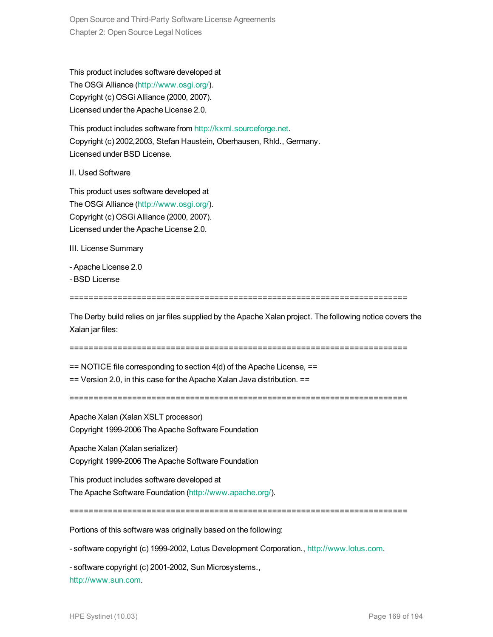This product includes software developed at The OSGi Alliance [\(http://www.osgi.org/\)](http://www.osgi.org/). Copyright (c) OSGi Alliance (2000, 2007). Licensed under the Apache License 2.0.

This product includes software from [http://kxml.sourceforge.net](http://kxml.sourceforge.net/). Copyright (c) 2002,2003, Stefan Haustein, Oberhausen, Rhld., Germany. Licensed under BSD License.

II. Used Software

This product uses software developed at The OSGi Alliance [\(http://www.osgi.org/\)](http://www.osgi.org/). Copyright (c) OSGi Alliance (2000, 2007). Licensed under the Apache License 2.0.

III. License Summary

- Apache License 2.0

- BSD License

======================================================================

The Derby build relies on jar files supplied by the Apache Xalan project. The following notice covers the Xalan jar files:

======================================================================

== NOTICE file corresponding to section 4(d) of the Apache License, == == Version 2.0, in this case for the Apache Xalan Java distribution. ==

======================================================================

Apache Xalan (Xalan XSLT processor) Copyright 1999-2006 The Apache Software Foundation

Apache Xalan (Xalan serializer) Copyright 1999-2006 The Apache Software Foundation

This product includes software developed at The Apache Software Foundation [\(http://www.apache.org/\)](http://www.apache.org/).

======================================================================

Portions of this software was originally based on the following:

- software copyright (c) 1999-2002, Lotus Development Corporation., [http://www.lotus.com.](http://www.lotus.com/)

- software copyright (c) 2001-2002, Sun Microsystems., [http://www.sun.com.](http://www.sun.com/)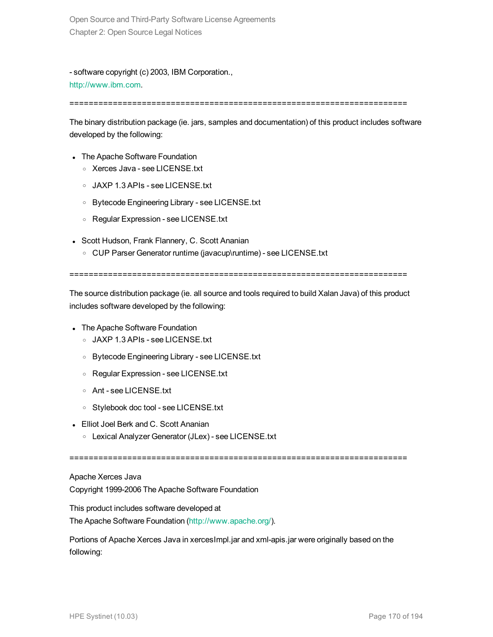- software copyright (c) 2003, IBM Corporation.,

[http://www.ibm.com.](http://www.ibm.com/)

======================================================================

The binary distribution package (ie. jars, samples and documentation) of this product includes software developed by the following:

- The Apache Software Foundation
	- <sup>o</sup> Xerces Java see LICENSE.txt
	- <sup>o</sup> JAXP 1.3 APIs see LICENSE.txt
	- <sup>o</sup> Bytecode Engineering Library see LICENSE.txt
	- <sup>o</sup> Regular Expression see LICENSE.txt
- Scott Hudson, Frank Flannery, C. Scott Ananian
	- <sup>o</sup> CUP Parser Generator runtime (javacup\runtime) see LICENSE.txt

======================================================================

The source distribution package (ie. all source and tools required to build Xalan Java) of this product includes software developed by the following:

- The Apache Software Foundation
	- <sup>o</sup> JAXP 1.3 APIs see LICENSE.txt
	- <sup>o</sup> Bytecode Engineering Library see LICENSE.txt
	- <sup>o</sup> Regular Expression see LICENSE.txt
	- <sup>o</sup> Ant see LICENSE.txt
	- <sup>o</sup> Stylebook doc tool see LICENSE.txt
- Elliot Joel Berk and C. Scott Ananian
	- <sup>o</sup> Lexical Analyzer Generator (JLex) see LICENSE.txt

======================================================================

Apache Xerces Java

Copyright 1999-2006 The Apache Software Foundation

This product includes software developed at

The Apache Software Foundation [\(http://www.apache.org/\)](http://www.apache.org/).

Portions of Apache Xerces Java in xercesImpl.jar and xml-apis.jar were originally based on the following: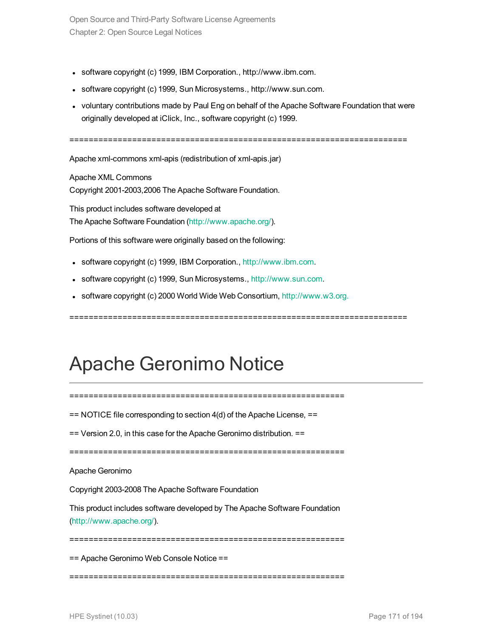- <sup>l</sup> software copyright (c) 1999, IBM Corporation., http://www.ibm.com.
- software copyright (c) 1999, Sun Microsystems., http://www.sun.com.
- voluntary contributions made by Paul Eng on behalf of the Apache Software Foundation that were originally developed at iClick, Inc., software copyright (c) 1999.

======================================================================

Apache xml-commons xml-apis (redistribution of xml-apis.jar)

Apache XML Commons Copyright 2001-2003,2006 The Apache Software Foundation.

This product includes software developed at The Apache Software Foundation [\(http://www.apache.org/\)](http://www.apache.org/).

Portions of this software were originally based on the following:

- software copyright (c) 1999, IBM Corporation., [http://www.ibm.com](http://www.ibm.com/).
- **software copyright (c) 1999, Sun Microsystems., [http://www.sun.com](http://www.sun.com/).**
- software copyright (c) 2000 World Wide Web Consortium, [http://www.w3.org.](http://www.w3.org/)

======================================================================

### Apache Geronimo Notice

=========================================================

== NOTICE file corresponding to section 4(d) of the Apache License, ==

 $==$  Version 2.0, in this case for the Apache Geronimo distribution.  $==$ 

=========================================================

#### Apache Geronimo

Copyright 2003-2008 The Apache Software Foundation

This product includes software developed by The Apache Software Foundation [\(http://www.apache.org/](http://www.apache.org/)).

=========================================================

== Apache Geronimo Web Console Notice ==

=========================================================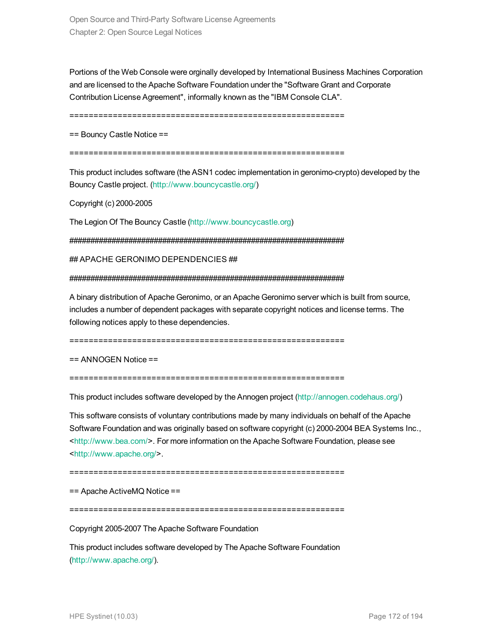Portions of the Web Console were orginally developed by International Business Machines Corporation and are licensed to the Apache Software Foundation under the "Software Grant and Corporate Contribution License Agreement", informally known as the "IBM Console CLA".

=========================================================

== Bouncy Castle Notice ==

=========================================================

This product includes software (the ASN1 codec implementation in geronimo-crypto) developed by the Bouncy Castle project. [\(http://www.bouncycastle.org/](http://www.bouncycastle.org/))

Copyright (c) 2000-2005

The Legion Of The Bouncy Castle [\(http://www.bouncycastle.org\)](http://www.bouncycastle.org/)

#################################################################

## APACHE GERONIMO DEPENDENCIES ##

#### #################################################################

A binary distribution of Apache Geronimo, or an Apache Geronimo server which is built from source, includes a number of dependent packages with separate copyright notices and license terms. The following notices apply to these dependencies.

=========================================================

== ANNOGEN Notice ==

=========================================================

This product includes software developed by the Annogen project [\(http://annogen.codehaus.org/](http://annogen.codehaus.org/))

This software consists of voluntary contributions made by many individuals on behalf of the Apache Software Foundation and was originally based on software copyright (c) 2000-2004 BEA Systems Inc., [<http://www.bea.com/>](http://www.bea.com/). For more information on the Apache Software Foundation, please see [<http://www.apache.org/](http://www.apache.org/)>.

=========================================================

== Apache ActiveMQ Notice ==

=========================================================

Copyright 2005-2007 The Apache Software Foundation

This product includes software developed by The Apache Software Foundation [\(http://www.apache.org/](http://www.apache.org/)).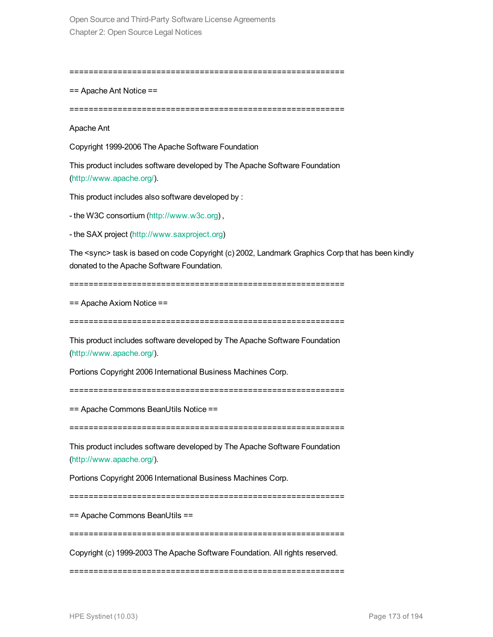=========================================================

== Apache Ant Notice ==

=========================================================

Apache Ant

Copyright 1999-2006 The Apache Software Foundation

This product includes software developed by The Apache Software Foundation [\(http://www.apache.org/](http://www.apache.org/)).

This product includes also software developed by :

- the W3C consortium [\(http://www.w3c.org\)](http://www.w3c.org/) ,

- the SAX project [\(http://www.saxproject.org\)](http://www.saxproject.org/)

The <sync> task is based on code Copyright (c) 2002, Landmark Graphics Corp that has been kindly donated to the Apache Software Foundation.

=========================================================

== Apache Axiom Notice ==

=========================================================

This product includes software developed by The Apache Software Foundation [\(http://www.apache.org/](http://www.apache.org/)).

Portions Copyright 2006 International Business Machines Corp.

=========================================================

== Apache Commons BeanUtils Notice ==

=========================================================

This product includes software developed by The Apache Software Foundation [\(http://www.apache.org/](http://www.apache.org/)).

Portions Copyright 2006 International Business Machines Corp.

=========================================================

== Apache Commons BeanUtils ==

=========================================================

Copyright (c) 1999-2003 The Apache Software Foundation. All rights reserved.

=========================================================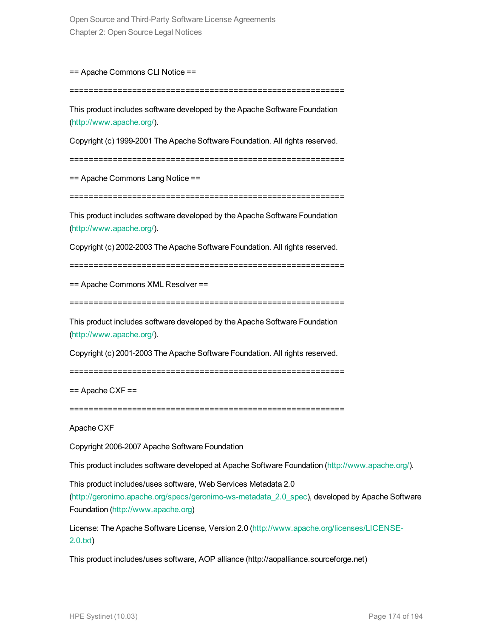#### == Apache Commons CLI Notice ==

#### =========================================================

This product includes software developed by the Apache Software Foundation [\(http://www.apache.org/](http://www.apache.org/)).

Copyright (c) 1999-2001 The Apache Software Foundation. All rights reserved.

=========================================================

== Apache Commons Lang Notice ==

=========================================================

This product includes software developed by the Apache Software Foundation [\(http://www.apache.org/](http://www.apache.org/)).

Copyright (c) 2002-2003 The Apache Software Foundation. All rights reserved.

=========================================================

== Apache Commons XML Resolver ==

=========================================================

This product includes software developed by the Apache Software Foundation [\(http://www.apache.org/](http://www.apache.org/)).

Copyright (c) 2001-2003 The Apache Software Foundation. All rights reserved.

=========================================================

 $==$  Apache CXF  $==$ 

=========================================================

Apache CXF

Copyright 2006-2007 Apache Software Foundation

This product includes software developed at Apache Software Foundation [\(http://www.apache.org/](http://www.apache.org/)).

This product includes/uses software, Web Services Metadata 2.0 [\(http://geronimo.apache.org/specs/geronimo-ws-metadata\\_2.0\\_spec\)](http://geronimo.apache.org/specs/geronimo-ws-metadata_2.0_spec), developed by Apache Software Foundation ([http://www.apache.org](http://www.apache.org/))

License: The Apache Software License, Version 2.0 ([http://www.apache.org/licenses/LICENSE-](http://www.apache.org/licenses/LICENSE-2.0.txt)[2.0.txt](http://www.apache.org/licenses/LICENSE-2.0.txt))

This product includes/uses software, AOP alliance (http://aopalliance.sourceforge.net)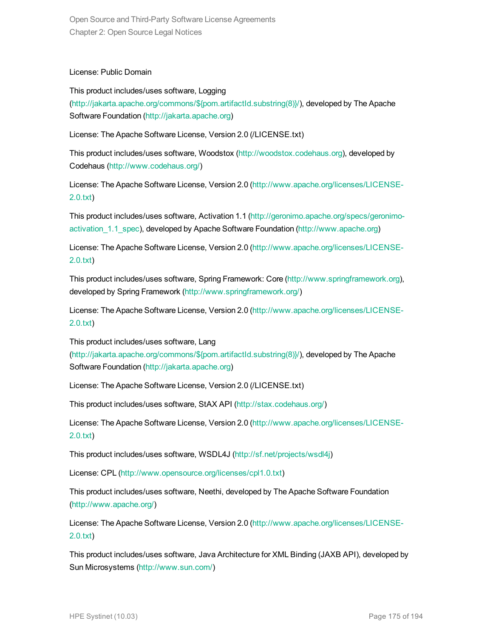#### License: Public Domain

This product includes/uses software, Logging [\(http://jakarta.apache.org/commons/\\${pom.artifactId.substring\(8\)}/](http://jakarta.apache.org/commons/${pom.artifactId.substring(8)}/)), developed by The Apache Software Foundation [\(http://jakarta.apache.org](http://jakarta.apache.org/))

License: The Apache Software License, Version 2.0 (/LICENSE.txt)

This product includes/uses software, Woodstox [\(http://woodstox.codehaus.org](http://woodstox.codehaus.org/)), developed by Codehaus [\(http://www.codehaus.org/](http://www.codehaus.org/))

License: The Apache Software License, Version 2.0 ([http://www.apache.org/licenses/LICENSE-](http://www.apache.org/licenses/LICENSE-2.0.txt)[2.0.txt](http://www.apache.org/licenses/LICENSE-2.0.txt))

This product includes/uses software, Activation 1.1 [\(http://geronimo.apache.org/specs/geronimo](http://geronimo.apache.org/specs/geronimo-activation_1.1_spec)[activation\\_1.1\\_spec](http://geronimo.apache.org/specs/geronimo-activation_1.1_spec)), developed by Apache Software Foundation [\(http://www.apache.org\)](http://www.apache.org/)

License: The Apache Software License, Version 2.0 ([http://www.apache.org/licenses/LICENSE-](http://www.apache.org/licenses/LICENSE-2.0.txt)[2.0.txt](http://www.apache.org/licenses/LICENSE-2.0.txt))

This product includes/uses software, Spring Framework: Core [\(http://www.springframework.org](http://www.springframework.org/)), developed by Spring Framework (<http://www.springframework.org/>)

License: The Apache Software License, Version 2.0 ([http://www.apache.org/licenses/LICENSE-](http://www.apache.org/licenses/LICENSE-2.0.txt)[2.0.txt](http://www.apache.org/licenses/LICENSE-2.0.txt))

This product includes/uses software, Lang [\(http://jakarta.apache.org/commons/\\${pom.artifactId.substring\(8\)}/](http://jakarta.apache.org/commons/${pom.artifactId.substring(8)}/)), developed by The Apache Software Foundation [\(http://jakarta.apache.org](http://jakarta.apache.org/))

License: The Apache Software License, Version 2.0 (/LICENSE.txt)

This product includes/uses software, StAX API [\(http://stax.codehaus.org/\)](http://stax.codehaus.org/)

License: The Apache Software License, Version 2.0 ([http://www.apache.org/licenses/LICENSE-](http://www.apache.org/licenses/LICENSE-2.0.txt)[2.0.txt](http://www.apache.org/licenses/LICENSE-2.0.txt))

This product includes/uses software, WSDL4J [\(http://sf.net/projects/wsdl4j](http://sf.net/projects/wsdl4j))

License: CPL [\(http://www.opensource.org/licenses/cpl1.0.txt](http://www.opensource.org/licenses/cpl1.0.txt))

This product includes/uses software, Neethi, developed by The Apache Software Foundation [\(http://www.apache.org/](http://www.apache.org/))

License: The Apache Software License, Version 2.0 ([http://www.apache.org/licenses/LICENSE-](http://www.apache.org/licenses/LICENSE-2.0.txt)[2.0.txt](http://www.apache.org/licenses/LICENSE-2.0.txt))

This product includes/uses software, Java Architecture for XML Binding (JAXB API), developed by Sun Microsystems [\(http://www.sun.com/](http://www.sun.com/))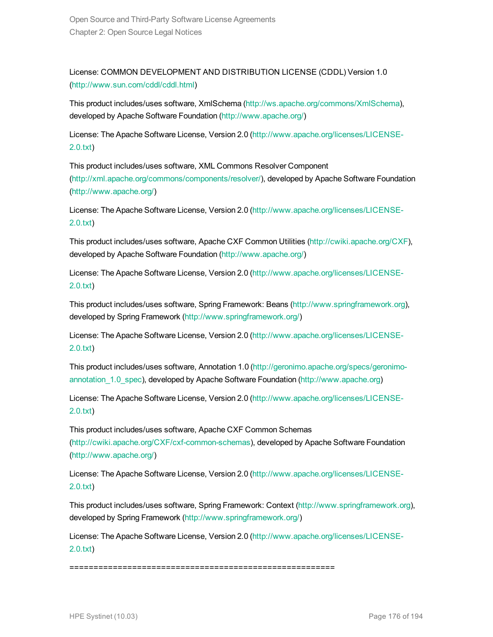License: COMMON DEVELOPMENT AND DISTRIBUTION LICENSE (CDDL) Version 1.0 [\(http://www.sun.com/cddl/cddl.html\)](http://www.sun.com/cddl/cddl.html)

This product includes/uses software, XmlSchema [\(http://ws.apache.org/commons/XmlSchema](http://ws.apache.org/commons/XmlSchema)), developed by Apache Software Foundation [\(http://www.apache.org/](http://www.apache.org/))

License: The Apache Software License, Version 2.0 ([http://www.apache.org/licenses/LICENSE-](http://www.apache.org/licenses/LICENSE-2.0.txt)[2.0.txt](http://www.apache.org/licenses/LICENSE-2.0.txt))

This product includes/uses software, XML Commons Resolver Component [\(http://xml.apache.org/commons/components/resolver/](http://xml.apache.org/commons/components/resolver/)), developed by Apache Software Foundation [\(http://www.apache.org/](http://www.apache.org/))

License: The Apache Software License, Version 2.0 ([http://www.apache.org/licenses/LICENSE-](http://www.apache.org/licenses/LICENSE-2.0.txt)[2.0.txt](http://www.apache.org/licenses/LICENSE-2.0.txt))

This product includes/uses software, Apache CXF Common Utilities [\(http://cwiki.apache.org/CXF](http://cwiki.apache.org/CXF)), developed by Apache Software Foundation [\(http://www.apache.org/](http://www.apache.org/))

License: The Apache Software License, Version 2.0 ([http://www.apache.org/licenses/LICENSE-](http://www.apache.org/licenses/LICENSE-2.0.txt)[2.0.txt](http://www.apache.org/licenses/LICENSE-2.0.txt))

This product includes/uses software, Spring Framework: Beans [\(http://www.springframework.org](http://www.springframework.org/)), developed by Spring Framework (<http://www.springframework.org/>)

License: The Apache Software License, Version 2.0 ([http://www.apache.org/licenses/LICENSE-](http://www.apache.org/licenses/LICENSE-2.0.txt)[2.0.txt](http://www.apache.org/licenses/LICENSE-2.0.txt))

This product includes/uses software, Annotation 1.0 [\(http://geronimo.apache.org/specs/geronimo](http://geronimo.apache.org/specs/geronimo-annotation_1.0_spec)[annotation\\_1.0\\_spec](http://geronimo.apache.org/specs/geronimo-annotation_1.0_spec)), developed by Apache Software Foundation ([http://www.apache.org](http://www.apache.org/))

License: The Apache Software License, Version 2.0 ([http://www.apache.org/licenses/LICENSE-](http://www.apache.org/licenses/LICENSE-2.0.txt)[2.0.txt](http://www.apache.org/licenses/LICENSE-2.0.txt))

This product includes/uses software, Apache CXF Common Schemas [\(http://cwiki.apache.org/CXF/cxf-common-schemas](http://cwiki.apache.org/CXF/cxf-common-schemas)), developed by Apache Software Foundation [\(http://www.apache.org/](http://www.apache.org/))

License: The Apache Software License, Version 2.0 ([http://www.apache.org/licenses/LICENSE-](http://www.apache.org/licenses/LICENSE-2.0.txt)[2.0.txt](http://www.apache.org/licenses/LICENSE-2.0.txt))

This product includes/uses software, Spring Framework: Context [\(http://www.springframework.org](http://www.springframework.org/)), developed by Spring Framework (<http://www.springframework.org/>)

License: The Apache Software License, Version 2.0 ([http://www.apache.org/licenses/LICENSE-](http://www.apache.org/licenses/LICENSE-2.0.txt)[2.0.txt](http://www.apache.org/licenses/LICENSE-2.0.txt))

=======================================================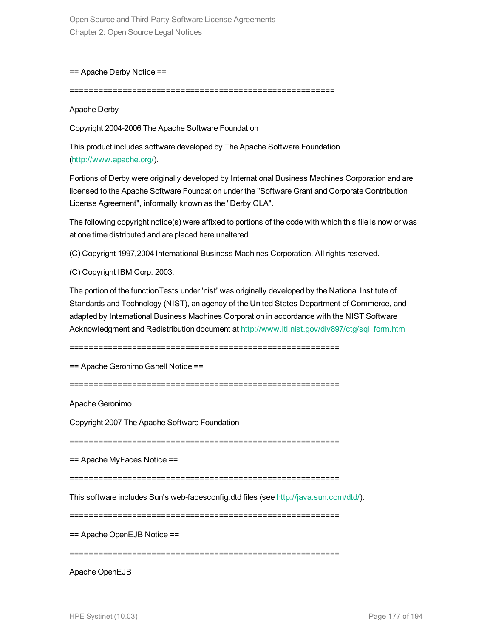== Apache Derby Notice ==

=======================================================

Apache Derby

Copyright 2004-2006 The Apache Software Foundation

This product includes software developed by The Apache Software Foundation [\(http://www.apache.org/](http://www.apache.org/)).

Portions of Derby were originally developed by International Business Machines Corporation and are licensed to the Apache Software Foundation under the "Software Grant and Corporate Contribution License Agreement", informally known as the "Derby CLA".

The following copyright notice(s) were affixed to portions of the code with which this file is now or was at one time distributed and are placed here unaltered.

(C) Copyright 1997,2004 International Business Machines Corporation. All rights reserved.

(C) Copyright IBM Corp. 2003.

The portion of the functionTests under 'nist' was originally developed by the National Institute of Standards and Technology (NIST), an agency of the United States Department of Commerce, and adapted by International Business Machines Corporation in accordance with the NIST Software Acknowledgment and Redistribution document at [http://www.itl.nist.gov/div897/ctg/sql\\_form.htm](http://www.itl.nist.gov/div897/ctg/sql_form.htm)

========================================================

== Apache Geronimo Gshell Notice ==

========================================================

Apache Geronimo

Copyright 2007 The Apache Software Foundation

========================================================

== Apache MyFaces Notice ==

========================================================

This software includes Sun's web-facesconfig.dtd files (see <http://java.sun.com/dtd/>).

========================================================

== Apache OpenEJB Notice ==

========================================================

Apache OpenEJB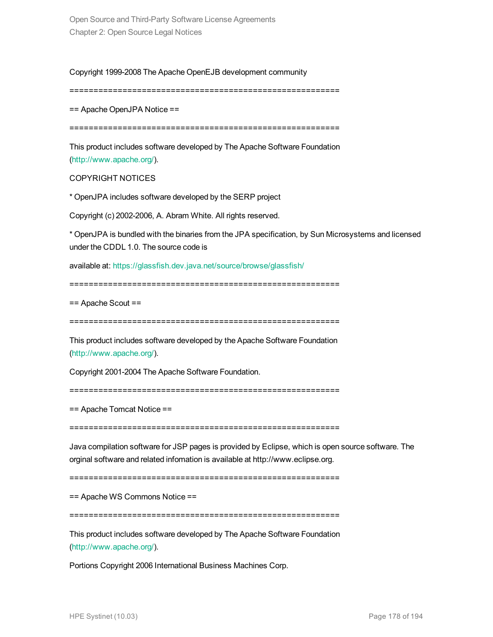Copyright 1999-2008 The Apache OpenEJB development community

========================================================

== Apache OpenJPA Notice ==

========================================================

This product includes software developed by The Apache Software Foundation [\(http://www.apache.org/](http://www.apache.org/)).

#### COPYRIGHT NOTICES

\* OpenJPA includes software developed by the SERP project

Copyright (c) 2002-2006, A. Abram White. All rights reserved.

\* OpenJPA is bundled with the binaries from the JPA specification, by Sun Microsystems and licensed under the CDDL 1.0. The source code is

available at: <https://glassfish.dev.java.net/source/browse/glassfish/>

========================================================

 $==$  Apache Scout  $==$ 

========================================================

This product includes software developed by the Apache Software Foundation [\(http://www.apache.org/](http://www.apache.org/)).

Copyright 2001-2004 The Apache Software Foundation.

========================================================

== Apache Tomcat Notice ==

========================================================

Java compilation software for JSP pages is provided by Eclipse, which is open source software. The orginal software and related infomation is available at http://www.eclipse.org.

========================================================

== Apache WS Commons Notice ==

========================================================

This product includes software developed by The Apache Software Foundation [\(http://www.apache.org/](http://www.apache.org/)).

Portions Copyright 2006 International Business Machines Corp.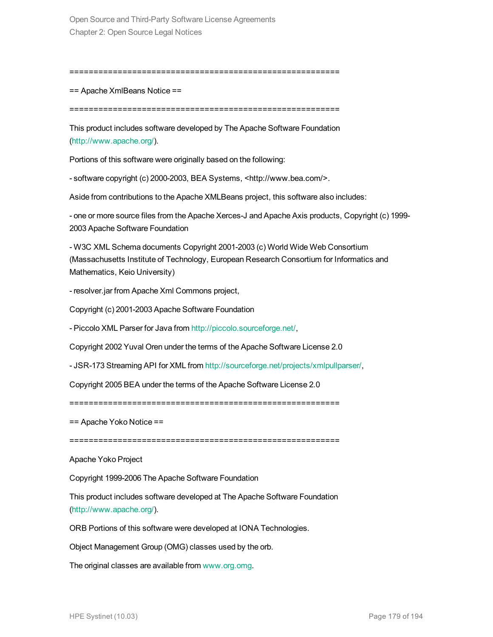========================================================

== Apache XmlBeans Notice ==

========================================================

This product includes software developed by The Apache Software Foundation [\(http://www.apache.org/](http://www.apache.org/)).

Portions of this software were originally based on the following:

- software copyright (c) 2000-2003, BEA Systems, <http://www.bea.com/>.

Aside from contributions to the Apache XMLBeans project, this software also includes:

- one or more source files from the Apache Xerces-J and Apache Axis products, Copyright (c) 1999- 2003 Apache Software Foundation

- W3C XML Schema documents Copyright 2001-2003 (c) World Wide Web Consortium (Massachusetts Institute of Technology, European Research Consortium for Informatics and Mathematics, Keio University)

- resolver.jar from Apache Xml Commons project,

Copyright (c) 2001-2003 Apache Software Foundation

- Piccolo XML Parser for Java from [http://piccolo.sourceforge.net/,](http://piccolo.sourceforge.net/)

Copyright 2002 Yuval Oren under the terms of the Apache Software License 2.0

- JSR-173 Streaming API for XML from <http://sourceforge.net/projects/xmlpullparser/>,

Copyright 2005 BEA under the terms of the Apache Software License 2.0

========================================================

== Apache Yoko Notice ==

========================================================

Apache Yoko Project

Copyright 1999-2006 The Apache Software Foundation

This product includes software developed at The Apache Software Foundation [\(http://www.apache.org/](http://www.apache.org/)).

ORB Portions of this software were developed at IONA Technologies.

Object Management Group (OMG) classes used by the orb.

The original classes are available from [www.org.omg.](http://www.org.omg/)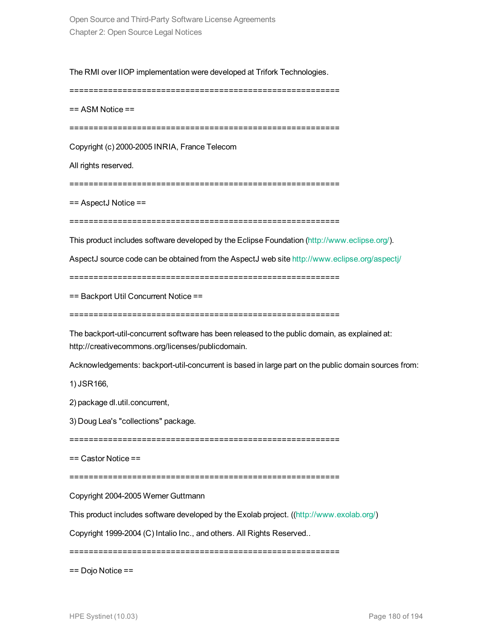The RMI over IIOP implementation were developed at Trifork Technologies.

========================================================

== ASM Notice ==

========================================================

Copyright (c) 2000-2005 INRIA, France Telecom

All rights reserved.

========================================================

== AspectJ Notice ==

========================================================

This product includes software developed by the Eclipse Foundation [\(http://www.eclipse.org/\)](http://www.eclipse.org/).

AspectJ source code can be obtained from the AspectJ web site <http://www.eclipse.org/aspectj/>

========================================================

== Backport Util Concurrent Notice ==

========================================================

The backport-util-concurrent software has been released to the public domain, as explained at: http://creativecommons.org/licenses/publicdomain.

Acknowledgements: backport-util-concurrent is based in large part on the public domain sources from:

1) JSR166,

2) package dl.util.concurrent,

3) Doug Lea's "collections" package.

========================================================

== Castor Notice ==

========================================================

Copyright 2004-2005 Werner Guttmann

This product includes software developed by the Exolab project. ((<http://www.exolab.org/>)

Copyright 1999-2004 (C) Intalio Inc., and others. All Rights Reserved..

========================================================

== Dojo Notice ==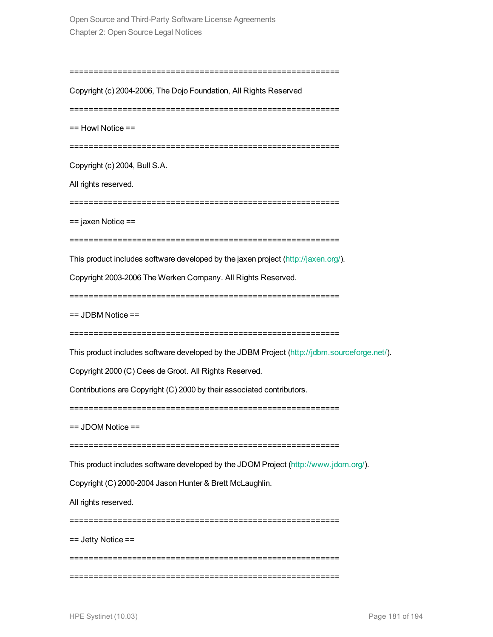======================================================== Copyright (c) 2004-2006, The Dojo Foundation, All Rights Reserved ======================================================== == Howl Notice == ======================================================== Copyright (c) 2004, Bull S.A. All rights reserved. ======================================================== == jaxen Notice == ======================================================== This product includes software developed by the jaxen project [\(http://jaxen.org/](http://jaxen.org/)). Copyright 2003-2006 The Werken Company. All Rights Reserved. ========================================================  $==$  JDBM Notice  $==$ ======================================================== This product includes software developed by the JDBM Project [\(http://jdbm.sourceforge.net/\)](http://jdbm.sourceforge.net/). Copyright 2000 (C) Cees de Groot. All Rights Reserved. Contributions are Copyright (C) 2000 by their associated contributors. ========================================================  $==$  JDOM Notice  $==$ ======================================================== This product includes software developed by the JDOM Project (<http://www.jdom.org/>). Copyright (C) 2000-2004 Jason Hunter & Brett McLaughlin. All rights reserved. ========================================================  $==$  Jetty Notice  $==$ ======================================================== ========================================================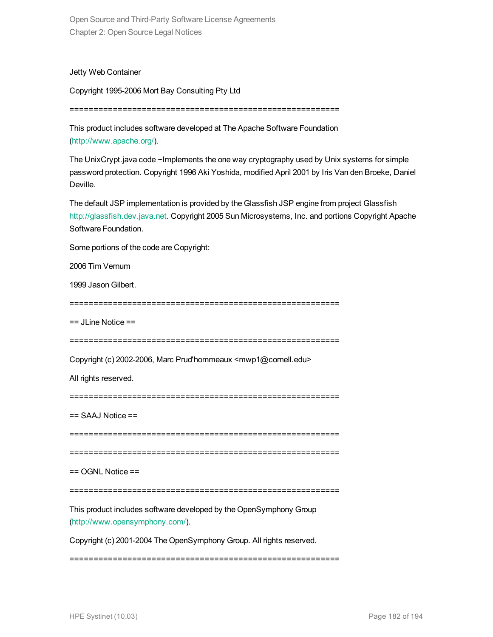Jetty Web Container

Copyright 1995-2006 Mort Bay Consulting Pty Ltd

========================================================

This product includes software developed at The Apache Software Foundation [\(http://www.apache.org/](http://www.apache.org/)).

The UnixCrypt.java code ~Implements the one way cryptography used by Unix systems for simple password protection. Copyright 1996 Aki Yoshida, modified April 2001 by Iris Van den Broeke, Daniel Deville.

The default JSP implementation is provided by the Glassfish JSP engine from project Glassfish [http://glassfish.dev.java.net](http://glassfish.dev.java.net/). Copyright 2005 Sun Microsystems, Inc. and portions Copyright Apache Software Foundation.

Some portions of the code are Copyright: 2006 Tim Vernum 1999 Jason Gilbert. ======================================================== == JLine Notice == ======================================================== Copyright (c) 2002-2006, Marc Prud'hommeaux <mwp1@cornell.edu> All rights reserved. ========================================================  $==$  SAAJ Notice  $==$ ======================================================== ========================================================  $==$  OGNL Notice  $==$ ======================================================== This product includes software developed by the OpenSymphony Group [\(http://www.opensymphony.com/](http://www.opensymphony.com/)). Copyright (c) 2001-2004 The OpenSymphony Group. All rights reserved. ========================================================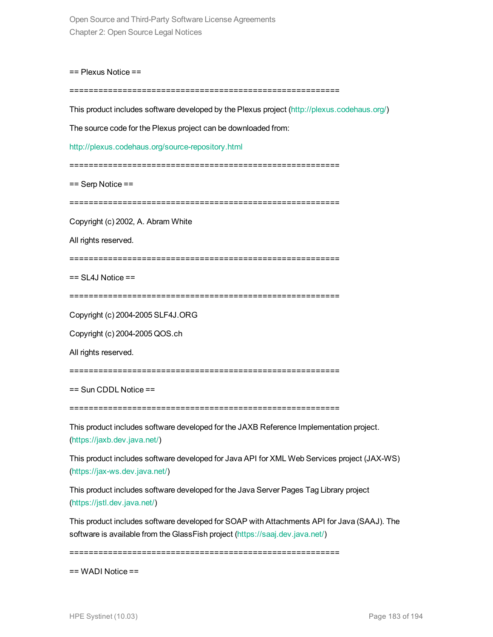== Plexus Notice ==

========================================================

This product includes software developed by the Plexus project (<http://plexus.codehaus.org/>)

The source code for the Plexus project can be downloaded from:

<http://plexus.codehaus.org/source-repository.html>

========================================================

== Serp Notice ==

========================================================

Copyright (c) 2002, A. Abram White

All rights reserved.

========================================================

 $==$  SL4J Notice  $==$ 

========================================================

Copyright (c) 2004-2005 SLF4J.ORG

Copyright (c) 2004-2005 QOS.ch

All rights reserved.

========================================================

== Sun CDDL Notice ==

========================================================

This product includes software developed for the JAXB Reference Implementation project. [\(https://jaxb.dev.java.net/](https://jaxb.dev.java.net/))

This product includes software developed for Java API for XML Web Services project (JAX-WS) [\(https://jax-ws.dev.java.net/\)](https://jax-ws.dev.java.net/)

This product includes software developed for the Java Server Pages Tag Library project [\(https://jstl.dev.java.net/](https://jstl.dev.java.net/))

This product includes software developed for SOAP with Attachments API for Java (SAAJ). The software is available from the GlassFish project [\(https://saaj.dev.java.net/\)](https://saaj.dev.java.net/)

========================================================

 $==$  WADI Notice  $==$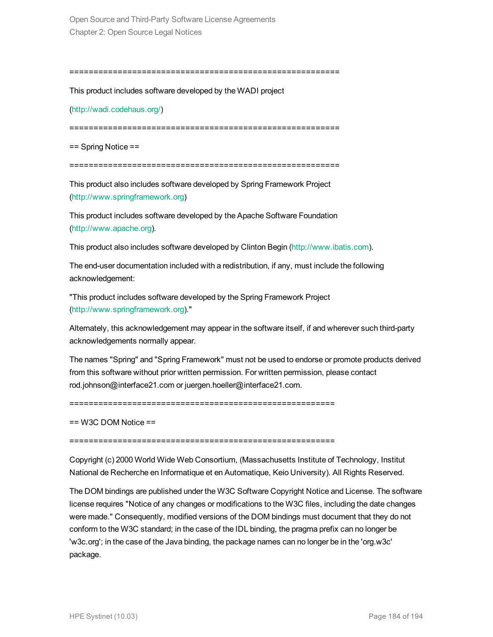========================================================

This product includes software developed by the WADI project

[\(http://wadi.codehaus.org/\)](http://wadi.codehaus.org/)

========================================================

== Spring Notice ==

========================================================

This product also includes software developed by Spring Framework Project [\(http://www.springframework.org\)](http://www.springframework.org/)

This product includes software developed by the Apache Software Foundation [\(http://www.apache.org](http://www.apache.org/)).

This product also includes software developed by Clinton Begin [\(http://www.ibatis.com](http://www.ibatis.com/)).

The end-user documentation included with a redistribution, if any, must include the following acknowledgement:

"This product includes software developed by the Spring Framework Project [\(http://www.springframework.org\)](http://www.springframework.org/)."

Alternately, this acknowledgement may appear in the software itself, if and wherever such third-party acknowledgements normally appear.

The names "Spring" and "Spring Framework" must not be used to endorse or promote products derived from this software without prior written permission. For written permission, please contact rod.johnson@interface21.com or juergen.hoeller@interface21.com.

=======================================================

== W3C DOM Notice ==

=======================================================

Copyright (c) 2000 World Wide Web Consortium, (Massachusetts Institute of Technology, Institut National de Recherche en Informatique et en Automatique, Keio University). All Rights Reserved.

The DOM bindings are published under the W3C Software Copyright Notice and License. The software license requires "Notice of any changes or modifications to the W3C files, including the date changes were made." Consequently, modified versions of the DOM bindings must document that they do not conform to the W3C standard; in the case of the IDL binding, the pragma prefix can no longer be 'w3c.org'; in the case of the Java binding, the package names can no longer be in the 'org.w3c' package.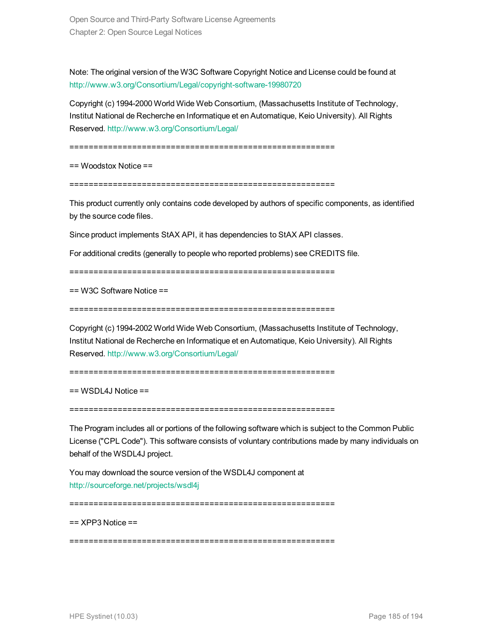Note: The original version of the W3C Software Copyright Notice and License could be found at <http://www.w3.org/Consortium/Legal/copyright-software-19980720>

Copyright (c) 1994-2000 World Wide Web Consortium, (Massachusetts Institute of Technology, Institut National de Recherche en Informatique et en Automatique, Keio University). All Rights Reserved. <http://www.w3.org/Consortium/Legal/>

=======================================================

== Woodstox Notice ==

=======================================================

This product currently only contains code developed by authors of specific components, as identified by the source code files.

Since product implements StAX API, it has dependencies to StAX API classes.

For additional credits (generally to people who reported problems) see CREDITS file.

=======================================================

== W3C Software Notice ==

=======================================================

Copyright (c) 1994-2002 World Wide Web Consortium, (Massachusetts Institute of Technology, Institut National de Recherche en Informatique et en Automatique, Keio University). All Rights Reserved. <http://www.w3.org/Consortium/Legal/>

=======================================================

 $==$  WSDL4J Notice  $==$ 

=======================================================

The Program includes all or portions of the following software which is subject to the Common Public License ("CPL Code"). This software consists of voluntary contributions made by many individuals on behalf of the WSDL4J project.

You may download the source version of the WSDL4J component at <http://sourceforge.net/projects/wsdl4j>

=======================================================

 $==$  XPP3 Notice  $==$ 

=======================================================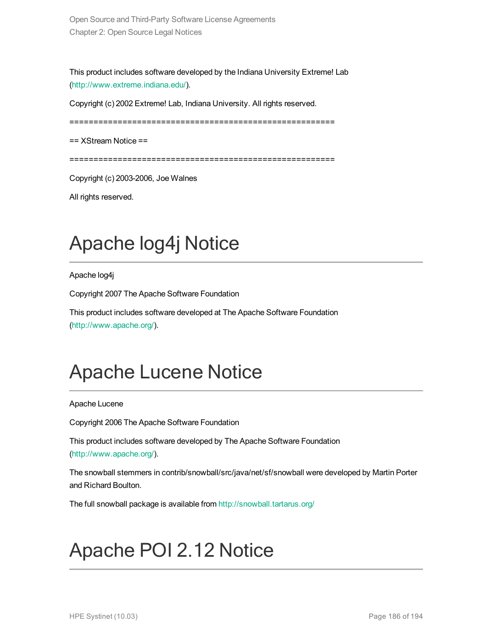This product includes software developed by the Indiana University Extreme! Lab [\(http://www.extreme.indiana.edu/](http://www.extreme.indiana.edu/)).

Copyright (c) 2002 Extreme! Lab, Indiana University. All rights reserved.

=======================================================

== XStream Notice ==

=======================================================

Copyright (c) 2003-2006, Joe Walnes

All rights reserved.

### Apache log4j Notice

Apache log4j

Copyright 2007 The Apache Software Foundation

This product includes software developed at The Apache Software Foundation [\(http://www.apache.org/](http://www.apache.org/)).

### Apache Lucene Notice

#### Apache Lucene

Copyright 2006 The Apache Software Foundation

This product includes software developed by The Apache Software Foundation [\(http://www.apache.org/](http://www.apache.org/)).

The snowball stemmers in contrib/snowball/src/java/net/sf/snowball were developed by Martin Porter and Richard Boulton.

The full snowball package is available from <http://snowball.tartarus.org/>

# Apache POI 2.12 Notice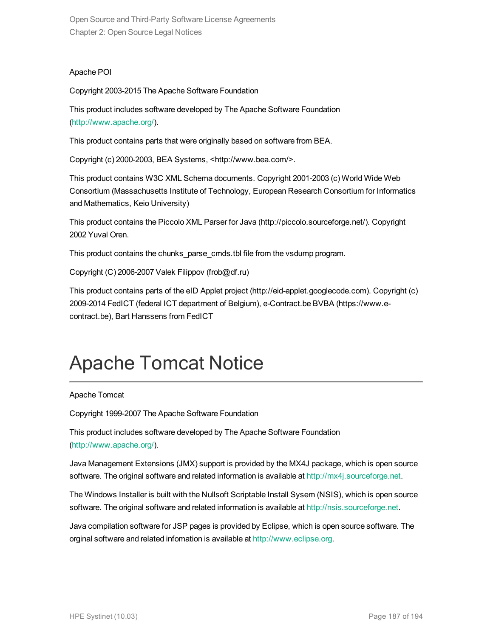#### Apache POI

Copyright 2003-2015 The Apache Software Foundation

This product includes software developed by The Apache Software Foundation [\(http://www.apache.org/](http://www.apache.org/)).

This product contains parts that were originally based on software from BEA.

Copyright (c) 2000-2003, BEA Systems, <http://www.bea.com/>.

This product contains W3C XML Schema documents. Copyright 2001-2003 (c) World Wide Web Consortium (Massachusetts Institute of Technology, European Research Consortium for Informatics and Mathematics, Keio University)

This product contains the Piccolo XML Parser for Java (http://piccolo.sourceforge.net/). Copyright 2002 Yuval Oren.

This product contains the chunks\_parse\_cmds.tbl file from the vsdump program.

Copyright (C) 2006-2007 Valek Filippov (frob@df.ru)

This product contains parts of the eID Applet project (http://eid-applet.googlecode.com). Copyright (c) 2009-2014 FedICT (federal ICT department of Belgium), e-Contract.be BVBA (https://www.econtract.be), Bart Hanssens from FedICT

# Apache Tomcat Notice

Apache Tomcat

Copyright 1999-2007 The Apache Software Foundation

This product includes software developed by The Apache Software Foundation [\(http://www.apache.org/](http://www.apache.org/)).

Java Management Extensions (JMX) support is provided by the MX4J package, which is open source software. The original software and related information is available at [http://mx4j.sourceforge.net](http://mx4j.sourceforge.net/).

The Windows Installer is built with the Nullsoft Scriptable Install Sysem (NSIS), which is open source software. The original software and related information is available at [http://nsis.sourceforge.net](http://nsis.sourceforge.net/).

Java compilation software for JSP pages is provided by Eclipse, which is open source software. The orginal software and related infomation is available at [http://www.eclipse.org](http://www.eclipse.org/).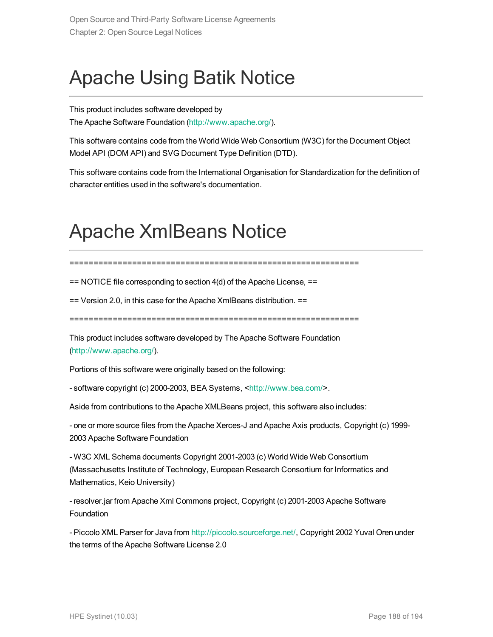# Apache Using Batik Notice

This product includes software developed by The Apache Software Foundation [\(http://www.apache.org/\)](http://www.apache.org/).

This software contains code from the World Wide Web Consortium (W3C) for the Document Object Model API (DOM API) and SVG Document Type Definition (DTD).

This software contains code from the International Organisation for Standardization for the definition of character entities used in the software's documentation.

### Apache XmlBeans Notice

============================================================

== NOTICE file corresponding to section 4(d) of the Apache License, ==

== Version 2.0, in this case for the Apache XmlBeans distribution. ==

============================================================

This product includes software developed by The Apache Software Foundation [\(http://www.apache.org/](http://www.apache.org/)).

Portions of this software were originally based on the following:

- software copyright (c) 2000-2003, BEA Systems, <<http://www.bea.com/>>.

Aside from contributions to the Apache XMLBeans project, this software also includes:

- one or more source files from the Apache Xerces-J and Apache Axis products, Copyright (c) 1999- 2003 Apache Software Foundation

- W3C XML Schema documents Copyright 2001-2003 (c) World Wide Web Consortium (Massachusetts Institute of Technology, European Research Consortium for Informatics and Mathematics, Keio University)

- resolver.jar from Apache Xml Commons project, Copyright (c) 2001-2003 Apache Software Foundation

- Piccolo XML Parser for Java from [http://piccolo.sourceforge.net/,](http://piccolo.sourceforge.net/) Copyright 2002 Yuval Oren under the terms of the Apache Software License 2.0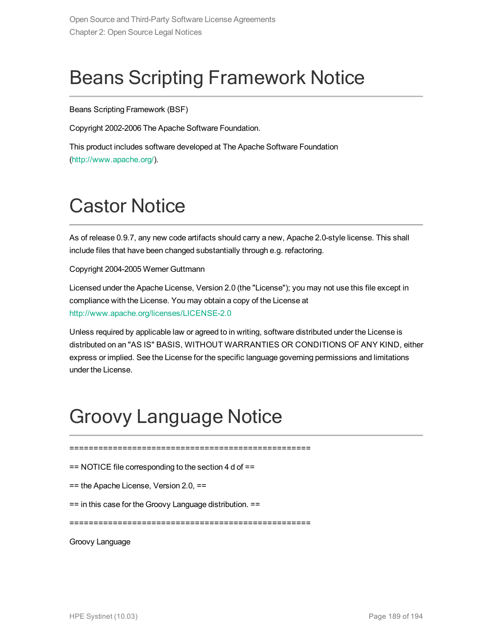# Beans Scripting Framework Notice

Beans Scripting Framework (BSF)

Copyright 2002-2006 The Apache Software Foundation.

This product includes software developed at The Apache Software Foundation [\(http://www.apache.org/](http://www.apache.org/)).

### Castor Notice

As of release 0.9.7, any new code artifacts should carry a new, Apache 2.0-style license. This shall include files that have been changed substantially through e.g. refactoring.

Copyright 2004-2005 Werner Guttmann

Licensed under the Apache License, Version 2.0 (the "License"); you may not use this file except in compliance with the License. You may obtain a copy of the License at <http://www.apache.org/licenses/LICENSE-2.0>

Unless required by applicable law or agreed to in writing, software distributed under the License is distributed on an "AS IS" BASIS, WITHOUT WARRANTIES OR CONDITIONS OF ANY KIND, either express or implied. See the License for the specific language governing permissions and limitations under the License.

# Groovy Language Notice

========================

 $=$  NOTICE file corresponding to the section 4 d of  $=$ 

== the Apache License, Version 2.0, ==

 $==$  in this case for the Groovy Language distribution.  $==$ 

==================================================

Groovy Language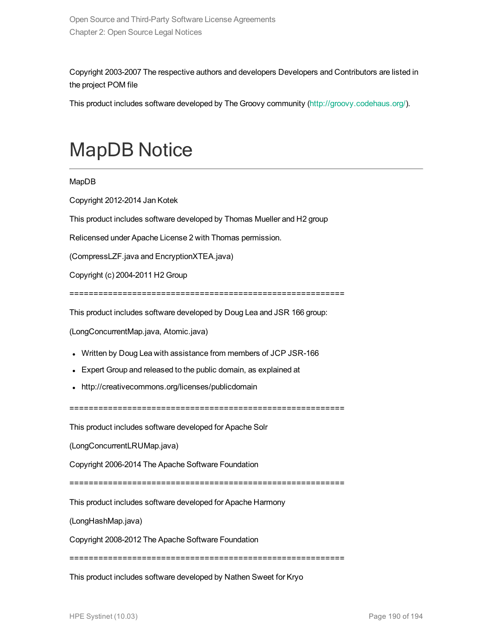Copyright 2003-2007 The respective authors and developers Developers and Contributors are listed in the project POM file

This product includes software developed by The Groovy community [\(http://groovy.codehaus.org/](http://groovy.codehaus.org/)).

## MapDB Notice

#### MapDB

Copyright 2012-2014 Jan Kotek

This product includes software developed by Thomas Mueller and H2 group

Relicensed under Apache License 2 with Thomas permission.

(CompressLZF.java and EncryptionXTEA.java)

Copyright (c) 2004-2011 H2 Group

=========================================================

This product includes software developed by Doug Lea and JSR 166 group:

(LongConcurrentMap.java, Atomic.java)

- Written by Doug Lea with assistance from members of JCP JSR-166
- Expert Group and released to the public domain, as explained at
- http://creativecommons.org/licenses/publicdomain

=========================================================

This product includes software developed for Apache Solr

(LongConcurrentLRUMap.java)

Copyright 2006-2014 The Apache Software Foundation

=========================================================

This product includes software developed for Apache Harmony

(LongHashMap.java)

Copyright 2008-2012 The Apache Software Foundation

=========================================================

This product includes software developed by Nathen Sweet for Kryo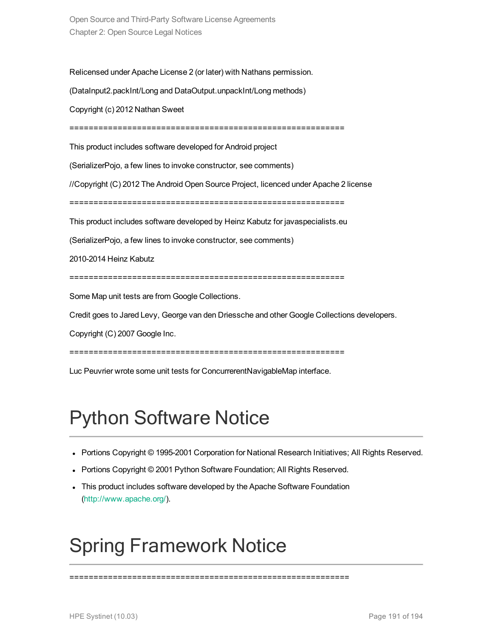Relicensed under Apache License 2 (or later) with Nathans permission.

(DataInput2.packInt/Long and DataOutput.unpackInt/Long methods)

Copyright (c) 2012 Nathan Sweet

=========================================================

This product includes software developed for Android project

(SerializerPojo, a few lines to invoke constructor, see comments)

//Copyright (C) 2012 The Android Open Source Project, licenced under Apache 2 license

=========================================================

This product includes software developed by Heinz Kabutz for javaspecialists.eu

(SerializerPojo, a few lines to invoke constructor, see comments)

2010-2014 Heinz Kabutz

=========================================================

Some Map unit tests are from Google Collections.

Credit goes to Jared Levy, George van den Driessche and other Google Collections developers.

Copyright (C) 2007 Google Inc.

=========================================================

Luc Peuvrier wrote some unit tests for ConcurrerentNavigableMap interface.

### Python Software Notice

- Portions Copyright © 1995-2001 Corporation for National Research Initiatives; All Rights Reserved.
- Portions Copyright © 2001 Python Software Foundation; All Rights Reserved.
- This product includes software developed by the Apache Software Foundation [\(http://www.apache.org/](http://www.apache.org/)).

# Spring Framework Notice

==========================================================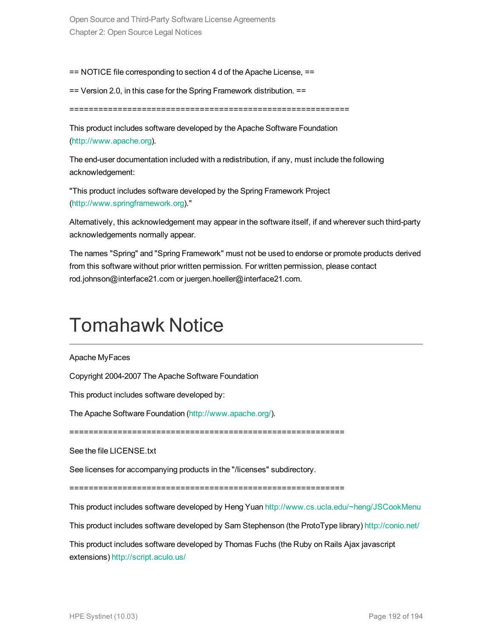== NOTICE file corresponding to section 4 d of the Apache License, ==

== Version 2.0, in this case for the Spring Framework distribution. ==

==========================================================

This product includes software developed by the Apache Software Foundation [\(http://www.apache.org](http://www.apache.org/)).

The end-user documentation included with a redistribution, if any, must include the following acknowledgement:

"This product includes software developed by the Spring Framework Project [\(http://www.springframework.org\)](http://www.springframework.org/)."

Alternatively, this acknowledgement may appear in the software itself, if and wherever such third-party acknowledgements normally appear.

The names "Spring" and "Spring Framework" must not be used to endorse or promote products derived from this software without prior written permission. For written permission, please contact rod.johnson@interface21.com or juergen.hoeller@interface21.com.

### Tomahawk Notice

Apache MyFaces

Copyright 2004-2007 The Apache Software Foundation

This product includes software developed by:

The Apache Software Foundation [\(http://www.apache.org/\)](http://www.apache.org/).

=========================================================

See the file LICENSE.txt

See licenses for accompanying products in the "/licenses" subdirectory.

=========================================================

This product includes software developed by Heng Yuan <http://www.cs.ucla.edu/~heng/JSCookMenu>

This product includes software developed by Sam Stephenson (the ProtoType library) <http://conio.net/>

This product includes software developed by Thomas Fuchs (the Ruby on Rails Ajax javascript extensions) <http://script.aculo.us/>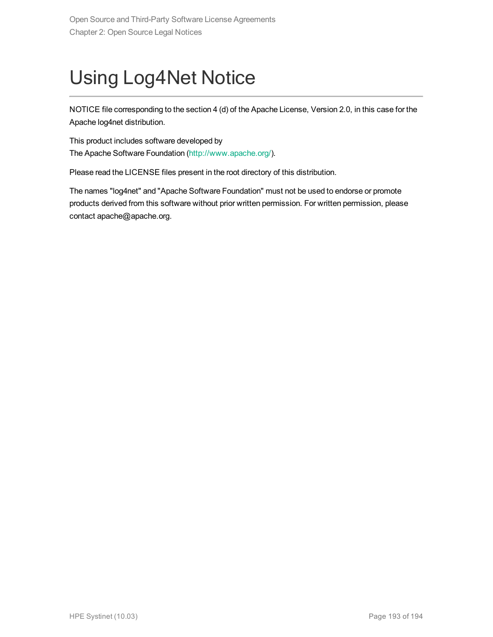# Using Log4Net Notice

NOTICE file corresponding to the section 4 (d) of the Apache License, Version 2.0, in this case for the Apache log4net distribution.

This product includes software developed by The Apache Software Foundation [\(http://www.apache.org/\)](http://www.apache.org/).

Please read the LICENSE files present in the root directory of this distribution.

The names "log4net" and "Apache Software Foundation" must not be used to endorse or promote products derived from this software without prior written permission. For written permission, please contact apache@apache.org.